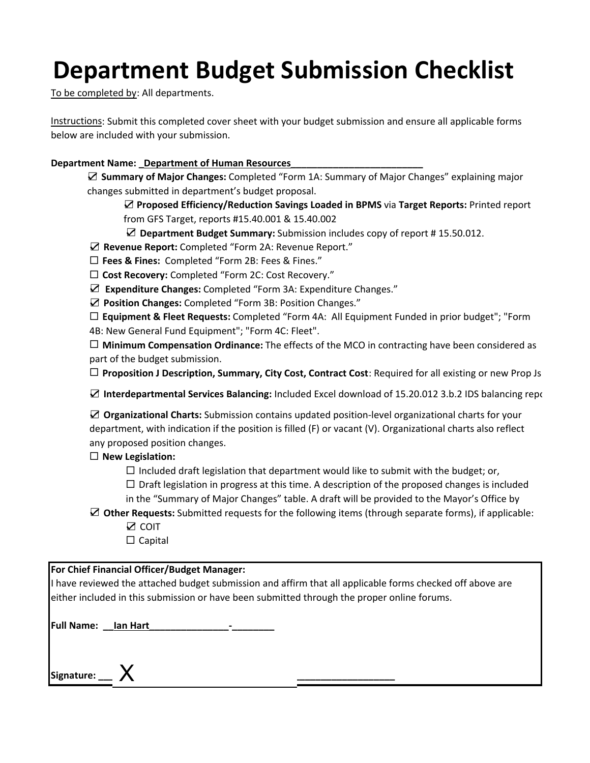# **Department Budget Submission Checklist**

To be completed by: All departments.

Instructions: Submit this completed cover sheet with your budget submission and ensure all applicable forms below are included with your submission.

# **Department Name: \_Department of Human Resources\_\_\_\_\_\_\_\_\_\_\_\_\_\_\_\_\_\_\_\_\_\_\_\_\_**

☑ **Summary of Major Changes:** Completed "Form 1A: Summary of Major Changes" explaining major changes submitted in department's budget proposal.

☑ **Proposed Efficiency/Reduction Savings Loaded in BPMS** via **Target Reports:** Printed report from GFS Target, reports #15.40.001 & 15.40.002

☑ **Department Budget Summary:** Submission includes copy of report # 15.50.012.

☑ **Revenue Report:** Completed "Form 2A: Revenue Report."

**Fees & Fines:**  Completed "Form 2B: Fees & Fines."

**Cost Recovery:** Completed "Form 2C: Cost Recovery."

☑ **Expenditure Changes:** Completed "Form 3A: Expenditure Changes."

☑ **Position Changes:** Completed "Form 3B: Position Changes."

 **Equipment & Fleet Requests:** Completed "Form 4A: All Equipment Funded in prior budget"; "Form 4B: New General Fund Equipment"; "Form 4C: Fleet".

 **Minimum Compensation Ordinance:** The effects of the MCO in contracting have been considered as part of the budget submission.

**Proposition J Description, Summary, City Cost, Contract Cost**: Required for all existing or new Prop Js

☑ **Interdepartmental Services Balancing:** Included Excel download of 15.20.012 3.b.2 IDS balancing repo

☑ **Organizational Charts:** Submission contains updated position‐level organizational charts for your department, with indication if the position is filled (F) or vacant (V). Organizational charts also reflect any proposed position changes.

# **New Legislation:**

 $\Box$  Included draft legislation that department would like to submit with the budget; or,

 $\Box$  Draft legislation in progress at this time. A description of the proposed changes is included

- in the "Summary of Major Changes" table. A draft will be provided to the Mayor's Office by
- ☑ **Other Requests:** Submitted requests for the following items (through separate forms), if applicable: ☑ COIT

 $\Box$  Capital

# **For Chief Financial Officer/Budget Manager:**

I have reviewed the attached budget submission and affirm that all applicable forms checked off above are either included in this submission or have been submitted through the proper online forums.

| <b>Full Name:</b> | lan Hart |  |
|-------------------|----------|--|
|                   |          |  |

**Signature: \_\_\_\_\_\_\_\_\_\_\_\_\_\_\_\_\_\_\_\_\_\_\_\_\_\_\_\_\_\_\_\_\_\_\_\_\_\_\_\_\_\_\_\_\_\_\_\_\_\_\_\_** X **\_\_\_\_**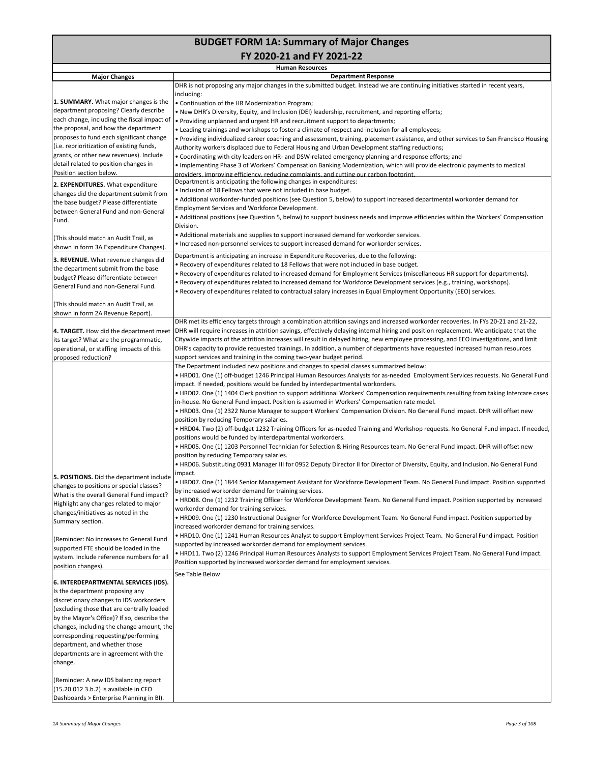# **BUDGET FORM 1A: Summary of Major Changes**

**FY 2020‐21 and FY 2021‐22** 

|                                             | <b>Human Resources</b>                                                                                                                          |
|---------------------------------------------|-------------------------------------------------------------------------------------------------------------------------------------------------|
| <b>Major Changes</b>                        | <b>Department Response</b>                                                                                                                      |
|                                             | DHR is not proposing any major changes in the submitted budget. Instead we are continuing initiatives started in recent years,                  |
| 1. SUMMARY. What major changes is the       | including:<br>• Continuation of the HR Modernization Program;                                                                                   |
| department proposing? Clearly describe      | . New DHR's Diversity, Equity, and Inclusion (DEI) leadership, recruitment, and reporting efforts;                                              |
| each change, including the fiscal impact of | . Providing unplanned and urgent HR and recruitment support to departments;                                                                     |
| the proposal, and how the department        | • Leading trainings and workshops to foster a climate of respect and inclusion for all employees;                                               |
| proposes to fund each significant change    | • Providing individualized career coaching and assessment, training, placement assistance, and other services to San Francisco Housing          |
| (i.e. reprioritization of existing funds,   | Authority workers displaced due to Federal Housing and Urban Development staffing reductions;                                                   |
| grants, or other new revenues). Include     | • Coordinating with city leaders on HR- and DSW-related emergency planning and response efforts; and                                            |
| detail related to position changes in       | • Implementing Phase 3 of Workers' Compensation Banking Modernization, which will provide electronic payments to medical                        |
| Position section below.                     | providers, improving efficiency, reducing complaints, and cutting our carbon footprint.                                                         |
| 2. EXPENDITURES. What expenditure           | Department is anticipating the following changes in expenditures:                                                                               |
| changes did the department submit from      | • Inclusion of 18 Fellows that were not included in base budget.                                                                                |
| the base budget? Please differentiate       | • Additional workorder-funded positions (see Question 5, below) to support increased departmental workorder demand for                          |
| between General Fund and non-General        | Employment Services and Workforce Development.                                                                                                  |
| Fund.                                       | • Additional positions (see Question 5, below) to support business needs and improve efficiencies within the Workers' Compensation              |
|                                             | Division.                                                                                                                                       |
| (This should match an Audit Trail, as       | • Additional materials and supplies to support increased demand for workorder services.                                                         |
| shown in form 3A Expenditure Changes).      | • Increased non-personnel services to support increased demand for workorder services.                                                          |
| 3. REVENUE. What revenue changes did        | Department is anticipating an increase in Expenditure Recoveries, due to the following:                                                         |
| the department submit from the base         | . Recovery of expenditures related to 18 Fellows that were not included in base budget.                                                         |
| budget? Please differentiate between        | • Recovery of expenditures related to increased demand for Employment Services (miscellaneous HR support for departments).                      |
| General Fund and non-General Fund.          | • Recovery of expenditures related to increased demand for Workforce Development services (e.g., training, workshops).                          |
|                                             | • Recovery of expenditures related to contractual salary increases in Equal Employment Opportunity (EEO) services.                              |
| (This should match an Audit Trail, as       |                                                                                                                                                 |
| shown in form 2A Revenue Report).           |                                                                                                                                                 |
|                                             | DHR met its efficiency targets through a combination attrition savings and increased workorder recoveries. In FYs 20-21 and 21-22,              |
| 4. TARGET. How did the department meet      | DHR will require increases in attrition savings, effectively delaying internal hiring and position replacement. We anticipate that the          |
| its target? What are the programmatic,      | Citywide impacts of the attrition increases will result in delayed hiring, new employee processing, and EEO investigations, and limit           |
| operational, or staffing impacts of this    | DHR's capacity to provide requested trainings. In addition, a number of departments have requested increased human resources                    |
| proposed reduction?                         | support services and training in the coming two-year budget period.                                                                             |
|                                             | The Department included new positions and changes to special classes summarized below:                                                          |
|                                             | • HRD01. One (1) off-budget 1246 Principal Human Resources Analysts for as-needed Employment Services requests. No General Fund                 |
|                                             | impact. If needed, positions would be funded by interdepartmental workorders.                                                                   |
|                                             | • HRD02. One (1) 1404 Clerk position to support additional Workers' Compensation requirements resulting from taking Intercare cases             |
|                                             | in-house. No General Fund impact. Position is assumed in Workers' Compensation rate model.                                                      |
|                                             | • HRD03. One (1) 2322 Nurse Manager to support Workers' Compensation Division. No General Fund impact. DHR will offset new                      |
|                                             | position by reducing Temporary salaries.                                                                                                        |
|                                             | • HRD04. Two (2) off-budget 1232 Training Officers for as-needed Training and Workshop requests. No General Fund impact. If needed,             |
|                                             | positions would be funded by interdepartmental workorders.                                                                                      |
|                                             | • HRD05. One (1) 1203 Personnel Technician for Selection & Hiring Resources team. No General Fund impact. DHR will offset new                   |
|                                             | position by reducing Temporary salaries.                                                                                                        |
|                                             | • HRD06. Substituting 0931 Manager III for 0952 Deputy Director II for Director of Diversity, Equity, and Inclusion. No General Fund<br>impact. |
| 5. POSITIONS. Did the department include    | • HRD07. One (1) 1844 Senior Management Assistant for Workforce Development Team. No General Fund impact. Position supported                    |
| changes to positions or special classes?    | by increased workorder demand for training services.                                                                                            |
| What is the overall General Fund impact?    | • HRD08. One (1) 1232 Training Officer for Workforce Development Team. No General Fund impact. Position supported by increased                  |
| Highlight any changes related to major      | workorder demand for training services.                                                                                                         |
| changes/initiatives as noted in the         | • HRD09. One (1) 1230 Instructional Designer for Workforce Development Team. No General Fund impact. Position supported by                      |
| Summary section.                            | increased workorder demand for training services.                                                                                               |
|                                             | • HRD10. One (1) 1241 Human Resources Analyst to support Employment Services Project Team. No General Fund impact. Position                     |
| (Reminder: No increases to General Fund     | supported by increased workorder demand for employment services.                                                                                |
| supported FTE should be loaded in the       | • HRD11. Two (2) 1246 Principal Human Resources Analysts to support Employment Services Project Team. No General Fund impact.                   |
| system. Include reference numbers for all   | Position supported by increased workorder demand for employment services.                                                                       |
| position changes).                          | See Table Below                                                                                                                                 |
| 6. INTERDEPARTMENTAL SERVICES (IDS).        |                                                                                                                                                 |
| Is the department proposing any             |                                                                                                                                                 |
| discretionary changes to IDS workorders     |                                                                                                                                                 |
| (excluding those that are centrally loaded  |                                                                                                                                                 |
| by the Mayor's Office)? If so, describe the |                                                                                                                                                 |
| changes, including the change amount, the   |                                                                                                                                                 |
| corresponding requesting/performing         |                                                                                                                                                 |
| department, and whether those               |                                                                                                                                                 |
| departments are in agreement with the       |                                                                                                                                                 |
| change.                                     |                                                                                                                                                 |
|                                             |                                                                                                                                                 |
| (Reminder: A new IDS balancing report       |                                                                                                                                                 |
| (15.20.012 3.b.2) is available in CFO       |                                                                                                                                                 |
| Dashboards > Enterprise Planning in BI).    |                                                                                                                                                 |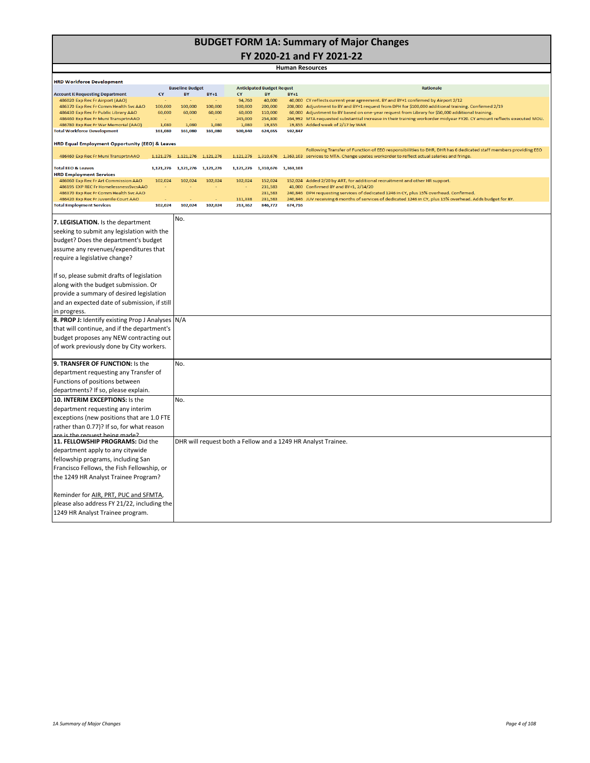# **BUDGET FORM 1A: Summary of Major Changes**

**FY 2020‐21 and FY 2021‐22** 

|                                                                                | <b>Human Resources</b> |                               |             |                     |                                  |         |                                                                                                                                                                                                                                 |  |  |  |
|--------------------------------------------------------------------------------|------------------------|-------------------------------|-------------|---------------------|----------------------------------|---------|---------------------------------------------------------------------------------------------------------------------------------------------------------------------------------------------------------------------------------|--|--|--|
| <b>HRD Workforce Development</b>                                               |                        |                               |             |                     |                                  |         |                                                                                                                                                                                                                                 |  |  |  |
|                                                                                |                        | <b>Baseline Budget</b>        |             |                     | <b>Anticipated Budget Requst</b> |         | <b>Rationale</b>                                                                                                                                                                                                                |  |  |  |
| <b>Account II Requesting Department</b><br>486020 Exp Rec Fr Airport (AAO)     | CY                     | <b>BY</b>                     | $BY+1$      | <b>CY</b><br>94,760 | <b>BY</b><br>40,000              | $BY+1$  | 40,000 CY reflects current year agreement. BY and BY+1 confirmed by Airport 2/12                                                                                                                                                |  |  |  |
| 486370 Exp Rec Fr Comm Health Svc AAO                                          | 100,000                | 100,000                       | 100,000     | 100,000             | 200,000                          |         | 208,000 Adjustment to BY and BY+1 request from DPH for \$100,000 additional training. Confirmed 2/19                                                                                                                            |  |  |  |
| 486430 Exp Rec Fr Public Library AAO                                           | 60,000                 | 60,000                        | 60,000      | 60,000              | 110,000                          |         | 60,000 Adjustment to BY based on one-year request from Library for \$50,000 additional training.                                                                                                                                |  |  |  |
| 486460 Exp Rec Fr Muni TransprtnAAO<br>486780 Exp Rec Fr War Memorial (AAO)    | $\sim$<br>1,080        | ÷.<br>1,080                   | ×.<br>1,080 | 245,000<br>1,080    | 254,800<br>19,855                |         | 264,992 MTA requested substantial increase in their training workorder midyear FY20. CY amount reflects executed MOU.<br>19,855 Added week of 2/17 by WAR                                                                       |  |  |  |
| <b>Total Workforce Development</b>                                             | 161,080                | 161,080                       | 161,080     | 500,840             | 624,655                          | 592,847 |                                                                                                                                                                                                                                 |  |  |  |
| HRD Equal Employment Opportunity (EEO) & Leaves                                |                        |                               |             |                     |                                  |         |                                                                                                                                                                                                                                 |  |  |  |
| 486460 Exp Rec Fr Muni TransprtnAAO                                            |                        | 1,121,276 1,121,276 1,121,276 |             |                     |                                  |         | Following Transfer of Function of EEO responsibilities to DHR, DHR has 6 dedicated staff members providing EEO<br>1,121,276 1,310,676 1,363,103 services to MTA. Change upates workorder to reflect actual salaries and fringe. |  |  |  |
| <b>Total EEO &amp; Leaves</b>                                                  |                        | 1,121,276 1,121,276 1,121,276 |             |                     | 1,121,276 1,310,676 1,363,103    |         |                                                                                                                                                                                                                                 |  |  |  |
| <b>HRD Employment Services</b>                                                 |                        |                               |             |                     |                                  |         |                                                                                                                                                                                                                                 |  |  |  |
| 486060 Exp Rec Fr Art Commission AAO                                           | 102,024                | 102,024                       | 102,024     | 102,024             | 152,024                          |         | 152,024 Added 2/20 by ART, for additional recruitment and other HR support.                                                                                                                                                     |  |  |  |
| 486195 EXP REC Fr HomelessnessSvcsAAO<br>486370 Exp Rec Fr Comm Health Svc AAO | $\sim$                 |                               |             |                     | 231,583<br>231,583               | 41,000  | Confirmed BY and BY+1, 2/14/20<br>240,846 DPH requesting services of dedicated 1246 in CY, plus 15% overhead. Confirmed.                                                                                                        |  |  |  |
| 486420 Exp Rec Fr Juvenile Court AAO                                           |                        |                               |             | 111,338             | 231,583                          |         | 240,846 JUV receiving 6 months of services of dedicated 1246 in CY, plus 15% overhead. Adds budget for BY.                                                                                                                      |  |  |  |
| <b>Total Employment Services</b>                                               | 102,024                | 102,024                       | 102,024     | 213,362             | 846,772                          | 674,716 |                                                                                                                                                                                                                                 |  |  |  |
| 7. LEGISLATION. Is the department                                              |                        | No.                           |             |                     |                                  |         |                                                                                                                                                                                                                                 |  |  |  |
| seeking to submit any legislation with the                                     |                        |                               |             |                     |                                  |         |                                                                                                                                                                                                                                 |  |  |  |
| budget? Does the department's budget                                           |                        |                               |             |                     |                                  |         |                                                                                                                                                                                                                                 |  |  |  |
| assume any revenues/expenditures that                                          |                        |                               |             |                     |                                  |         |                                                                                                                                                                                                                                 |  |  |  |
| require a legislative change?                                                  |                        |                               |             |                     |                                  |         |                                                                                                                                                                                                                                 |  |  |  |
|                                                                                |                        |                               |             |                     |                                  |         |                                                                                                                                                                                                                                 |  |  |  |
| If so, please submit drafts of legislation                                     |                        |                               |             |                     |                                  |         |                                                                                                                                                                                                                                 |  |  |  |
| along with the budget submission. Or                                           |                        |                               |             |                     |                                  |         |                                                                                                                                                                                                                                 |  |  |  |
| provide a summary of desired legislation                                       |                        |                               |             |                     |                                  |         |                                                                                                                                                                                                                                 |  |  |  |
| and an expected date of submission, if still                                   |                        |                               |             |                     |                                  |         |                                                                                                                                                                                                                                 |  |  |  |
| in progress.                                                                   |                        |                               |             |                     |                                  |         |                                                                                                                                                                                                                                 |  |  |  |
| 8. PROP J: Identify existing Prop J Analyses N/A                               |                        |                               |             |                     |                                  |         |                                                                                                                                                                                                                                 |  |  |  |
| that will continue, and if the department's                                    |                        |                               |             |                     |                                  |         |                                                                                                                                                                                                                                 |  |  |  |
| budget proposes any NEW contracting out                                        |                        |                               |             |                     |                                  |         |                                                                                                                                                                                                                                 |  |  |  |
|                                                                                |                        |                               |             |                     |                                  |         |                                                                                                                                                                                                                                 |  |  |  |
| of work previously done by City workers.                                       |                        |                               |             |                     |                                  |         |                                                                                                                                                                                                                                 |  |  |  |
| 9. TRANSFER OF FUNCTION: Is the                                                |                        | No.                           |             |                     |                                  |         |                                                                                                                                                                                                                                 |  |  |  |
| department requesting any Transfer of                                          |                        |                               |             |                     |                                  |         |                                                                                                                                                                                                                                 |  |  |  |
| Functions of positions between                                                 |                        |                               |             |                     |                                  |         |                                                                                                                                                                                                                                 |  |  |  |
| departments? If so, please explain.                                            |                        |                               |             |                     |                                  |         |                                                                                                                                                                                                                                 |  |  |  |
| 10. INTERIM EXCEPTIONS: Is the                                                 |                        | No.                           |             |                     |                                  |         |                                                                                                                                                                                                                                 |  |  |  |
| department requesting any interim                                              |                        |                               |             |                     |                                  |         |                                                                                                                                                                                                                                 |  |  |  |
| exceptions (new positions that are 1.0 FTE                                     |                        |                               |             |                     |                                  |         |                                                                                                                                                                                                                                 |  |  |  |
| rather than 0.77)? If so, for what reason                                      |                        |                               |             |                     |                                  |         |                                                                                                                                                                                                                                 |  |  |  |
| are is the request heing made?                                                 |                        |                               |             |                     |                                  |         |                                                                                                                                                                                                                                 |  |  |  |
| 11. FELLOWSHIP PROGRAMS: Did the                                               |                        |                               |             |                     |                                  |         | DHR will request both a Fellow and a 1249 HR Analyst Trainee.                                                                                                                                                                   |  |  |  |
| department apply to any citywide                                               |                        |                               |             |                     |                                  |         |                                                                                                                                                                                                                                 |  |  |  |
| fellowship programs, including San                                             |                        |                               |             |                     |                                  |         |                                                                                                                                                                                                                                 |  |  |  |
| Francisco Fellows, the Fish Fellowship, or                                     |                        |                               |             |                     |                                  |         |                                                                                                                                                                                                                                 |  |  |  |
| the 1249 HR Analyst Trainee Program?                                           |                        |                               |             |                     |                                  |         |                                                                                                                                                                                                                                 |  |  |  |
|                                                                                |                        |                               |             |                     |                                  |         |                                                                                                                                                                                                                                 |  |  |  |
| Reminder for AIR, PRT, PUC and SFMTA,                                          |                        |                               |             |                     |                                  |         |                                                                                                                                                                                                                                 |  |  |  |
|                                                                                |                        |                               |             |                     |                                  |         |                                                                                                                                                                                                                                 |  |  |  |
| please also address FY 21/22, including the                                    |                        |                               |             |                     |                                  |         |                                                                                                                                                                                                                                 |  |  |  |
| 1249 HR Analyst Trainee program.                                               |                        |                               |             |                     |                                  |         |                                                                                                                                                                                                                                 |  |  |  |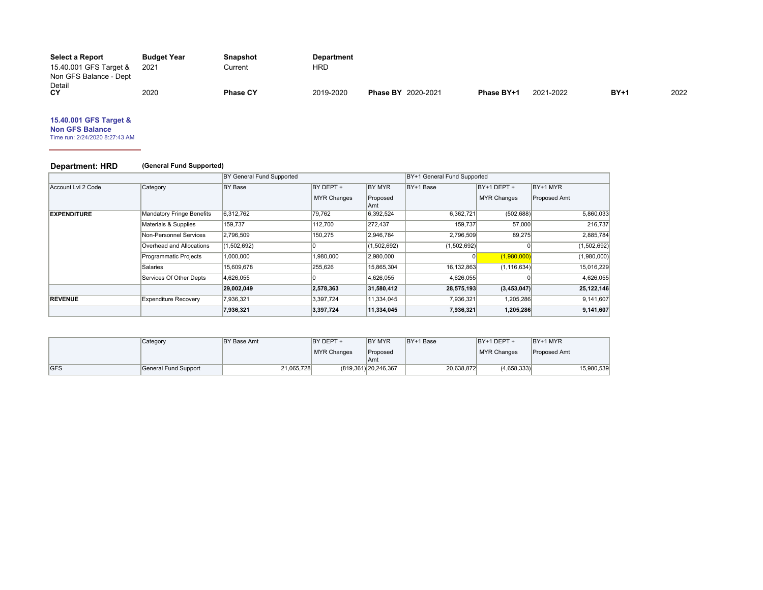| Select a Report        | <b>Budget Year</b> | <b>Snapshot</b> | <b>Department</b> |                           |            |           |        |      |
|------------------------|--------------------|-----------------|-------------------|---------------------------|------------|-----------|--------|------|
| 15.40.001 GFS Target & | 2021               | Current         | HRD               |                           |            |           |        |      |
| Non GFS Balance - Dept |                    |                 |                   |                           |            |           |        |      |
| Detail                 |                    |                 |                   |                           |            |           |        |      |
| CY                     | 2020               | <b>Phase CY</b> | 2019-2020         | <b>Phase BY 2020-2021</b> | Phase BY+1 | 2021-2022 | $BY+1$ | 2022 |

# **15.40.001 GFS Target &**

**Non GFS Balance** Time run: 2/24/2020 8:27:43 AM

# **Department: HRD (General Fund Supported)**

|                    |                                  | BY General Fund Supported |                    |                  | BY+1 General Fund Supported |                    |              |
|--------------------|----------------------------------|---------------------------|--------------------|------------------|-----------------------------|--------------------|--------------|
| Account Lvl 2 Code | Category                         | <b>BY Base</b>            | BY DEPT +          | BY MYR           | BY+1 Base                   | $BY+1$ DEPT $+$    | BY+1 MYR     |
|                    |                                  |                           | <b>MYR Changes</b> | Proposed<br>∣Amt |                             | <b>MYR Changes</b> | Proposed Amt |
| <b>EXPENDITURE</b> | <b>Mandatory Fringe Benefits</b> | 6,312,762                 | 79,762             | 6,392,524        | 6,362,721                   | (502, 688)         | 5,860,033    |
|                    | Materials & Supplies             | 159,737                   | 112,700            | 272,437          | 159,737                     | 57,000             | 216,737      |
|                    | Non-Personnel Services           | 2,796,509                 | 150,275            | 2,946,784        | 2,796,509                   | 89,275             | 2,885,784    |
|                    | Overhead and Allocations         | (1,502,692)               |                    | (1,502,692)      | (1,502,692)                 | $\Omega$           | (1,502,692)  |
|                    | Programmatic Projects            | 1,000,000                 | 1,980,000          | 2,980,000        | 0                           | (1,980,000)        | (1,980,000)  |
|                    | <b>Salaries</b>                  | 15,609,678                | 255,626            | 15,865,304       | 16,132,863                  | (1, 116, 634)      | 15,016,229   |
|                    | Services Of Other Depts          | 4,626,055                 |                    | 4,626,055        | 4,626,055                   |                    | 4,626,055    |
|                    |                                  | 29,002,049                | 2,578,363          | 31,580,412       | 28,575,193                  | (3,453,047)        | 25,122,146   |
| <b>REVENUE</b>     | <b>Expenditure Recovery</b>      | 7,936,321                 | 3,397,724          | 11,334,045       | 7,936,321                   | 1,205,286          | 9,141,607    |
|                    |                                  | 7,936,321                 | 3,397,724          | 11,334,045       | 7,936,321                   | 1,205,286          | 9,141,607    |

|            | Category             | BY Base Amt | BY DEPT +   | <b>BY MYR</b>           | BY+1 Base  | BY+1 DEPT +        | BY+1 MYR     |            |
|------------|----------------------|-------------|-------------|-------------------------|------------|--------------------|--------------|------------|
|            |                      |             | MYR Changes | Proposed                |            | <b>MYR Changes</b> | Proposed Amt |            |
|            |                      |             |             | Amt                     |            |                    |              |            |
| <b>GFS</b> | General Fund Support | 21,065,728  |             | (819, 361) 20, 246, 367 | 20.638.872 | (4,658,333)        |              | 15,980,539 |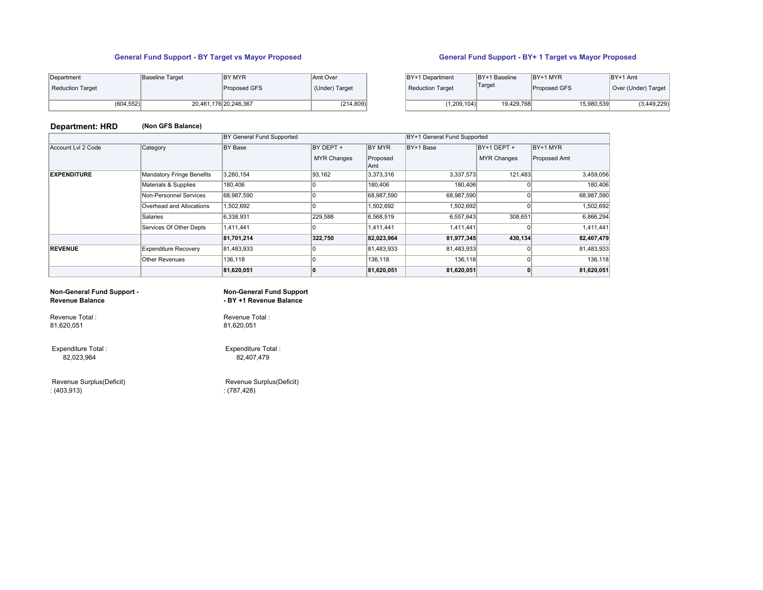# **General Fund Support - BY Target vs Mayor Proposed General Fund Support - BY+ 1 Target vs Mayor Proposed**

| Department       | <b>Baseline Target</b> | <b>BY MYR</b>         | Amt Over       | BY+1 Department         | BY+1 Baseline | BY+1 MYR            | $BY+1$ Amt          |
|------------------|------------------------|-----------------------|----------------|-------------------------|---------------|---------------------|---------------------|
| Reduction Target |                        | <b>Proposed GFS</b>   | (Under) Target | <b>Reduction Target</b> | Target        | <b>Proposed GFS</b> | Over (Under) Target |
| (604, 552)       |                        | 20,461,176 20,246,367 | (214, 809)     | (1,209,104)             | 19,429,768    | 15,980,539          | (3, 449, 229)       |

|            | Baseline Target | <b>BY MYR</b><br>Proposed GFS | Amt Over<br>(Under) Target | BY+1 Department<br><b>Reduction Target</b> | BY+1 Baseline<br>'Target | BY+1 MYR<br>Proposed GFS | BY+1 Amt<br>Over (Under) Target |
|------------|-----------------|-------------------------------|----------------------------|--------------------------------------------|--------------------------|--------------------------|---------------------------------|
| (604, 552) |                 | 20,461,176 20,246,367         | (214, 809)                 | (1,209,104)                                | 19.429.768               | 15,980,539               | (3,449,229)                     |

# **Department: HRD (Non GFS Balance)**

|                    |                             | BY General Fund Supported |                    |                  | BY+1 General Fund Supported |                    |              |
|--------------------|-----------------------------|---------------------------|--------------------|------------------|-----------------------------|--------------------|--------------|
| Account Lvl 2 Code | Category                    | <b>BY Base</b>            | BY DEPT +          | BY MYR           | BY+1 Base                   | BY+1 DEPT +        | BY+1 MYR     |
|                    |                             |                           | <b>MYR Changes</b> | Proposed         |                             | <b>MYR Changes</b> | Proposed Amt |
| <b>EXPENDITURE</b> | Mandatory Fringe Benefits   | 3,280,154                 | 93,162             | Amt<br>3,373,316 | 3,337,573                   | 121.483            | 3,459,056    |
|                    |                             |                           |                    |                  |                             |                    |              |
|                    | Materials & Supplies        | 180,406                   |                    | 180,406          | 180,406                     |                    | 180,406      |
|                    | Non-Personnel Services      | 68,987,590                |                    | 68,987,590       | 68,987,590                  | $\Omega$           | 68,987,590   |
|                    | Overhead and Allocations    | 1,502,692                 |                    | 1,502,692        | 1,502,692                   | o                  | 1,502,692    |
|                    | <b>Salaries</b>             | 6,338,931                 | 229,588            | 6,568,519        | 6,557,643                   | 308,651            | 6,866,294    |
|                    | Services Of Other Depts     | 1,411,441                 |                    | 1,411,441        | 1,411,441                   |                    | 1,411,441    |
|                    |                             | 81,701,214                | 322,750            | 82,023,964       | 81,977,345                  | 430,134            | 82,407,479   |
| <b>REVENUE</b>     | <b>Expenditure Recovery</b> | 81,483,933                |                    | 81,483,933       | 81,483,933                  |                    | 81,483,933   |
|                    | <b>Other Revenues</b>       | 136,118                   |                    | 136,118          | 136,118                     | $\Omega$           | 136,118      |
|                    |                             | 81,620,051                |                    | 81,620,051       | 81,620,051                  | $\Omega$           | 81,620,051   |

# **Non-General Fund Support - Revenue Balance**

**Non-General Fund Support - BY +1 Revenue Balance** 

Revenue Total : 81,620,051

 Expenditure Total : 82,023,964

 Revenue Surplus(Deficit) : (403,913)

Revenue Total : 81,620,051

 Expenditure Total : 82,407,479

 Revenue Surplus(Deficit) : (787,428)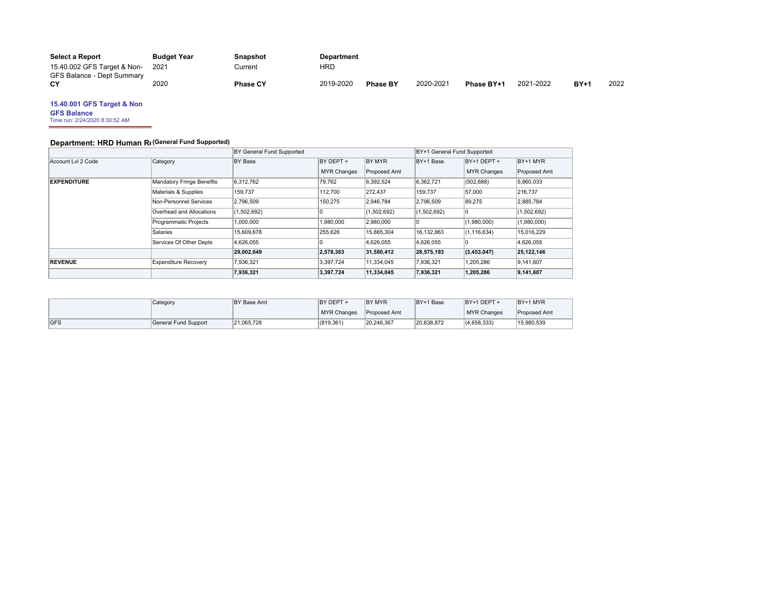| <b>Select a Report</b>      | <b>Budget Year</b> | Snapshot        | <b>Department</b> |                 |           |            |           |        |      |
|-----------------------------|--------------------|-----------------|-------------------|-----------------|-----------|------------|-----------|--------|------|
| 15.40.002 GFS Target & Non- | 2021               | Current         | HRD               |                 |           |            |           |        |      |
| GFS Balance - Dept Summary  |                    |                 |                   |                 |           |            |           |        |      |
| СY                          | 2020               | <b>Phase CY</b> | 2019-2020         | <b>Phase BY</b> | 2020-2021 | Phase BY+1 | 2021-2022 | $BY+1$ | 2022 |

## **15.40.001 GFS Target & Non**

**GFS Balance** Time run: 2/24/2020 8:30:52 AM

# **Department: HRD Human Re(General Fund Supported)**

|                    |                             | BY General Fund Supported |                    |              | BY+1 General Fund Supported |                    |              |
|--------------------|-----------------------------|---------------------------|--------------------|--------------|-----------------------------|--------------------|--------------|
| Account Lvl 2 Code | Category                    | <b>BY Base</b>            | BY DEPT +          | BY MYR       | BY+1 Base                   | $BY+1$ DEPT +      | BY+1 MYR     |
|                    |                             |                           | <b>MYR Changes</b> | Proposed Amt |                             | <b>MYR Changes</b> | Proposed Amt |
| <b>EXPENDITURE</b> | Mandatory Fringe Benefits   | 6,312,762                 | 79,762             | 6,392,524    | 6,362,721                   | (502, 688)         | 5,860,033    |
|                    | Materials & Supplies        | 159,737                   | 112,700            | 272,437      | 159,737                     | 57,000             | 216,737      |
|                    | Non-Personnel Services      | 2,796,509                 | 150,275            | 2,946,784    | 2,796,509                   | 89,275             | 2,885,784    |
|                    | Overhead and Allocations    | (1,502,692)               |                    | (1,502,692)  | (1,502,692)                 | 10                 | (1,502,692)  |
|                    | Programmatic Projects       | 1,000,000                 | 1,980,000          | 2,980,000    |                             | (1,980,000)        | (1,980,000)  |
|                    | Salaries                    | 15.609.678                | 255,626            | 15,865,304   | 16,132,863                  | (1, 116, 634)      | 15,016,229   |
|                    | Services Of Other Depts     | 4.626.055                 |                    | 4.626.055    | 4,626,055                   |                    | 4,626,055    |
|                    |                             | 29,002,049                | 2,578,363          | 31,580,412   | 28,575,193                  | (3,453,047)        | 25,122,146   |
| <b>REVENUE</b>     | <b>Expenditure Recovery</b> | 7,936,321                 | 3,397,724          | 11,334,045   | 7,936,321                   | 1,205,286          | 9,141,607    |
|                    |                             | 7,936,321                 | 3,397,724          | 11,334,045   | 7,936,321                   | 1,205,286          | 9,141,607    |
|                    |                             |                           |                    |              |                             |                    |              |

|     | Category             | BY Base Amt | BY DEPT +          | <b>BY MYR</b>       | BY+1 Base  | BY+1 DEPT +        | BY+1 MYR            |
|-----|----------------------|-------------|--------------------|---------------------|------------|--------------------|---------------------|
|     |                      |             | <b>MYR Changes</b> | <b>Proposed Amt</b> |            | <b>MYR Changes</b> | <b>Proposed Amt</b> |
| GFS | General Fund Support | 21.065.728  | (819.361)          | 20.246.367          | 20.638.872 | (4.658.333)        | 15.980.539          |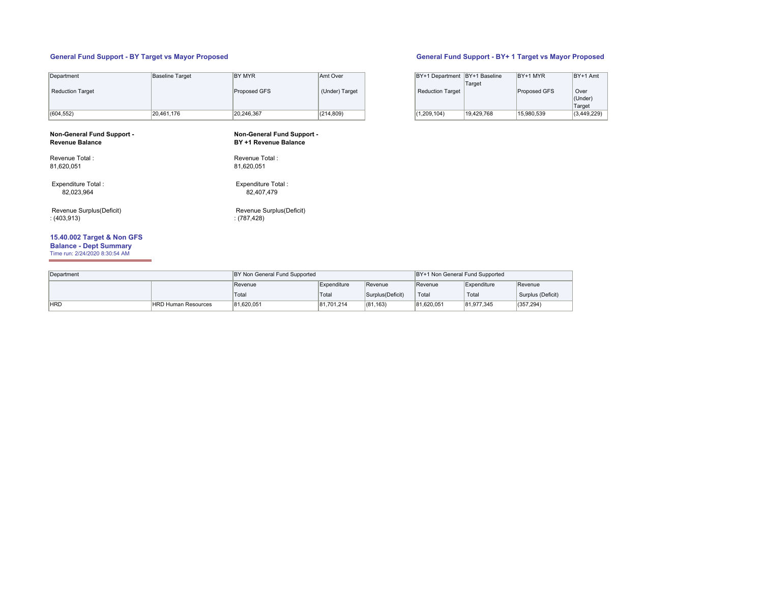# **General Fund Support - BY Target vs Mayor Proposed General Fund Support - BY+ 1 Target vs Mayor Proposed**

| Department                                           | Baseline Target | BY MYR                                              | Amt Over       | BY+1 Department BY+1 Baseline | Target     | $BY+1$ MYR   | BY+1 Amt                  |
|------------------------------------------------------|-----------------|-----------------------------------------------------|----------------|-------------------------------|------------|--------------|---------------------------|
| Reduction Target                                     |                 | Proposed GFS                                        | (Under) Target | <b>Reduction Target</b>       |            | Proposed GFS | Over<br>(Under)<br>Target |
| (604, 552)                                           | 20,461,176      | 20,246,367                                          | (214, 809)     | (1,209,104)                   | 19,429,768 | 15,980,539   | (3,449,229)               |
| Non-General Fund Support -<br><b>Revenue Balance</b> |                 | Non-General Fund Support -<br>BY +1 Revenue Balance |                |                               |            |              |                           |

| Revenue Total:<br>81.620.051 | Revenue Total:<br>81.620.051 |
|------------------------------|------------------------------|
|                              |                              |
| Expenditure Total:           | Expenditure Total:           |
| 82.023.964                   | 82.407.479                   |

 Revenue Surplus(Deficit) : (403,913)

# **15.40.002 Target & Non GFS**

**Balance - Dept Summary** Time run: 2/24/2020 8:30:54 AM

 $\equiv$ 

| Department |                            | BY Non General Fund Supported |             |                   | BY+1 Non General Fund Supported |             |                   |
|------------|----------------------------|-------------------------------|-------------|-------------------|---------------------------------|-------------|-------------------|
|            |                            | Revenue                       | Expenditure | Revenue           | Revenue                         | Expenditure | <b>Revenue</b>    |
|            |                            | Total                         | Total       | Surplus (Deficit) | Total                           | Total       | Surplus (Deficit) |
| <b>HRD</b> | <b>HRD Human Resources</b> | 81.620.051                    | 81.701.214  | (81, 163)         | 81.620.051                      | 81,977,345  | (357, 294)        |

82,407,479

: (787,428)

Revenue Surplus(Deficit)

| BY+1 Department   BY+1 Baseline | Target     | BY+1 MYR     | BY+1 Amt                  |
|---------------------------------|------------|--------------|---------------------------|
| <b>Reduction Target</b>         |            | Proposed GFS | Over<br>(Under)<br>Target |
| (1,209,104)                     | 19.429.768 | 15.980.539   | (3,449,229)               |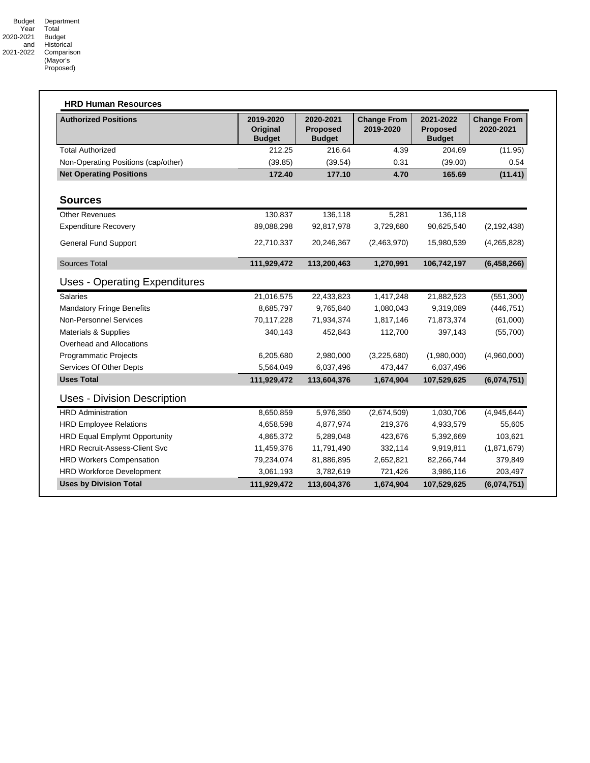| <b>Authorized Positions</b>          | 2019-2020<br>Original<br><b>Budget</b> | 2020-2021<br><b>Proposed</b><br><b>Budget</b> | <b>Change From</b><br>2019-2020 | 2021-2022<br><b>Proposed</b><br><b>Budget</b> | <b>Change From</b><br>2020-2021 |
|--------------------------------------|----------------------------------------|-----------------------------------------------|---------------------------------|-----------------------------------------------|---------------------------------|
| <b>Total Authorized</b>              | 212.25                                 | 216.64                                        | 4.39                            | 204.69                                        | (11.95)                         |
| Non-Operating Positions (cap/other)  | (39.85)                                | (39.54)                                       | 0.31                            | (39.00)                                       | 0.54                            |
| <b>Net Operating Positions</b>       | 172.40                                 | 177.10                                        | 4.70                            | 165.69                                        | (11.41)                         |
| <b>Sources</b>                       |                                        |                                               |                                 |                                               |                                 |
| <b>Other Revenues</b>                | 130,837                                | 136,118                                       | 5,281                           | 136,118                                       |                                 |
| <b>Expenditure Recovery</b>          | 89,088,298                             | 92,817,978                                    | 3,729,680                       | 90,625,540                                    | (2, 192, 438)                   |
| <b>General Fund Support</b>          | 22,710,337                             | 20,246,367                                    | (2,463,970)                     | 15,980,539                                    | (4,265,828)                     |
| <b>Sources Total</b>                 | 111,929,472                            | 113,200,463                                   | 1,270,991                       | 106,742,197                                   | (6,458,266)                     |
| <b>Uses - Operating Expenditures</b> |                                        |                                               |                                 |                                               |                                 |
| <b>Salaries</b>                      | 21,016,575                             | 22,433,823                                    | 1,417,248                       | 21,882,523                                    | (551,300)                       |
| <b>Mandatory Fringe Benefits</b>     | 8,685,797                              | 9,765,840                                     | 1,080,043                       | 9,319,089                                     | (446, 751)                      |
| <b>Non-Personnel Services</b>        | 70,117,228                             | 71,934,374                                    | 1,817,146                       | 71,873,374                                    | (61,000)                        |
| Materials & Supplies                 | 340,143                                | 452,843                                       | 112,700                         | 397,143                                       | (55,700)                        |
| Overhead and Allocations             |                                        |                                               |                                 |                                               |                                 |
| Programmatic Projects                | 6,205,680                              | 2,980,000                                     | (3,225,680)                     | (1,980,000)                                   | (4,960,000)                     |
| Services Of Other Depts              | 5,564,049                              | 6,037,496                                     | 473,447                         | 6,037,496                                     |                                 |
| <b>Uses Total</b>                    | 111,929,472                            | 113,604,376                                   | 1,674,904                       | 107,529,625                                   | (6,074,751)                     |
| <b>Uses - Division Description</b>   |                                        |                                               |                                 |                                               |                                 |
| <b>HRD Administration</b>            | 8,650,859                              | 5,976,350                                     | (2,674,509)                     | 1,030,706                                     | (4,945,644)                     |
| <b>HRD Employee Relations</b>        | 4,658,598                              | 4,877,974                                     | 219,376                         | 4,933,579                                     | 55,605                          |
| <b>HRD Equal Emplymt Opportunity</b> | 4,865,372                              | 5,289,048                                     | 423,676                         | 5,392,669                                     | 103,621                         |
| <b>HRD Recruit-Assess-Client Svc</b> | 11,459,376                             | 11,791,490                                    | 332,114                         | 9,919,811                                     | (1,871,679)                     |
| <b>HRD Workers Compensation</b>      | 79,234,074                             | 81,886,895                                    | 2,652,821                       | 82,266,744                                    | 379,849                         |
| <b>HRD Workforce Development</b>     | 3,061,193                              | 3,782,619                                     | 721,426                         | 3,986,116                                     | 203,497                         |
| <b>Uses by Division Total</b>        | 111,929,472                            | 113,604,376                                   | 1,674,904                       | 107,529,625                                   | (6,074,751)                     |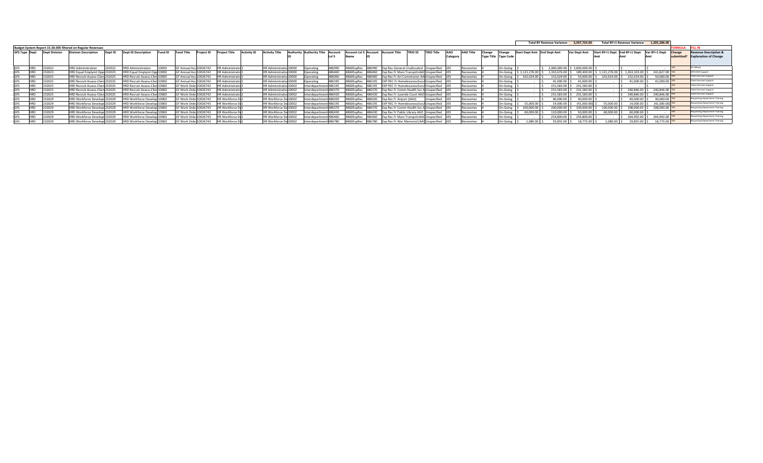|                      |                      |                                                             |         |                                |         |                        |                        |                         |                    |                         |                                          |        |                       |        |                      |                                               |                   |         |                  |        |                             |                       | Total BY Revenue Variance: 3.397.724.00 |              |              | <b>Total BY+1 Revenue Variance:</b> | 1.205.286.00    |              |                                       |
|----------------------|----------------------|-------------------------------------------------------------|---------|--------------------------------|---------|------------------------|------------------------|-------------------------|--------------------|-------------------------|------------------------------------------|--------|-----------------------|--------|----------------------|-----------------------------------------------|-------------------|---------|------------------|--------|-----------------------------|-----------------------|-----------------------------------------|--------------|--------------|-------------------------------------|-----------------|--------------|---------------------------------------|
|                      |                      | Budget System Report 15.30.005 filtered on Regular Revenues |         |                                |         |                        |                        |                         |                    |                         |                                          |        |                       |        |                      |                                               |                   |         |                  |        |                             |                       |                                         |              |              |                                     |                 | ORMULA       |                                       |
| <b>GFS Type Dept</b> | <b>Dept Division</b> | <b>Division Description</b>                                 | Dept ID | <b>Dept ID Description</b>     | Fund ID |                        |                        | Project Title           | <b>Activity ID</b> | ctivity Title           | <b>Authority Authority Title Account</b> |        | Account Ivi 5 Account |        | <b>Account Title</b> | TRIO ID                                       | <b>TRIO Title</b> |         | <b>AAO Title</b> | Change | :hange                      | <b>Start Dept Amt</b> | <b>End Dept Amt</b>                     | Var Dept Amt |              | Start BY+1 Dept End BY+1 Dept       | Var BY+1 Dept   | Change       | <b>Revenue Description &amp;</b>      |
|                      |                      |                                                             |         |                                |         |                        |                        |                         |                    |                         |                                          |        | Name                  |        |                      |                                               |                   | Categor |                  |        | <b>Type Title Type Code</b> |                       |                                         |              |              |                                     |                 | uhmitted?    | <b>Explanation of Change</b>          |
|                      |                      |                                                             |         |                                |         |                        |                        |                         |                    |                         |                                          |        |                       |        |                      |                                               |                   |         |                  |        |                             |                       |                                         |              |              |                                     |                 |              |                                       |
|                      |                      | <b>HRD Administration</b>                                   | 32022   | 'RD Administration             |         | <b>GF Annual Acc 1</b> | 10026742               | <b>HR Administratio</b> |                    | HR Administratio 10000  | Operating                                |        | 4860ExpRec            | 486990 |                      | Exp Rec-General Unallocated                   | Unspecified       |         | Recoveries       |        | On-Going                    |                       | 2,000,000.00                            | 2,000,000.00 |              |                                     |                 | <b>I</b> YES | SF Fellows                            |
|                      | 23202                | HRD Equal Emplymt Opp 232023                                |         | HRD Equal Emplymt Opp 10000    |         | <b>GF Annual Acc</b>   |                        | IR Administratio        |                    | HR Administratio 10000  | Operating                                |        | 1860ExpRec            | 486460 |                      | Exp Rec Fr Muni TransprtnAAC Unspecified J    |                   |         | Recoveries       |        | On-Going                    | 1,121,276.00          | 1,310,676.00                            | 189.400.0    | 1.121.276.00 | 1,363,103.00                        | 241.827.00      |              | MTA EEO Support                       |
|                      | 23202                | HRD Recruit-Assess-Clien 232025                             |         | HRD Recruit-Assess-Clien 10000 |         |                        | GF Annual Acc 10026742 | <b>IR Administratio</b> |                    | HR Administratio 10000  | Operating                                | 486060 | 4860ExpRec            | 486060 |                      | Exp Rec Fr Art Commission AA Unspecified      |                   |         | Recoveries       |        | On-Going                    | 102,024.00            | 152.024.00                              | 50,000.00    | 102.024.00   | 152.024.00                          | 50.000.00       |              | Client Services Support               |
|                      |                      | HRD Recruit-Assess-Clien 232025                             |         | HRD Recruit-Assess-Clien 10000 |         |                        | GF Annual Acc 10026742 | <b>HR Administratio</b> |                    | HR Administratio 10000  | Operating                                |        | 4860ExpRec            | 486195 |                      | EXP REC Fr HomelessnessSvcs4 Unspecified      |                   |         | Recoveries       |        | On-Going                    |                       | 41,000.00                               | 41,000.00    |              | 41.000.00                           | 41,000.00       |              | Client Services Support               |
|                      | 23202                | HRD Recruit-Assess-Clien 232025                             |         | HRD Recruit-Assess-Clien 10060 |         |                        | GF Work Orde 10026742  | <b>IR Administratio</b> |                    | HR Administration 10002 | Interdepartment                          |        | 4860ExpRec            | 486195 |                      | EXP REC Fr HomelessnessSvcs4Unspecified       |                   |         | Recoveries       |        | On-Going                    |                       | 231,583.00                              | 231,583.00   |              |                                     |                 |              | Client Services Support               |
|                      | 23202                | HRD Recruit-Assess-Clien 232025                             |         | HRD Recruit-Assess-Clien 10060 |         | GF Work Orde 1         |                        | R Administratio         |                    | HR Administratio 10002  | nterdepartment 486370                    |        | 4860ExpRec            | 486370 |                      | Exp Rec Fr Comm Health Svc A Unspecified      |                   |         | Recoveries       |        | On-Going                    |                       | 231,583.00                              | 231,583.00   |              | 240,846.0                           | 240.846.00      |              | <b>Client Services Support</b>        |
|                      |                      | HRD Recruit-Assess-Clien 232025                             |         | HRD Recruit-Assess-Clien 10060 |         |                        | IGF Work Orde 10026742 | <b>IR Administratio</b> |                    | HR Administratiol 10002 | Interdepartment 486420                   |        | 4860ExpRec            | 486420 |                      | Exp Rec Fr Juvenile Court AAO Unspecified     |                   |         | Recoveries       |        | On-Going                    |                       | 231,583.00                              | 231,583.00   |              | 240,846.0                           | 240.846.00      |              | Client Services Support               |
|                      |                      | HRD Workforce Developr 232029                               |         | IRD Workforce Develop 10060    |         |                        | GF Work Orde 10026743  | IR Workforce De         |                    | IR Workforce De 10002   | Interdepartment 486020                   |        | 4860ExpRec            | 486020 |                      | Exp Rec Fr Airport (AAO)                      | specified         |         | Recoveries       |        | On-Going                    |                       | 40,000.00                               | 40,000,00    |              | 40,000.00                           | 40,000.00 YES   |              | <b>Requesting Department Training</b> |
|                      |                      | HRD Workforce Developr 232029                               |         | HRD Workforce Develop 10060    |         |                        | GF Work Orde 10026743  | HR Workforce De         |                    | IR Workforce De 10002   | Interdepartment 486195                   |        | 4860ExpRec            | 486195 |                      | EXP REC Fr HomelessnessSvcs/ Unspecified      |                   |         | Recoveries       |        | On-Going                    | 55,000.00             | 14,000.00                               | (41,000.00)  | 55,000.00    | 14,000.00                           | (41,000.00) YES |              | <b>Requesting Department Training</b> |
|                      | 23202                | HRD Workforce Developr 232029                               |         | HRD Workforce Develop 10060    |         |                        | IGF Work Orde 10026743 | <b>HR Workforce De</b>  |                    | HR Workforce De 10002   | Interdepartment 486370                   |        | 4860ExpRec            | 486370 |                      | Exp Rec Fr Comm Health Svc Al Unspecified   J |                   |         | Recoveries       |        | On-Going                    | 100,000.00            | 200,000.00                              | 100,000,00   | 100,000,00   | 208,000.00                          | 108,000.00      |              | Requesting Department Training        |
|                      |                      | HRD Workforce Developr 232029                               |         | IRD Workforce Develop 10060    |         | GF Work Orde 1         | 10026743               | HR Workforce De         |                    | HR Workforce De 10002   | Interdepartment 486430                   |        | 4860ExpRec            | 486430 |                      | Exp Rec Fr Public Library AAO Unspecified     |                   |         | Recoveries       |        | On-Going                    | 60,000,00             | 110,000.00                              | 50.000.00    | 60,000.00    | 60,000,00                           |                 |              | <b>Requesting Department Training</b> |
|                      | 23202                | HRD Workforce Developr 232029                               |         | HRD Workforce Develop 10060    |         |                        | GF Work Orde 10026743  | IR Workforce De         |                    | HR Workforce De 10002   | Interdepartment 486460                   |        | 4860ExpRec            | 486460 |                      | Exp Rec Fr Muni TransprtnAAC Unspecified U    |                   |         | Recoveries       |        | On-Going                    |                       | 254,800.00                              | 254,800.00   |              | 264,992.00                          | 264,992.00 YES  |              | Requesting Department Training        |
|                      |                      | HRD Workforce Developr 232029                               |         | HRD Workforce Develop 10060    |         |                        | GF Work Orde 10026743  | <b>HR Workforce De</b>  |                    | HR Workforce De 10002   | Interdepartment 486780                   |        | 4860ExpRec 486780     |        |                      | Exp Rec Fr War Memorial (AA0Unspecified 105   |                   |         | Recoveries       |        | On-Going                    | 1.080.00              | 19.855.00                               | 18.775.00    | 080.00       | 19.855.00                           | 18,775.00 YES   |              | <b>Requesting Department Training</b> |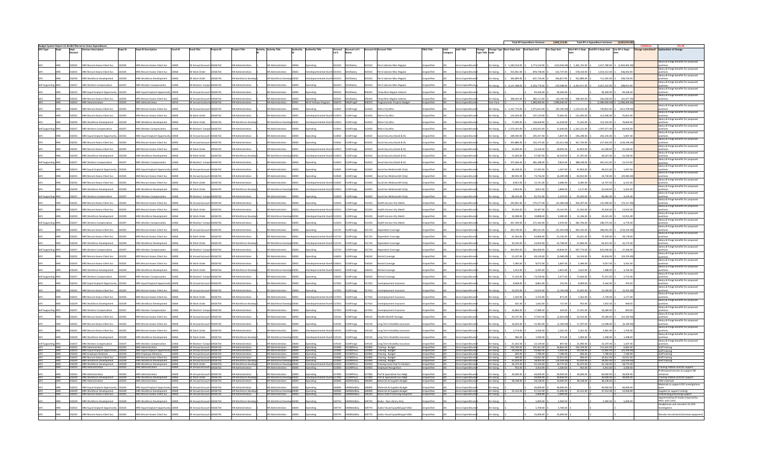|  | Dept           | Budget System Report 15.30.005 filtered on Gross Expenditur<br>vision Description                                      |        | <b>Dept ID Description</b>                                           | Fund ID | <b>Fund Title</b>                                        | Project ID | <b>Project Title</b>                                   | <b>Activity Activity Title</b>                                         |                 |                                                                 |        | Account Account Lvl 5<br>Lvl 5 Name  |                 | <b>Account ID Account Title</b>                                                     | <b>TRIO Title</b>                        | <b>AAO</b> | AAO Title                          | Change Change Type Start Dept Amt End Dept Amt<br>Type Title Code |                         |                         | Start BY+1 Dept End BY+1 Dept Amt Var BY+1 Dept<br>Var Dept Amt                      |                                      |                                                        |
|--|----------------|------------------------------------------------------------------------------------------------------------------------|--------|----------------------------------------------------------------------|---------|----------------------------------------------------------|------------|--------------------------------------------------------|------------------------------------------------------------------------|-----------------|-----------------------------------------------------------------|--------|--------------------------------------|-----------------|-------------------------------------------------------------------------------------|------------------------------------------|------------|------------------------------------|-------------------------------------------------------------------|-------------------------|-------------------------|--------------------------------------------------------------------------------------|--------------------------------------|--------------------------------------------------------|
|  |                |                                                                                                                        |        |                                                                      |         |                                                          |            |                                                        |                                                                        |                 |                                                                 |        |                                      |                 |                                                                                     |                                          | Category   |                                    |                                                                   |                         |                         |                                                                                      |                                      |                                                        |
|  |                |                                                                                                                        |        |                                                                      |         |                                                          |            |                                                        |                                                                        |                 |                                                                 |        |                                      |                 |                                                                                     |                                          |            |                                    |                                                                   |                         |                         |                                                                                      |                                      | alary & Fringe benefits for proposed                   |
|  |                | D Recruit-Assess-Client Svc                                                                                            |        | <b>HRD Recruit-Assess-Client Svc</b>                                 |         | F Annual Ar                                              |            |                                                        |                                                                        |                 |                                                                 |        |                                      |                 | erm Salaries-Misc-Regula                                                            | pecified                                 |            |                                    |                                                                   | 5,183,554.00            | 4,773,510.00            | 5,381,742.00<br>(410, 044.00)<br>3,417,780.00                                        | 5(1,963,962)                         |                                                        |
|  |                | 232025 HRD Recruit-Assess-Client Svc                                                                                   | 232025 | HRD Recruit-Assess-Client Svc                                        | 10060   | GF Work Order                                            | 10026742   | <b>HR Administration</b>                               | HR Administration                                                      | 10002           | terdepartmental-Overh 501010                                    |        | 5010Salary                           | 501010          | Perm Salaries-Misc-Regular                                                          | specified                                |            | Gross Expenditi                    | On-Going                                                          | 555,961.00 \$           | 878,708.00              | 322,747.00 \$ 578,310.00 \$                                                          | 1,014,312.00 \$ 436,002.00           | alary & Fringe benefits for propose                    |
|  | 32029          | HRD Workforce Development                                                                                              |        | <b>HRD Workforce Development</b>                                     |         | iF Work Order                                            | 10026743   | HR Workforce Deve                                      | IR Workforce Develop 10002                                             |                 | terdepartmental-Ove                                             |        | 010Salary                            |                 | erm Salaries-Misc-Regular                                                           | nspecified                               |            | ross Expenditi                     | n-Going                                                           | 340,899.00              | 607,716.00              | 266,817.00<br>352,889.00<br>711,592.00 \$                                            | 358,703.00                           | alary & Fringe benefits for propose                    |
|  |                |                                                                                                                        |        |                                                                      |         |                                                          |            |                                                        |                                                                        |                 |                                                                 |        |                                      |                 |                                                                                     |                                          |            |                                    |                                                                   |                         |                         |                                                                                      |                                      | Salary & Fringe benefits for proposer                  |
|  |                | HRD Workers Compensation                                                                                               |        | <b>HRD Workers Compensation</b>                                      |         | R Workers' Compe 10026742                                |            | Administration                                         | <b>IR Administration</b>                                               |                 | peratinp                                                        |        | 10Salary                             |                 | erm Salaries-Misc-Regular                                                           | pecified                                 |            | oss Expenditu                      | In-Going                                                          | 6,127,188.00            | 6,356,776.00            | 6,651,322.00 \$<br>229,588.00<br>6,342,671.00                                        | 308,651.00                           | Salary & Fringe benefits for propose                   |
|  |                | 232023 HRD Equal Emplymt Opportunity 232023                                                                            |        | HRD Equal Emplymt Opportunity 10000                                  |         | GF Annual Account 10026742                               |            | <b>HR Administration</b>                               | <b>HR Administration</b>                                               | 10000           | Operating                                                       | 05010  | 5010Salary                           | 05010           | emp Misc Regular Salaries                                                           | specified                                |            | iross Expenditi                    | In-Going                                                          |                         | 94,300.00               | 94,300.00                                                                            | 94,300.00 \$94,300.00                | alary & Fringe benefits for propos                     |
|  | 32025          | HRD Recruit-Assess-Client Svc                                                                                          |        | IRD Recruit-Assess-Client Svc                                        |         | F Annual Account                                         | 10026742   | <b>IR Administration</b>                               | HR Administration                                                      |                 | perating                                                        | 010    | 10Salary                             |                 | emp Misc Regular Salaries                                                           | nspecified                               |            | oss Expenditu                      | n-Going                                                           | 398,305.00              | 380.111.00              | (18, 194.00)<br>398,305.00<br>356,628.00 \$                                          | (41, 677.00)                         |                                                        |
|  |                | 232022 HRD Administration                                                                                              | 32022  | <b>HRD Administratio</b>                                             |         | GF Annual Authority 10026742                             |            | <b>HR Administration</b>                               |                                                                        |                 | HR Administration 20992 HR SF Fellows Program 506070 5060ProgPr |        |                                      |                 | 506070 Programmatic Projects-Budget                                                 | Unspecified                              |            | <b>Gross Expenditures</b>          | One-Time                                                          |                         | \$1,980,000.00          | 1,980,000.00                                                                         | $(1,980,000.00)$ \$ $(1,980,000.00)$ | alary & Fringe benefits for propose                    |
|  | 32025          | <b>HRD Recruit-Assess-Client Svc</b>                                                                                   | 232025 | HRD Recruit-Assess-Client Svc                                        | 10000   | F Annual Acco                                            | 10026742   | <b>IR Administration</b>                               | HR Administration                                                      | 00001           | Operating                                                       |        | 13010 5130Fringe                     | 13010           | etire City Misc                                                                     | pecified                                 |            | ss Expendit                        | 1-Going                                                           | 1.167.776.00            | 1,075,631.00            | (92,145.00) \$ 1,134,521.00<br>720,812.00 \$                                         | (413,709.00                          | Salary & Fringe benefits for proposer                  |
|  | 32025          | RD Recruit-Assess-Client Svc                                                                                           | 32025  | HRD Recruit-Assess-Client Svc                                        |         | SF Work Order                                            | 0026742    |                                                        | <b>IR Administratio</b>                                                |                 |                                                                 |        | 130Fring                             |                 | ire City Mise                                                                       | ecified                                  |            | s Exnendi                          |                                                                   | 124,459.00              | 197,124.00              | 72,665.00<br>121,093.00<br>212,946.00                                                | 91,853.00                            |                                                        |
|  |                | 232029 HRD Workforce Development                                                                                       | 232029 | <b>HRD Workforce Development</b>                                     | 10060   | GF Work Order                                            | 10026743   | HR Workforce Devel                                     | HR Workforce Develop 10002                                             |                 | terdepartmental-Overh 513010 5130Fringe                         |        |                                      | 13010           | etire City Misc                                                                     | pecified                                 |            | oss Expenditi                      | In-Going                                                          | 77,640.00               | 138,658.00              | 75,263.00<br>152,103.00 \$<br>61,018.00 \$                                           | 76,840.00                            | Salary & Fringe benefits for proposer                  |
|  | 32027          | <b>HRD Workers Compensation</b>                                                                                        | 232027 | <b>HRD Workers Compensation</b>                                      | 2460    | R Workers' Comp                                          | 10026742   | Administration                                         | <b>IR Administration</b>                                               | nnnn            |                                                                 | 13010  | 130Fringe                            | 13010           | tetire City Misc                                                                    | pecified                                 |            | ss Expenditi                       | n-Going                                                           | 1,374,391.00            | 1,426,031.00            | 51,640.00 \$ 1,332,121.00<br>1,397,077.00 \$                                         | 64,956.00                            | Salary & Fringe benefits for propose                   |
|  | 32023          | RD Equal Emplymt Opportunit                                                                                            | 32023  | <b>HRD Equal Emplymt Opportu</b>                                     |         | F Annual Acce                                            | 10026742   |                                                        | <b>HR Administration</b>                                               |                 |                                                                 | 4010   | 130Fring                             | 4010            | cial Security (Oasdi & Hi)                                                          | ecified                                  |            |                                    |                                                                   | 189,590.00              | 195.437.00              | 5.847.00<br>196,298.00<br>202.145.00                                                 | 5,847.00                             | Salary & Fringe benefits for proposed                  |
|  |                |                                                                                                                        |        |                                                                      |         |                                                          |            |                                                        |                                                                        |                 |                                                                 |        |                                      |                 |                                                                                     |                                          |            |                                    |                                                                   |                         |                         |                                                                                      |                                      | Salary & Fringe benefits for propose                   |
|  |                | 232025 HRD Recruit-Assess-Client Svc                                                                                   | 232025 | HRD Recruit-Assess-Client Svc                                        | 10000   | GF Annual Account 10026742                               |            | R Administration                                       | <b>HR Administration</b>                                               |                 | perating                                                        |        | 14010 5130Fringe                     | 14010           | Social Security (Oasdi & Hi)                                                        | pecified                                 |            | oss Expendit                       | In-Going                                                          | 335,886.00              | 310,275.00              | $(25,611.00)$ \$ 347,750.00                                                          | 227,454.00 \$ (120,296.00            | alary & Fringe benefits for propose                    |
|  | 32025          | <b>HRD Recruit-Assess-Client Svc</b>                                                                                   | 232025 | <b>HRD Recruit-Assess-Client Svc</b>                                 | 00001   | SF Work Order                                            | 10026742   | R Administration                                       | <b>IR Administration</b>                                               |                 |                                                                 | 4010   | 130Fringe                            | 14010           | ocial Security (Oasdi & Hi)                                                         | pecified                                 |            | oss Expenditi                      | n-Going                                                           | 34,469.00               | 53.164.00               | 18,695.00<br>35.854.00<br>61.038.00                                                  | 25.184.00                            |                                                        |
|  | 92029          | <b>RD Workforce Develop</b>                                                                                            | 32029  | <b>HRD Workforce Develop</b>                                         |         | <b>JF Work Order</b>                                     | 0026743    | Workforce De                                           | <b>R Workforce De</b>                                                  |                 |                                                                 |        | 130Fring                             | <b>AO10</b>     | ial Security (Oasdi & Hi)                                                           | ecified                                  |            |                                    |                                                                   | 21.044.00               | 37,587.00               | 16.543.00<br>21,787.00<br>44.027.00 \$                                               | 22,240.00                            | Salary & Fringe benefits for proposed                  |
|  |                | 132027 HRD Workers Compensation                                                                                        | 232027 | <b>HRD Workers Compensation</b>                                      |         | SR Workers' Compe 10026742                               |            | R Administration                                       | <b>IR Administration</b>                                               |                 | perating                                                        |        | 4010 5130Fringe                      | 14010           | Social Security (Oasdi & Hi)                                                        | pecified                                 |            | oss Expendit                       | In-Going                                                          | 375,366.00              | 385,188.00              | 388,338.00<br>9,822.00 \$<br>401,551.00 \$                                           | 13,213.00                            | alary & Fringe benefits for propose                    |
|  |                |                                                                                                                        |        |                                                                      |         |                                                          |            |                                                        |                                                                        |                 |                                                                 |        |                                      |                 |                                                                                     |                                          |            |                                    |                                                                   |                         |                         |                                                                                      |                                      | Salary & Fringe benefits for propose                   |
|  | 32023          | <b>HRD Equal Emplymt Opportunity</b>                                                                                   | 32023  | <b>HRD Equal Emplymt Opportu</b>                                     |         | F Annual Accor                                           | 10026742   | R Administration                                       | <b>IR Administration</b>                                               |                 |                                                                 | 4020   | 130Fring                             | 14020           | ocial Sec-Medicare(HI Only)                                                         | pecified                                 |            | oss Expendit                       | 1-Goine                                                           | 46.228.00               | 47.595.00               | 1.367.00<br>47.854.00<br>49.221.00                                                   | 1.367.00                             | Salary & Fringe benefits for proposed                  |
|  | 22025          | <b>RD Recruit-Assess-Client Syr</b>                                                                                    | 22025  | <b>HRD Recruit-Assess-Client Syd</b>                                 |         | F Annual Arre                                            | 10026742   | <b>ID</b> Administration                               | <b>HR Administration</b>                                               |                 |                                                                 | 4020   | 130Fring                             | LANDO           | cial Sec-Medicare(HI Only)                                                          | ecified                                  |            |                                    |                                                                   | 80.935.00               | 74 726.00               | (6.209.00)<br>83 813 00<br>54 730 00 5                                               | (29.083.00                           | alary & Fringe benefits for propose                    |
|  | 32025          | <b>HRD Recruit-Assess-Client Svc</b>                                                                                   |        | HRD Recruit-Assess-Client Svc                                        |         | GF Work Order                                            | 10026742   | Administration                                         | <b>IR Administration</b>                                               |                 |                                                                 | 514020 | 5130Fringe                           | 14020           | ocial Sec-Medicare(HI Only)                                                         | pecified                                 |            | ross Expendi                       | n-Going                                                           | 8,061.00                | 12,741.00               | 4,680.00<br>8,385.00<br>14,707.00 \$                                                 | 6,322.00                             |                                                        |
|  | 32029          | <b>HRD Workforce Development</b>                                                                                       |        | <b>HRD Workforce Development</b>                                     |         | F Work Order                                             | 10026743   | R Workforce Dev                                        | R Workforce Dev                                                        |                 |                                                                 | 4020   | 130Fringe                            | 14020           | ocial Sec-Medicare(HI Only)                                                         | pecified                                 |            | oss Expendit                       | 1-Going                                                           | 4.943.00                | 8,812.00                | 3,869.00<br>5.117.00<br>10,318.00                                                    | 5,201.00                             | Salary & Fringe benefits for proposer                  |
|  | 32027          | <b>HRD Workers Compensation</b>                                                                                        | 32027  | <b>HRD Workers Compensation</b>                                      |         | SR Workers' Com                                          | 10026742   | <b>HR Administration</b>                               | <b>HR Administration</b>                                               | nnnn            |                                                                 | 4020   | 130Fringe                            | 14020           | ocial Sec-Medicare(HI Only)                                                         | necified                                 |            | ss Exnendi                         | n-Going                                                           | 89 423 00               | 92.752.00               | 3329.00<br>92.505.00<br>96,981,00                                                    | 4,476.00                             | Salary & Fringe benefits for proposer                  |
|  |                |                                                                                                                        |        |                                                                      |         |                                                          |            |                                                        |                                                                        |                 |                                                                 |        |                                      |                 |                                                                                     |                                          |            |                                    |                                                                   |                         |                         |                                                                                      |                                      | alary & Fringe benefits for proposer                   |
|  |                | 132025 HRD Recruit-Assess-Client Svc                                                                                   | 232025 | <b>HRD Recruit-Assess-Client Svc</b>                                 | 10000   | GF Annual Account 10026742                               |            | R Administration                                       | <b>IR Administration</b>                                               |                 | Operating                                                       |        | 15010 5130Fringe                     | 15010           | ealth Service-City Match                                                            | specified                                |            | iross Expenditi                    | In-Going                                                          | 193,961.00              | 179,577.00              | $(14, 384.00)$ \$<br>205,207.00<br>131,990.00 \$                                     | (73, 217.00)                         | alary & Fringe benefits for prop                       |
|  | 32025          | <b>HRD Recruit-Assess-Client Svc</b>                                                                                   |        | <b>HRD Recruit-Assess-Client Svc</b>                                 |         | SF Work Order                                            | 10026742   | R Administration                                       | <b>IR Administration</b>                                               |                 | rdepartmental-Ove                                               |        | 5130Fringe                           |                 | lealth Service-City Matcl                                                           | specified                                |            | ross Expenditi                     | n-Going                                                           | 20,326.00               | 30.467.00               | 10,141.00<br>21,502.00<br>35.434.00                                                  | 13,932.00                            | Salary & Fringe benefits for proposer                  |
|  | 32029          | <b>IRD Workforce Development</b>                                                                                       | 32029  | <b>HRD Workforce Development</b>                                     |         | SF Work Order                                            | 0026743    | IR Workforce Dev                                       | <b>IR Workforce Deve</b>                                               |                 |                                                                 | 5010   | 130Fringe                            |                 | alth Service-City Match                                                             | pecified                                 |            | ss Expendit                        | In-Going                                                          | 10.498.00               | 19,898.00               | 9,400.00<br>11,106.00<br>24,021.00 \$                                                | 12,915.00                            |                                                        |
|  |                | 232027 HRD Workers Compensation                                                                                        | 32027  | <b>HRD Workers Compensation</b>                                      | 12460   | R Workers' Compe 10026742                                |            | R Administration                                       | <b>IR Administration</b>                                               |                 | Operating                                                       |        | 5010    5130Fringe                   | 15010           | lealth Service-City Match                                                           | specified                                |            | iross Expendit                     | In-Going                                                          | 267,249.00              | 272,182.00              | 4,933.00 \$ 282,796.00 \$<br>289,575.00 \$                                           | 6,779.00                             | alary & Fringe benefits for proposer                   |
|  | 32025          | <b>HRD Recruit-Assess-Client Svc</b>                                                                                   |        |                                                                      |         | F Annual Accou                                           | 10026742   | IR Administration                                      | <b>IR Administration</b>                                               |                 | perating                                                        | 5710   | 5130Fringe                           | 15710           | ependent Covera                                                                     |                                          |            |                                    | In-Going                                                          | 420,790.00              | 389,331.00              | (31, 459.00)<br>445,193.00<br>286,001.00 \$                                          | (159,192.00                          | alary & Fringe benefits for prop                       |
|  |                |                                                                                                                        |        | <b>HRD Recruit-Assess-Client Svc</b>                                 |         |                                                          |            |                                                        |                                                                        |                 |                                                                 |        |                                      |                 |                                                                                     | specified                                |            | oss Expenditu                      |                                                                   |                         |                         |                                                                                      |                                      | Salary & Fringe benefits for proposer                  |
|  | 32025          | <b>IRD Recruit-Assess-Client Svc</b>                                                                                   |        | <b>HRD Recruit-Assess-Client Svc</b>                                 |         | <b>SF Work Order</b>                                     | 0026742    | <b>IR Administration</b>                               | <b>HR Administration</b>                                               |                 |                                                                 | 15710  | 130Fringe                            | 15710           | endent Coverage                                                                     | pecified                                 |            | ss Expendit                        | n-Goine                                                           | 42.564.00               | 63,800.00               | 45.031.00<br>21.236.00<br>74.209.00 S                                                | 29,178.00                            | Salary & Fringe benefits for proposer                  |
|  |                | 32029 HRD Workforce Development                                                                                        | 32029  | HRD Workforce Development                                            |         | SF Work Order                                            | 10026743   | R Workforce Deve                                       | IR Workforce Develop 10002                                             |                 |                                                                 | 5710   | 5130Fringe                           | 15710           | ndent Coverage                                                                      | pecified                                 |            | ross Expendi                       | n-Going                                                           | 30,102.00               | 53,810.00               | 23,708.00 \$<br>31,846.00<br>64,421.00 \$                                            | 32,575.00                            | Salary & Fringe benefits for propo                     |
|  | 32027          | <b>HRD Workers Compensation</b>                                                                                        |        | <b>HRD Workers Compensation</b>                                      | 12460   | R Workers' Comp                                          | e 10026742 | IR Administration                                      | HR Administration                                                      | 0000            | lperating                                                       | 5710   | 130Fringe                            | 15710           | ependent Covera                                                                     | pecified                                 |            | ross Expenditu                     | In-Going                                                          | 564,994.00              | 584,838.00              | 597,774.00<br>19,844.00<br>625,040.00                                                | 27,266.00                            |                                                        |
|  | 32025          | <b>IRD Recruit-Assess-Client Svc</b>                                                                                   | 32025  | <b>HRD Recruit-Assess-Client Svc</b>                                 | nnnn    | <b>SF Annual Accou</b>                                   | 10026742   | <b>IR Administration</b>                               | <b>HR Administration</b>                                               |                 |                                                                 | 6010   | 130Fringe                            | 01001           | ntal Coverage                                                                       | pecified                                 |            | oss Expendit                       | In-Goine                                                          | 53.107.00               | 49.139.00               | (3.968.00)<br>54.194.00<br>34,818.00 S                                               | (19.376.00)                          | Salary & Fringe benefits for propose                   |
|  | 32025          | <b>HRD Recruit-Assess-Client Svc</b>                                                                                   |        | HRD Recruit-Assess-Client Svc                                        |         | SF Work Order                                            | 10026742   | R Administratio                                        | <b>IR Administration</b>                                               |                 |                                                                 | 16010  | 5130Fringe                           |                 | stal Coverage                                                                       | ecified                                  |            | ss Expendi                         | n-Going                                                           | 5,385.00                | 8,072.00                | 2,687.00<br>5,496.00<br>$9,057.00$ \$                                                | 3,561.00                             | Salary & Fringe benefits for proposer                  |
|  |                |                                                                                                                        |        |                                                                      |         |                                                          |            |                                                        |                                                                        |                 |                                                                 |        |                                      |                 |                                                                                     |                                          |            |                                    |                                                                   |                         |                         |                                                                                      |                                      | Salary & Fringe benefits for propos                    |
|  | 32029          | <b>HRD Workforce Development</b>                                                                                       | 232029 | <b>HRD Workforce Development</b>                                     | 10060   | F Work Order                                             | 10026743   | R Workforce Deve                                       | <b>IR Workforce Deve</b>                                               |                 |                                                                 |        | 130Fringe                            | 16010           | ental Coverage                                                                      | pecified                                 |            | oss Expendit                       | n-Going                                                           | 3,552.00                | 6,393.00                | 3,623.00<br>2,841.00<br>7,388.00                                                     | 3,765.00                             | Salary & Fringe benefits for proposer                  |
|  | 32027          | RD Workers Compensation                                                                                                | 32027  | <b>IRD Workers Compensation</b>                                      |         | R Workers' Cor                                           | 10026742   | <b>Administratio</b>                                   | <b>IR Administration</b>                                               |                 |                                                                 | 5010   | 130Fringe                            | 5010            |                                                                                     | ecified                                  |            | s Expendit                         | 1-Goin                                                            | 71.162.00               | 73,239.00               | 2,077.00<br>72,604.00<br>75,357.00 \$                                                | 2,753.00                             | Salary & Fringe benefits for proposed                  |
|  |                | 32023 HRD Equal Emplymt Opportunity                                                                                    | 232023 | <b>HRD Equal Emplymt Opportunity</b> 1                               |         | SF Annual Accour                                         | 10026742   | R Administratio                                        | <b>IR Administration</b>                                               | noon            |                                                                 | 17010  | 5130Fringe                           | 17010           |                                                                                     | ecified                                  |            | ec Evnandit                        |                                                                   | 8,606.00                | 8,861.00                | 255.00 \$<br>8,909.00<br>$9,164.00$ \$                                               | 255.00                               |                                                        |
|  | 32025          | <b>HRD Recruit-Assess-Client Svc</b>                                                                                   | 232025 | HRD Recruit-Assess-Client Svc                                        | 10000   | SF Annual Acco                                           | 10026742   | Administration                                         | <b>HR Administration</b>                                               |                 |                                                                 | 17010  | 5130Fringe                           | 17010           |                                                                                     | pecified                                 |            |                                    | 1-Goine                                                           | 15,070.00               | 13,914.00               | (1, 156.00)<br>15,605.00<br>10,190.00                                                | (5,415.00)                           | Salary & Fringe benefits for proposer                  |
|  | 32025          |                                                                                                                        |        |                                                                      |         | F Work Order                                             | 0026742    | <b>R</b> Administration                                | <b>IR Administration</b>                                               |                 |                                                                 |        | 130Fringe                            | 17010           |                                                                                     | ecified                                  |            |                                    |                                                                   | 1,502.00                |                         | 871.00<br>2,739.00 \$                                                                | 1,177.00                             | Salary & Fringe benefits for proposer                  |
|  |                | RD Recruit-Assess-Client Svc                                                                                           |        | <b>HRD Recruit-Assess-Client Syc</b>                                 |         |                                                          |            |                                                        |                                                                        |                 |                                                                 |        |                                      |                 |                                                                                     |                                          |            | ss Expendit                        | n-Going                                                           |                         | 2,373.00                | 1,562.00                                                                             |                                      | Salary & Fringe benefits for proposed                  |
|  | 32029          | <b>HRD Workforce Development</b>                                                                                       | 22029  | <b>HRD Workforce Development</b>                                     | 10060   | GF Work Order                                            | 10026743   | R Workforce De                                         | <b>R Workforce Dev</b>                                                 |                 |                                                                 | 7010   | 130Fringe                            | 17010           |                                                                                     | ecified                                  |            | ss Exnendi                         |                                                                   | 921.00                  | 1.642.00                | 721.00<br>953.00<br>1,922.00 \$                                                      | 969.00                               | alary & Fringe benefits for propose                    |
|  | 32027          | <b>HRD Workers Comper</b>                                                                                              | 32027  | <b>HRD Workers Compensation</b>                                      | 12460   | R Workers' Comp                                          | 10026742   | Administration                                         | <b>IR Administration</b>                                               |                 |                                                                 |        | 130Fringe                            | 17010           |                                                                                     | pecified                                 |            |                                    | 1-Goine                                                           | 16,866.00               | 17,486.00               | 17,451.00<br>620.00<br>18,284.00                                                     | 833.00                               |                                                        |
|  | 32025          | <b>IRD Recruit-Assess-Client Svc</b>                                                                                   |        | <b>HRD Recruit-Assess-Client Svc</b>                                 | LOOOD   | SF Annual Account 10026742                               |            | R Administration                                       | <b>IR Administration</b>                                               |                 |                                                                 | 19110  | 5130Fringe                           | 19110           | exible Benefit Package                                                              | pecified                                 |            | ss Expenditi                       | n-Going                                                           | 30,747.00               | 27.931.00               | $(2.816.00)$ 3<br>32,533.00<br>20,189.00 \$                                          | (12, 344.00)                         | Salary & Fringe benefits for proposer                  |
|  | 22025          | <b>HRD Recruit-Assess-Client Svc</b>                                                                                   | 32025  | <b>HRD Recruit-Assess-Client Svc</b>                                 | 10000   | F Annual Arro                                            | 10026742   | <b>R</b> Administratio                                 | <b>IR Administration</b>                                               | cooo            |                                                                 | 19120  | 5130Fringe                           | 19120           | g Term Disability Insuranc                                                          | ecified                                  |            |                                    |                                                                   | 16,650.00               | 15,381.00               | $(1,269.00)$ \$<br>17,297.00<br>11.048.00 S                                          | (6.249.00)                           | Salary & Fringe benefits for proposed                  |
|  | 32025          | <b>HRD Recruit-Assess-Client Svc</b>                                                                                   | 32025  | HRD Recruit-Assess-Client Svc                                        | 10060   | SF Work Order                                            | 10026742   | Administration                                         | <b>IR Administration</b>                                               |                 |                                                                 | 19120  | 130Fringe                            | 19120           | ong Term Disability Insurance                                                       | pecified                                 |            | ss Expendit                        | 1-Goine                                                           | 2.174.00                | 3,436.00                | 2,261.00<br>1,262.00<br>3,965.00                                                     | 1,704.00                             | alary & Fringe benefits for propos                     |
|  |                |                                                                                                                        |        |                                                                      |         |                                                          |            |                                                        |                                                                        |                 |                                                                 |        |                                      |                 |                                                                                     |                                          |            |                                    |                                                                   |                         |                         |                                                                                      |                                      | Salary & Fringe benefits for propose                   |
|  | 32029          | <b>HRD Workforce Development</b>                                                                                       | 32029  | <b>HRD Workforce Development</b>                                     |         | <b>GF Work Order</b>                                     | 10026743   | <b>IR Workforce Deve</b>                               | R Workforce Develop 10002                                              |                 | erdepartmenta                                                   | 19120  | 5130Fringe                           | 19120           | ong Term Disability Insurance                                                       | pecified                                 |            | oss Expenditi                      | n-Going                                                           | 966.00                  | 1.939.00                | 973.00<br>1,000.00<br>2,308.00 \$                                                    | 1,308.00                             | alary & Fringe benefits for proposed                   |
|  | 32027<br>32022 | <b>RD Workers Compensation</b>                                                                                         | 22027  | RD Workers Compensation<br><b>HRD Administration</b>                 | 2460    | R Workers' Compe 10026742<br>GF Annual Account 10026742  |            | <b>R</b> Administration<br><b>HR Administration</b>    | <b>IR Administration</b><br><b>HR Administration</b>                   | 10000           | Operating                                                       |        | 19120 5130Fringe<br>22000 5210NPSycs | 19120<br>522000 | ong Term Disability Insurance                                                       | ecified<br>specified                     |            | ss Exnendit<br>iross Expenditi     |                                                                   | 21.242.00<br>104,769.00 | 22.139.00<br>131.631.00 | 897.00<br>21,990.00<br>23.197.00<br>26.862.00<br>104,769.00<br>111.631.00 S          | 1.207.00<br>6.862.00                 |                                                        |
|  |                | 232023 HRD Equal Emplymt Opportunity 232023                                                                            |        | HRD Equal Emplymt Opportunity 10000                                  |         | GF Annual Account 10026742                               |            | <b>HR Administration</b>                               | HR Administration 10000 Operating                                      | 10000 Operating |                                                                 |        | 22000 5210NPSvcs                     | 522000          | raining - Budget<br>Training - Budget                                               | Jnspecified                              |            | Gross Expenditure                  | <b>Dn-Going</b><br>On-Going                                       | 29,418.00               | 34,482.00               | $5,064.00$ \$<br>29,418.00<br>13,482.00 \$                                           | (15,936.00                           | taff training<br>taff training                         |
|  |                | 32024 HRD Employee Relations<br>32025 HRD Recruit-Assess-Client Svc                                                    | 232025 | <b>HRD Employee Relations</b><br>HRD Recruit-Assess-Client Svc 10000 | 10000   | GF Annual Account 10026742<br>GF Annual Account 10026742 |            | <b>HR Administration</b><br><b>HR Administration</b>   | HR Administration 10000 Operating<br>HR Administration 10000 Operating |                 |                                                                 |        | 22000 5210NPSvcs<br>22000 5210NPSvcs | 522000          | raining - Budget<br>522000 Training - Budget                                        | <b>Jnspecified</b><br><b>Inspecified</b> |            | ross Expenditu<br>Gross Expenditur | On-Going<br>On-Going                                              | 600.00<br>900.00        | 7,780.00<br>54.812.00   | 7,180.00<br>600.00<br>7,780.00 \$<br>53,912.00<br>900.00<br>34,812.00 \$             | 7,180.00<br>33.912.00                | Staff training<br>Staff training                       |
|  |                | 32029 HRD Workforce Development 232029                                                                                 |        | HRD Workforce Development   10000                                    |         | GF Annual Account 10026743<br>GF Work Order 10026743     |            | <b>HR Workforce Develo</b><br><b>HR Workforce De</b>   | HR Workforce Develop 10000 Operating                                   |                 |                                                                 |        | 2000 5210NPSvcs<br>2020 5210NPSvcs   |                 | 522000 Training - Budget<br>522020 Training Costs Paid To Vendo                     | Jnspecified<br>rified                    |            | Gross Expenditure                  | On-Going                                                          | 42,020.00<br>36 375 0   | 18,002.00<br>55.150.0   | $(24,018.00)$ \$<br>42,020.00<br>18,002.00 \$<br>18 775 00<br>36,375.00<br>55.150.00 | $(24,018.00)$<br>$18.775.00$         | Staff training                                         |
|  |                | <b>HRD Workforce Dev</b><br>232022 HRD Administration                                                                  | 232022 | <b>HRD Administration</b>                                            | 10000   | GF Annual Account 10026742                               |            | HR Administration                                      | HR Administration 10000                                                |                 | Operating                                                       |        | 23050 5210NPSvcs                     | 523050          | <b>Employee Recognition</b>                                                         | nspecified                               |            | Gross Expenditi                    | Going<br>On-Going                                                 | 953.00                  | 3,453.00                | 2,500.00<br>953.00<br>3,453.00 \$                                                    | 2,500.00                             | raining related contract support                       |
|  | 32022          | <b>HRD Administration</b>                                                                                              | 32022  | <b>HRD Administration</b>                                            |         | F Annual Account 10026742                                |            | <b>IR Administration</b>                               | <b>IR Administration</b>                                               | 10000           | Operating                                                       | 7000   | 210NPSvcs                            | 527000          | Prof & Specialized Svcs-Bdgt                                                        | nspecified                               |            | ss Expendit                        |                                                                   | 30,000.0                | 60,000.00               | 60,000.00<br>30.000.00<br>30,000.00                                                  | 30,000.00                            | ofessional services to support DE<br>itiatives         |
|  |                | 232029 HRD Workforce Development 232029                                                                                |        | HRD Workforce Development 10060<br>HRD Administration 10000          |         | GF Work Order 10026743                                   |            | <b>HR Workforce Develop</b>                            | HR Workforce Develop 10002 Interdepartment                             |                 |                                                                 |        | b 527000 5210NPSvcs                  |                 | 527000 Prof & Specialized Svcs-Bdgt                                                 | <b>Inspecified</b>                       |            | Gross Expenditure                  | On-Going                                                          |                         | 30,000.00               | 30,000.00<br>30,000.00 \$                                                            | 30,000.00                            | Training related contract support                      |
|  |                | 232022 HRD Administration                                                                                              | 232022 |                                                                      |         | GF Annual Account 10026742                               |            | HR Administration                                      | HR Administration 10000 Operating                                      |                 |                                                                 |        | 540000 5400Mat&Su                    |                 | 540000 Materials & Supplies-Budget                                                  | Jnspecified                              |            | Gross Expenditur                   | On-Going                                                          | 38,148,00               | 58,148.00               | 38,148.00 \$<br>20,000.00<br>38,148.00                                               |                                      | DSW materials<br>terials to support EEO invi           |
|  |                | 232023 HRD Equal Emplymt Opportunity 232023<br>232029 HRD Workforce Development 232029 HRD Workforce Development 10000 |        | HRD Equal Emplymt Opportunity 10000                                  |         | GF Annual Account 10026742<br>GF Annual Account 10026743 |            | <b>HR Administration</b><br><b>HR Workforce Develo</b> | HR Administration<br>HR Workforce Develop 10000 Operating              | 10000           | Operating                                                       | 40000  | 400Mat&Su                            | 540000          | laterials & Supplies-Budget<br>540000 5400Mat&Su 540000 Materials & Supplies-Budget | pecified<br>nspecified                   |            | oss Expendit<br>Gross Expenditi    | In-Going<br>On-Going                                              | 35,312.00               | 40,000.00<br>47,312.00  | 40,000.00<br>40,000.00 \$<br>12,000.00 \$<br>47,312.00 \$<br>35,312.00               | 40,000.00<br>12,000.00               | plies to support training                              |
|  |                | 232025 HRD Recruit-Assess-Client Svc 232025                                                                            |        | HRD Recruit-Assess-Client Svc 10000                                  |         | GF Annual Account 10026742                               |            | <b>HR Administration</b>                               | HR Administration 10000 Operating                                      |                 |                                                                 |        |                                      |                 | 549250 5400Mat&Su 549250 Minor Data Processing Equipmr                              | Inspecified                              |            | Gross Expendit                     | On-Going                                                          |                         | 5,000.00                | 5,000.00                                                                             |                                      | Onboarding processing support                          |
|  | 32029          | <b>HRD Workforce Development</b>                                                                                       | 232029 | <b>HRD Workforce Development</b>                                     | 10000   | iF Annual Accour                                         | 10026743   | R Workforce Deve                                       | <b>IR Workforce Deve</b>                                               |                 | perating                                                        | 49750  | 400Mat&Su                            | 549750          | looks - Non Library Only                                                            | pecified                                 |            | oss Expenditu                      | 1-Going                                                           |                         | 5,000.00                | 5,000.00<br>5,000.00                                                                 | 5,000.00                             | opprenticeship SF books (required by<br>AOU with L261) |
|  |                | 232023 HRD Equal Emplymt Opportunity 232023                                                                            |        | HRD Equal Emplymt Opportunity 10000                                  |         | GF Annual Account 10026742                               |            | <b>HR Administration</b>                               | <b>HR Administration</b>                                               | 10000           | Operating                                                       |        | 49770 5400Mat&Su                     | 549770          | Audio-Visual Equipt&Suppl-5K&<                                                      | pecified                                 |            | iross Expendit                     | In-Going                                                          |                         | 5,700.00                | 5,700.00                                                                             |                                      | adphones and recorders for EEO<br>westigators          |
|  |                |                                                                                                                        |        |                                                                      |         |                                                          |            |                                                        |                                                                        |                 |                                                                 |        |                                      |                 |                                                                                     |                                          |            |                                    |                                                                   |                         |                         |                                                                                      |                                      |                                                        |
|  |                | RD Recruit-Assess-Client Svc                                                                                           |        | <b>IRD Recruit-Assess-Client Svc</b>                                 |         | F Annual Account 10026742                                |            |                                                        |                                                                        | 0000            |                                                                 | 19770  | 400Mat&Su                            | 49770           | udio-Visual Equipt&Suppl-SK&<                                                       | ecified                                  |            |                                    |                                                                   |                         | 25,000.00               | 25,000.00                                                                            |                                      |                                                        |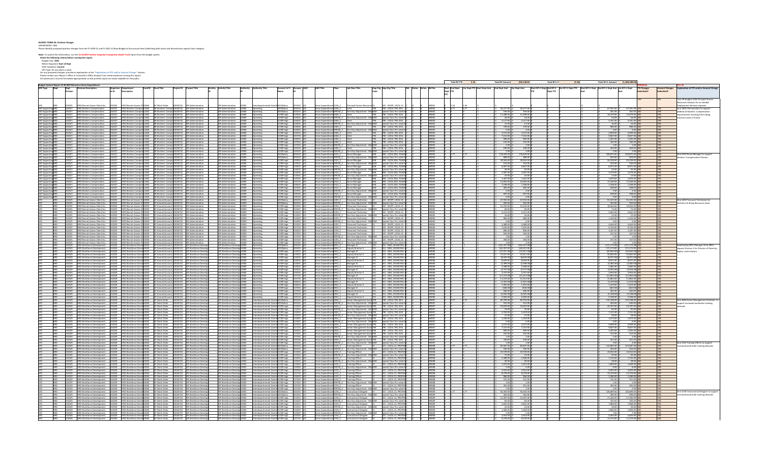BUDGET FORM 3A: Position Changes<br>DEPARTMENT: HRD<br>Please identify proposed position changes from the FY 2020-21 and FY 2021-22 Base Budget at the account level (reflecting both salary and discretionary special class changes

West Coulomb this information, non to **15.30.004 Persition Snapshot Comparison (Audit Trail)** report from the budget<br>Select the following ofteria before naming the report<br>short could be a simple term of the state of the st

|                                            |                                                                    |                                                                                                                                                                                                                                  |                                                                                            |                                                                                                                                                                                                                                                                                     |                                                                                             |                                                                                |                                                                                                                                                    |                                                                                                                                                                                                                              |                                                                 |                       |                              | Total BY FTE          | 5.10<br><b>Total BY Amount</b>                        | 658,138,00                     | Total BY+1 F | (1.189.188.00<br><b>Total BY+1 Amount</b>                                                  |            |                                                                            |
|--------------------------------------------|--------------------------------------------------------------------|----------------------------------------------------------------------------------------------------------------------------------------------------------------------------------------------------------------------------------|--------------------------------------------------------------------------------------------|-------------------------------------------------------------------------------------------------------------------------------------------------------------------------------------------------------------------------------------------------------------------------------------|---------------------------------------------------------------------------------------------|--------------------------------------------------------------------------------|----------------------------------------------------------------------------------------------------------------------------------------------------|------------------------------------------------------------------------------------------------------------------------------------------------------------------------------------------------------------------------------|-----------------------------------------------------------------|-----------------------|------------------------------|-----------------------|-------------------------------------------------------|--------------------------------|--------------|--------------------------------------------------------------------------------------------|------------|----------------------------------------------------------------------------|
|                                            |                                                                    |                                                                                                                                                                                                                                  |                                                                                            |                                                                                                                                                                                                                                                                                     |                                                                                             |                                                                                |                                                                                                                                                    |                                                                                                                                                                                                                              |                                                                 |                       |                              | <b>Start End Dept</b> | Var Dept FTE Start Dept Amt End Dept Amt Var Dept Amt |                                |              | Start BY+1 Dept End BY+1 Var BY+1 Dept FTE Start BY+1 Dept End BY+1 Dept Amt Var BY+1 Dept | TE Change: | Explanation of FTF and/or Amount                                           |
|                                            |                                                                    | escription                                                                                                                                                                                                                       |                                                                                            |                                                                                                                                                                                                                                                                                     |                                                                                             |                                                                                |                                                                                                                                                    |                                                                                                                                                                                                                              | Emp Org Emp Org Title<br>Code                                   |                       |                              | Dept FTE<br>FTE       |                                                       |                                | Dent FTF     |                                                                                            |            |                                                                            |
|                                            |                                                                    |                                                                                                                                                                                                                                  |                                                                                            |                                                                                                                                                                                                                                                                                     |                                                                                             |                                                                                |                                                                                                                                                    |                                                                                                                                                                                                                              |                                                                 |                       |                              |                       |                                                       |                                |              |                                                                                            |            |                                                                            |
|                                            |                                                                    |                                                                                                                                                                                                                                  |                                                                                            |                                                                                                                                                                                                                                                                                     |                                                                                             |                                                                                |                                                                                                                                                    |                                                                                                                                                                                                                              |                                                                 |                       |                              |                       |                                                       |                                |              |                                                                                            |            | wo off-budget 1246 Principal Hum                                           |
|                                            | D Recruit-Assess-Client Sv                                         | RD Recruit-Assess-Cl 10060                                                                                                                                                                                                       | <b>SF Work Order</b>                                                                       |                                                                                                                                                                                                                                                                                     |                                                                                             |                                                                                |                                                                                                                                                    | 2:1246 0                                                                                                                                                                                                                     | 2 - SFAPP, LOCAL 2                                              |                       |                              |                       |                                                       |                                |              |                                                                                            |            | purces Analysts for as-needed<br>nployment Services requests.              |
| Self Supporting HRD<br>Self Supporting HRD | <b>HRD Workers Compensation</b>                                    |                                                                                                                                                                                                                                  |                                                                                            | 232027 HRD Workers Comper 12460 SR Workers' Compet 10026742 HR Administration                                                                                                                                                                                                       | HR Administration 10000 Operating                                                           |                                                                                | .0Salary 50101                                                                                                                                     | Gross Expenditures 1404_C Clerk<br>Gross Expenditures 9991M_Z One Day Adjust                                                                                                                                                 | 790 - LOCAL 790, SEIU                                           |                       |                              | 0.77                  | 50,277.00 \$                                          | 50,277.0                       |              | 67,591.00<br>67,591.00                                                                     |            | One 1404 Clerk position to suppo                                           |
|                                            | 232027 HRD Workers Compensation                                    |                                                                                                                                                                                                                                  |                                                                                            | 232027 HRD Workers Comper 12460 SR Workers' Compe 10026742 HR Administration<br>232027 HRD Workers Comper 12460 SR Workers' Compe 10026742 HR Administration                                                                                                                        | HR Administration 10000 Operating<br>HR Administration 10000 Operating                      |                                                                                | 010Salary<br>130Fringe 513010                                                                                                                      | Gross Expenditures 1404_C Clerk                                                                                                                                                                                              | Mis BZM Special Class Pro-rated MC<br>790 790 - LOCAL 790, SEIU |                       | HRD02                        |                       | 194.00<br>11,498.00 \$                                | 194.00<br>11,498.00            |              | 261.00<br>261.00<br>14,479.00<br>14,479.00                                                 |            | litional Workers' Compensation                                             |
| Self Supporting HRD<br>Self Supporting HRD | 232027 HRD Workers Compensation<br><b>HRD Workers Compensation</b> |                                                                                                                                                                                                                                  |                                                                                            | HRD Workers Compen12460 SR Workers' Compe 10026742 HR Administration                                                                                                                                                                                                                | HR Administration 10000                                                                     |                                                                                | 5130Fringe 513010<br>Operating                                                                                                                     |                                                                                                                                                                                                                              | Special Class Pro-rated MC                                      |                       | HRDO.                        |                       | 44.00                                                 | 44.00                          |              | 56.00<br>56.00                                                                             |            | quirements resulting from taking<br>trcare cases in-house                  |
| Self Supporting HR                         | <b>HRD Workers Compensation</b>                                    |                                                                                                                                                                                                                                  |                                                                                            | 232027 HRD Workers Compen12460 SR Workers' Compe 10026742 HR Administration<br>232027 HRD Workers Compen12460 SR Workers' Compe 10026742 HR Administration                                                                                                                          | HR Administration 10000 Operating<br>HR Administration 10000 Operating                      |                                                                                | 5130Fringe 514010<br>5130Fringe 514010                                                                                                             | Gross Expenditures 1404_C Cleri                                                                                                                                                                                              | 790 - LOCAL 790, SEIU                                           |                       |                              |                       | 3,117.00                                              | 3,117.00<br>12.00              |              | $4,191.00$ N<br>16.00 N<br>4,191.00                                                        |            |                                                                            |
| Self Supporting HRD<br>Self Supporting HRD | <b>HRD Workers Compensation</b>                                    |                                                                                                                                                                                                                                  |                                                                                            |                                                                                                                                                                                                                                                                                     |                                                                                             |                                                                                |                                                                                                                                                    | Gross Expenditures 9991M Z One Day Ad                                                                                                                                                                                        | s BZM Special Class Pro-rated M                                 |                       |                              |                       | 12.00<br>729.00                                       |                                |              | 16.00<br>980.00                                                                            |            |                                                                            |
| Self Supporting                            | <b>HRD Workers Compensation</b>                                    |                                                                                                                                                                                                                                  |                                                                                            | HRD Workers Compen 12460 SR Workers' Compe 10026742 HR Administration                                                                                                                                                                                                               | HR Administration 10000 Operating                                                           |                                                                                | 5130Fringe 514020<br>130Fringe 51402<br>Operating                                                                                                  | Gross Expenditures 1404_C Clerk<br>Gross Expenditures 9991M_Z                                                                                                                                                                | 790 - LOCAL 790, SEIU                                           |                       | HRD02                        |                       | 3.00                                                  | 729.00                         |              | 980.00                                                                                     |            |                                                                            |
|                                            |                                                                    |                                                                                                                                                                                                                                  |                                                                                            | SR Workers' Compe 10026742 HR Admin<br>SR Workers' Compe 10026742 HR Admin                                                                                                                                                                                                          | HR Administration<br>HR Administration                                                      | 10000                                                                          | Operating<br>130Fringe                                                                                                                             | 1404_C Clerk                                                                                                                                                                                                                 | Special Class Pro-rated I<br>790 - LOCAL 790, SEIU              |                       |                              |                       | 3,572.00                                              | $\frac{3.00}{3,572.00}$        |              | 4,909.00<br>4,909.00                                                                       |            |                                                                            |
| Supporti                                   | <b>HRD Workers Compensation</b>                                    | <b>HRD Workers Compe</b>                                                                                                                                                                                                         | 460 SR Workers' Compe 10                                                                   | 026742 HR Administration                                                                                                                                                                                                                                                            | <b>HR Administration</b>                                                                    | 10000                                                                          | 10000 Operating<br>130Fringe 5157                                                                                                                  | Gross Expenditures 1404_C Clerk                                                                                                                                                                                              | 90 - LOCAL 790, SEIU<br>90 - LOCAL 790, SEIU                    |                       |                              |                       | 7,152.00<br>909.00                                    | 7,152.0<br>909.00              |              | 9,827.0<br>9,827.00<br>1,205.0                                                             |            |                                                                            |
|                                            |                                                                    |                                                                                                                                                                                                                                  |                                                                                            | SR Workers' Compe 10026742 HR Admir<br>326742 HR Admi                                                                                                                                                                                                                               | <b>HR Administration</b>                                                                    |                                                                                | 130Fringe<br>Operating                                                                                                                             | Gross Expenditures 1404_C<br><b>Gross Expendit</b><br>es 1404 C                                                                                                                                                              | 790 - LOCAL 790, SEIU                                           |                       |                              |                       |                                                       |                                |              | 1,205.00<br>182.00                                                                         |            |                                                                            |
|                                            | <b>HRD Workers Compensatio</b>                                     | <b>HRD Workers Com</b><br>HRD Workers Com                                                                                                                                                                                        | 2460 SR Workers' Compe 10<br>2460 SR Workers' Compe 10                                     | <b>HR Administratio</b>                                                                                                                                                                                                                                                             | HR Administration 10000 Operating<br>HR Administration 10000 Operating<br>HR Administration |                                                                                | 5130Fringe 511<br>5130Fringe 511                                                                                                                   | iross Expendit                                                                                                                                                                                                               | Special Class Pro-rated                                         |                       | HRD02                        |                       | $\frac{135.00}{1.00}$ \$                              | 135.00                         |              | $\frac{182.00}{1.00}$                                                                      |            |                                                                            |
|                                            |                                                                    |                                                                                                                                                                                                                                  |                                                                                            | HRD Workers Compen12460 SR Workers' Compe 10026742 HR Administratio                                                                                                                                                                                                                 | <b>HR Administration</b>                                                                    | 10000                                                                          | 130Fringe 519120<br>Operating                                                                                                                      | Gross Expenditures 1404 C                                                                                                                                                                                                    | 790 - LOCAL 790, SEIU<br>Special Class Pro-rated M              |                       |                              |                       | 196.00<br>1.00 \$                                     | 196.00<br>1.00                 |              | 264.00<br>264.00<br>1.00                                                                   |            |                                                                            |
|                                            | <b>HRD Workers Compensation</b>                                    |                                                                                                                                                                                                                                  |                                                                                            | 12027 HRD Workers Comper 12460 SR Workers' Compe 10026742 HR Administration<br>HRD Workers Compen 12460 SR Workers' Compe 10026742 HR Administration                                                                                                                                | HR Administration 10000 Operating                                                           | HR Administration 10000 Operating                                              | 5130Fringe 519120<br>0Salary 50101                                                                                                                 | Gross Expenditures 2322_C<br>Nurse Manager                                                                                                                                                                                   | 858 - LOCAL 856, TEAMS                                          |                       |                              |                       | \$178,429.00                                          | 178,429.00                     |              | 1.00<br>239,875.00<br>239,875.00                                                           |            | One 2322 Nurse Manager to suppor                                           |
|                                            | <b>HRD Workers Compensat</b>                                       |                                                                                                                                                                                                                                  | HRD Workers Compen12460 SR Workers' Compe 10026742 HR Admin                                |                                                                                                                                                                                                                                                                                     |                                                                                             | HR Administration 10000 Operating                                              | 0Salary 501                                                                                                                                        | One Day Adjust<br>Gross Expenditures                                                                                                                                                                                         |                                                                 |                       |                              |                       | 688.00                                                | 688.0                          |              | 924.0<br>924.00                                                                            |            | kerr' Companystion Divi                                                    |
|                                            |                                                                    |                                                                                                                                                                                                                                  |                                                                                            | 32027 HRD Workers Compen 12460 SR Workers' Compe 10026742 HR Administration                                                                                                                                                                                                         | HR Administration 10000 Operating                                                           |                                                                                |                                                                                                                                                    | Gross Expenditures 2322_C Nurse Manager                                                                                                                                                                                      | 858 858 - LOCAL 856, TEAMS                                      |                       |                              |                       | 39,944.00<br>154.00                                   | 39,944.00<br>154.00            |              | 50,228.00<br>50.228.00                                                                     |            |                                                                            |
|                                            | HRD Workers Compensation<br><b>HRD Workers Compensati</b>          |                                                                                                                                                                                                                                  |                                                                                            | HRD Workers Compet 12460 SR Workers' Compet 10026742 HR Administration<br>HRD Workers Compet 12460 SR Workers' Compet 10026742 HR Administration                                                                                                                                    | <b>HR Administration</b>                                                                    | HR Administration 10000 Operating                                              | 130Fringe 513010<br>130Fringe 5140<br>Operating                                                                                                    | Gross Expenditures 2322_C<br>Nurse Manager                                                                                                                                                                                   | Special Class Pro-rated M<br>858 - LOCAL 856, TEAMS             |                       |                              |                       | 6,667.00                                              | 6,667.00                       |              | 193.00<br>8,971.00<br>193.00<br>8,971.00                                                   |            |                                                                            |
|                                            | <b>HRD Workers Compensation</b>                                    |                                                                                                                                                                                                                                  |                                                                                            | 32027 HRD Workers Compen 12460 SR Workers' Compe 10026742 HR Administration                                                                                                                                                                                                         | HR Administration 10000 Operating                                                           |                                                                                | 5130Fringe 514010                                                                                                                                  |                                                                                                                                                                                                                              |                                                                 |                       | HRD03                        |                       | 26.00                                                 | 26.00                          |              | 35.00<br>35.00                                                                             |            |                                                                            |
| Self Supporting HRI                        | <b>HRD Workers Compensation</b>                                    |                                                                                                                                                                                                                                  |                                                                                            | HRD Workers Compen12460 SR Workers' Compe 10026742 HR Administration<br>SR Workers' Compe 10026742 HR Administration                                                                                                                                                                |                                                                                             | HR Administration 10000 Operating                                              | 5130Fringe 514020                                                                                                                                  | Gross Expenditures 2322_C<br>Nurse Manager                                                                                                                                                                                   | 858<br>858 - LOCAL 856, TEAMS                                   |                       | HRD03                        |                       | 2,587.00                                              | 2,587.00                       |              | 3,479.00<br>3,479.00                                                                       |            |                                                                            |
| Supporting                                 | /orkers Compensatio                                                |                                                                                                                                                                                                                                  | 232027 HRD Workers Comper 12460 SR Workers' Compe 10026742 HR Admir                        |                                                                                                                                                                                                                                                                                     | <b>HR Administration</b><br>HR Administration 10000 Operating                               |                                                                                | 130Fringe 51402<br>Operating<br>5130Fringe 515010                                                                                                  | One Day Adjustm<br>Gross Expenditu<br>Gross Expenditures 2322_C Nurse Manager                                                                                                                                                | 858 858 - LOCAL 856, TEAMS                                      |                       | HRD03                        |                       | 1361.00 S                                             | 1.361.00                       |              | 1,870.00<br>1,870.00                                                                       |            |                                                                            |
|                                            | <b>HRD Workers Compensation</b>                                    |                                                                                                                                                                                                                                  |                                                                                            | HRD Workers Compen 12460 SR Workers' Compe 10026742 HR Administration                                                                                                                                                                                                               |                                                                                             | HR Administration 10000 Operating                                              | 5130Fringe 515710                                                                                                                                  | Gross Expenditures 2322 C<br>Nurse Manager                                                                                                                                                                                   | 858 - LOCAL 856, TEAMSC<br>858                                  |                       |                              |                       | 12,692.00                                             | 12,692.00                      |              | 17,439.00<br>17,439.00                                                                     |            |                                                                            |
|                                            |                                                                    | 232027 HRD Workers Co                                                                                                                                                                                                            | 12460 SR Workers' Compe 10026742 HR Adm                                                    | SR Workers' Compe 10026742 HR Admi                                                                                                                                                                                                                                                  | <b>HR Administration</b><br><b>HR Admin</b>                                                 | 10000<br>ration 10000 Operating                                                | 130Fringe<br>Operating<br>5130Fringe 517010                                                                                                        | Nurse Manager<br>Gross Expenditures <sub>2</sub><br>Nurse Manage                                                                                                                                                             | 58 - LOCAL 856, TEA<br>858 - LOCAL 856, TEAM                    |                       |                              |                       | 1,168.00<br>482.00                                    | 482.00                         |              | 1,548.0<br>1,548.00<br>648.00<br>648.00                                                    |            |                                                                            |
|                                            | <b>HRD Workers Compensation</b>                                    |                                                                                                                                                                                                                                  |                                                                                            | 232027 HRD Workers Compen12460 SR Workers' Compe 10026742 HR Administration                                                                                                                                                                                                         | HR Administration 10000 Operating                                                           |                                                                                | 130Fringe 517010                                                                                                                                   | One Day Adjustment - Mis BZM Special Class Pro-rated MC<br>Gross Expenditu                                                                                                                                                   |                                                                 |                       | <b>HRDO3</b>                 |                       | 2.00                                                  | 2.00                           |              | $-2.00$<br>2.00                                                                            |            |                                                                            |
|                                            | <b>HRD Workers Compensation</b>                                    |                                                                                                                                                                                                                                  |                                                                                            | 232027 HRD Workers Compen 12460 SR Workers' Compe 10026742 HR Administration                                                                                                                                                                                                        | HR Administration 10000 Operating                                                           |                                                                                | 130Fringe 519120                                                                                                                                   | Gross Expenditures 2322_C<br>Nurse Manager                                                                                                                                                                                   | 858 - LOCAL 856, TEAMS                                          |                       | HRD03                        |                       | 697.00                                                | 697.00                         |              | 938.00 M<br>938.00                                                                         |            |                                                                            |
|                                            |                                                                    | 232027 HRD Workers Comp<br>HRD Recruit-Assess-Client Svc 232025 HRD Recruit-Assess-Cl                                                                                                                                            |                                                                                            | per 12460 SR Workers' Compe 10026742 HR Administration<br>s-Cl 10000 GF Annual Account 10026742 HR Administration                                                                                                                                                                   | HR Administration 10000 Operating                                                           | HR Administration 10000 Operating                                              | 5130Fringe 519120                                                                                                                                  | <b>Gross Expendit</b><br>9991M_Z One Day Adju                                                                                                                                                                                | Special Class Pro-rated M<br>022 - SFAPP, LOCAL 21              |                       | HRD03<br>HRD05               |                       | $3.005$<br>67,932.005                                 | $\frac{3.00}{67,932.00}$       |              | $4.00$<br>91,325.00<br>4.00<br>91,325.00                                                   |            | One 1203 Personnel Technician fo                                           |
|                                            |                                                                    |                                                                                                                                                                                                                                  |                                                                                            | HRD Recruit-Assess-Client Svc 232025 HRD Recruit-Assess-Cl 10000 GF Annual Account 10026742 HR Administration                                                                                                                                                                       |                                                                                             | HR Administration 10000 Operating                                              | 10Salary 501010<br>10Salary 501010                                                                                                                 | Gross Expenditures 1203_C<br>Personnel Technician                                                                                                                                                                            | Special Class Pro-rated M                                       |                       | HRD05                        |                       | 262.00 \$                                             | 262.00                         |              | 352.00<br>352.00 M                                                                         |            | ection & Hiring Resources team                                             |
|                                            | HRD Recruit-Assess-Client Svc                                      | 232025 HRD Recruit-Assess-<br>232025 HRD Recruit-Assess-                                                                                                                                                                         |                                                                                            | 10000 GF Annual Account 10026742 HR Administration<br>10000 GF Annual Account 10026742 HR Administration                                                                                                                                                                            | <b>HR Administration</b>                                                                    | 10000 Operating                                                                | 130Fringe 513010                                                                                                                                   | 1203 C<br>Personnel Technician                                                                                                                                                                                               | 022 - SFAPP, LOCAL 21                                           |                       |                              |                       | 15,535.00                                             | 15,535.00<br>60.00             |              | 19,564.00<br>19,564.00                                                                     |            |                                                                            |
|                                            | HRD Recruit-Assess-Client Svc                                      | <b>HRD Recruit-Asses</b>                                                                                                                                                                                                         |                                                                                            | unt 10026742 HR Administration                                                                                                                                                                                                                                                      | <b>HR Administration</b>                                                                    | 10000                                                                          | 10Fringe 513010<br>Operating                                                                                                                       | One Day Adjustr<br>Gross Expendit                                                                                                                                                                                            | 22 - SFAPP, LOCAL 2:                                            |                       | <b>HRDOS</b>                 |                       | 60.00                                                 |                                |              |                                                                                            |            |                                                                            |
|                                            | HRD Recruit-Assess-Client Svc                                      | 232025 HRD Recruit-Assess-                                                                                                                                                                                                       | 10000 GF Annual Accou                                                                      | 10000 GF Annual Account 10026742 HR Administration                                                                                                                                                                                                                                  | <b>HR Administration</b>                                                                    | 10000                                                                          | 130Fringe 51401<br>Operating<br>Operating<br>130Fringe 514010                                                                                      | <b>Gross Expendit</b><br>Gross Expenditu<br>991M_Z One Day Adjustment - Mis                                                                                                                                                  | pecial Class Pro-rated M                                        |                       |                              |                       | 4,212.00<br>16.00                                     | 4,212.00<br>16.00              |              | 5,662.0<br>5,662.00<br>22.00<br>22.00                                                      |            |                                                                            |
|                                            |                                                                    |                                                                                                                                                                                                                                  |                                                                                            |                                                                                                                                                                                                                                                                                     | HR Administration 10000 Operating                                                           |                                                                                | 130Fringe 514020                                                                                                                                   |                                                                                                                                                                                                                              | 022 - SFAPP, LOCAL 21 C                                         |                       | N HRDOS                      |                       | 985.00 \$                                             | 985.00                         |              | 1,324.00<br>1,324.00                                                                       |            |                                                                            |
|                                            |                                                                    |                                                                                                                                                                                                                                  |                                                                                            | HRD Recruit-Assess-Client Svc 232025 HRD Recruit-Assess-C 10000 GF Annual Account 10026742 HR Administration<br>HRD Recruit-Assess-Client Svc 232025 HRD Recruit-Assess-C 10000 GF Annual Account 10026742 HR Administration                                                        | <b>HR Admini</b>                                                                            | 10000                                                                          | 130Fringe 514020<br>Operating                                                                                                                      | Gross Expenditures 1203_C Personnel Technician<br>Gross Expenditures 9991M_Z One Day Adjustment - Mi                                                                                                                         | oecial Class Pro-rate                                           |                       |                              |                       | 4.00                                                  |                                |              |                                                                                            |            |                                                                            |
|                                            |                                                                    |                                                                                                                                                                                                                                  |                                                                                            | HRD Recruit-Assess-Client Svc. 232025 HRD Recruit-Assess-CI 10000 GF Annual Account 10026742 HR Administration                                                                                                                                                                      | HR Administration 10000 Operating<br>HR Administration 10000 Operating                      |                                                                                | 130Fringe 515010<br>5130Fringe 515710                                                                                                              | Gross Expenditures 1203_C Personnel Technician<br>Gross Expenditures 1203_C<br>Personnel Technician                                                                                                                          | 022 - SFAPP, LOCAL 21<br>022 - SFAPP, LOCAL 21                  |                       | HRD05<br>HRD05               |                       | 3,380.00<br>7,079.00                                  | 3,380.00<br>7,079.00           |              | 4,644.00<br>4,644.00<br>9,726.00<br>9,726.00                                               |            |                                                                            |
|                                            |                                                                    |                                                                                                                                                                                                                                  |                                                                                            | HRD Recruit-Assess-Client Svc 232025 HRD Recruit-Assess-Cl 10000 GF Annual Account 10026742 HR Administration<br>HRD Recruit-Assess-Client Svc 232025 HRD Recruit-Assess-Cl 10000 GF Annual Account 10026742 HR Administration                                                      |                                                                                             | HR Administration 10000 Operating                                              | 130Fringe 51601                                                                                                                                    | Gross Expenditures 1203_C<br>Personnel Technician                                                                                                                                                                            | 22 - SFAPP, LOCAL 21                                            |                       |                              |                       | 896.00 \$                                             | 896.00                         |              | 1,187.00<br>1,187.00                                                                       |            |                                                                            |
|                                            |                                                                    |                                                                                                                                                                                                                                  |                                                                                            | HRD Recruit-Assess-Client Svc 232025 HRD Recruit-Assess-CI 10000 GF Annual Account 10026742 HR Administration                                                                                                                                                                       | HR Administration 10000 Operating                                                           |                                                                                | 130Fringe 517010                                                                                                                                   | Gross Expenditures 1<br>203_C Personnel Technician                                                                                                                                                                           | 22 - SFAPP, LOCAL 21                                            |                       |                              |                       | 183.00                                                | 183.00                         |              | 247.00<br>247.00                                                                           |            |                                                                            |
|                                            |                                                                    |                                                                                                                                                                                                                                  |                                                                                            | HRD Recruit-Assess-Client Svc 232025 HRD Recruit-Assess-Cl 10000 GF Annual Account 10026742 HR Administration                                                                                                                                                                       | HR Administration 10000 Operating<br><b>HR Administration</b>                               |                                                                                | 5130Fringe 517010                                                                                                                                  | Gross Expenditures 9991M Z One Day Adjustment - Mis BZM<br>Gross Expenditures 1203_C<br>Personnel Technician                                                                                                                 | Special Class Pro-rated MC<br>22 - SFAPP, LOCAL 21              |                       |                              |                       | 1.00<br>266.00                                        | 1.00<br>266.00                 |              | 1.00<br>1.00<br>357.00<br>357.00                                                           |            |                                                                            |
|                                            |                                                                    |                                                                                                                                                                                                                                  |                                                                                            | HRD Recruit-Assess-Client Svc 232025 HRD Recruit-Assess-CI 10000 GF Annual Account 10026742 HR Administration<br>HRD Recruit-Assess-Client Svc 232025 HRD Recruit-Assess-CI 10000 GF Annual Account 10026742 HR Administration<br>0000 GF Annual Account 10026742 HR Administration | <b>HR Administration</b>                                                                    |                                                                                | Operating<br>130Fringe 51912<br>10000 Operating<br>30Fringe 53                                                                                     | 991M_Z One Day Adjustment<br>Gross Expenditu                                                                                                                                                                                 | Special Class Pro-rated                                         |                       |                              |                       | $1.00$ \$                                             |                                |              | 1.00 <sub>h</sub>                                                                          |            |                                                                            |
|                                            |                                                                    |                                                                                                                                                                                                                                  |                                                                                            | HRD Workforce Development 232029 HRD Workforce Devel 10000 GF Annual Account 10026743 HR Workforce Develo                                                                                                                                                                           | HR Workforce Develop 10000 Operating                                                        |                                                                                | 010Salary 501010                                                                                                                                   | Gross Expenditures 0931 C<br>Manager III                                                                                                                                                                                     | 351 - MEA, MUNICIPAL B                                          |                       | HRD06                        |                       | \$(165, 357.00) \$                                    | (165,357.00                    |              | (171, 173.00)<br>(171, 173.00)                                                             |            | stituting 0931 Manager III for 0952                                        |
|                                            |                                                                    |                                                                                                                                                                                                                                  | 000 GF Annual Accor                                                                        | HRD Workforce Development 232029 HRD Workforce Devel 10000 GF Annual Account 10026743 HR Workforce Devel<br>26743 HR Workforce D                                                                                                                                                    | <b>HR Workforce Devel</b>                                                                   | HR Workforce Develop 10000 Operating<br>coop                                   | 010Salary 501010<br>Operating<br>130Fringe 51301                                                                                                   | Gross Expenditures 0952_C<br>Deputy Director II<br>Manager II                                                                                                                                                                | 51 - MEA, MUNICIPAL<br>1 - MEA, MUNICIPA                        |                       | HRD06                        |                       | \$165,357.00 \$<br>(37,017.00)                        | 165,357.00                     |              | 171,173.00 \$<br>171,173.00 Y                                                              |            | eputy Director II for Director of Diversit<br>quity, and inclusion         |
|                                            |                                                                    |                                                                                                                                                                                                                                  |                                                                                            | HRD Workforce Development 232029 HRD Workforce Devel 10000 GF Annual Account 10026743 HR Workforce Devel                                                                                                                                                                            | HR Workforce Develop 10000 Operating                                                        |                                                                                | 5130Fringe 513010                                                                                                                                  | Gross Expenditu<br>Gross Expenditures 0952_C<br>Deputy Director I                                                                                                                                                            | 351 - MEA, MUNICIPAL EC                                         |                       |                              |                       | 37,017.00                                             | (37, 017.0<br>37,017.00        |              | (35,842.00<br>(35,842.00)<br>35,842.00<br>35,842.00                                        |            |                                                                            |
|                                            |                                                                    |                                                                                                                                                                                                                                  |                                                                                            | 232029 HRD Workforce Devel 10000 GF Annual Account 10026743 HR Workforce Deve                                                                                                                                                                                                       | HR Workforce Develop 10000                                                                  |                                                                                | 5130Fringe 514010<br>Operating                                                                                                                     | Gross Expenditures 0931_C<br>Manager III                                                                                                                                                                                     | 51 - MEA, MUNICIPAL I                                           |                       |                              |                       | $(8,659.00)$ \$                                       | (8,659.00)                     |              | (8,971.00)<br>(8,971.00)                                                                   |            |                                                                            |
|                                            |                                                                    |                                                                                                                                                                                                                                  | 0000 GF Annual Acco                                                                        | 026743 HR Workforce D                                                                                                                                                                                                                                                               | <b>HR Workforce Dev</b>                                                                     | coop                                                                           | 130Fringe 514010<br>Operating                                                                                                                      | <b>Gross Expendit</b><br>Deputy Directo                                                                                                                                                                                      | 1 - MEA, MUNICIPA                                               |                       |                              |                       | 8,659.00                                              | 8,659.00<br>(2,398.00)         |              | 8,971.0<br>8,971.00                                                                        |            |                                                                            |
|                                            |                                                                    |                                                                                                                                                                                                                                  | HRD Workforce Devel 10000 GF Annual Accor                                                  | HRD Workforce Development 232029 HRD Workforce Devel 10000 GF Annual Account 10026743 HR Workforce Deve<br>t 10026743 HR Workforce Dev                                                                                                                                              | HR Workforce Develop 10000 Operating<br>HR Workforce Develop 10000                          |                                                                                | 5130Fringe 514020<br>5130Fringe 514020<br>Operating                                                                                                | Gross Expenditures 0931_C<br>Manager III<br>Gross Expenditures 0952_C<br>Deputy Directo                                                                                                                                      | 351 - MEA, MUNICIPAL BO<br>51 - MEA, MUNICIPA                   |                       |                              |                       | (2,398.00)<br>2,398.00 \$                             | 2,398.00                       |              | (2,482.00)<br>(2,482.00)<br>2,482.00<br>2,482.00 N                                         |            |                                                                            |
|                                            | HRD Workforce Development                                          |                                                                                                                                                                                                                                  |                                                                                            | 232029 HRD Workforce Devel 10000 GF Annual Account 10026743 HR Workforce Dev                                                                                                                                                                                                        | HR Workforce Develop 10000                                                                  |                                                                                | 5130Fringe    515010<br>Operating                                                                                                                  | Gross Expenditures 0931_C<br>Manager III                                                                                                                                                                                     | 51 - MEA, MUNICIPAL                                             |                       | HRD06                        |                       | (3,737.00)                                            | (3,737.00)                     |              | (3,954.00)<br>(3,954.00)                                                                   |            |                                                                            |
|                                            |                                                                    |                                                                                                                                                                                                                                  |                                                                                            | HRD Workforce Development 232029 HRD Workforce Devel 10000 GF Annual Account 10026743 HR Workforce De<br>HRD Workforce Development 232029 HRD Workforce Devel 10000 GF Annual Account 10026743 HR Workforce De<br>1026743 HR Workforce Deve                                         | HR Workforce Develop 10000 Operating                                                        | HR Workforce Develop 10000 Operating                                           | 5130Fringe 515010                                                                                                                                  | Gross Expenditures 0952_C<br>Gross Expenditures 0931_C<br>Deputy Director II                                                                                                                                                 | 351 - MEA, MUNICIPAL I<br>51 - MEA, MUNICIPAL                   |                       | <b>HRDO6</b>                 |                       | 3.737.00                                              | 3,737.00                       |              | 3,954.00<br>3,954.00<br>(11, 863.00)<br>(11,863.00)                                        |            |                                                                            |
|                                            |                                                                    |                                                                                                                                                                                                                                  |                                                                                            | HRD Workforce Development 232029 HRD Workforce Devel 10000 GF Annual Account 10026743 HR Workforce Devi                                                                                                                                                                             | HR Workforce Develop 10000 Operating                                                        |                                                                                | 5130Fringe 51571<br>5130Fringe 515710                                                                                                              | Manager III<br>Gross Expenditures 0952_C<br>Deputy Director I                                                                                                                                                                | 51 - MEA, MUNICIPAL                                             |                       | HRD06                        |                       | \$11,213.00                                           | 11,213.00                      |              | 11,863.00<br>11,863.00                                                                     |            |                                                                            |
|                                            |                                                                    |                                                                                                                                                                                                                                  |                                                                                            | HRD Workforce Development 232029 HRD Workforce Devel 10000 GF Annual Account 10026743 HR Workforce Deve<br>HRD Workforce Development 232029 HRD Workforce Devel 10000 GF Annual Account 10026743 HR Workforce Deve                                                                  | HR Workforce Develop 10000 Operating<br>HR Workforce Develop 10000 Operating                |                                                                                |                                                                                                                                                    | Gross Expenditures 0931_C<br>Gross Expenditures 0952_C<br>Manager III<br>Deputy Director II                                                                                                                                  | 351 - MEA, MUNICIPAL I                                          |                       |                              |                       | (1.391.00)                                            | (1.391.0                       |              | (1.419.00<br>(1.419.00                                                                     |            |                                                                            |
|                                            |                                                                    |                                                                                                                                                                                                                                  |                                                                                            | 2029 HRD Workforce Devel 10000 GF Annual Account 10026743 HR Workforce Dev                                                                                                                                                                                                          |                                                                                             |                                                                                | S130Fringe 516010<br>S130Fringe 516010                                                                                                             |                                                                                                                                                                                                                              | 51 - MEA MUNICIPAL<br>51 - MEA, MUNICIPA                        |                       | upnoc                        |                       | 1391.00                                               | 1,391,00                       |              | 1,419.0<br>1,419.00                                                                        |            |                                                                            |
|                                            |                                                                    |                                                                                                                                                                                                                                  |                                                                                            | HRD Workforce Development 232029 HRD Workforce Devel 10000 GF Annual Account 10026743 HR Workforce Devel                                                                                                                                                                            |                                                                                             | HR Workforce Develop 10000 Operating<br>HR Workforce Develop 10000   Qperating | 130Fringe 517010<br>5130Fringe 517010                                                                                                              | <b>Gross Expenditu</b><br>Manager III<br>Deputy Director II<br>Gross Expenditures 0952_C                                                                                                                                     | 351 - MEA, MUNICIPAL E                                          |                       | HRD06                        |                       | (446.00)<br>446.00                                    | [446.00]<br>446.00             |              | (462.00)<br>(462,<br>462.00<br>462.00                                                      |            |                                                                            |
|                                            |                                                                    |                                                                                                                                                                                                                                  |                                                                                            | HRD Workforce Development 232029 HRD Workforce Devel 10000 GF Annual Account 10026743 HR Workforce Development 232029 HRD Workforce Development 232029 HRD Workforce Development 232029 HRD Workforce Development 232029 HRD W                                                      |                                                                                             |                                                                                |                                                                                                                                                    | Gross Expenditures 0931_C<br>Manager III                                                                                                                                                                                     | 351 - MEA, MUNICIPAL                                            |                       |                              |                       | (5,045.00)                                            | (5,045.00)                     |              | $(5,338.00)$ \$<br>(5,338.00)                                                              |            |                                                                            |
|                                            |                                                                    |                                                                                                                                                                                                                                  |                                                                                            |                                                                                                                                                                                                                                                                                     | HR Workforce Develop 10000 Operating<br>HR Workforce Develop 10000 Operating                |                                                                                |                                                                                                                                                    | <b>Gross Expenditu</b><br>0952C<br>Deputy Director II                                                                                                                                                                        | 51 - MEA MUNICIPA                                               |                       |                              |                       | 504500                                                | 504500                         |              | 53380<br>5.338.00                                                                          |            |                                                                            |
|                                            |                                                                    |                                                                                                                                                                                                                                  |                                                                                            | HRD Workforce Development 232029 HRD Workforce Devel 10060 GF Work Order 10026743 HR Workforce Deve<br>HRD Workforce Development 232029 HRD Workforce Devel 10060 GF Work Order 10026743 HR Workforce Deve                                                                          | HR Workforce Develop 10002<br>HR Workforce Develop 10002                                    |                                                                                | Interdepartmental-Overh 5010Salary 501010<br>Interdepartmental-Overh 5010Salary 501010                                                             | Gross Expenditures 1844_C<br>Senior Management Assist 790<br>Gross Expenditures 9991M Z One Day Adjustment - Mis BZM                                                                                                         | 790 - LOCAL 790, SEIU<br>Special Class Pro-rated M              |                       | HRD07                        |                       | 85,793.00<br>331.00                                   | 85,793.00<br>331.00            |              | 115.338.00<br>115,338.00 1<br>445.00<br>445.00 N                                           |            | One 1844 Senior Management Assistant<br>pport increased workorder training |
|                                            |                                                                    | RD Workforce Development 232029 HRD Workforce Devel 10060 GF Work Order                                                                                                                                                          |                                                                                            | 10026743 HR Workforce Dev                                                                                                                                                                                                                                                           | <b>HR Workforce Develop</b>                                                                 |                                                                                | Interdepartmental-Overh<br>30Fringe 51301                                                                                                          | Senior Management Assist 790 790 - LOCAL 790, SEIU<br>Gross Expenditures 1844_C                                                                                                                                              |                                                                 |                       |                              |                       | 19,619.00                                             | 19,619.00                      |              | 24,707.00<br>24,707.00                                                                     |            |                                                                            |
|                                            |                                                                    |                                                                                                                                                                                                                                  |                                                                                            | HRD Workforce Development 232029 HRD Workforce Devel 10060 GF Work Order 10026743 HR Workforce Devel<br>HRD Workforce Development 232029 HRD Workforce Devel 10060 GF Work Order 10026743 HR Workforce Devel                                                                        | HR Workforce Develop 10002                                                                  |                                                                                | Interdepartmental-Overh 5130Fringe 513010                                                                                                          | Gross Expenditures 9991M_Z One Day Adjustment - Mis BZM Special Class Pro-rated M                                                                                                                                            |                                                                 |                       |                              |                       | 76.00                                                 | 76.00                          |              | 95.0<br>95.00                                                                              |            |                                                                            |
|                                            |                                                                    |                                                                                                                                                                                                                                  |                                                                                            | 10026743 HR Workforce Devi                                                                                                                                                                                                                                                          | HR Workforce Develop 10002<br>HR Workforce Develop 10002                                    |                                                                                | Interdepartmental-Overhi 5130Fringe 514010                                                                                                         | Gross Expenditures 1844_C Senior Management Assist 790                                                                                                                                                                       | 790 - LOCAL 790, SEIU<br>Special Class Pro-rated MC             |                       |                              |                       | 5,319.00                                              | 5,319.00                       |              | 7,151.00<br>7,151.00 N                                                                     |            |                                                                            |
|                                            | <b>HRD Workforce Development</b>                                   | HRD Workforce Development 232029 HRD Workforce Devel 10060 GF Work Order<br>HRD Workforce Development 232029 HRD Workforce Devel 10060 GF Work Order                                                                             |                                                                                            | 0026743 HR Workforce Dev                                                                                                                                                                                                                                                            | <b>IR Workforce Develop</b>                                                                 |                                                                                | Interdepartmental-Overh 5130Fringe 514010<br>30Fringe 514020<br>nterdepartmental-Overh 51                                                          | Gross Expenditures 9991M_Z One Day Adjustment - Mis BZM<br>Gross Expenditures 1844_C<br>Senior Management Assist 79                                                                                                          | 90 - LOCAL 790, SEIU                                            |                       |                              |                       | 21.00 \$<br>1,244.00                                  | 21.00<br>1,244.00              |              | 28.00<br>28.00<br>1,673.00<br>1,673.0                                                      |            |                                                                            |
|                                            |                                                                    | HRD Workforce Development 232029 HRD Workforce Devel 10060 GF Work Order                                                                                                                                                         |                                                                                            | 10026743 HR Workforce Devi                                                                                                                                                                                                                                                          | HR Workforce Develop 10002                                                                  |                                                                                | Interdepartmental-Overh 5130Fringe 514020                                                                                                          |                                                                                                                                                                                                                              | Special Class Pro-rated M                                       |                       |                              |                       | $5.00$ \$                                             | 5.00                           |              | 6.00<br>6.00                                                                               |            |                                                                            |
|                                            |                                                                    | HRD Workforce Development 232029 HRD Workforce Devel 10060 GF Work Order                                                                                                                                                         |                                                                                            | 10026743 HR Workforce Dev                                                                                                                                                                                                                                                           | HR Workforce Develop 10002                                                                  |                                                                                | Interdepartmental-Overh 5130Fringe 515010                                                                                                          | Gross Expenditures 1844_C Senior Management Assist 790 790 - LOCAL 790, SEIU                                                                                                                                                 |                                                                 |                       | HRD07                        |                       | 3,572.00 \$<br>7.152.00                               | 3,572.00<br>7.152.0            |              | 4,909.00<br>4,909.00<br>9,827.0<br>9.827.00                                                |            |                                                                            |
|                                            |                                                                    |                                                                                                                                                                                                                                  |                                                                                            | 232029 HRD Workforce Development 232029 HRD Workforce Devel 10060 GF Work Order 10026743 HR Workforce Devel<br>232029 HRD Workforce Development 232029 HRD Workforce Devel 10060 GF Work Order 10026743 HR Workforce Devel                                                          | <b>HR Workforce Develop</b>                                                                 |                                                                                | Interdepartmental-Overh 5130Fringe<br>HR Workforce Develop 10002 Interdepartmental-Overhi 5130Fringe 516010 JI                                     | Gross Expenditures 1844_C Senior Management Assiss 790 790 - LOCAL 790, SEIU<br>Gross Expenditures 1844_C Senior Management Assiss 790 790 - LOCAL 790, SEIU                                                                 |                                                                 |                       | N HRDO                       |                       | 909.00 \$                                             | 909.00                         |              | 1,205.00<br>1,205.00                                                                       |            |                                                                            |
|                                            |                                                                    | HRD Workforce Development 232029 HRD Workforce Devel 10060 GF Work Order                                                                                                                                                         |                                                                                            | 10026743 HR Workforce Dev                                                                                                                                                                                                                                                           |                                                                                             |                                                                                | HR Workforce Develop 10002 Interdepartmental-Overhi 5130Fringe 517010                                                                              | Gross Expenditures 1844_C Senior Management Assist 790 790 - LOCAL 790, SEIU                                                                                                                                                 |                                                                 |                       | HRD07                        |                       | 232.00                                                | 232.00                         |              | 312.00<br>312.00                                                                           |            |                                                                            |
|                                            |                                                                    |                                                                                                                                                                                                                                  |                                                                                            | 232029 HRD Workforce Development 232029 HRD Workforce Devel 10060 GF Work Order 10026743 HR Workforce Devel<br>232029 HRD Workforce Development 232029 HRD Workforce Devel 10060 GF Work Order 10026743 HR Workforce Devel                                                          | HR Workforce Develop 10002                                                                  |                                                                                | Interdepartmental-Overh 5130Fringe                                                                                                                 | Gross Expenditures 9991M_Z One Day Adjustment - Mis BZM<br>Gross Expenditures 9991M_Z Che Day Adjustment - Mis 82M Special Class Pro-rated N<br>Gross Expenditures 1844_C Senior Management Assist 790 790 - LOCAL 790, SEIU |                                                                 |                       | <b>HRD</b>                   |                       | 1.00<br>336.00 \$                                     | 336.00                         |              | 1.00<br>451.00<br>451.00                                                                   |            |                                                                            |
|                                            |                                                                    | HRD Workforce Development 232029 HRD Workforce Devel 10060 GF Work Order                                                                                                                                                         |                                                                                            | 10026743 HR Workforce Deve                                                                                                                                                                                                                                                          |                                                                                             |                                                                                | HR Workforce Develop 10002 Interdepartmental-Overhi 5130Fringe 519120   JI<br>HR Workforce Develop 10002 Interdepartmental-Overh 5130Fringe 519120 | Gross Expenditu<br>res 9991M_Z One Day Adjustment - Mis BZM                                                                                                                                                                  | Special Class Pro-rated                                         |                       | HRD07                        |                       | 1.00                                                  | 1.00                           |              | 2.00<br>2.00 <sub>h</sub>                                                                  |            | One 1232 Training Officer to suppor                                        |
|                                            |                                                                    | HRD Workforce Development 232029 HRD Workforce Devel 10060 GF Work Order                                                                                                                                                         |                                                                                            | 10026743 HR Workforce Devi                                                                                                                                                                                                                                                          | HR Workforce Develop 10002                                                                  |                                                                                | nterdepartmental-Overh 5010Salary 501010                                                                                                           | Gross Expenditures 1232_C Training Officer                                                                                                                                                                                   | 21 - LOCAL 21, PROFES                                           |                       | HRD08                        |                       | 85,607.00                                             | 85,607.00                      |              | 115.087.00<br>115,087.00                                                                   |            | eased workorder training demand.                                           |
|                                            |                                                                    | HRD Workforce Development 232029 HRD Workforce Devel 10060 GF Work Order                                                                                                                                                         |                                                                                            | 10026743 HR Workforce Deve<br>HRD Workforce Development 232029 HRD Workforce Devel 10060 GF Work Order 10026743 HR Workforce De                                                                                                                                                     | HR Workforce Develop 10002<br><b>HR Workforce Develo</b>                                    |                                                                                | Interdepartmental-Overh 5010Salary 501010                                                                                                          | Gross Expenditures 9991M_Z One Day Adjustment - Mis BZM<br>Gross Expenditures 1232_C Training Officer 21                                                                                                                     | Special Class Pro-rated M<br>021 - LOCAL 21, PROFES             |                       | HRD08<br><b>HRDOR</b>        |                       | 330.00<br>19.578.00 \$                                | 330.00<br>19.578.00            |              | 444.00<br>444.00<br>24,654.00<br>24,654.00                                                 |            |                                                                            |
|                                            |                                                                    | HRD Workforce Development 232029 HRD Workforce Devel 10060 GF Work Order                                                                                                                                                         |                                                                                            | 10026743 HR Workforce Dev                                                                                                                                                                                                                                                           | HR Workforce Develop 10002                                                                  |                                                                                | 10002 Interdepartmental-Overhi 5130Fringe 513010<br>terdepartmental-Overh 5130Fringe 513010                                                        | Gross Expenditures 9991M_Z One Day Adjustment - Mis BZM                                                                                                                                                                      | Special Class Pro-rated M                                       |                       | HRD08                        |                       | 75.00                                                 | 75.00                          |              | 95.00<br>95.00                                                                             |            |                                                                            |
|                                            |                                                                    |                                                                                                                                                                                                                                  |                                                                                            | 10026743 HR Workforce Deve<br>10026743 HR Workforce Deve                                                                                                                                                                                                                            | HR Workforce Develop 10002                                                                  |                                                                                | Interdepartmental-Overh 5130Fringe 514010                                                                                                          | Gross Expenditures 1232_C<br>Gross Expenditures 9991M_Z<br><b>Training Officer</b>                                                                                                                                           | 121 - LOCAL 21, PROFES                                          |                       |                              |                       | 5,308.00                                              | 5,308.00                       |              | 7,135.00<br>7,135.00                                                                       |            |                                                                            |
|                                            |                                                                    | HRD Worldorce Development 232029 HRD Worldorce Devel 10060 GF Work Order<br>HRD Worldorce Development 232029 HRD Worldorce Devel 10060 GF Work Order<br>HRD Worldorce Development 232029 HRD Worldorce Devel 10060 GF Work Order |                                                                                            | 026743 HR Workforce De                                                                                                                                                                                                                                                              | <b>UD Morel4</b><br>HR Workforce Develop                                                    |                                                                                | Fringe 514010                                                                                                                                      | 991M Z One Day Adiu                                                                                                                                                                                                          | terial Class Pro-rated<br>1 - LOCAL 21, PROFE                   |                       | <b>HRDOR</b><br><b>HRDOR</b> |                       | 20.00<br>1,241.00                                     | $\frac{20}{30}$ or<br>1.241.00 |              | 28 DC<br>28.00<br>1,669.0<br>1,669.00                                                      |            |                                                                            |
|                                            | <b>HRD Workforce Development</b>                                   |                                                                                                                                                                                                                                  | 232029 HRD Workforce Devel 10060 GF Work Order                                             | 10026743 HR Workforce Devi                                                                                                                                                                                                                                                          | HR Workforce Develop 10002                                                                  |                                                                                | 30Fringe 514020<br>terdepartmental-Over<br>Interdepartmental-Overh 5130Fringe 514020                                                               | Gross Expenditures 1232_C<br><b>Training Officer</b><br>Gross Expenditures 9991M_Z<br>One Day Adjustment                                                                                                                     | pecial Class Pro-rated M                                        |                       | HRD08                        |                       | 5.00                                                  | 5.00                           |              | 6.00<br>6.00                                                                               |            |                                                                            |
|                                            |                                                                    |                                                                                                                                                                                                                                  | 029 HRD Workforce Devel 10060 GF Work Order<br>029 HRD Workforce Devel 10060 GF Work Order | 10026743 HR Workforce Dev                                                                                                                                                                                                                                                           | HR Workforce Develop 1000                                                                   |                                                                                | terdepartmental-Overhi 5130Fringe 515010                                                                                                           | Training Officer<br>Training Officer<br>Gross Expenditures 1232_C                                                                                                                                                            | 021 - LOCAL 21, PROFESS<br>021 - LOCAL 21, PROFESS              |                       |                              |                       | 2,914.00 \$                                           | 2,914.00<br>8,278.00           |              | $\frac{4,003.00}{11,374.00}$<br>4,003.00                                                   |            |                                                                            |
|                                            |                                                                    |                                                                                                                                                                                                                                  |                                                                                            | 026743 HR Workforce De                                                                                                                                                                                                                                                              | <b>R Workforce Develo</b>                                                                   |                                                                                |                                                                                                                                                    | Gross Expenditu                                                                                                                                                                                                              |                                                                 |                       |                              |                       | 8.278.00                                              |                                |              | 11 374 00                                                                                  |            |                                                                            |
|                                            |                                                                    |                                                                                                                                                                                                                                  | 232029 HRD Workforce Devel 10060 GF Work Order<br>HRD Workforce Devel 10060 GF Work Order  | 10026743 HR Workforce Dev<br>10026743 HR Workforce Dev                                                                                                                                                                                                                              | HR Workforce Develop 10002<br>HR Workforce Develop 10002                                    |                                                                                | erdepartmental-Overh 5130Fringe 516010<br>erdepartmental-Overh 5130Fringe 51701                                                                    | Gross Expenditures 1232_C<br><b>Training Officer</b><br>Gross Expenditures 1232_C<br><b>Training Officer</b>                                                                                                                 | 21 - LOCAL 21, PROFES<br>021 - LOCAL 21, PROFESS                |                       | HRD08                        |                       | 966.00<br>231.00                                      | 966.00<br>231.00               |              | 1,280.00<br>1,280.00<br>311.00<br>311.00                                                   |            |                                                                            |
|                                            |                                                                    | <b>HRD Workforce Devel 10060</b>                                                                                                                                                                                                 | <b>GF Work Orde</b>                                                                        | 026743 HR Workforce D                                                                                                                                                                                                                                                               |                                                                                             |                                                                                | 30Fringe                                                                                                                                           | Gross Expenditures 9991M_Z<br>One Day Adjustme                                                                                                                                                                               | pecial Class Pro-rated                                          |                       |                              |                       | 1.00                                                  | 1.00                           |              |                                                                                            |            |                                                                            |
|                                            |                                                                    | pment 232029 HRD Workforce Devel 10060 GF Work Order                                                                                                                                                                             |                                                                                            | 10026743 HR Workforce Dev                                                                                                                                                                                                                                                           | HR Workforce Develop 10002                                                                  |                                                                                | Overh 5130Fringe 519120                                                                                                                            | Gross Expenditures 1232_C Training Officer                                                                                                                                                                                   | 21 - LOCAL 21, PROFESS                                          |                       |                              |                       | 301.00 \$                                             | 301.00                         |              | 405.00<br>405.00                                                                           |            |                                                                            |
|                                            |                                                                    |                                                                                                                                                                                                                                  | HRD Workforce Devel 10060 GF Work Order<br>1029 HRD Workforce Devel 10060 GF Work Order    | 10026743 HR Workforce Dev<br>26743 HR Workforce De                                                                                                                                                                                                                                  | HR Workforce Develop 10002<br>HR Workforce Develop                                          |                                                                                | terdepartmental-Overh 5130Fringe 51912<br>Salary !                                                                                                 | Gross Expenditures 9991M_Z    Qne Day Adjustment -<br>Instructional Designer                                                                                                                                                 | Special Class Pro-rated M<br>21 - LOCAL 21, PROFESS             |                       | HRD09                        |                       | $1.00$ \$<br>94,392.00                                | 1.00<br>94,392.00              |              | 2.00<br>2.00<br>126,899.00<br>126,899.00                                                   |            | One 1230 Instructional Designer to suppo                                   |
|                                            |                                                                    |                                                                                                                                                                                                                                  | 1029 HRD Workforce Devel 10060 GF Work Order                                               | 1026743 HR Workforce Dev                                                                                                                                                                                                                                                            | HR Workforce Develop 10002                                                                  |                                                                                | OSalary 5                                                                                                                                          | Gross Expenditures 1230_C<br>29991M_Z One Day Adjustment - Mi:<br>Gross Expendit                                                                                                                                             | pecial Class Pro-rated                                          |                       |                              |                       | 364.00                                                | 364.00                         |              | 490.0<br>490.00                                                                            |            | ised workorder training deman                                              |
|                                            |                                                                    |                                                                                                                                                                                                                                  | HRD Workforce Devel 10060 GF Work Order                                                    | 10026743 HR Workforce Dev                                                                                                                                                                                                                                                           | HR Workforce Develop 10002                                                                  |                                                                                | OFringe 51301                                                                                                                                      | Gross Expenditures 1230 C<br>Instructional Designer 21                                                                                                                                                                       | 021 - LOCAL 21, PROFES                                          |                       |                              |                       | 21,587.00                                             | 21,587.00                      |              | 27,184.00<br>27,184.00                                                                     |            |                                                                            |
|                                            | <b>HRD Workforce Development</b>                                   | HRD Workforce Development 232029 HRD Workforce Devel 10060 GF Work Order                                                                                                                                                         | 32029 HRD Workforce Devel 10060 GF Work Order                                              | 10026743 HR Workforce Devi<br>10026743 HR Workforce Dev                                                                                                                                                                                                                             | HR Workforce Develop 10002<br>HR Workforce Develop 10002                                    |                                                                                | Interdepartmental-Overh 5130Fringe 513010<br>Interdepartmental-Overh 5130Fringe 514010                                                             | Gross Expenditures 9991M_Z    Qne Day Adjustment - Mis BZM<br>Gross Expenditures 1230_C   Instructional Designer                                                                                                             | Special Class Pro-rated M<br>021 - LOCAL 21, PROFESSO           |                       | HRD09                        |                       | 83.00<br>5.852.00                                     | 83.00<br>5.852.00              |              | 105.00<br>105.00<br>7,868.00<br>7,868.00                                                   |            |                                                                            |
|                                            |                                                                    |                                                                                                                                                                                                                                  |                                                                                            | Vorkforce Development 232029 HRD Workforce Devel 10060 GF Work Order 10026743 HR Workforce Develop                                                                                                                                                                                  |                                                                                             |                                                                                | HR Workforce Develop 10002 Interdepartmental-Overhi 5130Fringe 514010 ID                                                                           | Gross Expenditures 9991M_Z One Day Adjustment - Mis Ba                                                                                                                                                                       | ZM Special Class Pro-rated NC                                   |                       | N HRDOS                      |                       | 23.00                                                 | 23.00                          |              | 30.00 M<br>30.00                                                                           |            |                                                                            |
|                                            |                                                                    | HRD Workforce Development 232029 HRD Workforce Devel 10060 GF Work Order                                                                                                                                                         |                                                                                            | 10026743 HR Workforce Devel                                                                                                                                                                                                                                                         |                                                                                             |                                                                                | HR Workforce Develop 10002 Interdepartmental-Overh 5130Fringe 514020 J                                                                             | Gross Expenditures 1230_C Instructional Designer 21                                                                                                                                                                          | 021 - LOCAL 21, PROFESSC                                        |                       | HRD09                        |                       | 1,369.00                                              | 1,369.00                       |              | 1,840.00<br>1,840.00                                                                       |            |                                                                            |
|                                            |                                                                    | HRD Workforce Development 232029 HRD Workforce Devel 10060 GF Work Order<br>HRD Workforce Development 232029 HRD Workforce Devel 10060 GF Work Order                                                                             |                                                                                            | 10026743 HR Workforce Devel<br>10026743 HR World                                                                                                                                                                                                                                    | UD Mort                                                                                     |                                                                                | HR Workforce Develop 10002 Interdepartmental-Overh 5130Fringe 514020                                                                               | Gross Expenditures 9991M_Z One Day Adjustment - Mis BZM Special Class Pro-rated MC<br>Gross Expenditures 1230_C linstructional Designer 21 021 - LOCAL 21, PROFESSC                                                          |                                                                 |                       | HRD09                        |                       | 5.00<br>2.914.00                                      | 5.00<br>2.914.00               |              | 7.00<br>4.003.00<br>4.002.00                                                               |            |                                                                            |
|                                            |                                                                    |                                                                                                                                                                                                                                  |                                                                                            | 232029 HRD Workforce Devel 10060 GF Work Order 10026743 HR Workforce Devel                                                                                                                                                                                                          | HR Workforce Develop 10002 Interde                                                          |                                                                                |                                                                                                                                                    | tures 1230 C<br><b>Gross Expend</b>                                                                                                                                                                                          |                                                                 | 021-10CAL 21 PROFESSC |                              |                       | 8.278.00                                              | 8.278.00                       |              | 11 374 00<br>11 374 00                                                                     |            |                                                                            |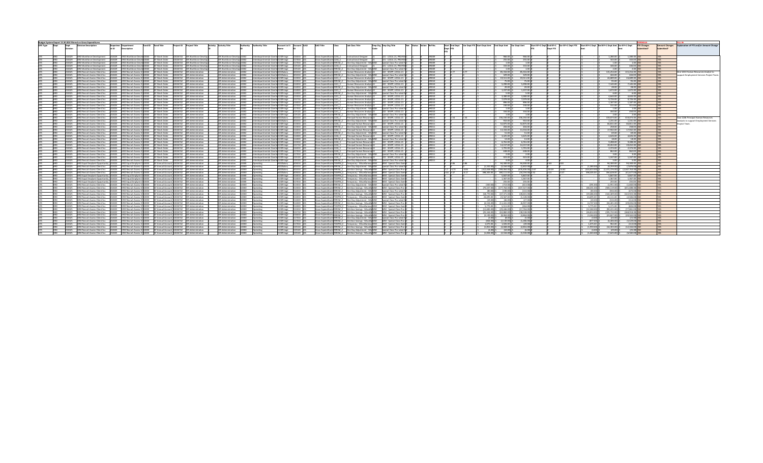|      |        | Budget System Report 15.30.004 filtered on Gross Expenditures |        |                                                                                                                                                               |               |                                                        |                          |                            |                                                                       |                                     |                                                |                                                        |                                                                            |                                                                                            |              |                |      |                                                       |              |                    |                                                                                                    |       |                    |                                                      |                 |                    |                       |                                         |
|------|--------|---------------------------------------------------------------|--------|---------------------------------------------------------------------------------------------------------------------------------------------------------------|---------------|--------------------------------------------------------|--------------------------|----------------------------|-----------------------------------------------------------------------|-------------------------------------|------------------------------------------------|--------------------------------------------------------|----------------------------------------------------------------------------|--------------------------------------------------------------------------------------------|--------------|----------------|------|-------------------------------------------------------|--------------|--------------------|----------------------------------------------------------------------------------------------------|-------|--------------------|------------------------------------------------------|-----------------|--------------------|-----------------------|-----------------------------------------|
|      | Dept   | <b>Division Description</b>                                   |        | Fund ID Fund Title<br>Departme Department                                                                                                                     |               |                                                        |                          |                            |                                                                       |                                     |                                                |                                                        |                                                                            | Emp Org Emp Org Title                                                                      |              | Start End Dept |      | Var Dept FTE Start Dept Amt End Dept Amt Var Dept Amt |              |                    | Start BY+1 Dept End BY+1   Var BY+1 Dept FTE   Start BY+1 Dept   End BY+1 Dept Amt   Var BY+1 Dept |       |                    |                                                      |                 | <b>FTE Changes</b> | <b>Amount Changes</b> | Explanation of FTE and/or Amount Chang  |
|      |        |                                                               | nt ID  | Description                                                                                                                                                   |               |                                                        |                          |                            |                                                                       |                                     |                                                |                                                        |                                                                            |                                                                                            |              |                |      |                                                       |              |                    |                                                                                                    |       |                    |                                                      |                 |                    |                       |                                         |
|      |        |                                                               |        |                                                                                                                                                               |               |                                                        |                          |                            |                                                                       |                                     |                                                |                                                        |                                                                            |                                                                                            |              |                |      |                                                       |              |                    |                                                                                                    |       |                    |                                                      |                 |                    |                       |                                         |
|      |        |                                                               |        |                                                                                                                                                               |               |                                                        |                          |                            |                                                                       |                                     |                                                |                                                        |                                                                            |                                                                                            |              |                |      |                                                       |              |                    |                                                                                                    |       |                    |                                                      |                 |                    |                       |                                         |
|      |        |                                                               |        |                                                                                                                                                               |               |                                                        |                          |                            |                                                                       |                                     |                                                |                                                        |                                                                            |                                                                                            |              |                |      |                                                       |              |                    |                                                                                                    |       |                    |                                                      |                 |                    |                       |                                         |
|      |        |                                                               |        | 232029 HRD Workforce Development 232029 HRD Workforce Devel 10060 GF Work Order 10026743 HR Workforce Develop                                                 |               |                                                        |                          | HR Workforce Develop 10002 |                                                                       |                                     | Interdepartmental-Overhi 5130Fringe 516010 U01 | Gross Expenditures 1230 C Instructional Designer       |                                                                            | 021 - LOCAL 21, PROFESSC                                                                   |              |                |      |                                                       |              | 966.00             |                                                                                                    |       |                    | $1.28000$ S                                          | 1,280.00 N      |                    |                       |                                         |
|      |        |                                                               |        | HRD Workforce Development 232029 HRD Workforce Develd10060 GF Work Order 10026743 HR Workforce Develop 1                                                      |               |                                                        |                          | HR Workforce Develop 10002 | Interdepartmental-Overh 5130Fringe                                    |                                     | 517010 101                                     |                                                        | Gross Expenditures 1230_C Instructional Designer                           | 021 - LOCAL 21, PROFESS                                                                    | UPDOG        |                |      |                                                       | 255.00       | 255.00             |                                                                                                    |       |                    | 343.00 S                                             | 343.00 NO       |                    |                       |                                         |
|      | 222020 |                                                               |        | HRD Workforce Development 232029 HRD Workforce Developped CD GE Work Order 10026743 HR Workforce Develop 1                                                    |               |                                                        |                          | UP Workforce Develop 10002 |                                                                       |                                     |                                                |                                                        |                                                                            | Special Class Pro-cated N                                                                  | upnog        |                |      |                                                       | 100          | 100h               |                                                                                                    |       |                    | 100 <sup>1</sup>                                     |                 | 100 NQ             |                       |                                         |
|      |        |                                                               |        |                                                                                                                                                               |               |                                                        |                          |                            | Interdepartmental-Overh 5130Fringe                                    |                                     | 517010 001                                     |                                                        |                                                                            |                                                                                            |              |                |      |                                                       |              |                    |                                                                                                    |       |                    |                                                      |                 |                    |                       |                                         |
|      | 122029 |                                                               |        | HRD Workforce Development 232029 HRD Workforce Devel 10060 GF Work Order                                                                                      |               | 10026743 HR Workforce Develop                          |                          | HR Workforce Develop 10002 |                                                                       | nterdepartmental-Overh 5130Fringe   | 519120 10                                      |                                                        | Gross Expenditures 1230 C Instructional Designer                           | 021 - LOCAL 21, PROFESS                                                                    |              |                |      |                                                       | 333.00       | 333.00             |                                                                                                    |       |                    | 446.00                                               | 446.00 N        |                    |                       |                                         |
|      | 222020 |                                                               |        | HRD Workforce Development 232029 HRD Workforce Devel 10060 GF Work Order 10026743 HR Workforce Develop 1                                                      |               |                                                        |                          |                            | HR Workforce Develop 10002 Interdepartmental-Overh 5130Fringe         |                                     | 519120 101                                     |                                                        |                                                                            |                                                                                            | upnog        |                |      |                                                       | 100          | 100h               |                                                                                                    |       |                    | 200<                                                 | $200$ NO        |                    |                       |                                         |
|      |        |                                                               |        | HRD Recruit-Assess-Client Syc 232025 HRD Recruit-Assess-Cl 10060 GF Work Order 10026742 HR Administration                                                     |               |                                                        |                          | UP Administration 10002    |                                                                       | Interdepartmental-Overhi 5010Salary | 01010                                          |                                                        | Sross Expenditures 1241 C Human Resources Analyst 22                       | 022 - SEAPP 10CAL2                                                                         |              |                |      |                                                       | 85.316.00    | 85.316.00          |                                                                                                    |       |                    | 115,254.00 S                                         | 115,254.00 YES  |                    |                       | One 1241 Human Resources Analyst to     |
|      | 232025 |                                                               |        | HRD Recruit-Assess-Client Syc 232025 HRD Recruit-Assess-Cl 10060 GF Work Order 10026742 HR Administration                                                     |               |                                                        |                          | HR Administration 10002    |                                                                       | Interdepartmental-Overh 5010Salary  | 501010 101                                     |                                                        |                                                                            | Special Class Pro-rated MC                                                                 |              |                |      |                                                       | 329.00       | 329.00             |                                                                                                    |       |                    | 444.00 S                                             | 444.00 NO       |                    |                       | oport Employment Services Project Tear  |
|      |        |                                                               |        |                                                                                                                                                               |               |                                                        |                          |                            |                                                                       |                                     |                                                |                                                        |                                                                            |                                                                                            |              |                |      |                                                       |              |                    |                                                                                                    |       |                    |                                                      |                 |                    |                       |                                         |
|      | 333035 |                                                               |        | HRD Recruit-Assess-Client Syc 232025 HRD Recruit-Assess-Cl 10060 GF Work Order 10026742 HR Administration                                                     |               |                                                        |                          |                            | HR Administration 10002 Interdepartmental-Overh 5130Fringe            |                                     | 513010 1                                       |                                                        | iross Expenditures 1241 C Human Resources Analyst 22                       | 022 - SFAPP, LOCAL 21 (                                                                    |              |                |      |                                                       | 19511.00     | 19.511.00          |                                                                                                    |       |                    | 24 689 00 5                                          | 24 689 00 N     |                    |                       |                                         |
|      |        | HRD Recruit-Assess-Client Syc                                 | 232025 | HRD Recruit-Assess-CI10060 GF Work Order 10026742 HR Administration                                                                                           |               |                                                        |                          | HR Administration 10002    |                                                                       | Interdepartmental-Overh 5130Fringe  | 13010                                          |                                                        | ross Expenditures 9991M Z One Day Adjustment - Mis BZM                     | Special Class Pro-rated M                                                                  |              |                |      |                                                       | 25.00        | 75.00              |                                                                                                    |       |                    | 95.00 -                                              | 95.00 NO        |                    |                       |                                         |
|      | 222025 |                                                               |        | HRD Recruit-Assess-Client Svc 232025 HRD Recruit-Assess-Cl 10060 GF Work Order 10026742 HR Administration                                                     |               |                                                        |                          |                            | HR Administration 10002 Interdepartmental-Overhi 5130Fringe           |                                     | stanto lint                                    | Groce Expanditured 1241. C. Human Recourses Analyst 22 |                                                                            | 022 - SEARR 10CAL 21                                                                       |              |                |      |                                                       | 5.290.00     | s zon on li        |                                                                                                    |       |                    | $7.14500$ $c$                                        | 7.145.00 MO     |                    |                       |                                         |
|      | 232025 | HRD Recruit-Assess-Client Syc                                 |        | 232025 HRD Recruit-Assess-CI10060 GF Work Order 10026742 HR Administration                                                                                    |               |                                                        |                          |                            | HR Administration 10002 Interdepartmental Overh 5130Fringe            |                                     | 514010 0                                       |                                                        |                                                                            | Gross Expenditures 9991M Z One Day Adjustment - Mis BZM Special Class Pro-rated MC         |              |                |      |                                                       | 20.00        | 20.00              |                                                                                                    |       |                    | 28.00 S                                              | 28.00 NO        |                    |                       |                                         |
|      |        |                                                               |        |                                                                                                                                                               |               |                                                        |                          |                            |                                                                       |                                     |                                                |                                                        |                                                                            |                                                                                            |              |                |      |                                                       |              |                    |                                                                                                    |       |                    |                                                      |                 |                    |                       |                                         |
|      |        | UPD Perruit-Arrers-Client Sur                                 |        | 32025 HRD Recruit-Assess-CI10060 GF Work Order 10026742 HR Administration                                                                                     |               |                                                        |                          | HR Administration 10002    |                                                                       | Interdepartmental-Overh 5130Fringe  | 514020                                         |                                                        | ross Expenditures 1241 C Human Resources Analyst 22                        | 022 - SEARR 10CAL 21                                                                       |              |                |      |                                                       | 1.227.00     | 1.237.00           |                                                                                                    |       |                    | 1.672.00 5                                           | 1.672.00 NO     |                    |                       |                                         |
|      | 22025  | HRD Recruit-Assess-Client Syr                                 | 22025  | HRD Recruit-Assess-CI 10060 GF Work Order 10026742 HR Administration                                                                                          |               |                                                        |                          | HR Administration 10002    |                                                                       | Interdepartmental-Overh 5130Fringe  | 514020                                         |                                                        | Gross Expenditures 9991M Z One Day Adjustment - Mis BZM                    | Special Class Pro-rated M                                                                  |              |                |      |                                                       | 500          | 500                |                                                                                                    |       |                    | 600<                                                 | 6.00 NO         |                    |                       |                                         |
|      |        | HRD Recruit-Assess-Client Syr                                 |        | 232025 HRD Recruit-Assess-CI10060 GF Work Order 10026742 HR Administration                                                                                    |               |                                                        |                          |                            | HR Administration 10002 Interdepartmental-Overh 5130Fringe            |                                     | 515010 101                                     |                                                        | iross Expenditures 1241 C Human Resources Analyst 22                       | 022 - SEAPP 10CAL 21                                                                       | upnin        |                |      |                                                       | 3.380.00     | 3 380 00 L         |                                                                                                    |       |                    | $4.64400 \leq$                                       | 4.644.00 NO     |                    |                       |                                         |
|      |        | <b>HRD Recruit-Assess-Client Syr</b>                          |        | HRD Recruit-Assess-CI10060 GF Work Order 10026742 HR Administration                                                                                           |               |                                                        | <b>HR Administration</b> |                            | terdepartmental-Overh                                                 | 130Fringe                           |                                                | 241C                                                   | Human Resources Analyst                                                    | 122 - SEAPP 10CA1 21                                                                       |              |                |      |                                                       | 7.079.00     | 7.079.00           |                                                                                                    |       |                    | 9.726.00                                             | 9.726.00        |                    |                       |                                         |
|      |        |                                                               |        |                                                                                                                                                               |               |                                                        |                          |                            |                                                                       |                                     |                                                |                                                        |                                                                            |                                                                                            |              |                |      |                                                       |              |                    |                                                                                                    |       |                    |                                                      |                 |                    |                       |                                         |
|      | 32025  | HRD Recruit-Assess-Client Syc                                 |        | 132025 HRD Recruit-Assess-CI10060 GF Work Order 10026742 HR Administration                                                                                    |               |                                                        | HR Administration        |                            | 10002                                                                 | Interdepartmental-Overh 5130Fringe  | 16010                                          |                                                        | Gross Expenditures 1241 C Human Resources Analyst 22                       | 022 - SFAPP, LOCAL 21                                                                      |              |                |      |                                                       | 896.00       | 896.00             |                                                                                                    |       |                    | 118700                                               | 1 187 00 N      |                    |                       |                                         |
| upn  | 322025 |                                                               |        | HRD Recruit-Assess-Client Syr 22025 HRD Recruit-Assess-Cl10060 GF Work Order 10026742 HR Administration                                                       |               |                                                        |                          |                            | HR Administration 10002 Interdepartmental-Overh 5130Fringe            |                                     | 512010 101                                     |                                                        | Crors Expanditured 1241 C  Human Recourses Analyst 22                      | 022 - SEAPP 10CAL 21                                                                       |              |                |      |                                                       | 220.00       | 220.00 L           |                                                                                                    |       |                    | $21100$ $c$                                          | 211.00 MO       |                    |                       |                                         |
|      |        | HRD Recruit-Assess-Client Syr                                 |        | 32025 HRD Recruit-Assess-CI10060 GF Work Order 10026742 HR Administration                                                                                     |               |                                                        | HR Administration        |                            | 10002                                                                 | Interdepartmental-Overh 5130Fringe  |                                                |                                                        |                                                                            | Special Class Pro-rated M                                                                  |              |                |      |                                                       |              | 100                |                                                                                                    |       |                    | $1.00$ S                                             |                 | 1.00 N             |                       |                                         |
|      |        | HRD Recruit-Assess-Client Syr                                 |        | HRD Recruit-Assess-CI10060 GF Work Order 10026742 HR Administration                                                                                           |               |                                                        |                          | HR Administration 10002    | Interdepartmental-Overh 5130Fringe                                    |                                     | 19120                                          |                                                        | iross Expenditures 1241 C Human Resources Analyst 22                       | 022 - SFAPP, LOCAL 21                                                                      |              |                |      |                                                       | 334.00       | 334.00             |                                                                                                    |       |                    | 450.00 S                                             | 450.00 NO       |                    |                       |                                         |
|      | 333035 |                                                               |        | HRD Recruit-Assess-Client Svc 232025 HRD Recruit-Assess-CI10060 GF Work Order 10026742 HR Administration                                                      |               |                                                        |                          |                            |                                                                       |                                     |                                                |                                                        |                                                                            | Scoss Expenditures9991M 7 Cloe Day Adjustment - Mid R7M Special Class Pro-rated MC         | upnin        |                |      |                                                       | 100          | 100h               |                                                                                                    |       |                    | 200<                                                 | $200$ NO        |                    |                       |                                         |
|      |        |                                                               |        |                                                                                                                                                               |               |                                                        |                          |                            | HR Administration 10002 Interdepartmental-Overh 5130Fringe 519120 101 |                                     |                                                |                                                        |                                                                            |                                                                                            |              |                |      |                                                       |              |                    |                                                                                                    |       |                    |                                                      |                 |                    |                       |                                         |
|      |        | HRD Recruit-Assess-Client Syr                                 |        | HRD Recruit-Assess-CI10060 GF Work Order 10026742 HR Administration                                                                                           |               |                                                        | HR Administration        |                            | 10002                                                                 | Interdepartmental-Overhi 5010Salary |                                                |                                                        | ross Expenditures 1246 C Principal Human Resource 22                       | 022 - SFAPP, LOCAL 21                                                                      |              |                |      |                                                       | 236 192 00   | 236.192.00         |                                                                                                    |       |                    | $319.073.00$ S                                       | 319.073.00 YES  |                    |                       | Two 1246 Principal Human Resources      |
|      |        | HRD Recruit-Assess-Client Syc                                 |        | HRD Recruit-Assess-CI 10060 GF Work Order                                                                                                                     |               | 1026742 HR Administration                              | <b>HR Administration</b> |                            | nterdepartmental-Overh 5                                              | OSalary                             |                                                |                                                        | 91M Z One Day Adjustment - Mis BZM                                         | Special Class Pro-rated I                                                                  |              |                |      |                                                       | 9101         | 910.00             |                                                                                                    |       |                    | 1 231 00 5                                           | 1 231 00        |                    |                       | Analysts to support Employment Services |
|      | 132025 | HRD Recruit-Assess-Client Syr                                 |        | 232025 HRD Recruit-Assess-CI 10060 GF Work Order 10026742 HR Administration                                                                                   |               |                                                        | HR Administration        |                            | 10002                                                                 | Interdepartmental-Overh 5130Fringe  | 513010                                         |                                                        | Scots Expenditures 1246 C Principal Human Resource 22                      | 022 - SEAPP 10CAL 21                                                                       |              |                |      |                                                       | 52.875.00    | 52.875.00          |                                                                                                    |       |                    | 66.811.00 S                                          | 66.811.00 NO    |                    |                       | rolect Team                             |
|      |        | UPD Perruit-Arrers-Client Sur                                 |        | 32025 HRD Recruit-Assess-CI10060 GF Work Order 10026742 HR Administration                                                                                     |               |                                                        |                          | UP Administration 10002    | Interdepartmental-Overh 5130Fringe                                    |                                     | 12010 101                                      |                                                        |                                                                            |                                                                                            |              |                |      |                                                       | 204.00       | 204.00             |                                                                                                    |       |                    | 25800<                                               | 258.00 NO       |                    |                       |                                         |
|      |        |                                                               |        |                                                                                                                                                               |               |                                                        |                          |                            |                                                                       |                                     | 514010                                         |                                                        | Sross Expenditures 1246 C Principal Human Resource 22                      |                                                                                            |              |                |      |                                                       |              |                    |                                                                                                    |       |                    |                                                      |                 |                    |                       |                                         |
|      |        | HRD Recruit-Assess-Client Syc                                 |        | HRD Recruit-Assess-CI10060 GF Work Order 10026742 HR Administration                                                                                           |               |                                                        |                          | <b>HR Administration</b>   |                                                                       | Interdepartmental-Overh 5130Fringe  |                                                |                                                        |                                                                            | 022 - SFAPP, LOCAL 21                                                                      |              |                |      |                                                       | 13.334.00    | 13.334.00          |                                                                                                    |       |                    | 17,942.00 S                                          | 17,942.00       |                    |                       |                                         |
|      |        | HRD Recruit-Assess-Client Syc                                 |        | 232025 HRD Recruit-Assess-CI10060 GF Work Order 10026742 HR Administration                                                                                    |               |                                                        |                          | <b>HR Administration</b>   | 10002                                                                 | Interdepartmental-Overh 5130Fringe  | 514010                                         |                                                        |                                                                            | Special Class Pro-rated M                                                                  |              |                |      |                                                       |              | 51.00              |                                                                                                    |       |                    | 69.00 S                                              | 69.00 1         |                    |                       |                                         |
|      | 333035 |                                                               |        | HRD Recruit-Assess-Client Syr 22005 HRD Recruit-Assess-Cl10060 GF Work Order 10026742 HR Administration                                                       |               |                                                        |                          |                            | HR Administration 10002 Interdepartmental-Overh 5130Fringe            |                                     | E14030 IO1                                     |                                                        | Scots Expenditures 1246 C Principal Human Resource 22                      | 022 - SEAPP 10CAL 21                                                                       |              |                |      |                                                       | 2.425.00     | 2.425.00           |                                                                                                    |       |                    | $A \in 26$ 00 $\leq$                                 | $A 626 00$ NO   |                    |                       |                                         |
|      |        | HRD Recruit-Assess-Client Syr                                 |        | (32025 HRD Recruit-Assess-CI10060 GF Work Order 10026742 HR Administration                                                                                    |               |                                                        | HR Administration        |                            | 10002                                                                 | Interdepartmental-Overh 5130Fringe  | 14020                                          |                                                        | Sross Expenditures 9991M Z One Day Adjustment - Mis BZM                    | Special Class Pro-rated N                                                                  |              |                |      |                                                       | 13.00        | 13.00              |                                                                                                    |       |                    | 18.00 S                                              | $1800$ NC       |                    |                       |                                         |
|      |        | RD Recruit-Assess-Client Syr-                                 |        | HRD Recruit-Assess-Cl 10060                                                                                                                                   | GF Work Order | 0026742<br>HR Administration                           | <b>HR Administration</b> |                            | sterdepartmental-Overhi                                               |                                     |                                                | ross Expenditures 1246 C                               | incipal Human Resource 22                                                  | 22 - SFAPP, LOCAL 21                                                                       |              |                |      |                                                       | 6.761.00     | 6,761.00           |                                                                                                    |       |                    | 9,288.00                                             | 9,288.00        |                    |                       |                                         |
|      |        |                                                               |        |                                                                                                                                                               |               |                                                        |                          |                            |                                                                       | 130Fringe                           |                                                |                                                        |                                                                            |                                                                                            |              |                |      |                                                       |              |                    |                                                                                                    |       |                    |                                                      |                 |                    |                       |                                         |
|      | 222025 | HRD Recruit-Assess-Client Syr                                 |        | 232025 HRD Recruit-Assess-CI10060 GF Work Order 10026742 HR Administration                                                                                    |               |                                                        |                          | HR Administration 10002    | Interdepartmental-Overh 5130Fringe                                    |                                     | 515710 001                                     |                                                        | iross Expenditures 1246 C Principal Human Resource 22                      | 022 - SFAPP, LOCAL 21                                                                      | UPD11        |                |      |                                                       | 14 157 00    | 14 157 00 1        |                                                                                                    |       |                    | 19.452.00 5                                          | 19.452.00 NO    |                    |                       |                                         |
|      |        | HRD Recruit-Assess-Client Syc                                 | arnees | HRD Recruit-Assess-CI10060 GF Work Order 10026742 HR Administration                                                                                           |               |                                                        |                          | HR Administration 10002    |                                                                       | Interdepartmental-Overh 5130Fringe  | 16010                                          | ross Expenditures 1246 C                               | Princinal Human Resource 22                                                | 022 - SFAPP, LOCAL 21                                                                      |              |                |      |                                                       | 1.791.00     | 1.791.00           |                                                                                                    |       |                    | 2.374.00 S                                           | 2.374.00 NO     |                    |                       |                                         |
|      |        |                                                               |        | HRD Recruit-Assess-Client Svc 232025 HRD Recruit-Assess-Cl10060 GF Work Order 10026742 HR Administration                                                      |               |                                                        |                          | <b>HR Administration</b>   |                                                                       | Interdepartmental-Overh 5130Fringe  | 17010 101                                      | Gross Expenditures 1246 C                              | Principal Human Resource 22                                                | 022 - SFAPP, LOCAL 21                                                                      |              |                |      |                                                       | 638.00       | 638.00             |                                                                                                    |       |                    | 862.00 S                                             | 862.00 NO       |                    |                       |                                         |
|      | 232025 |                                                               |        | HRD Recruit-Assess-Client Syc 232025 HRD Recruit-Assess-CI10060 GF Work Order 10026742 HR Administration                                                      |               |                                                        |                          |                            | HR Administration 10002 Interdepartmental-Overh 5130Fringe            |                                     | 517010 001                                     |                                                        |                                                                            | Gross Expenditures 9991M Z One Day Adjustment - Mis BZM Special Class Pro-rated MC         | <b>UPD11</b> |                |      |                                                       | 2.00         | 200                |                                                                                                    |       |                    | $3.00$ S                                             | 3.00 NO         |                    |                       |                                         |
|      |        | UPD Parruit-Arrare-Cliant Sur                                 |        | 232025 HRD Recruit-Assess-CI10060 GF Work Order 10026742 HR Administration                                                                                    |               |                                                        |                          | HR Administration 10002    |                                                                       |                                     | 519130                                         |                                                        | ross Expenditures 1246 C Principal Human Resource 22 (022 - SEAPP 10CAL 21 |                                                                                            |              |                |      |                                                       | 922.00       | 923.00             |                                                                                                    |       |                    | $1.24700$ c                                          | 1.247.00 MO     |                    |                       |                                         |
|      |        |                                                               |        |                                                                                                                                                               |               |                                                        |                          |                            |                                                                       | Interdepartmental-Overh 5130Fringe  |                                                |                                                        |                                                                            |                                                                                            |              |                |      |                                                       |              |                    |                                                                                                    |       |                    |                                                      |                 |                    |                       |                                         |
|      | 132025 | HRD Recruit-Assess-Client Syr                                 |        | 232025 HRD Recruit-Assess-CI10060 GF Work Order 10026742 HR Administration                                                                                    |               |                                                        |                          | HR Administration 10002    |                                                                       | Interdepartmental-Overhi 5130Fringe | 19120 00                                       |                                                        | Sross Expenditures 9991M Z One Day Adjustment - Mis BZM                    | Special Class Pro-cated N                                                                  |              |                |      |                                                       | 4.00         | 4 no li            |                                                                                                    |       |                    | 5 no 5                                               | 5.00 NO         |                    |                       |                                         |
|      |        |                                                               |        | HRD Equal Emplymt Opportunity 232023 HRD Equal Emplymt 0110000 GF Annual Account 10026742 HR Administration                                                   |               |                                                        |                          | HR Administration 10000    | Operating                                                             | 10Salary                            | 505010 101                                     |                                                        |                                                                            | Gross Expenditures TEMPM E Temporary - Miscellaneou BEM BEM - Special Class ExemE          |              | 0.86           |      |                                                       | 94,300.00    | 94.300.00 C        | ነ ጸ3                                                                                               |       |                    | 94.300.00 S                                          | 94.300.00 YES   |                    |                       |                                         |
|      | 222025 |                                                               |        | HRD Recruit-Assess-Client Svc 232025 HRD Recruit-Assess-Cl 10000 GF Annual Account 10026742 HR Administration                                                 |               |                                                        |                          |                            | HR Administration 10000 Operating                                     | 010Salary                           | satata liat                                    |                                                        |                                                                            | ross Expenditures 9991 M 7 Coe Day Adjustment - Mis R7M Special Class Pro-rated M          |              |                |      | $(1, 222, 00)$ $c$                                    | (2.164.00)   | (1.832.00)         |                                                                                                    |       | $(1, 202, 00)$ $c$ | (9.25900)                                            | (7.976.00) NO   |                    |                       |                                         |
|      | 132025 | HRD Recruit-Assess-Client Syc                                 |        | 232025 HRD Recruit-Assess-CI10000 GF Annual Account 10026742 HR Administration                                                                                |               |                                                        |                          | HR Administration 10000    | Doerating                                                             | 010Salary                           |                                                |                                                        | Gross Expenditures 9993M Z Attrition Savings - Miscella BZM                | BZM - Special Class Pro-r                                                                  |              | 7 5 72         |      | (312,658,00)                                          | (299 OG4 OO) | (476.406.00) -2.67 | 19.49                                                                                              | .1692 |                    | (324.613.00) \$ (2.372.376.00) \$ (2.047.763.00) YES |                 |                    |                       |                                         |
|      |        |                                                               |        |                                                                                                                                                               |               |                                                        |                          |                            |                                                                       |                                     |                                                |                                                        |                                                                            |                                                                                            |              |                |      |                                                       |              |                    |                                                                                                    |       |                    |                                                      | (41.627.00) VES |                    |                       |                                         |
| upn  | 333035 |                                                               |        | HRD Recruit-Assess-Client Syr 22025 HRD Recruit-Assess-Cl10000 GF Annual Account 10026742 HR Administration                                                   |               |                                                        |                          |                            | HR Administration 10000 Operating                                     | 010Salary                           | 505010 101                                     |                                                        |                                                                            | Scoss Expenditured TEMPM E Temporary - Miscellaneou REM - REM - Special Class ExemE        |              | 364 347        | 0.17 | $2 - 298$ 305 00 $\leq$                               | 380 111 00   | (18.194.001.352)   | 215                                                                                                | 0.27  | 298 305 00 \$      | 256 628 00 5                                         |                 |                    |                       |                                         |
|      |        |                                                               |        | HRD Equal Emplymt Opportunity 232023 HRD Equal Emplymt O10000 GF Annual Account 10026742 HR Administration                                                    |               |                                                        |                          | HR Administration 10000    | Operating                                                             | 130Fringe                           | 14010                                          |                                                        |                                                                            | Fross Expenditures TEMPM E Temporary - Miscellaneou BEM - BEM - Special Class Exem         |              |                |      |                                                       | 5 947.00     | 5,847,00 0         |                                                                                                    |       |                    | 5.847.00 5                                           | 5.847.00 NO     |                    |                       |                                         |
|      |        |                                                               |        | HRD Equal Emplymt Opportunity 232023 HRD Equal Emplymt O10000 GF Annual Account 10026742 HR Administration                                                    |               |                                                        |                          | HR Administration 10000    | Operating                                                             | 130Fringe                           | 14020                                          |                                                        |                                                                            | iross Expenditures TEMPM_E Temporary - Miscellaneou BEM BEM - Special Class Exem           |              |                |      |                                                       | 1.367.00     | 1.367.00           |                                                                                                    |       |                    | 1.367005                                             | 1.367.00 NO     |                    |                       |                                         |
|      | 232023 |                                                               |        | HRD Foual Emplymt Opportunity 232023 HRD Foual Emplymt OLIDDOD GE Annual Account 10026742 HR Administration                                                   |               |                                                        |                          |                            | HR Administration 10000 Operating                                     | 130Fringe                           | 517010 101                                     |                                                        |                                                                            | Gross Expenditures TEMPM E Temporary - MiscellaneouiBEM BEM - Special Class Exemi          |              |                |      |                                                       | 255.00       | 25500              |                                                                                                    |       |                    | 25500<                                               | 255.00 NO       |                    |                       |                                         |
|      |        |                                                               |        | 232025 HRD Recruit-Assess-Client Svc 232025 HRD Recruit-Assess-Cl10000 GF Annual Account 10026742 HR Administration                                           |               |                                                        |                          | HR Administration 10000    | Inerating                                                             | 130Fringe                           | 513010                                         |                                                        |                                                                            |                                                                                            |              |                |      | (300,00) S                                            | (713.00)     | (413,00)           |                                                                                                    |       | $(291.00)$ S       | $(1.951.00)$ S                                       | (1,660,00) NO   |                    |                       |                                         |
|      |        |                                                               |        |                                                                                                                                                               |               |                                                        |                          |                            |                                                                       |                                     |                                                |                                                        |                                                                            |                                                                                            |              |                |      |                                                       | (177,764.00) | (107.227.00)       |                                                                                                    |       |                    |                                                      |                 |                    |                       |                                         |
|      |        | HRD Recruit-Assess-Client Syr                                 |        | 232025 HRD Recruit-Assess-CI10000 GF Annual Account 10026742 HR Administration                                                                                |               |                                                        |                          | HR Administration 10000    |                                                                       | 130Fringe                           | 513010                                         |                                                        |                                                                            | iross Expenditures 9993M Z Attrition Savings - Miscella BZM - BZM - Special Class Pro-riZ  |              |                |      | (70.43700)                                            |              |                    |                                                                                                    |       | (68.431.00) S      | (50011900)                                           | (431,688,00) NO |                    |                       |                                         |
|      | 122025 |                                                               |        | UPD Percuit-Access-Client Sur 222035 UPD Percuit-Access-Cl10000 GE Annual Account 10036742 UP Administration                                                  |               |                                                        |                          | UP Administration 10000    | Operating                                                             | 130Fringe                           | 514010                                         |                                                        |                                                                            | Gross Expenditures 9991M Z One Day Adjustment - Mis BZM Special Class Pro-rated M          |              |                |      | ten not s                                             | (190.00)     | (110.00)           |                                                                                                    |       | (83.00)            | $2$ (nn azz)                                         | (472,00) NO     |                    |                       |                                         |
|      |        | HRD Recruit-Assess-Client Syr                                 |        | 32025 HRD Recruit-Assess-CI10000 GF Annual Account 10026742 HR Administration                                                                                 |               |                                                        |                          |                            | HR Administration 10000 Operating                                     | 130Fringe                           | 514010 101                                     |                                                        |                                                                            | Gross Expenditures 9993M Z Attrition Savings - Miscella BZM - BZM - Special Class Pro-rZ   |              |                |      | (18, 770, 00)                                         | (47.371.00)  | (28.601.00)        |                                                                                                    |       | (19.486.00) \$     | (142.409.00)                                         | (122.923.00) NO |                    |                       |                                         |
|      |        | HRD Recruit-Assess-Client Syc                                 |        | 025 HRD Recruit-Assess-CI10000 GF Annual Account 10026742 HR Administration                                                                                   |               |                                                        |                          | HR Administration 10000    | Joerating                                                             |                                     | 1.6010                                         |                                                        | EMPM E Temporary - Miscellaneou BEM                                        | BEM - Special Class Exem                                                                   |              |                |      | 24 695 00 5                                           | 23,567.00    | (1.128.00)         |                                                                                                    |       | 24,695,00          | 22.111.00 5                                          | (2.584.00) N    |                    |                       |                                         |
|      | 132025 | HRD Recruit-Assess-Client Syr                                 |        | 232025 HRD Recruit-Assess-CI10000 GF Annual Account 10026742 HR Administration                                                                                |               |                                                        |                          | HR Administration 10000    |                                                                       |                                     | 514020                                         |                                                        |                                                                            |                                                                                            |              |                |      | (19.00)                                               | Les not      | (27.00)            |                                                                                                    |       | rzo oni            | $(13400)$ S                                          | $(11400)$ NO    |                    |                       |                                         |
|      |        |                                                               |        |                                                                                                                                                               |               |                                                        |                          |                            |                                                                       | 130Fringe                           |                                                |                                                        |                                                                            |                                                                                            |              |                |      |                                                       |              |                    |                                                                                                    |       |                    |                                                      |                 |                    |                       |                                         |
| HRD. | 232025 | HRD Recruit-Assess-Client Syr                                 |        | 232025 HRD Recruit-Assess-CI10000 GF Annual Account 10026742 HR Administration                                                                                |               |                                                        |                          |                            | HR Administration 10000 Operating                                     | 130Fringe                           | 514020 101                                     |                                                        |                                                                            | Sross Expenditures 9993M Z Attrition Savings - Miscella BZM BZM - Special Class Pro-riZ    |              |                |      | (4.53400)                                             | (11.441.00)  | (6.907.00)         |                                                                                                    |       | (4.70700)          | $(34.40100)(5)$ (29.694.00) NO                       |                 |                    |                       |                                         |
|      | 22025  | HRD Recruit-Assess-Client Syr                                 |        | 232025 HRD Recruit-Assess-CI 10000 GF Annual Account 10026742 HR Administration                                                                               |               |                                                        |                          | HR Administration 110000   |                                                                       | 130Fringe                           | 51,4020                                        |                                                        |                                                                            | Gross Expenditures TEMPM E Temporary - Miscellaneou BEM BEM - Special Class Exem           |              |                |      | 5.775.00 S                                            | 5.511.00     | (264.00)           |                                                                                                    |       | 5.775.00 1         | 5.171.00 S                                           | (604,00) NO     |                    |                       |                                         |
|      |        | HRD Recruit-Assess-Client Syc                                 |        | 132025 HRD Recruit-Assess-CI10000 GF Annual Account 10026742 HR Administration                                                                                |               |                                                        |                          | HR Administration 10000    |                                                                       | 130Fringe                           | 15010                                          |                                                        |                                                                            | iross Expenditures 9993M Z Attrition Savings - Miscella BZM - BZM - Special Class Pro-     |              |                |      | (11.682.00)                                           | (29,446,00)  | (17.764.00)        |                                                                                                    |       | $(12.360.00)$ S    | $(90.221.00)$ S                                      | (77.861.00) NO  |                    |                       |                                         |
|      | 232025 |                                                               |        | HRD Recruit-Assess-Client Svr. 232025 HRD Recruit-Assess-Cl10000 GF Annual Account 10026742 HR Administration                                                 |               |                                                        |                          | HR Administration 10000    | Operating                                                             | 130Fringe                           | 515710 101                                     |                                                        |                                                                            | Sross Expenditures 9993M Z Attrition Savings - Miscella BZM BZM - Special Class Pro-riZ    |              |                |      | $(25, 344, 00)$ S                                     | (63,882,00)  | (38, 538, 00)      |                                                                                                    |       | 2. 009 814 815     | $(195, 732, 00)$ S                                   | (168.918.00) NO |                    |                       |                                         |
|      |        | <b>HRD Recruit-Assess-Client Syr</b>                          |        | HRD Recruit-Assess-CI10000 GF Annual Account 10026742 HR Administration                                                                                       |               |                                                        |                          | HR Administration 10000    |                                                                       |                                     | 16010                                          |                                                        |                                                                            | iross Expenditures 9993M Z Attrition Savings - Miscella BZM BZM - Special Class Pro-ri     |              |                |      | (3.19900)                                             | (8.063.00)   | (4.864.00)         |                                                                                                    |       | (3.264.00) \$      | $(23.82700)$ S                                       | (20.563.00) NO  |                    |                       |                                         |
|      |        |                                                               |        |                                                                                                                                                               |               |                                                        |                          |                            |                                                                       | 130Fringe                           |                                                |                                                        |                                                                            |                                                                                            |              |                |      |                                                       |              |                    |                                                                                                    |       |                    |                                                      |                 |                    |                       |                                         |
|      |        | <b>RD Recruit-Assess-Client Syc</b>                           |        | HRD Recruit-Assess-Cl 10000                                                                                                                                   |               | GF Annual Account 10026742<br><b>HR Administration</b> | <b>HR Administration</b> |                            | perating                                                              | OFringe                             |                                                |                                                        | 991M_Z One Day Adjustment - Mis BZM                                        | Special Class Pro-rated                                                                    |              |                |      |                                                       |              |                    |                                                                                                    |       |                    | (24.00                                               |                 |                    |                       |                                         |
|      | 22025  | HRD Recruit-Assess-Client Syr                                 |        | 232025 HRD Recruit-Assess-CL10000 GF Annual Account 10026742 HR Administration                                                                                |               |                                                        | UP Administration        |                            | <b>Itingga</b><br>Doerating                                           | 130Fringe                           | 17010                                          |                                                        |                                                                            | Gross Expenditures 9993M Z Attrition Savings - Miscella BZM BZM - Special Class Pro-ru     |              |                |      | (844 00)                                              | $12.120$ 001 | (1.396.00)         |                                                                                                    |       | (87700)            | $(6.406.00)$ S                                       | IS 529 001 NO   |                    |                       |                                         |
|      |        | HRD Recruit-Assess-Client Syr                                 |        | 232025 HRD Recruit-Assess-CI10000 GF Annual Account 10026742 HR Administration                                                                                |               |                                                        |                          | HR Administration 10000    |                                                                       | 130Fringe                           | 17010                                          |                                                        |                                                                            | iross Expenditures TEMPM E Temporary - Miscellaneou BEM BEM - Special Class ExemE          |              |                |      | 1.075.00                                              | 1.026.00     | (49.00)            |                                                                                                    |       | 1.075.00           | 962.00 \$                                            | $(113.00)$ NO   |                    |                       |                                         |
|      |        | HRD Recruit-Assess-Client Syc                                 |        | HRD Recruit-Assess-Cl 10000 GF Annual Account 10026742                                                                                                        |               | HR Administration                                      | HR Administration        |                            | Inerating                                                             | 30Fringe                            |                                                | iross Expenditures9993M :                              | Attrition Savings - Miscella BZM                                           | <b>BZM - Special Class Pro</b>                                                             |              |                |      | (1.852.00                                             | (4,668.00    | (2.816.00)         |                                                                                                    |       | (1.959.00)         | $(14.303.00)$ S                                      | (12.344.00)     |                    |                       |                                         |
|      |        |                                                               |        | 232025 HRD Recruit-Assess-Client Svc 232025 HRD Recruit-Assess-Cl 10000 GF Annual Account 10026742 HR Administration 1                                        |               |                                                        |                          | HR Administration 10000    | Operating                                                             |                                     | 130Fringe 519120 J01                           |                                                        |                                                                            | Gross Expenditures 9991M Z One Day Adjustment - Mis BZM Special Class Pro-rated MZ         |              |                |      | La noi                                                | (10.00)      | (6,00)             |                                                                                                    |       | $(4.00)$ S         | $(29.00)$ S                                          | $(25.00)$ NO    |                    |                       |                                         |
|      |        |                                                               |        | HRD 232025 HRD Recruit-Assess-Client Svc 232025 HRD Recruit-Assess-Cl 10000 GF Annual Account 10026742 HR Administration 11 HR Administration 10000 Operating |               |                                                        |                          |                            |                                                                       |                                     |                                                |                                                        |                                                                            |                                                                                            |              |                |      | $5 - (1.004, 001)$                                    |              | (1.530.0010)       |                                                                                                    |       |                    | $0.0058221$ 2.000.225.001 2.000.235.001 2.000        |                 |                    |                       |                                         |
|      |        |                                                               |        |                                                                                                                                                               |               |                                                        |                          |                            |                                                                       |                                     |                                                |                                                        |                                                                            | Gross Expenditures 9993M Z Attrition Savings - Miscella BZM BZM - Special Class Pro-r Z  A |              |                |      |                                                       | (2.534.00) S |                    |                                                                                                    |       |                    |                                                      |                 |                    |                       |                                         |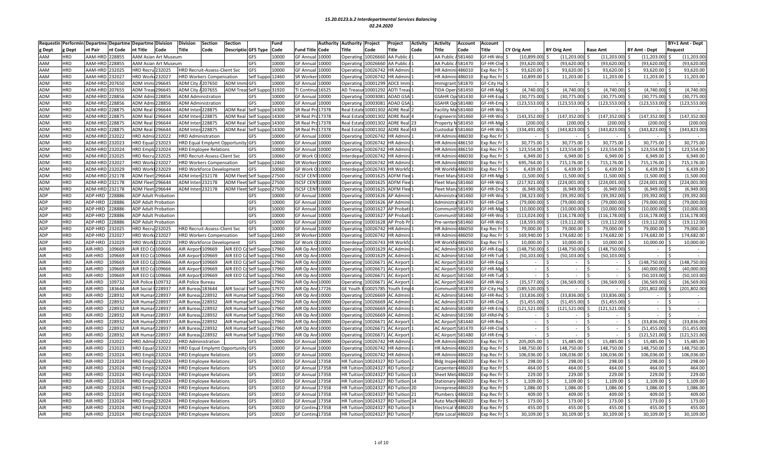| Requesti   |            | Performin Departme Departme Departme |         |                            | <b>Division</b>             | Division           | Section                          | <b>Section</b>                    |                  | Fund  |                   | Authority | <b>Authority</b>  | Project            | Project            | <b>Activity</b> | Activity         | Account                  | <b>Account</b>    |              |                    |                 |                      | BY+1 Amt - Dept |            |
|------------|------------|--------------------------------------|---------|----------------------------|-----------------------------|--------------------|----------------------------------|-----------------------------------|------------------|-------|-------------------|-----------|-------------------|--------------------|--------------------|-----------------|------------------|--------------------------|-------------------|--------------|--------------------|-----------------|----------------------|-----------------|------------|
| g Dept     | Dept       | nt Pair                              | nt Code | nt Title                   | Code                        | Title              | Code                             | Descriptio GFS Type               |                  | Code  | Fund Title        | Code      | Title             | Code               | <b>Title</b>       | Code            | itle:            | Code                     | <b>Fitle</b>      | CY Orig Amt  | <b>BY Orig Amt</b> | <b>Base Amt</b> | <b>BY Amt - Dept</b> | Request         |            |
| <b>AAM</b> | <b>HRD</b> | AAM-HRD                              | 228855  |                            | <b>AAM Asian Art Museum</b> |                    |                                  |                                   | <b>GFS</b>       | 10000 | <b>GF Annua</b>   | 10000     | Operating         | 10026660 AA Public |                    |                 | AA Public        | 581460                   | GF-HR-Wo          | (10,899.00   | (11, 203.00)       | (11, 203.00)    | (11, 203.00)         | (11, 203.00)    |            |
| <b>AAM</b> | <b>IRD</b> | AAM-HRD                              | 228855  |                            | <b>AAM Asian Art Museum</b> |                    |                                  |                                   | GFS              | 10000 | <b>GF Annua</b>   | .0000     | Operating         | 10026660           | <b>AA Public</b>   |                 | AA Public        | 4581470                  | GF-HR-Clie        | (93, 620.00) | (93, 620.00)       | (93,620.00)     | (93,620.00)          | (93,620.00)     |            |
| <b>AAM</b> | <b>IRD</b> | AAM-HRD                              | 232025  | HRD Recru 232025           |                             |                    | HRD Recruit-Assess-Client Svc    |                                   | <b>GFS</b>       | 10000 | <b>GF Annua</b>   | 10000     | Operatin          | 10026742           | <b>IR Admin</b>    |                 | <b>HR</b> Admi   | 486010                   | xp Rec Fr         | 93,620.00    | 93,620.00          | 93,620.00       | 93,620.00            |                 | 93,620.00  |
| <b>AAM</b> | <b>HRD</b> | AAM-HRD                              | 232027  | <b>HRD Work</b>            | 232027                      |                    | <b>HRD Workers Compensation</b>  |                                   | Self Suppo 12460 |       | SR Worke          | 10000     | Operatin          | 0026742            | <b>IR Admin</b>    |                 | <b>HR</b> Admi   | 486010                   | xp Rec Fr         | 10,899.00    | 11,203.00          | 11,203.00       | 11,203.00            |                 | 11,203.00  |
|            |            |                                      |         |                            |                             |                    |                                  |                                   |                  |       |                   |           |                   |                    |                    |                 |                  |                          |                   |              |                    |                 |                      |                 |            |
| <b>ADM</b> | <b>HRD</b> | ADM-HRD                              | 207650  | ADM Immi                   | 296645                      | ADM City 4207650   |                                  | <b>ADM Immi GFS</b>               |                  | 10000 | <b>GF Annual</b>  | 10000     | Operating         | 10001299           | <b>ADCE Imm</b>    |                 |                  | mmigrant 581870          | GF-City Hal       | $\sim$       |                    |                 | $\sim$               |                 |            |
| <b>ADM</b> | <b>HRD</b> | ADM-HRD                              | 207655  | ADM Trea                   | 96645                       | ADM City / 207655  |                                  | <b>ADM Treas Self Suppo</b>       |                  | 31920 | TI Contini        | 16525     | <b>AD Treasu</b>  | 10001292           | <b>ADTI Trea</b>   |                 | <b>IDA Ope</b>   | 581450                   | F-HR-Mg           | (4,740.00)   | (4.740.00)         | (4,740.00)      | (4,740.00)           |                 | (4,740.00) |
| <b>ADM</b> | HRD        | ADM-HRD                              | 228856  | ADM Adm                    | 28856                       |                    | <b>ADM Administration</b>        |                                   | GFS              | 10000 | <b>GF Annua</b>   | 10000     | Operatin          | 0003081            | <b>ADAD GSA</b>    |                 |                  | GSAHR Op 581430          | <b>SF-HR-Equ</b>  | (30, 775.00) | (30, 775.00)       | (30,775.00)     | (30,775.00)          | (30, 775.00)    |            |
| ADM        | <b>HRD</b> | ADM-HRD                              | 228856  | ADM Adm                    | 228856                      |                    | <b>ADM Administration</b>        |                                   | GFS              | 10000 | <b>GF Annual</b>  | 10000     | Operating         | 10003081           | ADAD GSA           |                 |                  | <b>GSAHR Op 581480</b>   | <b>GF-HR-Emp</b>  | (123,553.00  | (123, 553.00)      | (123, 553.00)   | (123, 553.00)        | 123,553.00      |            |
| <b>ADM</b> | <b>IRD</b> | ADM-HRD                              | 28875   | ADM Real                   | 296644                      | ADM Inter          | 228875                           | <b>ADM Real</b>                   | Self Suppo       | 14300 | SR Real P         | 17378     | Real Estat        | 10001302           | <b>ADRE Rea</b>    |                 | acility M        | 581460                   | F-HR-Wo           |              |                    |                 |                      |                 |            |
| <b>ADM</b> | HRD        | ADM-HRD                              | 228875  | <b>ADM Real</b>            | 296644                      | <b>ADM Interi</b>  | 228875                           | <b>ADM Real</b>                   | Self Suppo 14300 |       | SR Real Pr        | 17378     | Real Estate       | 10001302           | <b>ADRE Real</b>   |                 | Engineeri        | n 581460                 | F-HR-Wo           | (143,352.00  | (147, 352.00)      | (147, 352.00)   | (147, 352.00)        | (147, 352.00)   |            |
| <b>ADM</b> | <b>HRD</b> | ADM-HRD                              | 228875  | <b>ADM Real</b>            | 296644                      | ADM Inter          | 228875                           | <b>ADM Real</b>                   | Self Suppo 14300 |       | SR Real Pr        | 17378     | <b>Real Estat</b> | 0001302            | <b>ADRE Real</b>   |                 | roperty          | v581450                  | F-HR-Mg           | (200.00)     | (200.00)           | (200.00)        | (200.00)             |                 | (200.00)   |
| <b>ADM</b> | <b>HRD</b> | ADM-HRD                              | 28875   | <b>ADM Real</b>            | 296644                      | ADM Inter 228875   |                                  | <b>ADM Real</b>                   | Self Suppo 14300 |       | SR Real Pr        | 17378     | <b>Real Estat</b> | 10001302           | <b>ADRE Rea</b>    |                 | Custodial        | 581460                   | GF-HR-Wo          | (334,491.00  | (343, 823.00)      | (343, 823.00)   | (343, 823.00)        | (343,823.00     |            |
| <b>ADM</b> | <b>HRD</b> | ADM-HRD                              | 232022  | <b>HRD Admi</b>            | 232022                      |                    | <b>HRD Administration</b>        |                                   | GFS              | 10000 | <b>GF Annual</b>  | 10000     | Operatin          | 10026742           | <b>IR Admir</b>    |                 | <b>HR Admi</b>   | 1486030                  | xp Rec Fr         |              |                    |                 |                      |                 |            |
| <b>ADM</b> | <b>HRD</b> | ADM-HRD                              | 232023  | <b>HRD</b> Equa            | 32023                       |                    |                                  | HRD Equal Emplymt Opportunity GFS |                  | 10000 | GF Annua          | 10000     | Operatin          | 10026742           | <b>IR Admir</b>    |                 | HR Admi          | 486150                   | xp Rec Fr         | 30,775.00    | 30,775.00          | 30,775.00       | 30,775.00            |                 | 30,775.00  |
| <b>ADM</b> | <b>HRD</b> | ADM-HRD                              | 232024  | <b>HRD</b> Emplo           | 232024                      |                    | <b>HRD Employee Relations</b>    |                                   | GFS              | 10000 | <b>GF Annua</b>   | 10000     | Operating         | 10026742           | <b>IR Admin</b>    |                 | <b>HR</b> Admi   | i:486150                 | xp Rec Fr         | 123,554.00   | 123,554.00         | 123,554.00      | 123,554.00 \$        | 123,554.00      |            |
| ADM        | HRD        | ADM-HRD                              | 232025  | <b>HRD Recru</b>           | !32025                      |                    | HRD Recruit-Assess-Client Svc    |                                   | GFS              | 10060 | GF Work           | 10002     | Interdepa         | 10026742           | <b>IR Admin</b>    |                 | <b>HR</b> Admi   | 486030                   | xp Rec Fr         | 6.949.00     | 6,949.00           | 6,949.00        | 6,949.00             |                 | 6,949.00   |
| <b>ADM</b> | HRD        | ADM-HRD                              | !32027  | <b>HRD Wor</b>             | 32027                       |                    | <b>HRD Workers Compensation</b>  |                                   | Self Suppo       | 12460 | SR Worke          | 10000     | Operatin          | 0026742            | <b>IR Admir</b>    |                 | HR Adm           | 486030                   | xp Rec Fr         | 695,764.00   | 715,176.00         | 715,176.00      | 715,176.00           | 715,176.00      |            |
| <b>ADM</b> | <b>HRD</b> | ADM-HRD                              | !32029  | <b>IRD Work</b>            | 132029                      |                    | <b>HRD Workforce Development</b> |                                   | <b>GFS</b>       | 10060 | <b>GF Work</b>    | 10002     | Interdepa         | 0026743            | <b>IR Workf</b>    |                 |                  | HR Workfo 486030         | xp Rec Fr         | 6,439.00     | 6,439.00           | 6,439.00        | 6,439.00             |                 | 6,439.00   |
| <b>ADM</b> | <b>HRD</b> | ADM-HRD                              | 232178  | ADM Flee                   | 96644                       | ADM Interi232178   |                                  | ADM Fleet Self Suppo 27500        |                  |       | <b>ISCSF CEN</b>  | 10000     | Operatin          | 10001625           | <b>ADFM Flee</b>   |                 | Fleet Mar        | 8581450                  | F-HR-Mgr          | (1,500.00)   | (1,500.00)         | (1,500.00)      | (1,500.00)           |                 | (1,500.00) |
| <b>ADM</b> | <b>HRD</b> | ADM-HRD                              | 232178  | ADM Flee                   | 296644                      | ADM Inter 232178   |                                  | ADM Fleet Self Suppo 27500        |                  |       | <b>ISCSF CEN</b>  | 10000     | Operatin          | 0001625            | <b>ADFM Fler</b>   |                 | Fleet Mar        | a 581460                 | GF-HR-Wo          | (217,921.00  | (224,001.00)       | (224,001.00)    | (224,001.00)         | 224,001.00      |            |
| ADM        | <b>HRD</b> | ADM-HRD                              | 232178  | ADM Fleet 296644           |                             | ADM Inter 232178   |                                  | ADM Fleet Self Suppo 27500        |                  |       | ISCSF CENT10000   |           | Operating         |                    | 10001625 ADFM Flee |                 |                  | leet Mana 581490         | GF-HR-Dru         | (6,949.00)   | (6,949.00)         | (6,949.00)      | (6,949.00)           |                 | (6,949.00) |
|            |            |                                      |         |                            |                             |                    |                                  |                                   |                  |       |                   |           |                   |                    |                    |                 |                  |                          |                   |              |                    |                 |                      |                 |            |
| <b>ADP</b> | <b>HRD</b> | ADP-HRD                              | 228886  | <b>ADP Adult Probation</b> |                             |                    |                                  |                                   | <b>GFS</b>       | 10000 | <b>GF Annua</b>   | 10000     | Operatin          | 0001626            | <b>P Admir</b>     |                 | Administ         | 581460                   | F-HR-Wo           | (38,323.00   | (39, 392.00)       | (39, 392.00)    | (39, 392.00)         | (39,392.00      |            |
| ADP        | <b>HRD</b> | ADP-HRD                              | 228886  | <b>ADP Adult Probation</b> |                             |                    |                                  |                                   | GFS              | 10000 | <b>GF Annua</b>   | 10000     | Operatin          | 0001626            | <b>AP Admin</b>    |                 | Administr        | a581470                  | <b>GF-HR-Clie</b> | (79,000.00   | (79,000.00)        | (79,000.00)     | (79,000.00)          | (79,000.00)     |            |
| <b>ADP</b> | <b>HRD</b> | ADP-HRD                              | 228886  |                            | <b>ADP Adult Probation</b>  |                    |                                  |                                   | <b>GFS</b>       | 10000 | <b>GF Annual</b>  | 10000     | Operatin          | 10001627 AP Probat |                    |                 | Commur           | 581450                   | iF-HR-Mer         | (10.000.00)  | (10,000.00)        | (10,000.00)     | (10,000.00)          | (10,000.00)     |            |
| <b>ADP</b> | <b>HRD</b> | ADP-HRD                              | 228886  | <b>ADP Adult Probation</b> |                             |                    |                                  |                                   | GFS              | 10000 | <b>GF Annua</b>   | 10000     | Operatin          | 0001627 AP Probat  |                    |                 | Commur           | 581460                   | F-HR-Wo           | (113,024.00  | (116, 178.00)      | (116, 178.00)   | (116, 178.00)        | 116,178.00      |            |
| <b>ADP</b> | <b>HRD</b> | ADP-HRD                              | 228886  | <b>ADP Adult Probation</b> |                             |                    |                                  |                                   | GFS              | 10000 | GF Annua          | 10000     | Operatin          | 0001628            | <b>AP Prob P</b>   |                 | Pre-sent         | 1581460                  | F-HR-Wo           | (18, 593.00) | (19, 112.00)       | (19, 112.00)    | (19, 112.00)         | (19, 112.00)    |            |
| <b>ADP</b> | <b>HRD</b> | ADP-HRD                              | 232025  | IRD Recru 232025           |                             |                    | HRD Recruit-Assess-Client Svc    |                                   | GFS              | 10000 | GF Annua          | 10000     | Operatin          | 0026742            | <b>IR Admin</b>    |                 | <b>HR</b> Admi   | 486050                   | xp Rec Fr         | 79,000.00    | 79,000.00          | 79,000.00       | 79,000.00            |                 | 79,000.00  |
| <b>ADP</b> | <b>HRD</b> | ADP-HRD                              | 32027   | <b>HRD Work</b>            | 232027                      |                    | <b>HRD Workers Compensation</b>  |                                   | Self Suppo       | 12460 | SR Worke          | 10000     | Operatin          | 0026742            | <b>HR Admin</b>    |                 | <b>HR</b> Admi   | 486050                   | xp Rec Fr         | 169,940.00   | 174,682.00         | 174,682.00      | 174,682.00           | 174,682.00      |            |
| <b>ADP</b> | <b>HRD</b> | ADP-HRD                              | 232029  | <b>HRD Work</b>            | 232029                      |                    | <b>HRD Workforce Development</b> |                                   | GFS              | 10060 | GF Work C         | 10002     | Interdepai        | 10026743           | <b>IR Workfo</b>   |                 | <b>HR Workf</b>  | a486050                  | xp Rec Fr         | 10.000.00    | 10.000.00          | 10.000.00       | 10,000.00            |                 | 10,000.00  |
| AIR        | <b>HRD</b> | AIR-HRD                              | 09669   | AIR EEO C                  | 109666                      | AIR Airport 109669 |                                  | AIR EEO Co                        | Self Suppo       | 17960 | AIR Op Ar         | 10000     | Operatin          | 0001629            | <b>C</b> Admir     |                 | <b>AC Admi</b>   | 581430                   | F-HR-Equ          | 148,750.00   | (148, 750.00)      | (148, 750.00)   |                      |                 |            |
| AIR        | <b>HRD</b> | AIR-HRD                              | 109669  | AIR EEO C                  | 109666                      | AIR Airport 109669 |                                  | AIR EEO CoSelf Suppo 17960        |                  |       | AIR Op An         | 10000     | Operating         | 10001629           | <b>AC Admin</b>    |                 |                  | AC Adminis 581560        | F-HR-Tuit         | (50, 103.00) | (50, 103.00)       | (50, 103.00)    | $\sim$               |                 |            |
| AIR        | <b>HRD</b> | AIR-HRD                              | 09669   | AIR EEO C                  | 09666                       | <b>AIR Airpor</b>  | 109669                           | AIR EEO C                         | Self Suppo 17960 |       | AIR Op Ar         | .0000     | Operating         | 0026671            | <b>AC Airport</b>  |                 | <b>AC Airpor</b> | 581430                   | F-HR-Equ          | $\sim$       | $\sim$             | $\sim$          | (148, 750.00)        | (148,750.00     |            |
| AIR        | <b>HRD</b> | AIR-HRD                              | 09669   | AIR EEO                    | 109666                      | AIR Airport        | 109669                           | AIR EEO 0                         | elf Suppo        | 17960 | AIR Op Ar         | 10000     | Operatin          | 0026671            | <b>C Airport</b>   |                 | <b>AC Airpor</b> | 581450                   | F-HR-Mg           | $\sim$       | $\sim$             | $\sim$          | (40,000.00)          | (40,000.00)     |            |
| AIR        | <b>IRD</b> | AIR-HRD                              | 09669   | AIR EEO C                  | 109666                      | AIR Airport 109669 |                                  | AIR EEO Co                        | Self Suppo 17960 |       | AIR Op An         | 10000     | Operating         | 0026671            | <b>AC Airport</b>  |                 | <b>AC Airpor</b> | 581560                   | F-HR-Tuit         |              |                    | $\sim$          | (50, 103.00)         | (50, 103.00)    |            |
| AIR        | <b>IRD</b> | AIR-HRD                              | 109732  | <b>AIR Police</b>          | 109732                      | AIR Police Bureau  |                                  |                                   | elf Suppo        | 17960 | AIR Op Ar         | 10000     | Operatin          | 0026671            | <b>C Airport</b>   |                 | <b>AC Airpor</b> | 581460                   | F-HR-Wo           | (35, 577.00  | (36, 569.00)       | (36, 569.00)    | (36, 569.00)         | (36, 569.00)    |            |
| <b>AIR</b> | <b>HRD</b> | AIR-HRD                              | 183644  | <b>AIR Social</b>          | 28937                       | AIR Bureau         | 183644                           | <b>AIR Social</b>                 | Self Suppo 17970 |       | AIR Op An         | 17726     | <b>GE Youth</b>   | 0025785            | outh Emp           |                 | Commun           | 581870                   | GF-City Hal       | 189.520.00   |                    |                 | (201.802.00)         | 201,802.00      |            |
| AIR        | <b>HRD</b> | AIR-HRD                              | 228932  | AIR Humar 228937           |                             | AIR Bureau 228932  |                                  | AIR Humar Self Suppo 17960        |                  |       | AIR Op Anr 10000  |           | Operating         |                    | 10026669 AC Admini |                 |                  | <b>AC Admini: 581440</b> | <b>GF-HR-Rec</b>  | (33,836.00   | (33,836.00)        | (33,836.00)     | $\sim$               |                 |            |
| AIR        | <b>HRD</b> | AIR-HRD                              | 228932  | AIR Huma                   | 228937                      | AIR Burea          | 228932                           | AIR Huma                          | Self Suppo 17960 |       | AIR Op An         | 10000     | Operatin          | 0026669            | <b>AC Admir</b>    |                 | <b>AC Admir</b>  | 581470                   | <b>GF-HR-Clie</b> | (51, 455.00) | (51, 455.00)       | (51, 455.00)    | $\sim$               |                 |            |
| <b>AIR</b> | <b>HRD</b> | AIR-HRD                              | 228932  | AIR Humai                  | 28937                       | AIR Bureau         | 228932                           | AIR Huma                          | Self Suppo 17960 |       | AIR Op An         | 10000     | Operatin          | 0026669            | <b>AC Admin</b>    |                 |                  | AC Adminis581480         | <b>GF-HR-Emp</b>  | (121,521.00  | (121, 521.00)      | (121, 521.00)   | $\sim$               |                 |            |
| AIR        | <b>HRD</b> | AIR-HRD                              | 228932  | AIR Humai                  | 28937                       | AIR Bureau         | 228932                           | <b>AIR Humai</b>                  | Self Suppo 17960 |       | AIR Op An         | 10000     | Operatin          | 10026669           | <b>AC Admin</b>    |                 | AC Admir         | i:581590                 | GF-HRd-Pe         | $\sim$       |                    | $\sim$          | $\sim$               | <sup>\$</sup>   |            |
| AIR        | <b>HRD</b> | AIR-HRD                              | 28932   | AIR Huma                   | 28937                       | AIR Burea          | 228932                           | <b>AIR Humar</b>                  | Self Suppo 17960 |       | AIR Op Ar         | 10000     | Operatin          | 0026671            | <b>AC Airpor</b>   |                 | <b>AC Airpor</b> | 581440                   | <b>GF-HR-Rec</b>  | $\sim$       | $\sim$             | $\sim$          | (33,836.00)          | (33,836.00)     |            |
| AIR        | <b>HRD</b> | AIR-HRD                              | 28932   | AIR Humai                  | 28937                       | AIR Bureau         | 228932                           | <b>AIR Humar</b>                  | Self Suppo 17960 |       | AIR Op An         | 10000     | Operating         | 10026671           | <b>AC Airport</b>  |                 |                  | AC Airport 581470        | F-HR-Clie         | $\sim$       | $\sim$             | $\sim$          | (51, 455.00)         | (51, 455.00)    |            |
| AIR        | <b>HRD</b> | AIR-HRD                              | 28932   | AIR Huma                   | 28937                       | AIR Burea          | 228932                           | <b>AIR Humar</b>                  | Self Suppo       | 17960 | AIR Op An         | 10000     | Operatin          | 0026671            | <b>AC Airport</b>  |                 | <b>AC Airpor</b> | 581480                   | F-HR-Em           |              |                    |                 | (121, 521.00)        | 121,521.00      |            |
| <b>AIR</b> | <b>HRD</b> | AIR-HRD                              | 32022   | <b>HRD Admi</b>            | 32022                       |                    | <b>HRD Administration</b>        |                                   | GFS              | 10000 | <b>GF Annua</b>   | .0000     | Operatin          | 0026742            | <b>IR Admin</b>    |                 | HR Admi          | 486020                   | xp Rec Fr         | 205.005.00   | 15.485.00          | 15.485.00       | 15.485.00            |                 | 15,485.00  |
| AIR        | <b>HRD</b> |                                      |         |                            |                             |                    |                                  |                                   |                  |       |                   |           |                   |                    |                    |                 | <b>HR</b> Admi   |                          |                   |              | 148,750.00         | 148,750.00      |                      | 148,750.00      |            |
|            |            | AIR-HRD                              | 32023   | <b>HRD Equal</b>           | 132023                      |                    |                                  | HRD Equal Emplymt Opportunity GFS |                  | 10000 | GF Annua          | 10000     | Operatin          | 10026742           | <b>IR Admini</b>   |                 |                  | 486020                   | xp Rec Fr         | 148,750.00   |                    |                 | 148,750.00           |                 |            |
| AIR        | <b>HRD</b> | AIR-HRD                              | 232024  | <b>HRD Emple</b>           | 232024                      |                    | <b>HRD Employee Relations</b>    |                                   | GFS              | 10000 | <b>GF Annua</b>   | 10000     | Operatin          | 0026742            | <b>IR Admin</b>    |                 | <b>HR</b> Admi   | 486020                   | xp Rec Fr         | 106,036.00   | 106,036.00         | 106,036.00      | 106,036.00           | 106,036.00      |            |
| AIR        | <b>HRD</b> | AIR-HRD                              | 232024  | <b>HRD Empld</b>           | 232024                      |                    | <b>HRD Employee Relations</b>    |                                   | GFS              | 10010 | <b>GF Annual</b>  | 17358     | <b>HR Tuitior</b> | 0024327 RD Tuitior |                    |                 |                  | 3ldg Inspec486020        | xp Rec Fr         | 298.00       | 298.00             | 298.00          | 298.00               |                 | 298.00     |
| AIR        | <b>HRD</b> | AIR-HRD                              | 232024  | <b>HRD Emple</b>           | !32024                      |                    | <b>HRD Employee Relations</b>    |                                   | GFS              | 10010 | <b>GF Annua</b>   | 17358     | HR Tuitior        | 0024327            | RD Tuitior         |                 | Carpenter        | s486020                  | xp Rec Fr         | 464.00       | 464.00             | 464.00          | 464.00               |                 | 464.00     |
| <b>AIR</b> | <b>HRD</b> | AIR-HRD                              | 232024  | <b>HRD Empl</b>            | 32024                       |                    | <b>HRD Employee Relations</b>    |                                   | GFS              | 10010 | <b>GF Annua</b>   | 17358     | <b>HR Tuitic</b>  | 0024327            | <b>RD</b> Tuition  |                 | Sheet Me         | t <b>:486020</b>         | xp Rec Fr         | 229.00       | 229.00             | 229.00          | 229.00               |                 | 229.00     |
| AIR        | <b>IRD</b> | AIR-HRD                              | 32024   | <b>IRD Emplo</b>           | 232024                      |                    | <b>HRD Employee Relations</b>    |                                   | GFS              | 10010 | <b>GF Annual</b>  | 17358     | <b>HR Tuition</b> |                    | 0024327 RD Tuition |                 | Stationar        | 486020                   | xp Rec Fr         | 1,109.00     | 1,109.00           | 1,109.00        | 1,109.00             |                 | 1,109.00   |
| AIR        | <b>IRD</b> | AIR-HRD                              | 232024  | <b>IRD</b> Empl            | !32024                      |                    | <b>IRD Employee Relations</b>    |                                   | GFS              | 10010 | GF Annua          | .7358     | <b>HR Tuitio</b>  | 0024327            | <b>D</b> Tuition   |                 | <b>Jnrepres</b>  | 486020                   | xp Rec F          | 1,086.00     | 1,086.00           | 1,086.00        | 1,086.00             |                 | 1,086.00   |
| <b>AIR</b> | HRD        | AIR-HRD                              | 232024  | <b>HRD</b> Emplo           | !32024                      |                    | <b>HRD Employee Relations</b>    |                                   | GFS              | 10010 | <b>GF Annual</b>  | 17358     | <b>HR Tuitior</b> | 0024327            | <b>RD Tuition</b>  |                 | Plumbers         | 486020                   | xp Rec Fr         | 409.00       | 409.00             | 409.00          | 409.00               |                 | 409.00     |
| AIR        | <b>HRD</b> | AIR-HRD                              | 32024   | <b>HRD</b> Emplo           | 232024                      |                    | <b>IRD Employee Relations</b>    |                                   | GFS              | 10010 | <b>GF Annua</b>   | 17358     | <b>HR Tuitio</b>  | 0024327            | <b>RD</b> Tuition  |                 | Auto Ma          | 486020                   | xp Rec Fr         | 173.00       | 173.00             | 173.00          | 173.00               |                 | 173.00     |
| AIR        | <b>HRD</b> | AIR-HRD                              | 32024   | <b>HRD Emple</b>           | !32024                      |                    | <b>HRD Employee Relations</b>    |                                   | GFS              | 10020 | <b>GF Contin</b>  | 17358     | HR Tuitio         | 0024327 RD Tuitior |                    |                 | Electrical       | 486020                   | xp Rec F          | 455.00       | 455.00             | 455.00          | 455.00               |                 | 455.00     |
| AIR        | HRD        | AIR-HRD                              | 232024  | <b>HRD</b> Emplo           | 232024                      |                    | <b>HRD Employee Relations</b>    |                                   | GFS              | 10020 | <b>GF Continu</b> | 17358     | <b>HR Tuition</b> |                    | 0024327 RD Tuition |                 | Ifpte Local      | 486020                   | xp Rec Fr         | 30,109.00    | 30,109.00          | 30,109.00       | 30,109.00            |                 | 30,109.00  |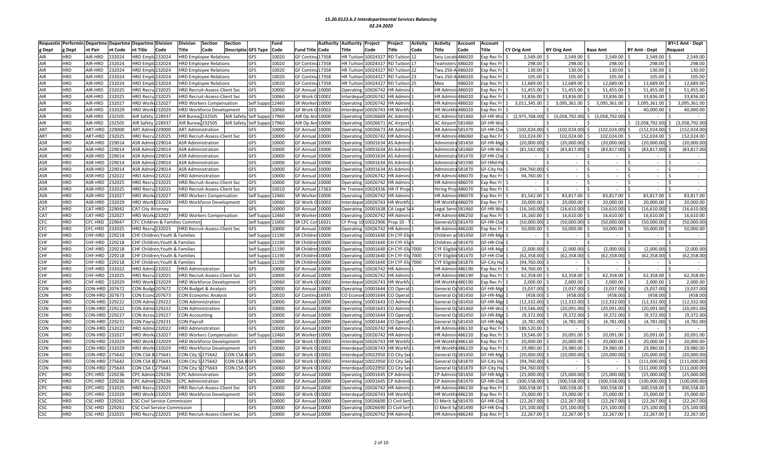| Requestir  | Performin  | Departme Departme |         | <b>Departme Division</b>                  | Division          | <b>Section</b>                       | <b>Section</b>                        | Fund  |                   | Authority | <b>Authority</b>    | Project                    | Project                 | <b>Activity</b> | Activity           | <b>Account</b>      | <b>Account</b>     |                    |                    |                          |                           |         | BY+1 Amt - Dept |
|------------|------------|-------------------|---------|-------------------------------------------|-------------------|--------------------------------------|---------------------------------------|-------|-------------------|-----------|---------------------|----------------------------|-------------------------|-----------------|--------------------|---------------------|--------------------|--------------------|--------------------|--------------------------|---------------------------|---------|-----------------|
| Dept       | ζ Dept     | nt Pair           | nt Code | ıt Title<br>Code                          | <b>Title</b>      | Code                                 | Descriptio GFS Type                   | Code  | Fund Title        | Code      | Title               | Code                       | Title                   | Code            | ïtle               | Code                | <b>Title</b>       | <b>CY Orig Amt</b> | <b>BY Orig Amt</b> | <b>Base Amt</b>          | <b>BY Amt - Dept</b>      | Request |                 |
| AIR        | <b>HRD</b> | AIR-HRD           | 232024  | IRD Emplc 232024                          |                   | <b>HRD Employee Relations</b>        | GFS                                   | 10020 | <b>GF Contin</b>  | 17358     | HR Tuition 10024321 |                            | <b>RD Tuition</b>       |                 |                    | Seiu Locals 486020  | xp Rec Fr          | 2,549.00           | 2,549.00           | 2,549.00                 | 2,549.00                  |         | 2,549.00        |
| AIR        | <b>HRD</b> | AIR-HRD           | 232024  | IRD Emplc 232024                          |                   | <b>HRD Employee Relations</b>        | GFS                                   | 10020 | <b>GF Contin</b>  | 17358     | <b>HR</b> Tuition   | 10024327                   | <b>D</b> Tuition        |                 |                    | eamsters 486020     | xp Rec Fr          | 298.00             | 298.00             | 298.00                   | 298.00                    |         | 298.00          |
| AIR        | HRD        | AIR-HRD           | 232024  | IRD Emplc 232024                          |                   | <b>HRD Employee Relations</b>        | <b>GFS</b>                            | 10020 | GF Contin         | 17358     | <b>HR Tuition</b>   | 10024327                   | <b>RD</b> Tuition 22    |                 |                    | Twu 250-A 486020    | xp Rec Fr S        | 130.00             | 130.00             | 130.00                   | 130.00                    |         | 130.00          |
| AIR        | <b>HRD</b> | AIR-HRD           | 232024  | IRD Emplc 232024                          |                   | <b>HRD Employee Relations</b>        | GFS                                   | 10020 | <b>GF Contin</b>  | 17358     | <b>HR Tuition</b>   | 1002432                    | D Tuition 23            |                 |                    | Twu 250-A 486020    | xp Rec Fr          | 105.00             | 105.00             | 105.00                   | 105.00                    |         | 105.00          |
| AIR        | HRD        | AIR-HRD           | 232024  | IRD Emplc 232024                          |                   | <b>HRD Employee Relations</b>        | GFS                                   | 10020 | GF Continu 17358  |           |                     | <b>HR Tuition 10024327</b> | RD Tuition 25           |                 | Mea                | 486020              | xp Rec Fr          | 12.689.00          | 12,689.00          | 12,689.00                | 12,689.00                 |         | 12,689.00       |
| AIR        | HRD        | AIR-HRD           | 232025  | IRD Recru 232025                          |                   | HRD Recruit-Assess-Client Svc        | GFS                                   | 10000 | GF Annua          | 10000     | Operating           | 10026742                   | R Admin                 |                 | <b>HR Admi</b>     | 1486020             | xp Rec Fr          | 51,455.00          | 51,455.00          | 51,455.00                | 51,455.00                 |         | 51,455.00       |
| AIR        | <b>HRD</b> | AIR-HRD           | 232025  | IRD Recru 232025                          |                   | HRD Recruit-Assess-Client Svc        | GFS                                   | 10060 | GF Work O         | 10002     | Interdepar          | 10026742                   | <b>R</b> Admini         |                 |                    | HR Admini: 486020   | xp Rec Fr          | 33,836.00          | 33,836.00          | 33,836.00                | 33,836.00                 |         | 33,836.00       |
| AIR        | <b>HRD</b> | AIR-HRD           | 232027  | IRD Work 232027                           |                   | <b>HRD Workers Compensation</b>      | Self Suppo 12460                      |       | SR Worker         | 10000     | <b>Operating</b>    | 10026742                   | <b>IR Admini</b>        |                 | <b>HR Admir</b>    | 1486020             | xp Rec Fr          | 3.011.345.00       | 3.095.361.00       | 3,095,361.00<br>ς.       | 3.095.361.00<br>Ŝ.        | Š.      | 3,095,361.00    |
| AIR        | <b>HRD</b> | AIR-HRD           | 232029  | IRD Work 232029                           |                   | HRD Workforce Development            | GFS                                   | 10060 | <b>GF Work</b>    | 10002     | Interdepa           | 10026743                   | R Workfo                |                 | <b>HR Work</b>     | o486020             | xp Rec Fr          |                    |                    |                          | 40.000.00                 |         | 40,000.00       |
| AIR        | HRD        | AIR-HRD           | 232505  | <b>AIR Safety</b><br>228937               | AIR Bureau 232505 |                                      | Self Suppo 17960<br>AIR Safety        |       | AIR Op An         | 10000     | Operating           | 10026669                   | C Admini                |                 |                    | AC Adminis581460    | F-HR-Wo            | (2,975,768.00      | (3,058,792.00)     | (3,058,792.00)           |                           |         |                 |
| AIR        | <b>HRD</b> | AIR-HRD           | 232505  | AIR Safety 228937                         | AIR Bureau 232505 |                                      | <b>AIR Safety</b><br>Self Suppo 17960 |       | AIR Op Anr 10000  |           | Operating           | 10026671                   | <b>C Airport</b>        |                 | <b>AC Airpor</b>   | t 581460            | F-HR-Wo            |                    |                    |                          | $(3,058,792.00)$ \$<br>Ŝ. |         | (3,058,792.00   |
| ART        | <b>HRD</b> | ART-HRD           | 229000  | ART Admin 229000                          |                   | <b>ART Administration</b>            | GFS                                   | 10000 | <b>GF Annua</b>   | 10000     | Operating           | 10026673                   | AR Admini               |                 | <b>AR Admir</b>    | :581470             | F-HR-Clie          | (102, 024.00)      | (102, 024.00)      | (102, 024.00)            | (152.024.00)              |         | 152,024.00      |
| ART        | <b>HRD</b> | ART-HRD           | 232025  | IRD Recru 232025                          |                   | HRD Recruit-Assess-Client Svc        | GFS                                   | 10000 | <b>GF Annual</b>  | 10000     | Operating           | 10026742                   | <b>IR Admini</b>        |                 | <b>HR Admir</b>    | 1486060             | xp Rec Fr          | 102,024.00         | 102,024.00         | 102,024.00               | 152,024.00                |         | 152,024.00      |
| ASR        | <b>HRD</b> | ASR-HRD           | 29014   | <b>SR Admi</b><br>229014                  |                   | <b>ASR Administration</b>            | GFS                                   | 10000 | GF Annua          | 10000     | Operatin            | 10001634                   | <b>S Admini</b>         |                 | Administ           | 581450              | F-HR-Mgr           | (20,000.00)        | (20,000.00)        | (20,000.00)              | (20,000.00)               |         | (20,000.00)     |
| ASR        | <b>HRD</b> | ASR-HRD           | 229014  | ASR Admin 229014                          |                   | <b>ASR Administration</b>            | <b>GFS</b>                            | 10000 | GF Annua          | 10000     | Operating           | 10001634                   | <b>\S</b> Admini        |                 | Administr          | a 581460            | F-HR-Wo            | (81, 542.00)       | (83, 817.00)       | (83, 817.00)             | (83, 817.00)              |         | (83, 817.00     |
| ASR        | <b>HRD</b> | ASR-HRD           | 229014  | ASR Admir<br>229014                       |                   | <b>ASR Administration</b>            | GFS                                   | 10000 | <b>GF Annua</b>   | 10000     | Operating           | 10001634                   | S Admini:               |                 | Administr          | a581470             | F-HR-Clie          |                    |                    | $\overline{\phantom{a}}$ |                           | -Ś      |                 |
| ASR        | <b>HRD</b> | ASR-HRD           | 229014  | <b>ASR Admi</b><br>229014                 |                   | <b>ASR Administration</b>            | GFS                                   | 10000 | <b>GF Annua</b>   | 10000     | Operating           | 1000163                    | <b>S Admini</b>         |                 | Administ           | 581590              | GF-HRd-Pe          | $\overline{a}$     |                    | $\sim$                   |                           | Ś,      |                 |
| ASR        | HRD        | ASR-HRD           | 229014  | ASR Admin 229014                          |                   | <b>ASR Administration</b>            | GFS                                   | 10000 | <b>GF Annual</b>  | 10000     | Operating           | 10001634                   | AS Admini:              |                 |                    | Administra 581870   | <b>GF-City Hal</b> | (94,760.00         | $\sim$             | $\sim$                   | $\sim$                    | Ś       |                 |
| ASR        | <b>HRD</b> | ASR-HRD           | 32022   | <b>IRD</b> Admi<br>232022                 |                   | <b>HRD Administration</b>            | GFS                                   | 10000 | <b>GF Annua</b>   | 10000     | <b>Operatin</b>     | 10026742                   | R Admin                 |                 | <b>HR Admi</b>     | 486070              | <b>kp Rec Fr</b>   | 94,760.00          |                    |                          |                           |         |                 |
| ASR        | <b>HRD</b> | ASR-HRD           | 232025  | IRD Recru 232025                          |                   | <b>HRD Recruit-Assess-Client Svc</b> | GFS                                   | 10000 | <b>GF Annua</b>   | 10000     | Operating           | 10026742                   | R Admini                |                 | <b>HR</b> Admin    | i:486070            | xp Rec Fr          | $\sim$             | $\sim$             | $\sim$                   | $\sim$                    | Ś,      |                 |
| <b>ASR</b> | <b>HRD</b> | ASR-HRD           | 232025  | <b>IRD Recru 232025</b>                   |                   | HRD Recruit-Assess-Client Svc        | GFS                                   | 10010 | <b>GF Annual</b>  | 17363     | Hr Trainee          | 10024336                   | <b>IR IT Proje</b>      |                 |                    | Hiring Proji 486070 | xp Rec Fr          | $\sim$             |                    |                          |                           |         |                 |
| ASR        | <b>HRD</b> | ASR-HRD           | 232027  | IRD Work 232027                           |                   | <b>HRD Workers Compensation</b>      | Self Suppo 12460                      |       | SR Worke          | 10000     | Operating           | 10026742                   | <b>R</b> Admini         |                 | HR Admi            | 1486070             | xp Rec Fr          | 81,542.00          | 83,817.00          | 83,817.00                | 83,817.00                 |         | 83,817.00       |
| ASR        | <b>HRD</b> | ASR-HRD           | 232029  | IRD Work1232029                           |                   | <b>HRD Workforce Development</b>     | GFS                                   | 10060 | GF Work O         | 10002     | nterdepar           | 10026743                   | <b>R</b> Workfo         |                 |                    | HR Workfo486070     | xp Rec Fr          | 20,000.00          | 20,000.00          | 20,000.00                | 20,000.00                 |         | 20,000.00       |
| CAT        | <b>HRD</b> | CAT-HRD           | 229042  | <b>CAT City Attorney</b>                  |                   |                                      | GFS                                   | 10000 | <b>GF Annua</b>   | 10000     | Operating           | 10001638                   | CA Legal Se4            |                 | egal Serv          | i 581460            | F-HR-Wo            | (16, 160.00)       | (16,610.00)        | (16,610.00)              | (16,610.00)               |         | (16,610.00)     |
| CAT        | <b>HRD</b> | CAT-HRD           | 232027  | IRD Work 232027                           |                   | <b>HRD Workers Compensation</b>      | Self Suppo 12460                      |       | SR Worke          | 10000     | Operating           | 10026742                   | <b>IR Admini</b>        |                 | <b>HR Admir</b>    | 1486250             | xp Rec Fr          | 16,160.00          | 16,610.00          | 16,610.00                | 16,610.00                 |         | 16,610.00       |
| <b>CFC</b> | HRD        | CFC-HRD           | 229047  | <b>CFC Children &amp; Families Commsn</b> |                   |                                      | elf Suppo 11000                       |       | SR CFC Co         | 16921     |                     | CF Prop 10 10022906        | 'rop 10 - '             |                 |                    | General/O 581470    | F-HR-Clie          | (50,000.00)        | (50,000.00)        | (50,000.00)              | (50,000.00)               |         | (50,000.00)     |
| <b>CFC</b> | <b>HRD</b> | CFC-HRD           | 232025  | IRD Recru 232025                          |                   | HRD Recruit-Assess-Client Svc        | GFS                                   | 10000 | GF Annua          | 10000     | Operating           | 10026742                   | R Admini                |                 | <b>HR Admi</b>     | 486200              | xp Rec Fr          | 50,000.00          | 50,000.00          | 50,000.00                | 50,000.00                 |         | 50,000.00       |
| CHF        | <b>HRD</b> | CHF-HRD           | 229218  | <b>CHF Children; Youth &amp; Families</b> |                   |                                      | Self Suppo 11190                      |       | SR Childrer       | 10000     | Operating           | 10001640                   | H CYF-Elig4             |                 | Children           | r581450             | F-HR-Mgr           | $\sim$             |                    |                          | $\sim$                    | - S     |                 |
| CHF        | HRD        | CHF-HRD           | 229218  | HF Children:Youth & Families:             |                   |                                      | elf Suppo 11190                       |       | <b>SR Childre</b> | 10000     | <b>Operating</b>    | 10001640                   | H CYF-Elis <sup>2</sup> |                 | Children           | ar 581470           | F-HR-Clie          |                    |                    |                          |                           |         |                 |
| CHF        | <b>HRD</b> | CHF-HRD           | 229218  | <b>CHF Children; Youth &amp; Families</b> |                   |                                      | Self Suppo 11190                      |       | SR Childrei       | 10000     | Operating           | 10001640                   | H CYF-Elig 7000         |                 |                    | CYF Eligible 581450 | F-HR-Mgr           | (2,000.00)         | (2,000.00)         | (2,000.00)               | (2,000.00)                |         | (2,000.00)      |
| CHF        | HRD        | CHF-HRD           | 229218  | HF Children; Youth & Families:            |                   |                                      | elf Suppo 11190                       |       | SR Childrer       | 10000     | <b>Operating</b>    | 10001640                   | CH CYF-Elig7000         |                 |                    | CYF Eligible 581470 | F-HR-Clie          | (62,358.00         | (62, 358.00)       | (62, 358.00)             | (62, 358.00)              |         | (62,358.00      |
| CHF        | HRD        | CHF-HRD           | 229218  | HF Children; Youth & Families:            |                   |                                      | Self Suppo 11190                      |       | SR Childre        | 10000     | Operating           | 10001640                   | H CYF-Elig              | 7000            | <b>CYF Eligibl</b> | lc581870            | F-City Hal         | (94,760.00         |                    |                          |                           |         |                 |
| CHF        | <b>HRD</b> | CHF-HRD           | 232022  | <b>IRD Admir 232022</b>                   |                   | <b>HRD Administration</b>            | GFS                                   | 10000 | <b>GF Annua</b>   | 10000     | Operating           | 10026742                   | <b>R</b> Admin          |                 | <b>HR Admin</b>    | ii:486190           | xp Rec Fr          | 94.760.00          |                    | $\sim$                   |                           |         |                 |
| CHF        | HRD        | CHF-HRD           | 232025  | IRD Recru 232025                          |                   | <b>HRD Recruit-Assess-Client Svc</b> | GFS                                   | 10000 | <b>GF Annual</b>  | 10000     | Operating           | 10026742                   | <b>IR Admini</b>        |                 |                    | HR Admini: 486190   | xp Rec Fr !        | 62.358.00          | 62,358.00          | 62,358.00                | 62.358.00 \$              |         | 62,358.00       |
| CHF        | <b>HRD</b> | CHF-HRD           | 232029  | IRD Work 232029                           |                   | <b>HRD Workforce Development</b>     | GFS                                   | 10060 | GF Work C         | 10002     | nterdepar           | 10026743                   | R Workfo                |                 |                    | HR Workfo486190     | xp Rec Fr          | 2,000.00           | 2,000.00           | 2,000.00                 | 2,000.00                  |         | 2,000.00        |
| <b>CON</b> | <b>HRD</b> | CON-HRD 207672    |         | <b>CON Budge 207672</b>                   |                   | <b>CON Budget &amp; Analysis</b>     | GFS                                   | 10000 | <b>GF Annua</b>   | 10000     | Operating           | 10001644                   | O Operat                |                 |                    | General Or 581450   | F-HR-Mgr           | (3,037.00)         | (3,037.00)         | (3,037.00)               | $(3,037.00)$ \$           |         | (3,037.00)      |
| CON        | <b>HRD</b> | CON-HRD           | 207673  | ON Econd 207673                           |                   | <b>CON Economic Analysis</b>         | GFS                                   | 10020 | <b>GF Contin</b>  | 16935     | CO Econor           | 10001644                   | O Operat                |                 |                    | General Or 581450   | F-HR-Mgi           | (458.00)           | (458.00)           | (458.00)                 | (458.00)                  |         | (458.00)        |
| CON        | <b>HRD</b> | CON-HRD           | 229222  | <b>CON Admir 229222</b>                   |                   | <b>CON Administration</b>            | GFS                                   | 10000 | <b>GF Annua</b>   | 10000     | Operating           | 10001643                   | O Admin                 |                 |                    | General Or 581450   | F-HR-Mg            | (12, 332.00)       | (12, 332.00)       | (12, 332.00)             | (12, 332.00)              |         | (12, 332.00)    |
| CON        | <b>HRD</b> | CON-HRD 229222    |         | CON Admi<br>229222                        |                   | <b>CON Administration</b>            | GFS                                   | 10000 | <b>GF Annual</b>  | 10000     | Operating           | 10001643                   | O Admini                |                 |                    | General Or 581460   | F-HR-Wo            | (19, 546.00)       | (20,091.00)        | (20,091.00)              | (20,091.00)               |         | (20,091.00      |
| CON        | <b>HRD</b> | CON-HRD           | 229227  | <b>CON Accou</b><br>229227                | CON Accounting    |                                      | GFS                                   | 10000 | <b>GF Annua</b>   | 10000     | Operating           | 10001644                   | O Operat                |                 |                    | General Or 581450   | F-HR-Mgi           | (9, 372.00)        | (9,372.00)         | (9,372.00)               | (9,372.00)                |         | (9, 372.00)     |
| CON        | <b>HRD</b> | CON-HRD 229231    |         | CON Payro 229231                          | CON Payrol        |                                      | GFS                                   | 10000 | <b>GF Annua</b>   | 10000     | Operating           | 10001644                   | CO Operati              |                 |                    | General Op581450    | F-HR-Mgr           | (4,781.00)         | (4,781.00)         | (4,781.00)               | $(4,781.00)$ \$           |         | (4,781.00)      |
| CON        | <b>HRD</b> | CON-HRD 232022    |         | <b>IRD Admir</b><br>232022                |                   | <b>HRD Administration</b>            | GFS                                   | 10000 | <b>GF Annua</b>   | 10000     | Operating           | 10026742                   | <b>IR Admini</b>        |                 | <b>HR Admir</b>    | 1486130             | xp Rec Fr          | 189,520.00         |                    |                          |                           |         |                 |
| CON        | <b>HRD</b> | CON-HRD           | 232027  | IRD Work 232027                           |                   | <b>HRD Workers Compensation</b>      | Self Suppo 12460                      |       | SR Worker         | 10000     | Operating           | 10026742                   | <b>R</b> Admini         |                 | <b>HR Admir</b>    | i:486220            | xp Rec Fr          | 19.546.00          | 20,091.00          | 20,091.00                | 20,091.00 \$              |         | 20,091.00       |
| CON        | <b>HRD</b> | CON-HRD 232029    |         | IRD Work1232029                           |                   | <b>HRD Workforce Development</b>     | GFS                                   | 10060 | GF Work O         | 10002     |                     | nterdepar 10026743         | R Workfo                |                 |                    | HR Workfo 486130    | xp Rec Fr          | 20,000.00          | 20,000.00          | 20,000.00                | 20,000.00                 |         | 20,000.00       |
| CON        | <b>HRD</b> | CON-HRD           | 232029  | IRD Work1232029                           |                   | <b>HRD Workforce Development</b>     | GFS                                   | 10060 | <b>GF Work</b>    | 10002     | nterdepar           | 10026743                   | <b>R</b> Workfo         |                 |                    | HR Workfo486220     | xp Rec Fr          | 29,980.00          | 29,980.00          | 29,980.00                | 29,980.00                 |         | 29,980.00       |
| CON        | <b>HRD</b> | CON-HRD 275642    |         | CON CSA B 275641                          | CON City S 275642 |                                      | <b>B</b> GFS<br><b>CON CSA</b>        | 10060 | GF Work C         | 10002     | nterdepar           | 10022950                   | O City Ser              |                 |                    | General Or 581450   | F-HR-Mgi           | (20,000.00)        | (20,000.00)        | (20,000.00)              | (20,000.00)               |         | (20,000.00)     |
| CON        | <b>HRD</b> | CON-HRD 275642    |         | ON CSA B 275641                           | CON City S 275642 |                                      | <b>CON CSA B GFS</b>                  | 10060 | GF Work O         | 10002     |                     | nterdepar 10022950         | CO City Ser             |                 |                    | General Or 581870   | <b>GF-City Hal</b> | (94,760.00         |                    | $\sim$                   | (111,000.00)              |         | 111,000.00      |
| CON        | <b>HRD</b> | CON-HRD           | !75643  | ON CSA<br>C275641                         | CON City S 275643 |                                      | CON CSA<br>GFS                        | 10060 | GF Work           | 10002     | nterdepa            | 10022950                   | O City Se               |                 | General (          | p581870             | F-City Hal         | (94,760.00         |                    |                          | (111,000.00)              |         | 111,000.00      |
| CPC        | <b>HRD</b> | CPC-HRD           | 229236  | PC Admir<br>229236                        |                   | <b>CPC Administration</b>            | GFS                                   | 10000 | GF Annua          | 10000     | Operating           | 10001645                   | P Admini                |                 | <b>CP</b> Admir    | is581450            | F-HR-Mgr           | (25,000.00)        | (25,000.00)        | (25,000.00)              | (25,000.00)               |         | (25,000.00)     |
| <b>CPC</b> | <b>HRD</b> | CPC-HRD           | 229236  | PC Admir<br>229236                        |                   | <b>CPC Administration</b>            | <b>GFS</b>                            | 10000 | GF Annua          | 10000     | Operating           | 10001645                   | P Admini                |                 | <b>CP Admir</b>    | \$581470            | F-HR-Clie          | 300.558.00         | (300.558.00)       | (300.558.00)             | (100.000.00)              |         | 100.000.00      |
| <b>CPC</b> | <b>HRD</b> | CPC-HRD           | 232025  | IRD Recru 232025                          |                   | HRD Recruit-Assess-Client Svc        | GFS                                   | 10000 | GF Annua          | 10000     | Operating           | 10026742                   | <b>IR Admin</b>         |                 | <b>HR Admi</b>     | i:486230            | xp Rec Fr          | 300,558.00         | 300,558.00         | 300,558.00               | 300,558.00                |         | 300,558.00      |
| <b>CPC</b> | <b>HRD</b> | CPC-HRD           | 232029  | IRD Work 232029                           |                   | <b>HRD Workforce Development</b>     | GFS                                   | 10060 | GF Work O         | 10002     |                     | nterdepar 10026743         | IR Workfo               |                 |                    | HR Workfo486230     | xp Rec Fr          | 25,000.00          | 25,000.00          | 25,000.00                | 25,000.00                 |         | 25,000.00       |
| <b>CSC</b> | <b>HRD</b> | CSC-HRD           | 29261   | SC Civil Service Commission               |                   |                                      | GFS                                   | 10000 | GF Annua          | 10000     | Dperatin            | 10026690                   | Civil Ser               |                 | CI Merit           | 581470              | F-HR-Clie          | (22,267.00         | (22, 267.00)       | (22, 267.00)             | (22, 267.00)              |         | (22, 267.00)    |
| <b>CSC</b> | <b>HRD</b> | <b>CSC-HRD</b>    | 229261  | <b>SC Civil Service Commission</b>        |                   |                                      | GFS                                   | 10000 | GF Annua          | 10000     | Operating           | 10026690                   | I Civil Ser             |                 |                    | CI Merit Sy 581490  | GF-HR-Dru          | (25, 100.00)       | (25, 100.00)       | (25, 100.00)             | (25, 100.00)              |         | (25, 100.00)    |
|            | <b>HRD</b> |                   |         |                                           |                   |                                      |                                       |       |                   |           |                     |                            |                         |                 |                    |                     |                    |                    |                    |                          |                           |         | 22,267.00       |
| <b>CSC</b> |            | CSC-HRD 232025    |         | <b>HRD Recru 232025</b>                   |                   | <b>HRD Recruit-Assess-Client Svc</b> | GFS                                   | 10000 | GF Annual 10000   |           |                     | Operating 10026742         | IR Admini: 1            |                 |                    | HR Admini: 486240   | Exp Rec Fr \$      | 22,267.00          | 22,267.00          | 22,267.00 \$             | 22,267.00 \$              |         |                 |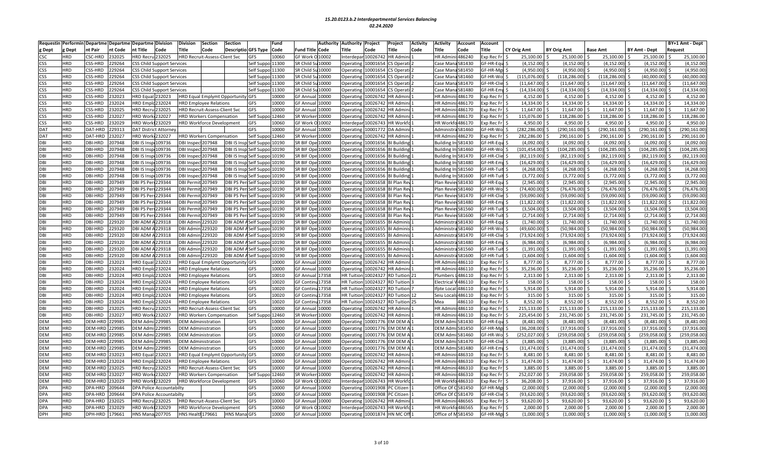| nt Pair<br>nt Code<br>it Title<br>Code<br><b>Title</b><br>Descriptio GFS Type Code<br>Code<br>Title<br><b>Title</b><br>Code<br><b>Fitle</b><br>Dept<br>Dept<br>Code<br>Fund Title<br>Code<br>ïtle<br>Code<br><b>CY Orig Amt</b><br><b>BY Orig Amt</b><br><b>Base Amt</b><br><b>BY Amt - Dept</b><br>Request<br>HR Admini: 486240<br>$\mathsf{csc}$<br><b>HRD</b><br>CSC-HRD<br>232025<br>IRD Recru 232025<br>HRD Recruit-Assess-Client Svc<br>GFS<br>10060<br>GF Work C<br>10002<br>nterdepar 10026742<br><b>IR Admin</b><br>xp Rec Fr<br>25,100.00<br>25,100.00<br>25,100.00<br>25,100.00<br>25,100.00<br><b>HRD</b><br>GF-HR-Equ<br>(4, 152.00)<br><b>CSS</b><br>CSS-HRD<br>229264<br>Self Suppo 11300<br>SR Child S<br>10000<br>10001654<br>S Operati<br>Case Man<br>a 581430<br>(4, 152.00)<br>(4, 152.00)<br>(4, 152.00)<br>(4, 152.00)<br>SS Child Support Services<br>Operating<br>229264<br>(4,950.00)<br>(4,950.00)<br>(4,950.00)<br>(4,950.00)<br><b>CSS</b><br><b>HRD</b><br>CSS-HRD<br>elf Suppo 11300<br>SR Child S<br>10000<br>10001654<br>581450<br>F-HR-Mg<br>(4,950.00)<br>SS Child Support Services<br>Operating<br>S Operati<br>Case Mar<br>(40,000.00)<br>(40,000.00)<br><b>CSS</b><br><b>HRD</b><br><b>CSS-HRD</b><br>229264<br>Self Suppo 11300<br>SR Child S<br>10000<br>10001654<br>Case Mar<br>3581460<br>F-HR-Wo<br>115,076.00<br>(118, 286.00)<br>(118, 286.00)<br><b>SS Child Support Services</b><br>Operating<br>S Operati<br>(11, 647.00)<br><b>CSS</b><br><b>HRD</b><br>CSS-HRD<br>229264<br>elf Suppo 11300<br>SR Child Su 10000<br>10001654<br>a581470<br>F-HR-Clie<br>(11, 647.00)<br>(11, 647.00)<br>(11,647.00)<br>(11, 647.00)<br><b>SS Child Support Services</b><br>Operating<br>S Operati<br>Case Man<br>229264<br>(14, 334.00)<br><b>CSS</b><br><b>HRD</b><br>CSS-HRD<br>elf Suppo 11300<br>SR Child S<br>10000<br>10001654<br>581480<br>F-HR-Emp<br>(14, 334.00)<br>(14, 334.00)<br>(14, 334.00)<br>(14, 334.00)<br>SS Child Support Services<br>S Operati<br>Operating<br>Case Mar<br>4,152.00<br><b>CSS</b><br><b>HRD</b><br>CSS-HRD<br>4,152.00<br>4,152.00<br>4,152.00<br>232023<br><b>IRD Equal 232023</b><br>GFS<br>10000<br>GF Annua<br>10000<br>Operating<br>10026742<br>R Admini<br>HR Admini: 486170<br>xp Rec Fr<br>4,152.00<br><b>HRD Equal Emplymt Opportunity</b><br>14,334.00<br>CSS<br><b>HRD</b><br>CSS-HRD<br>232024<br>IRD Emplc 232024<br>GFS<br>10000<br>GF Annua<br>10000<br>10026742<br><b>HR Admir</b><br>1486170<br>14,334.00<br>14,334.00<br>14,334.00<br>14,334.00<br><b>HRD Employee Relations</b><br>Operating<br><b>IR Admini</b><br>xp Rec Fr<br><b>HRD</b><br>232025<br>10000<br>11,647.00<br><b>CSS</b><br>CSS-HRD<br>IRD Recru 232025<br>HRD Recruit-Assess-Client Svc<br>GFS<br>GF Annua<br>10000<br>10026742<br>R Admin<br><b>HR</b> Admi<br>486170<br>xp Rec Fr<br>11,647.00<br>11,647.00<br>11,647.00<br>11,647.00<br>Operating<br>Self Suppo 12460<br>118,286.00<br>118,286.00<br>118,286.00<br>118,286.00<br><b>CSS</b><br><b>HRD</b><br>CSS-HRD<br>232027<br>IRD Work 232027<br>SR Worker<br>10000<br>10026742<br>R Admini<br><b>HR Admini: 486170</b><br>xp Rec Fr<br>115,076.00<br><b>HRD Workers Compensation</b><br>Operating<br><b>HRD</b><br>CSS-HRD<br>4.950.00<br>4,950.00<br>4,950.00<br><b>CSS</b><br>232029<br><b>IRD Work1232029</b><br><b>GFS</b><br>10060<br><b>GF Work O</b><br>10002<br>nterdepar 10026743<br><b>HR Workf</b><br>a486170<br>xp Rec Fr<br>4.950.00<br>4.950.00<br><b>HRD Workforce Development</b><br><b>IR Workfo</b><br>290,161.00<br>DAT<br><b>HRD</b><br>DAT-HRD<br>229313<br>DAT District Attorne<br>GFS<br>10000<br>GF Annua<br>10000<br>10001772<br>A Admin<br>a581460<br>F-HR-Wo<br>282,286.00<br>(290, 161.00)<br>(290, 161.00)<br>(290, 161.00)<br>Operating<br>Administr<br><b>HRD</b><br>232027<br>IRD Work 232027<br>Self Suppo 12460<br>SR Worker<br>10000<br>10026742<br>HR Admini: 486270<br>282,286.00<br>290,161.00<br>290,161.00<br>290,161.00<br>290,161.00<br>DAT<br>DAT-HRD<br><b>HRD Workers Compensation</b><br>Operating<br><b>R</b> Admini<br>xp Rec Fr<br>DBI<br><b>HRD</b><br>DBI-HRD<br>207948<br><b>BI IS Insp</b><br>109736<br>Self Suppo 10190<br>SR BIF Op<br>10000<br>10001656<br>F-HR-Equ<br>(4,092.00)<br>(4,092.00)<br>(4,092.00)<br>(4,092.00)<br>(4,092.00)<br>DBI Inspect 207948<br><b>DBI IS Insp</b><br><b>Building</b><br>Building<br>581430<br>Operating<br><b>HRD</b><br>104,285.00<br>DBI<br>DBI-HRD<br>207948<br><b>DBI IS Insp. 109736</b><br>DBI Inspect 207948<br>DBI IS Insp Self Suppo 10190<br>SR BIF Ope 10000<br>10001656<br>F-HR-Wo<br>(101,454.00<br>(104, 285.00)<br>(104, 285.00)<br>(104, 285.00)<br>Operating<br><b>BI Building</b><br>Building In: 581460<br>207948<br><b>DBI IS Insp 109736</b><br>SR BIF Ope 10000<br>F-HR-Clie<br>(82, 119.00)<br>(82, 119.00)<br>(82, 119.00)<br>DBI<br>HRD<br>DBI-HRD<br>DBI Inspect207948<br>DBI IS Insp Self Suppo 10190<br><b>Operating</b><br>10001656<br>I Building<br>Building I<br>1:581470<br>(82,119.00<br>(82, 119.00)<br><b>HRD</b><br>207948<br><b>BI IS Insp</b><br>109736<br>F-HR-Emp<br>(16, 429.00)<br>(16, 429.00)<br>(16, 429.00)<br>(16, 429.00)<br>(16, 429.00)<br>DBI<br>DBI-HRD<br>DBI Inspect207948<br>DBI IS Insp Self Suppo 10190<br>SR BIF Ope 10000<br>Operating<br>10001656<br>I Building<br><b>Building</b><br>1:581480<br><b>HRD</b><br>DBI-HRD<br>207948<br><b>BI IS Insp. 109736</b><br>SR BIF Ope 10000<br>1:581560<br>F-HR-Tuit<br>(4, 268.00)<br>(4, 268.00)<br>(4, 268.00)<br>(4, 268.00)<br>(4, 268.00)<br>DBI<br>DBI Inspect 207948<br>DBI IS Insp Self Suppo 10190<br>10001656<br>I Building<br>Building I<br><b>Operating</b><br>DBI<br><b>HRD</b><br>207948<br>(3,772.00)<br>(3,772.00)<br>(3,772.00)<br>(3,772.00)<br>(3,772.00<br>DBI-HRD<br><b>BI IS Insp</b><br>109736<br>DBI Inspect 207948<br><b>DBI IS Insp</b><br>Self Suppo 10190<br>SR BIF Ope<br>10000<br>10001656<br>1:581600<br>F-HR-Tuit<br>Operating<br><b>Building</b><br>Building<br>(2,945.00)<br>DBI<br><b>HRD</b><br>DBI-HRD<br>207949<br><b>DBI PS Peri 229344</b><br>DBI Permit 207949<br>SR BIF Ope 10000<br>GF-HR-Equ<br>(2,945.00)<br>(2,945.00)<br>(2,945.00)<br>(2,945.00)<br>DBI PS Per<br>elf Suppo 10190<br>Operating<br>10001658<br>I Plan Rev<br>Plan Revie<br>ev581430<br>(76,476.00<br>DBI<br>HRD<br>DBI-HRD<br>207949<br><b>DBI PS Peri 229344</b><br><b>DBI Permit 207949</b><br><b>DBI PS Peri</b><br>Self Suppo 10190<br>SR BIF Ope 10000<br>10001658<br>Plan Reviev 581460<br>F-HR-Wo<br>(74,400.00<br>(76, 476.00)<br>(76, 476.00)<br>(76, 476.00)<br>Operating<br><b>BI Plan Rev</b><br><b>HRD</b><br>DBI-HRD<br>207949<br><b>BI PS Peri 229344</b><br><b>DBI Permit 207949</b><br><b>SR BIF Ope</b><br>10000<br>10001658<br>581470<br>F-HR-Clie<br>(59,090.00<br>(59,090.00)<br>(59,090.00)<br>(59,090.00)<br>(59,090.00<br>DBI<br>DBI PS Pe<br>Self Suppo 10190<br>Operating<br>I Plan Rev<br>Plan Rev<br>(11,822.00)<br>DBI<br><b>HRD</b><br>DBI-HRD<br>207949<br><b>DBI PS Peri 229344</b><br><b>DBI Permit 207949</b><br>DBI PS Per<br>SR BIF Ope 10000<br>GF-HR-Emp \$<br>(11, 822.00)<br>(11,822.00)<br>(11,822.00)<br>$(11,822.00)$ \$<br>Self Suppo 10190<br>Operating<br>10001658<br>Plan Reviev581480<br>31 Plan Rev<br><b>HRD</b><br><b>BI PS Peri 229344</b><br>(3,504.00)<br>(3,504.00)<br>DBI<br>DBI-HRD<br>207949<br><b>DBI Permit</b><br>207949<br><b>DBI PS Peri</b><br>SR BIF Ope 10000<br>ev581560<br>F-HR-Tuit<br>(3,504.00)<br>(3,504.00)<br>(3,504.00)<br>Self Suppo 10190<br><b>Operating</b><br>10001658<br><b>BI Plan Rev</b><br>Plan Revie<br><b>HRD</b><br>207949<br><b>BI PS Per</b><br>229344<br>(2,714.00)<br>DBI<br>DBI-HRD<br><b>DBI Permit</b><br>207949<br><b>DBI PS Pe</b><br>Self Suppo 10190<br>SR BIF Ope<br>10000<br>Operating<br>10001658<br>581600<br>F-HR-Tuit<br>(2,714.00)<br>(2,714.00)<br>(2,714.00)<br>(2,714.00)<br>ዘ Plan Re<br>Plan Rev<br>(1,740.00)<br>DBI<br><b>HRD</b><br>DBI-HRD<br>229320<br><b>BI ADM</b><br>229318<br>DBI Admir<br>229320<br><b>DBI ADM</b><br>SR BIF Ope<br>10000<br>F-HR-Equ<br>(1,740.00)<br>(1,740.00)<br>(1,740.00)<br>(1,740.00)<br>elf Suppo 10190<br>Operating<br>10001655<br>I Adminis<br>Administr<br>3581430<br><b>HRD</b><br><b>BI ADM A229318</b><br>(49,600.00<br>(50, 984.00)<br>(50, 984.00)<br>(50, 984.00)<br>(50,984.00<br>DBI<br>DBI-HRD<br>229320<br>DBI Admir<br>229320<br><b>DBI ADM</b><br>elf Suppo 10190<br>SR BIF Ope 10000<br>10001655<br>a 581460<br>F-HR-Wo<br>Operating<br>I Adminis<br>Administr<br>(73,924.00<br>DBI<br><b>HRD</b><br><b>DBI-HRD</b><br>229320<br><b>BI ADM A229318</b><br>DBI Admin<br><b>DBI ADM</b><br>SR BIF Ope<br>10000<br>F-HR-Clie<br>(73,924.00<br>(73,924.00)<br>(73, 924.00)<br>(73, 924.00)<br>229320<br>elf Suppo 10190<br>Operating<br>10001655<br>31 Adminis<br>Administi<br>3581470<br><b>HRD</b><br>DBI-HRD<br>229320<br><b>BI ADM A229318</b><br>229320<br><b>DBI ADM</b><br>Self Suppo 10190<br>SR BIF Ope 10000<br>10001655<br>Administra 581480<br>F-HR-Emr<br>(6.984.00<br>(6,984.00)<br>(6,984.00)<br>(6,984.00)<br>(6,984.00)<br>DBI<br><b>DBI Admin</b><br>Operating<br><b>31 Adminis</b><br>DBI<br><b>HRD</b><br>DBI-HRD<br>229320<br><b>BI ADM</b><br>229318<br>229320<br><b>DBI ADM</b><br>elf Suppo 10190<br>SR BIF Ope<br>10000<br>10001655<br>F-HR-Tuit<br>(1,391.00)<br>(1,391.00)<br>(1, 391.00)<br>(1, 391.00)<br>(1, 391.00)<br>DBI Admir<br>Admini:<br>Administi<br>3581560<br>Operating<br><b>HRD</b><br>(1,604.00)<br>DBI<br>DBI-HRD<br>229320<br><b>BI ADM A229318</b><br><b>DBI ADM</b><br>10000<br>10001655<br>F-HR-Tuit<br>(1,604.00)<br>(1,604.00)<br>(1,604.00)<br>(1,604.00)<br><b>DBI Admin 229320</b><br>Self Suppo 10190<br>SR BIF Ope<br>Adminis<br>Administr<br>3581600<br>Operating<br>8,777.00<br>DBI<br>232023<br><b>HRD</b><br>DBI-HRD<br><b>IRD</b> Equal<br>232023<br>HRD Equal Emplymt Opportunity GFS<br>10000<br><b>GF Annua</b><br>10000<br>10026742<br>i:486110<br>xp Rec Fr<br>8,777.00<br>8,777.00<br>8,777.00<br>8,777.00 \$<br>Operating<br><b>R</b> Admini<br><b>HR Admi</b><br>35,236.00<br><b>HRD</b><br>DBI-HRD<br>232024<br>IRD Emplc 232024<br>10000<br>10000<br>10026742<br>i:486110<br>35,236.00<br>35,236.00<br>35,236.00<br>35,236.00<br>DBI<br><b>HRD Employee Relations</b><br>GFS<br>GF Annua<br>Operating<br><b>R</b> Admini<br><b>HR Admir</b><br>xp Rec Fr<br>2,313.00<br>DBI<br>HRD<br>DBI-HRD<br>232024<br>IRD Emplc 232024<br>GFS<br>10010<br><b>GF Annua</b><br>17358<br><b>HR Tuition</b><br>10024327<br><b>RD</b> Tuition 21<br>Plumbers<br>486110<br>xp Rec Fr<br>2,313.00<br>2,313.00<br>2,313.00<br>2,313.00<br><b>HRD Employee Relations</b><br><b>HRD</b><br>232024<br>10020<br>17358<br>V486110<br>158.00<br>DBI<br>DBI-HRD<br>IRD Emplc 232024<br>GFS<br><b>GF Contin</b><br><b>HR</b> Tuition<br>1002432<br>158.00<br>158.00<br>158.00<br>158.00<br><b>HRD Employee Relations</b><br>D Tuition<br>Electrica<br>xp Rec Fr<br>5,914.00<br><b>HRD</b><br>10020<br>5,914.00<br>5,914.00<br>5,914.00<br>5,914.00<br>DBI<br>DBI-HRD<br>232024<br>IRD Emplc 232024<br>GFS<br><b>GF Contin</b><br>17358<br><b>HR Tuition</b><br>1002432<br>486110<br>xp Rec Fr<br><b>HRD Employee Relations</b><br>D Tuition<br>fpte Loca<br><b>HRD</b><br>315.00<br>DBI<br>DBI-HRD<br>232024<br>IRD Emplc 232024<br>GFS<br>10020<br><b>GF Contin</b><br>u <sup>17358</sup><br><b>HR</b> Tuition<br>10024327<br>Seiu Locals 486110<br>xp Rec Fr<br>315.00<br>315.00<br>315.00<br>315.00<br><b>HRD Employee Relations</b><br>RD Tuition 12<br>8,552.00<br><b>HRD</b><br>DBI-HRD<br>232024<br>IRD Emplc 232024<br>GFS<br>10020<br><b>GF Contin</b><br>17358<br><b>HR Tuitior</b><br>10024327<br>8,552.00<br>8,552.00<br>8,552.00<br>8,552.00<br>DBI<br><b>HRD Employee Relations</b><br><b>RD</b> Tuition 25<br>Mea<br>486110<br>xp Rec Fr<br><b>HRD</b><br>232025<br>GFS<br>10000<br>HR Admini: 486110<br>215.133.00<br>215,133.00<br>215,133.00<br>DBI<br>DBI-HRD<br><b>IRD Recru 232025</b><br>GF Annua<br>10000<br>10026742<br><b>R</b> Admini<br>xp Rec Fr<br>215,133.00<br>215,133.00 \$<br>HRD Recruit-Assess-Client Svc<br>Operating<br>DBI<br><b>HRD</b><br>DBI-HRD<br>232027<br><b>IRD Work</b> 232027<br>Self Suppo 12460<br>SR Worker<br><b>HR Admir</b><br>i:486110<br>225,454.00<br>231,745.00<br>231,745.00<br>231,745.00 \$<br>231,745.00<br>10000<br><b>Operating</b><br>10026742<br>R Admini<br>xp Rec Fr \$<br><b>HRD Workers Compensation</b><br><b>HRD</b><br><b>DEM Admi</b><br>(8,481.00)<br>DEM<br>DEM-HRD<br>229985<br>229985<br><b>DEM Administration</b><br>GFS<br>10000<br><b>GF Annua</b><br>10000<br>Operating<br>10001776<br>M DEM<br><b>DEM Adm</b><br>581430<br><b>SF-HR-Equ</b><br>(8,481.00)<br>(8,481.00)<br>(8,481.00)<br>(8,481.00)<br>10000<br>(36, 208.00)<br>(37, 916.00)<br>(37, 916.00)<br>DEM<br><b>HRD</b><br>DEM-HRD<br>229985<br><b>EM Adm</b><br>229985<br><b>DEM Administration</b><br>GFS<br><b>GF Annua</b><br>10000<br>10001776<br>M DEM A<br><b>DEM Adm</b><br>581450<br>F-HR-Mgi<br>(37, 916.00)<br>(37, 916.00)<br>Operating<br>DEM<br><b>HRD</b><br>229985<br><b>EM Adm</b><br>229985<br>GFS<br>10000<br>M DEM<br>DEM Adn<br>F-HR-Wo<br>252,027.00<br>(259, 058.00)<br>(259, 058.00)<br>(259, 058.00)<br>(259,058.00<br>DEM-HRD<br>GF Annua<br>10000<br><b>Operating</b><br>10001776<br>581460<br>DEM Administration<br><b>HRD</b><br>DEM-HRD 229985<br>EM Admi 229985<br><b>GFS</b><br>10000<br>F-HR-Clie<br>(3.885.00)<br>(3.885.00)<br>(3.885.00)<br>(3,885.00)<br>DEM<br>GF Annua<br>10000<br>10001776<br>M DEM A<br><b>DEM Adm</b><br>i 581470<br>(3.885.00)<br><b>DEM Administration</b><br>Operating<br>10000<br>GF Annual<br>(31, 474.00)<br>(31, 474.00)<br>DEM<br><b>HRD</b><br>DEM-HRD 229985<br><b>DEM Admi</b><br>229985<br><b>DEM Administration</b><br>GFS<br>10000<br>10001776<br>M DEM A<br><b>DEM Adm</b><br>i 581480<br>F-HR-Emr \$<br>(31,474.00<br>(31, 474.00)<br>(31, 474.00)<br>Operating<br>DEM<br><b>HRD</b><br>DEM-HRD 232023<br><b>IRD</b> Equal<br>HRD Equal Emplymt Opportunity GFS<br>10000<br>10026742<br>xp Rec Fr<br>8,481.00<br>8,481.00<br>8,481.00<br>8,481.00 \$<br>8,481.00<br>232023<br>GF Annua<br>10000<br>Operating<br><b>IR Admin</b> i<br><b>HR Admir</b><br>i:486310<br><b>HRD</b><br>10000<br>31,474.00<br>31,474.00<br>31,474.00<br>31,474.00<br>DEM<br>DEM-HRD 232024<br>IRD Emplc 232024<br>GFS<br>GF Annua<br>10000<br>10026742<br><b>R</b> Admini<br><b>HR Admin</b><br>ii:486310<br>xp Rec Fr<br>31,474.00<br><b>HRD Employee Relations</b><br>Operating<br>3,885.00<br><b>DEM</b><br><b>HRD</b><br>DEM-HRD 232025<br>10000<br>GF Annua<br>10000<br>10026742<br>486310<br>3,885.00<br>3,885.00<br>3,885.00<br>3,885.00<br>IRD Recru 232025<br>GFS<br>R Admini<br>HR Admi<br>kp Rec Fr<br>HRD Recruit-Assess-Client Svc<br><b>Operatin</b><br>252,027.00<br>259,058.00<br>259.058.00<br>259.058.00<br>259,058.00<br><b>DEM</b><br><b>HRD</b><br>DEM-HRD 232027<br><b>IRD Work 232027</b><br>Self Sup<br>o 12460<br><b>HRD Workers Compensation</b><br>SR Worke<br>10000<br>Operatin<br>10026742<br><b>R</b> Admini<br><b>HR Admir</b><br>1486310<br>xp Rec Fr<br><b>HRD</b><br>DEM-HRD 232029<br>IRD Work 232029<br>36,208.00<br>37,916.00<br>DEM<br>HRD Workforce Development<br>GFS<br>10060<br>GF Work O<br>10002<br>nterdepar 10026743<br>R Workfo<br>HR Workfo 486310<br>xp Rec Fr<br>37,916.00<br>37,916.00<br>37,916.00<br>DPA<br>HRD<br>DPA-HRD<br>209644<br>GFS<br>10000<br><b>GF Annua</b><br>10000<br>1000190<br>Citizen<br>Office Of<br>3581450<br>F-HR-Mgr<br>(2,000.00)<br>(2,000.00)<br>(2,000.00)<br>(2,000.00)<br>(2,000.00)<br>PA Police Accountabilty<br>Operating<br>(93, 620.00)<br><b>DPA</b><br><b>HRD</b><br>209644<br>GFS<br>10000<br>Office Of C581470<br>F-HR-Clie<br>(93,620.00<br>(93, 620.00)<br>(93,620.00)<br>(93,620.00)<br>DPA-HRD<br><b>DPA Police Accountabilty</b><br>GF Annua<br>10000<br>10001908<br>C Citizen<br>Operating<br><b>HRD</b><br>GFS<br>10000<br><b>GF Annua</b><br>486565<br>93,620.00<br>93,620.00<br>93,620.00<br>93,620.00<br>93,620.00<br><b>DPA</b><br>DPA-HRD<br>232025<br>IRD Recru 232025<br>HRD Recruit-Assess-Client Svc<br>10000<br>10026742<br><b>IR Admini</b><br><b>HR Admi</b><br>xp Rec Fr<br>Operating<br><b>DPA</b><br><b>HRD</b><br>DPA-HRD<br>232029<br>IRD Work 232029<br>GFS<br>10060<br>GF Work C<br>10002<br>Interdepar 10026743<br>HR Workfo486565<br>2,000.00<br>2,000.00<br>2,000.00<br>2,000.00<br>2,000.00<br><b>HRD Workforce Development</b><br><b>IR Workfo</b><br>xp Rec Fr<br>DPH-HRD 179661<br><b>HNS Health 179661</b><br>GF Annual 10000<br>Office of M581450<br>F-HR-Mgr \$<br>(1,000.00)<br>$(1,000.00)$ \$<br>(1,000.00)<br>Operating 10001874 | Requestir  | Performir  | <b>Departme Departme</b> | <b>Departme Division</b> | Division | <b>Section</b> | <b>Section</b>      | Fund  | Authority | <b>Authority</b> | Project | Project<br><b>Activity</b> | Activity | Account | <b>Account</b> |            |  |  | BY+1 Amt - Dept |
|-----------------------------------------------------------------------------------------------------------------------------------------------------------------------------------------------------------------------------------------------------------------------------------------------------------------------------------------------------------------------------------------------------------------------------------------------------------------------------------------------------------------------------------------------------------------------------------------------------------------------------------------------------------------------------------------------------------------------------------------------------------------------------------------------------------------------------------------------------------------------------------------------------------------------------------------------------------------------------------------------------------------------------------------------------------------------------------------------------------------------------------------------------------------------------------------------------------------------------------------------------------------------------------------------------------------------------------------------------------------------------------------------------------------------------------------------------------------------------------------------------------------------------------------------------------------------------------------------------------------------------------------------------------------------------------------------------------------------------------------------------------------------------------------------------------------------------------------------------------------------------------------------------------------------------------------------------------------------------------------------------------------------------------------------------------------------------------------------------------------------------------------------------------------------------------------------------------------------------------------------------------------------------------------------------------------------------------------------------------------------------------------------------------------------------------------------------------------------------------------------------------------------------------------------------------------------------------------------------------------------------------------------------------------------------------------------------------------------------------------------------------------------------------------------------------------------------------------------------------------------------------------------------------------------------------------------------------------------------------------------------------------------------------------------------------------------------------------------------------------------------------------------------------------------------------------------------------------------------------------------------------------------------------------------------------------------------------------------------------------------------------------------------------------------------------------------------------------------------------------------------------------------------------------------------------------------------------------------------------------------------------------------------------------------------------------------------------------------------------------------------------------------------------------------------------------------------------------------------------------------------------------------------------------------------------------------------------------------------------------------------------------------------------------------------------------------------------------------------------------------------------------------------------------------------------------------------------------------------------------------------------------------------------------------------------------------------------------------------------------------------------------------------------------------------------------------------------------------------------------------------------------------------------------------------------------------------------------------------------------------------------------------------------------------------------------------------------------------------------------------------------------------------------------------------------------------------------------------------------------------------------------------------------------------------------------------------------------------------------------------------------------------------------------------------------------------------------------------------------------------------------------------------------------------------------------------------------------------------------------------------------------------------------------------------------------------------------------------------------------------------------------------------------------------------------------------------------------------------------------------------------------------------------------------------------------------------------------------------------------------------------------------------------------------------------------------------------------------------------------------------------------------------------------------------------------------------------------------------------------------------------------------------------------------------------------------------------------------------------------------------------------------------------------------------------------------------------------------------------------------------------------------------------------------------------------------------------------------------------------------------------------------------------------------------------------------------------------------------------------------------------------------------------------------------------------------------------------------------------------------------------------------------------------------------------------------------------------------------------------------------------------------------------------------------------------------------------------------------------------------------------------------------------------------------------------------------------------------------------------------------------------------------------------------------------------------------------------------------------------------------------------------------------------------------------------------------------------------------------------------------------------------------------------------------------------------------------------------------------------------------------------------------------------------------------------------------------------------------------------------------------------------------------------------------------------------------------------------------------------------------------------------------------------------------------------------------------------------------------------------------------------------------------------------------------------------------------------------------------------------------------------------------------------------------------------------------------------------------------------------------------------------------------------------------------------------------------------------------------------------------------------------------------------------------------------------------------------------------------------------------------------------------------------------------------------------------------------------------------------------------------------------------------------------------------------------------------------------------------------------------------------------------------------------------------------------------------------------------------------------------------------------------------------------------------------------------------------------------------------------------------------------------------------------------------------------------------------------------------------------------------------------------------------------------------------------------------------------------------------------------------------------------------------------------------------------------------------------------------------------------------------------------------------------------------------------------------------------------------------------------------------------------------------------------------------------------------------------------------------------------------------------------------------------------------------------------------------------------------------------------------------------------------------------------------------------------------------------------------------------------------------------------------------------------------------------------------------------------------------------------------------------------------------------------------------------------------------------------------------------------------------------------------------------------------------------------------------------------------------------------------------------------------------------------------------------------------------------------------------------------------------------------------------------------------------------------------------------------------------------------------------------------------------------------------------------------------------------------------------------------------------------------------------------------------------------------------------------------------------------------------------------------------------------------------------------------------------------------------------------------------------------------------------------------------------------------------------------------------------------------------------------------------------------------------------------------------------------------------------------------------------------------------------------------------------------------------------------------------------------------------------------------------------------------------------------------------------------------------------------------------------------------------------------------------------------------------------------------------------------------------------------------------------------------------------------------------------------------------------------------------------------------------------------------------------------------------------------------------------------------------------------------------------------------------------------------------------------------------------------------------------------------------------------------------------------------------------------------------------------------------------------------------------------------------------------------------------------------------------------------------------------------------------------------------------------------------------------------------------------------------------------------------------------------------------------------------------------------------------------------------------------------------------------------------------------------------------------------------------------------------------------------------------------------------------------------------------------------------------------------------------------------------------------------------------------------------------------------------------------------------------------------------------------------------------------------------------------------------------------------------------------------------------------------------------------------------------------------------------------------------------------------------------------------------------------------------------------------------------------------------------------------------------------------------------------------------------------------------------------------------------------------------------------------------------------------------------------------------------------------------------------------------------------------------------------------------------------------------------------------------------------------------------------------------------------------------------------------------------------------------------------------------------------------------------------------------------------------------------------------------------------------------------------------------------------------------------------------------------------------------------------------------------------------------------------------------------------------------------------------------------------------------------------------------------------------------------------------------------------------------------------------------------------------------------------------------------------------------------------------------------------------------------------------------------------------------------------------------------------------------------------------------------------------------------------------------------------------------------------------------------------------------------------------------------------------------------------------------------------------------------------------------------------------------------------------------------------------------------------------------------------------------------------------------------------------------------------------------------------------------------------------------------------------------------------------------------------------------------------------------------------------------------------------------------------------------------------------------------------------------------------------------------------------------------------------------------------------------------------------------------------------------------------------------------------------------------------------------------------------------------------------------------------------------------------------------------------------------------------------------------------------------------------------------------------------------------------------------------------------------------------------------------------------------------------------------------------------------------------------------------------------------------------------------------------------------------------------------------------------------------------------------------------------------------------------------------------------------------------------------------------------------------------------------------------------------------------------------------------------------------------------------------------------------------------------------------------------------------------------------------------------------------------------------------------------------------------------------------------------------------------------------------------------------------------------------------------------------------------------------------------------------------------------------------------------------------------------------------------------------------------------------------------------------------------------------------------------------------------------------------------------------------------------------------------------------------------------------------------------------------------------------------------------------------------------------------------------------------------------------------------------------------------------------------------------------------------------------------------------------------------------------------------------------------|------------|------------|--------------------------|--------------------------|----------|----------------|---------------------|-------|-----------|------------------|---------|----------------------------|----------|---------|----------------|------------|--|--|-----------------|
|                                                                                                                                                                                                                                                                                                                                                                                                                                                                                                                                                                                                                                                                                                                                                                                                                                                                                                                                                                                                                                                                                                                                                                                                                                                                                                                                                                                                                                                                                                                                                                                                                                                                                                                                                                                                                                                                                                                                                                                                                                                                                                                                                                                                                                                                                                                                                                                                                                                                                                                                                                                                                                                                                                                                                                                                                                                                                                                                                                                                                                                                                                                                                                                                                                                                                                                                                                                                                                                                                                                                                                                                                                                                                                                                                                                                                                                                                                                                                                                                                                                                                                                                                                                                                                                                                                                                                                                                                                                                                                                                                                                                                                                                                                                                                                                                                                                                                                                                                                                                                                                                                                                                                                                                                                                                                                                                                                                                                                                                                                                                                                                                                                                                                                                                                                                                                                                                                                                                                                                                                                                                                                                                                                                                                                                                                                                                                                                                                                                                                                                                                                                                                                                                                                                                                                                                                                                                                                                                                                                                                                                                                                                                                                                                                                                                                                                                                                                                                                                                                                                                                                                                                                                                                                                                                                                                                                                                                                                                                                                                                                                                                                                                                                                                                                                                                                                                                                                                                                                                                                                                                                                                                                                                                                                                                                                                                                                                                                                                                                                                                                                                                                                                                                                                                                                                                                                                                                                                                                                                                                                                                                                                                                                                                                                                                                                                                                                                                                                                                                                                                                                                                                                                                                                                                                                                                                                                                                                                                                                                                                                                                                                                                                                                                                                                                                                                                                                                                                                                                                                                                                                                                                                                                                                                                                                                                                                                                                                                                                                                                                                                                                                                                                                                                                                                                                                                                                                                                                                                                                                                                                                                                                                                                                                                                                                                                                                                                                                                                                                                                                                                                                                                                                                                                                                                                                                                                                                                                                                                                                                                                                                                                                                                                                                                                                                                                                                                                                                                                                                                                                                                                                                                                                                                                                                                                                                                                                                                                                                                                                                                                                                                                                                                                                                                                                                                                                                                                                                                                                                                                                                                                                                                                                                                                                                                                                                                                                                                                                                                                                                                                                                                                                                                                                                                                                                                                                                                                                                                                                                                                                                                                                                                                                                                                                                                                                                                                                                                                                                                                                                                                                                                                                                                                                                                                                                                                                                                                                                                                                                                                                                                                                                                                                                                                                                                                                                                                 |            |            |                          |                          |          |                |                     |       |           |                  |         |                            |          |         |                |            |  |  |                 |
|                                                                                                                                                                                                                                                                                                                                                                                                                                                                                                                                                                                                                                                                                                                                                                                                                                                                                                                                                                                                                                                                                                                                                                                                                                                                                                                                                                                                                                                                                                                                                                                                                                                                                                                                                                                                                                                                                                                                                                                                                                                                                                                                                                                                                                                                                                                                                                                                                                                                                                                                                                                                                                                                                                                                                                                                                                                                                                                                                                                                                                                                                                                                                                                                                                                                                                                                                                                                                                                                                                                                                                                                                                                                                                                                                                                                                                                                                                                                                                                                                                                                                                                                                                                                                                                                                                                                                                                                                                                                                                                                                                                                                                                                                                                                                                                                                                                                                                                                                                                                                                                                                                                                                                                                                                                                                                                                                                                                                                                                                                                                                                                                                                                                                                                                                                                                                                                                                                                                                                                                                                                                                                                                                                                                                                                                                                                                                                                                                                                                                                                                                                                                                                                                                                                                                                                                                                                                                                                                                                                                                                                                                                                                                                                                                                                                                                                                                                                                                                                                                                                                                                                                                                                                                                                                                                                                                                                                                                                                                                                                                                                                                                                                                                                                                                                                                                                                                                                                                                                                                                                                                                                                                                                                                                                                                                                                                                                                                                                                                                                                                                                                                                                                                                                                                                                                                                                                                                                                                                                                                                                                                                                                                                                                                                                                                                                                                                                                                                                                                                                                                                                                                                                                                                                                                                                                                                                                                                                                                                                                                                                                                                                                                                                                                                                                                                                                                                                                                                                                                                                                                                                                                                                                                                                                                                                                                                                                                                                                                                                                                                                                                                                                                                                                                                                                                                                                                                                                                                                                                                                                                                                                                                                                                                                                                                                                                                                                                                                                                                                                                                                                                                                                                                                                                                                                                                                                                                                                                                                                                                                                                                                                                                                                                                                                                                                                                                                                                                                                                                                                                                                                                                                                                                                                                                                                                                                                                                                                                                                                                                                                                                                                                                                                                                                                                                                                                                                                                                                                                                                                                                                                                                                                                                                                                                                                                                                                                                                                                                                                                                                                                                                                                                                                                                                                                                                                                                                                                                                                                                                                                                                                                                                                                                                                                                                                                                                                                                                                                                                                                                                                                                                                                                                                                                                                                                                                                                                                                                                                                                                                                                                                                                                                                                                                                                                                                                                                                 |            |            |                          |                          |          |                |                     |       |           |                  |         |                            |          |         |                |            |  |  |                 |
|                                                                                                                                                                                                                                                                                                                                                                                                                                                                                                                                                                                                                                                                                                                                                                                                                                                                                                                                                                                                                                                                                                                                                                                                                                                                                                                                                                                                                                                                                                                                                                                                                                                                                                                                                                                                                                                                                                                                                                                                                                                                                                                                                                                                                                                                                                                                                                                                                                                                                                                                                                                                                                                                                                                                                                                                                                                                                                                                                                                                                                                                                                                                                                                                                                                                                                                                                                                                                                                                                                                                                                                                                                                                                                                                                                                                                                                                                                                                                                                                                                                                                                                                                                                                                                                                                                                                                                                                                                                                                                                                                                                                                                                                                                                                                                                                                                                                                                                                                                                                                                                                                                                                                                                                                                                                                                                                                                                                                                                                                                                                                                                                                                                                                                                                                                                                                                                                                                                                                                                                                                                                                                                                                                                                                                                                                                                                                                                                                                                                                                                                                                                                                                                                                                                                                                                                                                                                                                                                                                                                                                                                                                                                                                                                                                                                                                                                                                                                                                                                                                                                                                                                                                                                                                                                                                                                                                                                                                                                                                                                                                                                                                                                                                                                                                                                                                                                                                                                                                                                                                                                                                                                                                                                                                                                                                                                                                                                                                                                                                                                                                                                                                                                                                                                                                                                                                                                                                                                                                                                                                                                                                                                                                                                                                                                                                                                                                                                                                                                                                                                                                                                                                                                                                                                                                                                                                                                                                                                                                                                                                                                                                                                                                                                                                                                                                                                                                                                                                                                                                                                                                                                                                                                                                                                                                                                                                                                                                                                                                                                                                                                                                                                                                                                                                                                                                                                                                                                                                                                                                                                                                                                                                                                                                                                                                                                                                                                                                                                                                                                                                                                                                                                                                                                                                                                                                                                                                                                                                                                                                                                                                                                                                                                                                                                                                                                                                                                                                                                                                                                                                                                                                                                                                                                                                                                                                                                                                                                                                                                                                                                                                                                                                                                                                                                                                                                                                                                                                                                                                                                                                                                                                                                                                                                                                                                                                                                                                                                                                                                                                                                                                                                                                                                                                                                                                                                                                                                                                                                                                                                                                                                                                                                                                                                                                                                                                                                                                                                                                                                                                                                                                                                                                                                                                                                                                                                                                                                                                                                                                                                                                                                                                                                                                                                                                                                                                                                                 |            |            |                          |                          |          |                |                     |       |           |                  |         |                            |          |         |                |            |  |  |                 |
|                                                                                                                                                                                                                                                                                                                                                                                                                                                                                                                                                                                                                                                                                                                                                                                                                                                                                                                                                                                                                                                                                                                                                                                                                                                                                                                                                                                                                                                                                                                                                                                                                                                                                                                                                                                                                                                                                                                                                                                                                                                                                                                                                                                                                                                                                                                                                                                                                                                                                                                                                                                                                                                                                                                                                                                                                                                                                                                                                                                                                                                                                                                                                                                                                                                                                                                                                                                                                                                                                                                                                                                                                                                                                                                                                                                                                                                                                                                                                                                                                                                                                                                                                                                                                                                                                                                                                                                                                                                                                                                                                                                                                                                                                                                                                                                                                                                                                                                                                                                                                                                                                                                                                                                                                                                                                                                                                                                                                                                                                                                                                                                                                                                                                                                                                                                                                                                                                                                                                                                                                                                                                                                                                                                                                                                                                                                                                                                                                                                                                                                                                                                                                                                                                                                                                                                                                                                                                                                                                                                                                                                                                                                                                                                                                                                                                                                                                                                                                                                                                                                                                                                                                                                                                                                                                                                                                                                                                                                                                                                                                                                                                                                                                                                                                                                                                                                                                                                                                                                                                                                                                                                                                                                                                                                                                                                                                                                                                                                                                                                                                                                                                                                                                                                                                                                                                                                                                                                                                                                                                                                                                                                                                                                                                                                                                                                                                                                                                                                                                                                                                                                                                                                                                                                                                                                                                                                                                                                                                                                                                                                                                                                                                                                                                                                                                                                                                                                                                                                                                                                                                                                                                                                                                                                                                                                                                                                                                                                                                                                                                                                                                                                                                                                                                                                                                                                                                                                                                                                                                                                                                                                                                                                                                                                                                                                                                                                                                                                                                                                                                                                                                                                                                                                                                                                                                                                                                                                                                                                                                                                                                                                                                                                                                                                                                                                                                                                                                                                                                                                                                                                                                                                                                                                                                                                                                                                                                                                                                                                                                                                                                                                                                                                                                                                                                                                                                                                                                                                                                                                                                                                                                                                                                                                                                                                                                                                                                                                                                                                                                                                                                                                                                                                                                                                                                                                                                                                                                                                                                                                                                                                                                                                                                                                                                                                                                                                                                                                                                                                                                                                                                                                                                                                                                                                                                                                                                                                                                                                                                                                                                                                                                                                                                                                                                                                                                                                                                 |            |            |                          |                          |          |                |                     |       |           |                  |         |                            |          |         |                |            |  |  |                 |
|                                                                                                                                                                                                                                                                                                                                                                                                                                                                                                                                                                                                                                                                                                                                                                                                                                                                                                                                                                                                                                                                                                                                                                                                                                                                                                                                                                                                                                                                                                                                                                                                                                                                                                                                                                                                                                                                                                                                                                                                                                                                                                                                                                                                                                                                                                                                                                                                                                                                                                                                                                                                                                                                                                                                                                                                                                                                                                                                                                                                                                                                                                                                                                                                                                                                                                                                                                                                                                                                                                                                                                                                                                                                                                                                                                                                                                                                                                                                                                                                                                                                                                                                                                                                                                                                                                                                                                                                                                                                                                                                                                                                                                                                                                                                                                                                                                                                                                                                                                                                                                                                                                                                                                                                                                                                                                                                                                                                                                                                                                                                                                                                                                                                                                                                                                                                                                                                                                                                                                                                                                                                                                                                                                                                                                                                                                                                                                                                                                                                                                                                                                                                                                                                                                                                                                                                                                                                                                                                                                                                                                                                                                                                                                                                                                                                                                                                                                                                                                                                                                                                                                                                                                                                                                                                                                                                                                                                                                                                                                                                                                                                                                                                                                                                                                                                                                                                                                                                                                                                                                                                                                                                                                                                                                                                                                                                                                                                                                                                                                                                                                                                                                                                                                                                                                                                                                                                                                                                                                                                                                                                                                                                                                                                                                                                                                                                                                                                                                                                                                                                                                                                                                                                                                                                                                                                                                                                                                                                                                                                                                                                                                                                                                                                                                                                                                                                                                                                                                                                                                                                                                                                                                                                                                                                                                                                                                                                                                                                                                                                                                                                                                                                                                                                                                                                                                                                                                                                                                                                                                                                                                                                                                                                                                                                                                                                                                                                                                                                                                                                                                                                                                                                                                                                                                                                                                                                                                                                                                                                                                                                                                                                                                                                                                                                                                                                                                                                                                                                                                                                                                                                                                                                                                                                                                                                                                                                                                                                                                                                                                                                                                                                                                                                                                                                                                                                                                                                                                                                                                                                                                                                                                                                                                                                                                                                                                                                                                                                                                                                                                                                                                                                                                                                                                                                                                                                                                                                                                                                                                                                                                                                                                                                                                                                                                                                                                                                                                                                                                                                                                                                                                                                                                                                                                                                                                                                                                                                                                                                                                                                                                                                                                                                                                                                                                                                                                                                                 |            |            |                          |                          |          |                |                     |       |           |                  |         |                            |          |         |                |            |  |  |                 |
|                                                                                                                                                                                                                                                                                                                                                                                                                                                                                                                                                                                                                                                                                                                                                                                                                                                                                                                                                                                                                                                                                                                                                                                                                                                                                                                                                                                                                                                                                                                                                                                                                                                                                                                                                                                                                                                                                                                                                                                                                                                                                                                                                                                                                                                                                                                                                                                                                                                                                                                                                                                                                                                                                                                                                                                                                                                                                                                                                                                                                                                                                                                                                                                                                                                                                                                                                                                                                                                                                                                                                                                                                                                                                                                                                                                                                                                                                                                                                                                                                                                                                                                                                                                                                                                                                                                                                                                                                                                                                                                                                                                                                                                                                                                                                                                                                                                                                                                                                                                                                                                                                                                                                                                                                                                                                                                                                                                                                                                                                                                                                                                                                                                                                                                                                                                                                                                                                                                                                                                                                                                                                                                                                                                                                                                                                                                                                                                                                                                                                                                                                                                                                                                                                                                                                                                                                                                                                                                                                                                                                                                                                                                                                                                                                                                                                                                                                                                                                                                                                                                                                                                                                                                                                                                                                                                                                                                                                                                                                                                                                                                                                                                                                                                                                                                                                                                                                                                                                                                                                                                                                                                                                                                                                                                                                                                                                                                                                                                                                                                                                                                                                                                                                                                                                                                                                                                                                                                                                                                                                                                                                                                                                                                                                                                                                                                                                                                                                                                                                                                                                                                                                                                                                                                                                                                                                                                                                                                                                                                                                                                                                                                                                                                                                                                                                                                                                                                                                                                                                                                                                                                                                                                                                                                                                                                                                                                                                                                                                                                                                                                                                                                                                                                                                                                                                                                                                                                                                                                                                                                                                                                                                                                                                                                                                                                                                                                                                                                                                                                                                                                                                                                                                                                                                                                                                                                                                                                                                                                                                                                                                                                                                                                                                                                                                                                                                                                                                                                                                                                                                                                                                                                                                                                                                                                                                                                                                                                                                                                                                                                                                                                                                                                                                                                                                                                                                                                                                                                                                                                                                                                                                                                                                                                                                                                                                                                                                                                                                                                                                                                                                                                                                                                                                                                                                                                                                                                                                                                                                                                                                                                                                                                                                                                                                                                                                                                                                                                                                                                                                                                                                                                                                                                                                                                                                                                                                                                                                                                                                                                                                                                                                                                                                                                                                                                                                                                                                 |            |            |                          |                          |          |                |                     |       |           |                  |         |                            |          |         |                |            |  |  |                 |
|                                                                                                                                                                                                                                                                                                                                                                                                                                                                                                                                                                                                                                                                                                                                                                                                                                                                                                                                                                                                                                                                                                                                                                                                                                                                                                                                                                                                                                                                                                                                                                                                                                                                                                                                                                                                                                                                                                                                                                                                                                                                                                                                                                                                                                                                                                                                                                                                                                                                                                                                                                                                                                                                                                                                                                                                                                                                                                                                                                                                                                                                                                                                                                                                                                                                                                                                                                                                                                                                                                                                                                                                                                                                                                                                                                                                                                                                                                                                                                                                                                                                                                                                                                                                                                                                                                                                                                                                                                                                                                                                                                                                                                                                                                                                                                                                                                                                                                                                                                                                                                                                                                                                                                                                                                                                                                                                                                                                                                                                                                                                                                                                                                                                                                                                                                                                                                                                                                                                                                                                                                                                                                                                                                                                                                                                                                                                                                                                                                                                                                                                                                                                                                                                                                                                                                                                                                                                                                                                                                                                                                                                                                                                                                                                                                                                                                                                                                                                                                                                                                                                                                                                                                                                                                                                                                                                                                                                                                                                                                                                                                                                                                                                                                                                                                                                                                                                                                                                                                                                                                                                                                                                                                                                                                                                                                                                                                                                                                                                                                                                                                                                                                                                                                                                                                                                                                                                                                                                                                                                                                                                                                                                                                                                                                                                                                                                                                                                                                                                                                                                                                                                                                                                                                                                                                                                                                                                                                                                                                                                                                                                                                                                                                                                                                                                                                                                                                                                                                                                                                                                                                                                                                                                                                                                                                                                                                                                                                                                                                                                                                                                                                                                                                                                                                                                                                                                                                                                                                                                                                                                                                                                                                                                                                                                                                                                                                                                                                                                                                                                                                                                                                                                                                                                                                                                                                                                                                                                                                                                                                                                                                                                                                                                                                                                                                                                                                                                                                                                                                                                                                                                                                                                                                                                                                                                                                                                                                                                                                                                                                                                                                                                                                                                                                                                                                                                                                                                                                                                                                                                                                                                                                                                                                                                                                                                                                                                                                                                                                                                                                                                                                                                                                                                                                                                                                                                                                                                                                                                                                                                                                                                                                                                                                                                                                                                                                                                                                                                                                                                                                                                                                                                                                                                                                                                                                                                                                                                                                                                                                                                                                                                                                                                                                                                                                                                                                                                                 |            |            |                          |                          |          |                |                     |       |           |                  |         |                            |          |         |                |            |  |  |                 |
|                                                                                                                                                                                                                                                                                                                                                                                                                                                                                                                                                                                                                                                                                                                                                                                                                                                                                                                                                                                                                                                                                                                                                                                                                                                                                                                                                                                                                                                                                                                                                                                                                                                                                                                                                                                                                                                                                                                                                                                                                                                                                                                                                                                                                                                                                                                                                                                                                                                                                                                                                                                                                                                                                                                                                                                                                                                                                                                                                                                                                                                                                                                                                                                                                                                                                                                                                                                                                                                                                                                                                                                                                                                                                                                                                                                                                                                                                                                                                                                                                                                                                                                                                                                                                                                                                                                                                                                                                                                                                                                                                                                                                                                                                                                                                                                                                                                                                                                                                                                                                                                                                                                                                                                                                                                                                                                                                                                                                                                                                                                                                                                                                                                                                                                                                                                                                                                                                                                                                                                                                                                                                                                                                                                                                                                                                                                                                                                                                                                                                                                                                                                                                                                                                                                                                                                                                                                                                                                                                                                                                                                                                                                                                                                                                                                                                                                                                                                                                                                                                                                                                                                                                                                                                                                                                                                                                                                                                                                                                                                                                                                                                                                                                                                                                                                                                                                                                                                                                                                                                                                                                                                                                                                                                                                                                                                                                                                                                                                                                                                                                                                                                                                                                                                                                                                                                                                                                                                                                                                                                                                                                                                                                                                                                                                                                                                                                                                                                                                                                                                                                                                                                                                                                                                                                                                                                                                                                                                                                                                                                                                                                                                                                                                                                                                                                                                                                                                                                                                                                                                                                                                                                                                                                                                                                                                                                                                                                                                                                                                                                                                                                                                                                                                                                                                                                                                                                                                                                                                                                                                                                                                                                                                                                                                                                                                                                                                                                                                                                                                                                                                                                                                                                                                                                                                                                                                                                                                                                                                                                                                                                                                                                                                                                                                                                                                                                                                                                                                                                                                                                                                                                                                                                                                                                                                                                                                                                                                                                                                                                                                                                                                                                                                                                                                                                                                                                                                                                                                                                                                                                                                                                                                                                                                                                                                                                                                                                                                                                                                                                                                                                                                                                                                                                                                                                                                                                                                                                                                                                                                                                                                                                                                                                                                                                                                                                                                                                                                                                                                                                                                                                                                                                                                                                                                                                                                                                                                                                                                                                                                                                                                                                                                                                                                                                                                                                                                                                 |            |            |                          |                          |          |                |                     |       |           |                  |         |                            |          |         |                |            |  |  |                 |
|                                                                                                                                                                                                                                                                                                                                                                                                                                                                                                                                                                                                                                                                                                                                                                                                                                                                                                                                                                                                                                                                                                                                                                                                                                                                                                                                                                                                                                                                                                                                                                                                                                                                                                                                                                                                                                                                                                                                                                                                                                                                                                                                                                                                                                                                                                                                                                                                                                                                                                                                                                                                                                                                                                                                                                                                                                                                                                                                                                                                                                                                                                                                                                                                                                                                                                                                                                                                                                                                                                                                                                                                                                                                                                                                                                                                                                                                                                                                                                                                                                                                                                                                                                                                                                                                                                                                                                                                                                                                                                                                                                                                                                                                                                                                                                                                                                                                                                                                                                                                                                                                                                                                                                                                                                                                                                                                                                                                                                                                                                                                                                                                                                                                                                                                                                                                                                                                                                                                                                                                                                                                                                                                                                                                                                                                                                                                                                                                                                                                                                                                                                                                                                                                                                                                                                                                                                                                                                                                                                                                                                                                                                                                                                                                                                                                                                                                                                                                                                                                                                                                                                                                                                                                                                                                                                                                                                                                                                                                                                                                                                                                                                                                                                                                                                                                                                                                                                                                                                                                                                                                                                                                                                                                                                                                                                                                                                                                                                                                                                                                                                                                                                                                                                                                                                                                                                                                                                                                                                                                                                                                                                                                                                                                                                                                                                                                                                                                                                                                                                                                                                                                                                                                                                                                                                                                                                                                                                                                                                                                                                                                                                                                                                                                                                                                                                                                                                                                                                                                                                                                                                                                                                                                                                                                                                                                                                                                                                                                                                                                                                                                                                                                                                                                                                                                                                                                                                                                                                                                                                                                                                                                                                                                                                                                                                                                                                                                                                                                                                                                                                                                                                                                                                                                                                                                                                                                                                                                                                                                                                                                                                                                                                                                                                                                                                                                                                                                                                                                                                                                                                                                                                                                                                                                                                                                                                                                                                                                                                                                                                                                                                                                                                                                                                                                                                                                                                                                                                                                                                                                                                                                                                                                                                                                                                                                                                                                                                                                                                                                                                                                                                                                                                                                                                                                                                                                                                                                                                                                                                                                                                                                                                                                                                                                                                                                                                                                                                                                                                                                                                                                                                                                                                                                                                                                                                                                                                                                                                                                                                                                                                                                                                                                                                                                                                                                                                                                                 |            |            |                          |                          |          |                |                     |       |           |                  |         |                            |          |         |                |            |  |  |                 |
|                                                                                                                                                                                                                                                                                                                                                                                                                                                                                                                                                                                                                                                                                                                                                                                                                                                                                                                                                                                                                                                                                                                                                                                                                                                                                                                                                                                                                                                                                                                                                                                                                                                                                                                                                                                                                                                                                                                                                                                                                                                                                                                                                                                                                                                                                                                                                                                                                                                                                                                                                                                                                                                                                                                                                                                                                                                                                                                                                                                                                                                                                                                                                                                                                                                                                                                                                                                                                                                                                                                                                                                                                                                                                                                                                                                                                                                                                                                                                                                                                                                                                                                                                                                                                                                                                                                                                                                                                                                                                                                                                                                                                                                                                                                                                                                                                                                                                                                                                                                                                                                                                                                                                                                                                                                                                                                                                                                                                                                                                                                                                                                                                                                                                                                                                                                                                                                                                                                                                                                                                                                                                                                                                                                                                                                                                                                                                                                                                                                                                                                                                                                                                                                                                                                                                                                                                                                                                                                                                                                                                                                                                                                                                                                                                                                                                                                                                                                                                                                                                                                                                                                                                                                                                                                                                                                                                                                                                                                                                                                                                                                                                                                                                                                                                                                                                                                                                                                                                                                                                                                                                                                                                                                                                                                                                                                                                                                                                                                                                                                                                                                                                                                                                                                                                                                                                                                                                                                                                                                                                                                                                                                                                                                                                                                                                                                                                                                                                                                                                                                                                                                                                                                                                                                                                                                                                                                                                                                                                                                                                                                                                                                                                                                                                                                                                                                                                                                                                                                                                                                                                                                                                                                                                                                                                                                                                                                                                                                                                                                                                                                                                                                                                                                                                                                                                                                                                                                                                                                                                                                                                                                                                                                                                                                                                                                                                                                                                                                                                                                                                                                                                                                                                                                                                                                                                                                                                                                                                                                                                                                                                                                                                                                                                                                                                                                                                                                                                                                                                                                                                                                                                                                                                                                                                                                                                                                                                                                                                                                                                                                                                                                                                                                                                                                                                                                                                                                                                                                                                                                                                                                                                                                                                                                                                                                                                                                                                                                                                                                                                                                                                                                                                                                                                                                                                                                                                                                                                                                                                                                                                                                                                                                                                                                                                                                                                                                                                                                                                                                                                                                                                                                                                                                                                                                                                                                                                                                                                                                                                                                                                                                                                                                                                                                                                                                                                                                                                 |            |            |                          |                          |          |                |                     |       |           |                  |         |                            |          |         |                |            |  |  |                 |
|                                                                                                                                                                                                                                                                                                                                                                                                                                                                                                                                                                                                                                                                                                                                                                                                                                                                                                                                                                                                                                                                                                                                                                                                                                                                                                                                                                                                                                                                                                                                                                                                                                                                                                                                                                                                                                                                                                                                                                                                                                                                                                                                                                                                                                                                                                                                                                                                                                                                                                                                                                                                                                                                                                                                                                                                                                                                                                                                                                                                                                                                                                                                                                                                                                                                                                                                                                                                                                                                                                                                                                                                                                                                                                                                                                                                                                                                                                                                                                                                                                                                                                                                                                                                                                                                                                                                                                                                                                                                                                                                                                                                                                                                                                                                                                                                                                                                                                                                                                                                                                                                                                                                                                                                                                                                                                                                                                                                                                                                                                                                                                                                                                                                                                                                                                                                                                                                                                                                                                                                                                                                                                                                                                                                                                                                                                                                                                                                                                                                                                                                                                                                                                                                                                                                                                                                                                                                                                                                                                                                                                                                                                                                                                                                                                                                                                                                                                                                                                                                                                                                                                                                                                                                                                                                                                                                                                                                                                                                                                                                                                                                                                                                                                                                                                                                                                                                                                                                                                                                                                                                                                                                                                                                                                                                                                                                                                                                                                                                                                                                                                                                                                                                                                                                                                                                                                                                                                                                                                                                                                                                                                                                                                                                                                                                                                                                                                                                                                                                                                                                                                                                                                                                                                                                                                                                                                                                                                                                                                                                                                                                                                                                                                                                                                                                                                                                                                                                                                                                                                                                                                                                                                                                                                                                                                                                                                                                                                                                                                                                                                                                                                                                                                                                                                                                                                                                                                                                                                                                                                                                                                                                                                                                                                                                                                                                                                                                                                                                                                                                                                                                                                                                                                                                                                                                                                                                                                                                                                                                                                                                                                                                                                                                                                                                                                                                                                                                                                                                                                                                                                                                                                                                                                                                                                                                                                                                                                                                                                                                                                                                                                                                                                                                                                                                                                                                                                                                                                                                                                                                                                                                                                                                                                                                                                                                                                                                                                                                                                                                                                                                                                                                                                                                                                                                                                                                                                                                                                                                                                                                                                                                                                                                                                                                                                                                                                                                                                                                                                                                                                                                                                                                                                                                                                                                                                                                                                                                                                                                                                                                                                                                                                                                                                                                                                                                                                                                                 |            |            |                          |                          |          |                |                     |       |           |                  |         |                            |          |         |                |            |  |  |                 |
|                                                                                                                                                                                                                                                                                                                                                                                                                                                                                                                                                                                                                                                                                                                                                                                                                                                                                                                                                                                                                                                                                                                                                                                                                                                                                                                                                                                                                                                                                                                                                                                                                                                                                                                                                                                                                                                                                                                                                                                                                                                                                                                                                                                                                                                                                                                                                                                                                                                                                                                                                                                                                                                                                                                                                                                                                                                                                                                                                                                                                                                                                                                                                                                                                                                                                                                                                                                                                                                                                                                                                                                                                                                                                                                                                                                                                                                                                                                                                                                                                                                                                                                                                                                                                                                                                                                                                                                                                                                                                                                                                                                                                                                                                                                                                                                                                                                                                                                                                                                                                                                                                                                                                                                                                                                                                                                                                                                                                                                                                                                                                                                                                                                                                                                                                                                                                                                                                                                                                                                                                                                                                                                                                                                                                                                                                                                                                                                                                                                                                                                                                                                                                                                                                                                                                                                                                                                                                                                                                                                                                                                                                                                                                                                                                                                                                                                                                                                                                                                                                                                                                                                                                                                                                                                                                                                                                                                                                                                                                                                                                                                                                                                                                                                                                                                                                                                                                                                                                                                                                                                                                                                                                                                                                                                                                                                                                                                                                                                                                                                                                                                                                                                                                                                                                                                                                                                                                                                                                                                                                                                                                                                                                                                                                                                                                                                                                                                                                                                                                                                                                                                                                                                                                                                                                                                                                                                                                                                                                                                                                                                                                                                                                                                                                                                                                                                                                                                                                                                                                                                                                                                                                                                                                                                                                                                                                                                                                                                                                                                                                                                                                                                                                                                                                                                                                                                                                                                                                                                                                                                                                                                                                                                                                                                                                                                                                                                                                                                                                                                                                                                                                                                                                                                                                                                                                                                                                                                                                                                                                                                                                                                                                                                                                                                                                                                                                                                                                                                                                                                                                                                                                                                                                                                                                                                                                                                                                                                                                                                                                                                                                                                                                                                                                                                                                                                                                                                                                                                                                                                                                                                                                                                                                                                                                                                                                                                                                                                                                                                                                                                                                                                                                                                                                                                                                                                                                                                                                                                                                                                                                                                                                                                                                                                                                                                                                                                                                                                                                                                                                                                                                                                                                                                                                                                                                                                                                                                                                                                                                                                                                                                                                                                                                                                                                                                                                                                                                 |            |            |                          |                          |          |                |                     |       |           |                  |         |                            |          |         |                |            |  |  |                 |
|                                                                                                                                                                                                                                                                                                                                                                                                                                                                                                                                                                                                                                                                                                                                                                                                                                                                                                                                                                                                                                                                                                                                                                                                                                                                                                                                                                                                                                                                                                                                                                                                                                                                                                                                                                                                                                                                                                                                                                                                                                                                                                                                                                                                                                                                                                                                                                                                                                                                                                                                                                                                                                                                                                                                                                                                                                                                                                                                                                                                                                                                                                                                                                                                                                                                                                                                                                                                                                                                                                                                                                                                                                                                                                                                                                                                                                                                                                                                                                                                                                                                                                                                                                                                                                                                                                                                                                                                                                                                                                                                                                                                                                                                                                                                                                                                                                                                                                                                                                                                                                                                                                                                                                                                                                                                                                                                                                                                                                                                                                                                                                                                                                                                                                                                                                                                                                                                                                                                                                                                                                                                                                                                                                                                                                                                                                                                                                                                                                                                                                                                                                                                                                                                                                                                                                                                                                                                                                                                                                                                                                                                                                                                                                                                                                                                                                                                                                                                                                                                                                                                                                                                                                                                                                                                                                                                                                                                                                                                                                                                                                                                                                                                                                                                                                                                                                                                                                                                                                                                                                                                                                                                                                                                                                                                                                                                                                                                                                                                                                                                                                                                                                                                                                                                                                                                                                                                                                                                                                                                                                                                                                                                                                                                                                                                                                                                                                                                                                                                                                                                                                                                                                                                                                                                                                                                                                                                                                                                                                                                                                                                                                                                                                                                                                                                                                                                                                                                                                                                                                                                                                                                                                                                                                                                                                                                                                                                                                                                                                                                                                                                                                                                                                                                                                                                                                                                                                                                                                                                                                                                                                                                                                                                                                                                                                                                                                                                                                                                                                                                                                                                                                                                                                                                                                                                                                                                                                                                                                                                                                                                                                                                                                                                                                                                                                                                                                                                                                                                                                                                                                                                                                                                                                                                                                                                                                                                                                                                                                                                                                                                                                                                                                                                                                                                                                                                                                                                                                                                                                                                                                                                                                                                                                                                                                                                                                                                                                                                                                                                                                                                                                                                                                                                                                                                                                                                                                                                                                                                                                                                                                                                                                                                                                                                                                                                                                                                                                                                                                                                                                                                                                                                                                                                                                                                                                                                                                                                                                                                                                                                                                                                                                                                                                                                                                                                                                                                                 |            |            |                          |                          |          |                |                     |       |           |                  |         |                            |          |         |                |            |  |  |                 |
|                                                                                                                                                                                                                                                                                                                                                                                                                                                                                                                                                                                                                                                                                                                                                                                                                                                                                                                                                                                                                                                                                                                                                                                                                                                                                                                                                                                                                                                                                                                                                                                                                                                                                                                                                                                                                                                                                                                                                                                                                                                                                                                                                                                                                                                                                                                                                                                                                                                                                                                                                                                                                                                                                                                                                                                                                                                                                                                                                                                                                                                                                                                                                                                                                                                                                                                                                                                                                                                                                                                                                                                                                                                                                                                                                                                                                                                                                                                                                                                                                                                                                                                                                                                                                                                                                                                                                                                                                                                                                                                                                                                                                                                                                                                                                                                                                                                                                                                                                                                                                                                                                                                                                                                                                                                                                                                                                                                                                                                                                                                                                                                                                                                                                                                                                                                                                                                                                                                                                                                                                                                                                                                                                                                                                                                                                                                                                                                                                                                                                                                                                                                                                                                                                                                                                                                                                                                                                                                                                                                                                                                                                                                                                                                                                                                                                                                                                                                                                                                                                                                                                                                                                                                                                                                                                                                                                                                                                                                                                                                                                                                                                                                                                                                                                                                                                                                                                                                                                                                                                                                                                                                                                                                                                                                                                                                                                                                                                                                                                                                                                                                                                                                                                                                                                                                                                                                                                                                                                                                                                                                                                                                                                                                                                                                                                                                                                                                                                                                                                                                                                                                                                                                                                                                                                                                                                                                                                                                                                                                                                                                                                                                                                                                                                                                                                                                                                                                                                                                                                                                                                                                                                                                                                                                                                                                                                                                                                                                                                                                                                                                                                                                                                                                                                                                                                                                                                                                                                                                                                                                                                                                                                                                                                                                                                                                                                                                                                                                                                                                                                                                                                                                                                                                                                                                                                                                                                                                                                                                                                                                                                                                                                                                                                                                                                                                                                                                                                                                                                                                                                                                                                                                                                                                                                                                                                                                                                                                                                                                                                                                                                                                                                                                                                                                                                                                                                                                                                                                                                                                                                                                                                                                                                                                                                                                                                                                                                                                                                                                                                                                                                                                                                                                                                                                                                                                                                                                                                                                                                                                                                                                                                                                                                                                                                                                                                                                                                                                                                                                                                                                                                                                                                                                                                                                                                                                                                                                                                                                                                                                                                                                                                                                                                                                                                                                                                                                                                 |            |            |                          |                          |          |                |                     |       |           |                  |         |                            |          |         |                |            |  |  |                 |
|                                                                                                                                                                                                                                                                                                                                                                                                                                                                                                                                                                                                                                                                                                                                                                                                                                                                                                                                                                                                                                                                                                                                                                                                                                                                                                                                                                                                                                                                                                                                                                                                                                                                                                                                                                                                                                                                                                                                                                                                                                                                                                                                                                                                                                                                                                                                                                                                                                                                                                                                                                                                                                                                                                                                                                                                                                                                                                                                                                                                                                                                                                                                                                                                                                                                                                                                                                                                                                                                                                                                                                                                                                                                                                                                                                                                                                                                                                                                                                                                                                                                                                                                                                                                                                                                                                                                                                                                                                                                                                                                                                                                                                                                                                                                                                                                                                                                                                                                                                                                                                                                                                                                                                                                                                                                                                                                                                                                                                                                                                                                                                                                                                                                                                                                                                                                                                                                                                                                                                                                                                                                                                                                                                                                                                                                                                                                                                                                                                                                                                                                                                                                                                                                                                                                                                                                                                                                                                                                                                                                                                                                                                                                                                                                                                                                                                                                                                                                                                                                                                                                                                                                                                                                                                                                                                                                                                                                                                                                                                                                                                                                                                                                                                                                                                                                                                                                                                                                                                                                                                                                                                                                                                                                                                                                                                                                                                                                                                                                                                                                                                                                                                                                                                                                                                                                                                                                                                                                                                                                                                                                                                                                                                                                                                                                                                                                                                                                                                                                                                                                                                                                                                                                                                                                                                                                                                                                                                                                                                                                                                                                                                                                                                                                                                                                                                                                                                                                                                                                                                                                                                                                                                                                                                                                                                                                                                                                                                                                                                                                                                                                                                                                                                                                                                                                                                                                                                                                                                                                                                                                                                                                                                                                                                                                                                                                                                                                                                                                                                                                                                                                                                                                                                                                                                                                                                                                                                                                                                                                                                                                                                                                                                                                                                                                                                                                                                                                                                                                                                                                                                                                                                                                                                                                                                                                                                                                                                                                                                                                                                                                                                                                                                                                                                                                                                                                                                                                                                                                                                                                                                                                                                                                                                                                                                                                                                                                                                                                                                                                                                                                                                                                                                                                                                                                                                                                                                                                                                                                                                                                                                                                                                                                                                                                                                                                                                                                                                                                                                                                                                                                                                                                                                                                                                                                                                                                                                                                                                                                                                                                                                                                                                                                                                                                                                                                                                                                                 |            |            |                          |                          |          |                |                     |       |           |                  |         |                            |          |         |                |            |  |  |                 |
|                                                                                                                                                                                                                                                                                                                                                                                                                                                                                                                                                                                                                                                                                                                                                                                                                                                                                                                                                                                                                                                                                                                                                                                                                                                                                                                                                                                                                                                                                                                                                                                                                                                                                                                                                                                                                                                                                                                                                                                                                                                                                                                                                                                                                                                                                                                                                                                                                                                                                                                                                                                                                                                                                                                                                                                                                                                                                                                                                                                                                                                                                                                                                                                                                                                                                                                                                                                                                                                                                                                                                                                                                                                                                                                                                                                                                                                                                                                                                                                                                                                                                                                                                                                                                                                                                                                                                                                                                                                                                                                                                                                                                                                                                                                                                                                                                                                                                                                                                                                                                                                                                                                                                                                                                                                                                                                                                                                                                                                                                                                                                                                                                                                                                                                                                                                                                                                                                                                                                                                                                                                                                                                                                                                                                                                                                                                                                                                                                                                                                                                                                                                                                                                                                                                                                                                                                                                                                                                                                                                                                                                                                                                                                                                                                                                                                                                                                                                                                                                                                                                                                                                                                                                                                                                                                                                                                                                                                                                                                                                                                                                                                                                                                                                                                                                                                                                                                                                                                                                                                                                                                                                                                                                                                                                                                                                                                                                                                                                                                                                                                                                                                                                                                                                                                                                                                                                                                                                                                                                                                                                                                                                                                                                                                                                                                                                                                                                                                                                                                                                                                                                                                                                                                                                                                                                                                                                                                                                                                                                                                                                                                                                                                                                                                                                                                                                                                                                                                                                                                                                                                                                                                                                                                                                                                                                                                                                                                                                                                                                                                                                                                                                                                                                                                                                                                                                                                                                                                                                                                                                                                                                                                                                                                                                                                                                                                                                                                                                                                                                                                                                                                                                                                                                                                                                                                                                                                                                                                                                                                                                                                                                                                                                                                                                                                                                                                                                                                                                                                                                                                                                                                                                                                                                                                                                                                                                                                                                                                                                                                                                                                                                                                                                                                                                                                                                                                                                                                                                                                                                                                                                                                                                                                                                                                                                                                                                                                                                                                                                                                                                                                                                                                                                                                                                                                                                                                                                                                                                                                                                                                                                                                                                                                                                                                                                                                                                                                                                                                                                                                                                                                                                                                                                                                                                                                                                                                                                                                                                                                                                                                                                                                                                                                                                                                                                                                                                                                 |            |            |                          |                          |          |                |                     |       |           |                  |         |                            |          |         |                |            |  |  |                 |
|                                                                                                                                                                                                                                                                                                                                                                                                                                                                                                                                                                                                                                                                                                                                                                                                                                                                                                                                                                                                                                                                                                                                                                                                                                                                                                                                                                                                                                                                                                                                                                                                                                                                                                                                                                                                                                                                                                                                                                                                                                                                                                                                                                                                                                                                                                                                                                                                                                                                                                                                                                                                                                                                                                                                                                                                                                                                                                                                                                                                                                                                                                                                                                                                                                                                                                                                                                                                                                                                                                                                                                                                                                                                                                                                                                                                                                                                                                                                                                                                                                                                                                                                                                                                                                                                                                                                                                                                                                                                                                                                                                                                                                                                                                                                                                                                                                                                                                                                                                                                                                                                                                                                                                                                                                                                                                                                                                                                                                                                                                                                                                                                                                                                                                                                                                                                                                                                                                                                                                                                                                                                                                                                                                                                                                                                                                                                                                                                                                                                                                                                                                                                                                                                                                                                                                                                                                                                                                                                                                                                                                                                                                                                                                                                                                                                                                                                                                                                                                                                                                                                                                                                                                                                                                                                                                                                                                                                                                                                                                                                                                                                                                                                                                                                                                                                                                                                                                                                                                                                                                                                                                                                                                                                                                                                                                                                                                                                                                                                                                                                                                                                                                                                                                                                                                                                                                                                                                                                                                                                                                                                                                                                                                                                                                                                                                                                                                                                                                                                                                                                                                                                                                                                                                                                                                                                                                                                                                                                                                                                                                                                                                                                                                                                                                                                                                                                                                                                                                                                                                                                                                                                                                                                                                                                                                                                                                                                                                                                                                                                                                                                                                                                                                                                                                                                                                                                                                                                                                                                                                                                                                                                                                                                                                                                                                                                                                                                                                                                                                                                                                                                                                                                                                                                                                                                                                                                                                                                                                                                                                                                                                                                                                                                                                                                                                                                                                                                                                                                                                                                                                                                                                                                                                                                                                                                                                                                                                                                                                                                                                                                                                                                                                                                                                                                                                                                                                                                                                                                                                                                                                                                                                                                                                                                                                                                                                                                                                                                                                                                                                                                                                                                                                                                                                                                                                                                                                                                                                                                                                                                                                                                                                                                                                                                                                                                                                                                                                                                                                                                                                                                                                                                                                                                                                                                                                                                                                                                                                                                                                                                                                                                                                                                                                                                                                                                                                                                                 |            |            |                          |                          |          |                |                     |       |           |                  |         |                            |          |         |                |            |  |  |                 |
|                                                                                                                                                                                                                                                                                                                                                                                                                                                                                                                                                                                                                                                                                                                                                                                                                                                                                                                                                                                                                                                                                                                                                                                                                                                                                                                                                                                                                                                                                                                                                                                                                                                                                                                                                                                                                                                                                                                                                                                                                                                                                                                                                                                                                                                                                                                                                                                                                                                                                                                                                                                                                                                                                                                                                                                                                                                                                                                                                                                                                                                                                                                                                                                                                                                                                                                                                                                                                                                                                                                                                                                                                                                                                                                                                                                                                                                                                                                                                                                                                                                                                                                                                                                                                                                                                                                                                                                                                                                                                                                                                                                                                                                                                                                                                                                                                                                                                                                                                                                                                                                                                                                                                                                                                                                                                                                                                                                                                                                                                                                                                                                                                                                                                                                                                                                                                                                                                                                                                                                                                                                                                                                                                                                                                                                                                                                                                                                                                                                                                                                                                                                                                                                                                                                                                                                                                                                                                                                                                                                                                                                                                                                                                                                                                                                                                                                                                                                                                                                                                                                                                                                                                                                                                                                                                                                                                                                                                                                                                                                                                                                                                                                                                                                                                                                                                                                                                                                                                                                                                                                                                                                                                                                                                                                                                                                                                                                                                                                                                                                                                                                                                                                                                                                                                                                                                                                                                                                                                                                                                                                                                                                                                                                                                                                                                                                                                                                                                                                                                                                                                                                                                                                                                                                                                                                                                                                                                                                                                                                                                                                                                                                                                                                                                                                                                                                                                                                                                                                                                                                                                                                                                                                                                                                                                                                                                                                                                                                                                                                                                                                                                                                                                                                                                                                                                                                                                                                                                                                                                                                                                                                                                                                                                                                                                                                                                                                                                                                                                                                                                                                                                                                                                                                                                                                                                                                                                                                                                                                                                                                                                                                                                                                                                                                                                                                                                                                                                                                                                                                                                                                                                                                                                                                                                                                                                                                                                                                                                                                                                                                                                                                                                                                                                                                                                                                                                                                                                                                                                                                                                                                                                                                                                                                                                                                                                                                                                                                                                                                                                                                                                                                                                                                                                                                                                                                                                                                                                                                                                                                                                                                                                                                                                                                                                                                                                                                                                                                                                                                                                                                                                                                                                                                                                                                                                                                                                                                                                                                                                                                                                                                                                                                                                                                                                                                                                                                                                 |            |            |                          |                          |          |                |                     |       |           |                  |         |                            |          |         |                |            |  |  |                 |
|                                                                                                                                                                                                                                                                                                                                                                                                                                                                                                                                                                                                                                                                                                                                                                                                                                                                                                                                                                                                                                                                                                                                                                                                                                                                                                                                                                                                                                                                                                                                                                                                                                                                                                                                                                                                                                                                                                                                                                                                                                                                                                                                                                                                                                                                                                                                                                                                                                                                                                                                                                                                                                                                                                                                                                                                                                                                                                                                                                                                                                                                                                                                                                                                                                                                                                                                                                                                                                                                                                                                                                                                                                                                                                                                                                                                                                                                                                                                                                                                                                                                                                                                                                                                                                                                                                                                                                                                                                                                                                                                                                                                                                                                                                                                                                                                                                                                                                                                                                                                                                                                                                                                                                                                                                                                                                                                                                                                                                                                                                                                                                                                                                                                                                                                                                                                                                                                                                                                                                                                                                                                                                                                                                                                                                                                                                                                                                                                                                                                                                                                                                                                                                                                                                                                                                                                                                                                                                                                                                                                                                                                                                                                                                                                                                                                                                                                                                                                                                                                                                                                                                                                                                                                                                                                                                                                                                                                                                                                                                                                                                                                                                                                                                                                                                                                                                                                                                                                                                                                                                                                                                                                                                                                                                                                                                                                                                                                                                                                                                                                                                                                                                                                                                                                                                                                                                                                                                                                                                                                                                                                                                                                                                                                                                                                                                                                                                                                                                                                                                                                                                                                                                                                                                                                                                                                                                                                                                                                                                                                                                                                                                                                                                                                                                                                                                                                                                                                                                                                                                                                                                                                                                                                                                                                                                                                                                                                                                                                                                                                                                                                                                                                                                                                                                                                                                                                                                                                                                                                                                                                                                                                                                                                                                                                                                                                                                                                                                                                                                                                                                                                                                                                                                                                                                                                                                                                                                                                                                                                                                                                                                                                                                                                                                                                                                                                                                                                                                                                                                                                                                                                                                                                                                                                                                                                                                                                                                                                                                                                                                                                                                                                                                                                                                                                                                                                                                                                                                                                                                                                                                                                                                                                                                                                                                                                                                                                                                                                                                                                                                                                                                                                                                                                                                                                                                                                                                                                                                                                                                                                                                                                                                                                                                                                                                                                                                                                                                                                                                                                                                                                                                                                                                                                                                                                                                                                                                                                                                                                                                                                                                                                                                                                                                                                                                                                                                                                                 |            |            |                          |                          |          |                |                     |       |           |                  |         |                            |          |         |                |            |  |  |                 |
|                                                                                                                                                                                                                                                                                                                                                                                                                                                                                                                                                                                                                                                                                                                                                                                                                                                                                                                                                                                                                                                                                                                                                                                                                                                                                                                                                                                                                                                                                                                                                                                                                                                                                                                                                                                                                                                                                                                                                                                                                                                                                                                                                                                                                                                                                                                                                                                                                                                                                                                                                                                                                                                                                                                                                                                                                                                                                                                                                                                                                                                                                                                                                                                                                                                                                                                                                                                                                                                                                                                                                                                                                                                                                                                                                                                                                                                                                                                                                                                                                                                                                                                                                                                                                                                                                                                                                                                                                                                                                                                                                                                                                                                                                                                                                                                                                                                                                                                                                                                                                                                                                                                                                                                                                                                                                                                                                                                                                                                                                                                                                                                                                                                                                                                                                                                                                                                                                                                                                                                                                                                                                                                                                                                                                                                                                                                                                                                                                                                                                                                                                                                                                                                                                                                                                                                                                                                                                                                                                                                                                                                                                                                                                                                                                                                                                                                                                                                                                                                                                                                                                                                                                                                                                                                                                                                                                                                                                                                                                                                                                                                                                                                                                                                                                                                                                                                                                                                                                                                                                                                                                                                                                                                                                                                                                                                                                                                                                                                                                                                                                                                                                                                                                                                                                                                                                                                                                                                                                                                                                                                                                                                                                                                                                                                                                                                                                                                                                                                                                                                                                                                                                                                                                                                                                                                                                                                                                                                                                                                                                                                                                                                                                                                                                                                                                                                                                                                                                                                                                                                                                                                                                                                                                                                                                                                                                                                                                                                                                                                                                                                                                                                                                                                                                                                                                                                                                                                                                                                                                                                                                                                                                                                                                                                                                                                                                                                                                                                                                                                                                                                                                                                                                                                                                                                                                                                                                                                                                                                                                                                                                                                                                                                                                                                                                                                                                                                                                                                                                                                                                                                                                                                                                                                                                                                                                                                                                                                                                                                                                                                                                                                                                                                                                                                                                                                                                                                                                                                                                                                                                                                                                                                                                                                                                                                                                                                                                                                                                                                                                                                                                                                                                                                                                                                                                                                                                                                                                                                                                                                                                                                                                                                                                                                                                                                                                                                                                                                                                                                                                                                                                                                                                                                                                                                                                                                                                                                                                                                                                                                                                                                                                                                                                                                                                                                                                                                                                 |            |            |                          |                          |          |                |                     |       |           |                  |         |                            |          |         |                |            |  |  |                 |
|                                                                                                                                                                                                                                                                                                                                                                                                                                                                                                                                                                                                                                                                                                                                                                                                                                                                                                                                                                                                                                                                                                                                                                                                                                                                                                                                                                                                                                                                                                                                                                                                                                                                                                                                                                                                                                                                                                                                                                                                                                                                                                                                                                                                                                                                                                                                                                                                                                                                                                                                                                                                                                                                                                                                                                                                                                                                                                                                                                                                                                                                                                                                                                                                                                                                                                                                                                                                                                                                                                                                                                                                                                                                                                                                                                                                                                                                                                                                                                                                                                                                                                                                                                                                                                                                                                                                                                                                                                                                                                                                                                                                                                                                                                                                                                                                                                                                                                                                                                                                                                                                                                                                                                                                                                                                                                                                                                                                                                                                                                                                                                                                                                                                                                                                                                                                                                                                                                                                                                                                                                                                                                                                                                                                                                                                                                                                                                                                                                                                                                                                                                                                                                                                                                                                                                                                                                                                                                                                                                                                                                                                                                                                                                                                                                                                                                                                                                                                                                                                                                                                                                                                                                                                                                                                                                                                                                                                                                                                                                                                                                                                                                                                                                                                                                                                                                                                                                                                                                                                                                                                                                                                                                                                                                                                                                                                                                                                                                                                                                                                                                                                                                                                                                                                                                                                                                                                                                                                                                                                                                                                                                                                                                                                                                                                                                                                                                                                                                                                                                                                                                                                                                                                                                                                                                                                                                                                                                                                                                                                                                                                                                                                                                                                                                                                                                                                                                                                                                                                                                                                                                                                                                                                                                                                                                                                                                                                                                                                                                                                                                                                                                                                                                                                                                                                                                                                                                                                                                                                                                                                                                                                                                                                                                                                                                                                                                                                                                                                                                                                                                                                                                                                                                                                                                                                                                                                                                                                                                                                                                                                                                                                                                                                                                                                                                                                                                                                                                                                                                                                                                                                                                                                                                                                                                                                                                                                                                                                                                                                                                                                                                                                                                                                                                                                                                                                                                                                                                                                                                                                                                                                                                                                                                                                                                                                                                                                                                                                                                                                                                                                                                                                                                                                                                                                                                                                                                                                                                                                                                                                                                                                                                                                                                                                                                                                                                                                                                                                                                                                                                                                                                                                                                                                                                                                                                                                                                                                                                                                                                                                                                                                                                                                                                                                                                                                                                                                                 |            |            |                          |                          |          |                |                     |       |           |                  |         |                            |          |         |                |            |  |  |                 |
|                                                                                                                                                                                                                                                                                                                                                                                                                                                                                                                                                                                                                                                                                                                                                                                                                                                                                                                                                                                                                                                                                                                                                                                                                                                                                                                                                                                                                                                                                                                                                                                                                                                                                                                                                                                                                                                                                                                                                                                                                                                                                                                                                                                                                                                                                                                                                                                                                                                                                                                                                                                                                                                                                                                                                                                                                                                                                                                                                                                                                                                                                                                                                                                                                                                                                                                                                                                                                                                                                                                                                                                                                                                                                                                                                                                                                                                                                                                                                                                                                                                                                                                                                                                                                                                                                                                                                                                                                                                                                                                                                                                                                                                                                                                                                                                                                                                                                                                                                                                                                                                                                                                                                                                                                                                                                                                                                                                                                                                                                                                                                                                                                                                                                                                                                                                                                                                                                                                                                                                                                                                                                                                                                                                                                                                                                                                                                                                                                                                                                                                                                                                                                                                                                                                                                                                                                                                                                                                                                                                                                                                                                                                                                                                                                                                                                                                                                                                                                                                                                                                                                                                                                                                                                                                                                                                                                                                                                                                                                                                                                                                                                                                                                                                                                                                                                                                                                                                                                                                                                                                                                                                                                                                                                                                                                                                                                                                                                                                                                                                                                                                                                                                                                                                                                                                                                                                                                                                                                                                                                                                                                                                                                                                                                                                                                                                                                                                                                                                                                                                                                                                                                                                                                                                                                                                                                                                                                                                                                                                                                                                                                                                                                                                                                                                                                                                                                                                                                                                                                                                                                                                                                                                                                                                                                                                                                                                                                                                                                                                                                                                                                                                                                                                                                                                                                                                                                                                                                                                                                                                                                                                                                                                                                                                                                                                                                                                                                                                                                                                                                                                                                                                                                                                                                                                                                                                                                                                                                                                                                                                                                                                                                                                                                                                                                                                                                                                                                                                                                                                                                                                                                                                                                                                                                                                                                                                                                                                                                                                                                                                                                                                                                                                                                                                                                                                                                                                                                                                                                                                                                                                                                                                                                                                                                                                                                                                                                                                                                                                                                                                                                                                                                                                                                                                                                                                                                                                                                                                                                                                                                                                                                                                                                                                                                                                                                                                                                                                                                                                                                                                                                                                                                                                                                                                                                                                                                                                                                                                                                                                                                                                                                                                                                                                                                                                                                                                                                 |            |            |                          |                          |          |                |                     |       |           |                  |         |                            |          |         |                |            |  |  |                 |
|                                                                                                                                                                                                                                                                                                                                                                                                                                                                                                                                                                                                                                                                                                                                                                                                                                                                                                                                                                                                                                                                                                                                                                                                                                                                                                                                                                                                                                                                                                                                                                                                                                                                                                                                                                                                                                                                                                                                                                                                                                                                                                                                                                                                                                                                                                                                                                                                                                                                                                                                                                                                                                                                                                                                                                                                                                                                                                                                                                                                                                                                                                                                                                                                                                                                                                                                                                                                                                                                                                                                                                                                                                                                                                                                                                                                                                                                                                                                                                                                                                                                                                                                                                                                                                                                                                                                                                                                                                                                                                                                                                                                                                                                                                                                                                                                                                                                                                                                                                                                                                                                                                                                                                                                                                                                                                                                                                                                                                                                                                                                                                                                                                                                                                                                                                                                                                                                                                                                                                                                                                                                                                                                                                                                                                                                                                                                                                                                                                                                                                                                                                                                                                                                                                                                                                                                                                                                                                                                                                                                                                                                                                                                                                                                                                                                                                                                                                                                                                                                                                                                                                                                                                                                                                                                                                                                                                                                                                                                                                                                                                                                                                                                                                                                                                                                                                                                                                                                                                                                                                                                                                                                                                                                                                                                                                                                                                                                                                                                                                                                                                                                                                                                                                                                                                                                                                                                                                                                                                                                                                                                                                                                                                                                                                                                                                                                                                                                                                                                                                                                                                                                                                                                                                                                                                                                                                                                                                                                                                                                                                                                                                                                                                                                                                                                                                                                                                                                                                                                                                                                                                                                                                                                                                                                                                                                                                                                                                                                                                                                                                                                                                                                                                                                                                                                                                                                                                                                                                                                                                                                                                                                                                                                                                                                                                                                                                                                                                                                                                                                                                                                                                                                                                                                                                                                                                                                                                                                                                                                                                                                                                                                                                                                                                                                                                                                                                                                                                                                                                                                                                                                                                                                                                                                                                                                                                                                                                                                                                                                                                                                                                                                                                                                                                                                                                                                                                                                                                                                                                                                                                                                                                                                                                                                                                                                                                                                                                                                                                                                                                                                                                                                                                                                                                                                                                                                                                                                                                                                                                                                                                                                                                                                                                                                                                                                                                                                                                                                                                                                                                                                                                                                                                                                                                                                                                                                                                                                                                                                                                                                                                                                                                                                                                                                                                                                                                                                                 |            |            |                          |                          |          |                |                     |       |           |                  |         |                            |          |         |                |            |  |  |                 |
|                                                                                                                                                                                                                                                                                                                                                                                                                                                                                                                                                                                                                                                                                                                                                                                                                                                                                                                                                                                                                                                                                                                                                                                                                                                                                                                                                                                                                                                                                                                                                                                                                                                                                                                                                                                                                                                                                                                                                                                                                                                                                                                                                                                                                                                                                                                                                                                                                                                                                                                                                                                                                                                                                                                                                                                                                                                                                                                                                                                                                                                                                                                                                                                                                                                                                                                                                                                                                                                                                                                                                                                                                                                                                                                                                                                                                                                                                                                                                                                                                                                                                                                                                                                                                                                                                                                                                                                                                                                                                                                                                                                                                                                                                                                                                                                                                                                                                                                                                                                                                                                                                                                                                                                                                                                                                                                                                                                                                                                                                                                                                                                                                                                                                                                                                                                                                                                                                                                                                                                                                                                                                                                                                                                                                                                                                                                                                                                                                                                                                                                                                                                                                                                                                                                                                                                                                                                                                                                                                                                                                                                                                                                                                                                                                                                                                                                                                                                                                                                                                                                                                                                                                                                                                                                                                                                                                                                                                                                                                                                                                                                                                                                                                                                                                                                                                                                                                                                                                                                                                                                                                                                                                                                                                                                                                                                                                                                                                                                                                                                                                                                                                                                                                                                                                                                                                                                                                                                                                                                                                                                                                                                                                                                                                                                                                                                                                                                                                                                                                                                                                                                                                                                                                                                                                                                                                                                                                                                                                                                                                                                                                                                                                                                                                                                                                                                                                                                                                                                                                                                                                                                                                                                                                                                                                                                                                                                                                                                                                                                                                                                                                                                                                                                                                                                                                                                                                                                                                                                                                                                                                                                                                                                                                                                                                                                                                                                                                                                                                                                                                                                                                                                                                                                                                                                                                                                                                                                                                                                                                                                                                                                                                                                                                                                                                                                                                                                                                                                                                                                                                                                                                                                                                                                                                                                                                                                                                                                                                                                                                                                                                                                                                                                                                                                                                                                                                                                                                                                                                                                                                                                                                                                                                                                                                                                                                                                                                                                                                                                                                                                                                                                                                                                                                                                                                                                                                                                                                                                                                                                                                                                                                                                                                                                                                                                                                                                                                                                                                                                                                                                                                                                                                                                                                                                                                                                                                                                                                                                                                                                                                                                                                                                                                                                                                                                                                                                                                 |            |            |                          |                          |          |                |                     |       |           |                  |         |                            |          |         |                |            |  |  |                 |
|                                                                                                                                                                                                                                                                                                                                                                                                                                                                                                                                                                                                                                                                                                                                                                                                                                                                                                                                                                                                                                                                                                                                                                                                                                                                                                                                                                                                                                                                                                                                                                                                                                                                                                                                                                                                                                                                                                                                                                                                                                                                                                                                                                                                                                                                                                                                                                                                                                                                                                                                                                                                                                                                                                                                                                                                                                                                                                                                                                                                                                                                                                                                                                                                                                                                                                                                                                                                                                                                                                                                                                                                                                                                                                                                                                                                                                                                                                                                                                                                                                                                                                                                                                                                                                                                                                                                                                                                                                                                                                                                                                                                                                                                                                                                                                                                                                                                                                                                                                                                                                                                                                                                                                                                                                                                                                                                                                                                                                                                                                                                                                                                                                                                                                                                                                                                                                                                                                                                                                                                                                                                                                                                                                                                                                                                                                                                                                                                                                                                                                                                                                                                                                                                                                                                                                                                                                                                                                                                                                                                                                                                                                                                                                                                                                                                                                                                                                                                                                                                                                                                                                                                                                                                                                                                                                                                                                                                                                                                                                                                                                                                                                                                                                                                                                                                                                                                                                                                                                                                                                                                                                                                                                                                                                                                                                                                                                                                                                                                                                                                                                                                                                                                                                                                                                                                                                                                                                                                                                                                                                                                                                                                                                                                                                                                                                                                                                                                                                                                                                                                                                                                                                                                                                                                                                                                                                                                                                                                                                                                                                                                                                                                                                                                                                                                                                                                                                                                                                                                                                                                                                                                                                                                                                                                                                                                                                                                                                                                                                                                                                                                                                                                                                                                                                                                                                                                                                                                                                                                                                                                                                                                                                                                                                                                                                                                                                                                                                                                                                                                                                                                                                                                                                                                                                                                                                                                                                                                                                                                                                                                                                                                                                                                                                                                                                                                                                                                                                                                                                                                                                                                                                                                                                                                                                                                                                                                                                                                                                                                                                                                                                                                                                                                                                                                                                                                                                                                                                                                                                                                                                                                                                                                                                                                                                                                                                                                                                                                                                                                                                                                                                                                                                                                                                                                                                                                                                                                                                                                                                                                                                                                                                                                                                                                                                                                                                                                                                                                                                                                                                                                                                                                                                                                                                                                                                                                                                                                                                                                                                                                                                                                                                                                                                                                                                                                                                                                                 |            |            |                          |                          |          |                |                     |       |           |                  |         |                            |          |         |                |            |  |  |                 |
|                                                                                                                                                                                                                                                                                                                                                                                                                                                                                                                                                                                                                                                                                                                                                                                                                                                                                                                                                                                                                                                                                                                                                                                                                                                                                                                                                                                                                                                                                                                                                                                                                                                                                                                                                                                                                                                                                                                                                                                                                                                                                                                                                                                                                                                                                                                                                                                                                                                                                                                                                                                                                                                                                                                                                                                                                                                                                                                                                                                                                                                                                                                                                                                                                                                                                                                                                                                                                                                                                                                                                                                                                                                                                                                                                                                                                                                                                                                                                                                                                                                                                                                                                                                                                                                                                                                                                                                                                                                                                                                                                                                                                                                                                                                                                                                                                                                                                                                                                                                                                                                                                                                                                                                                                                                                                                                                                                                                                                                                                                                                                                                                                                                                                                                                                                                                                                                                                                                                                                                                                                                                                                                                                                                                                                                                                                                                                                                                                                                                                                                                                                                                                                                                                                                                                                                                                                                                                                                                                                                                                                                                                                                                                                                                                                                                                                                                                                                                                                                                                                                                                                                                                                                                                                                                                                                                                                                                                                                                                                                                                                                                                                                                                                                                                                                                                                                                                                                                                                                                                                                                                                                                                                                                                                                                                                                                                                                                                                                                                                                                                                                                                                                                                                                                                                                                                                                                                                                                                                                                                                                                                                                                                                                                                                                                                                                                                                                                                                                                                                                                                                                                                                                                                                                                                                                                                                                                                                                                                                                                                                                                                                                                                                                                                                                                                                                                                                                                                                                                                                                                                                                                                                                                                                                                                                                                                                                                                                                                                                                                                                                                                                                                                                                                                                                                                                                                                                                                                                                                                                                                                                                                                                                                                                                                                                                                                                                                                                                                                                                                                                                                                                                                                                                                                                                                                                                                                                                                                                                                                                                                                                                                                                                                                                                                                                                                                                                                                                                                                                                                                                                                                                                                                                                                                                                                                                                                                                                                                                                                                                                                                                                                                                                                                                                                                                                                                                                                                                                                                                                                                                                                                                                                                                                                                                                                                                                                                                                                                                                                                                                                                                                                                                                                                                                                                                                                                                                                                                                                                                                                                                                                                                                                                                                                                                                                                                                                                                                                                                                                                                                                                                                                                                                                                                                                                                                                                                                                                                                                                                                                                                                                                                                                                                                                                                                                                                                                                 |            |            |                          |                          |          |                |                     |       |           |                  |         |                            |          |         |                |            |  |  |                 |
|                                                                                                                                                                                                                                                                                                                                                                                                                                                                                                                                                                                                                                                                                                                                                                                                                                                                                                                                                                                                                                                                                                                                                                                                                                                                                                                                                                                                                                                                                                                                                                                                                                                                                                                                                                                                                                                                                                                                                                                                                                                                                                                                                                                                                                                                                                                                                                                                                                                                                                                                                                                                                                                                                                                                                                                                                                                                                                                                                                                                                                                                                                                                                                                                                                                                                                                                                                                                                                                                                                                                                                                                                                                                                                                                                                                                                                                                                                                                                                                                                                                                                                                                                                                                                                                                                                                                                                                                                                                                                                                                                                                                                                                                                                                                                                                                                                                                                                                                                                                                                                                                                                                                                                                                                                                                                                                                                                                                                                                                                                                                                                                                                                                                                                                                                                                                                                                                                                                                                                                                                                                                                                                                                                                                                                                                                                                                                                                                                                                                                                                                                                                                                                                                                                                                                                                                                                                                                                                                                                                                                                                                                                                                                                                                                                                                                                                                                                                                                                                                                                                                                                                                                                                                                                                                                                                                                                                                                                                                                                                                                                                                                                                                                                                                                                                                                                                                                                                                                                                                                                                                                                                                                                                                                                                                                                                                                                                                                                                                                                                                                                                                                                                                                                                                                                                                                                                                                                                                                                                                                                                                                                                                                                                                                                                                                                                                                                                                                                                                                                                                                                                                                                                                                                                                                                                                                                                                                                                                                                                                                                                                                                                                                                                                                                                                                                                                                                                                                                                                                                                                                                                                                                                                                                                                                                                                                                                                                                                                                                                                                                                                                                                                                                                                                                                                                                                                                                                                                                                                                                                                                                                                                                                                                                                                                                                                                                                                                                                                                                                                                                                                                                                                                                                                                                                                                                                                                                                                                                                                                                                                                                                                                                                                                                                                                                                                                                                                                                                                                                                                                                                                                                                                                                                                                                                                                                                                                                                                                                                                                                                                                                                                                                                                                                                                                                                                                                                                                                                                                                                                                                                                                                                                                                                                                                                                                                                                                                                                                                                                                                                                                                                                                                                                                                                                                                                                                                                                                                                                                                                                                                                                                                                                                                                                                                                                                                                                                                                                                                                                                                                                                                                                                                                                                                                                                                                                                                                                                                                                                                                                                                                                                                                                                                                                                                                                                                                                                 |            |            |                          |                          |          |                |                     |       |           |                  |         |                            |          |         |                |            |  |  |                 |
|                                                                                                                                                                                                                                                                                                                                                                                                                                                                                                                                                                                                                                                                                                                                                                                                                                                                                                                                                                                                                                                                                                                                                                                                                                                                                                                                                                                                                                                                                                                                                                                                                                                                                                                                                                                                                                                                                                                                                                                                                                                                                                                                                                                                                                                                                                                                                                                                                                                                                                                                                                                                                                                                                                                                                                                                                                                                                                                                                                                                                                                                                                                                                                                                                                                                                                                                                                                                                                                                                                                                                                                                                                                                                                                                                                                                                                                                                                                                                                                                                                                                                                                                                                                                                                                                                                                                                                                                                                                                                                                                                                                                                                                                                                                                                                                                                                                                                                                                                                                                                                                                                                                                                                                                                                                                                                                                                                                                                                                                                                                                                                                                                                                                                                                                                                                                                                                                                                                                                                                                                                                                                                                                                                                                                                                                                                                                                                                                                                                                                                                                                                                                                                                                                                                                                                                                                                                                                                                                                                                                                                                                                                                                                                                                                                                                                                                                                                                                                                                                                                                                                                                                                                                                                                                                                                                                                                                                                                                                                                                                                                                                                                                                                                                                                                                                                                                                                                                                                                                                                                                                                                                                                                                                                                                                                                                                                                                                                                                                                                                                                                                                                                                                                                                                                                                                                                                                                                                                                                                                                                                                                                                                                                                                                                                                                                                                                                                                                                                                                                                                                                                                                                                                                                                                                                                                                                                                                                                                                                                                                                                                                                                                                                                                                                                                                                                                                                                                                                                                                                                                                                                                                                                                                                                                                                                                                                                                                                                                                                                                                                                                                                                                                                                                                                                                                                                                                                                                                                                                                                                                                                                                                                                                                                                                                                                                                                                                                                                                                                                                                                                                                                                                                                                                                                                                                                                                                                                                                                                                                                                                                                                                                                                                                                                                                                                                                                                                                                                                                                                                                                                                                                                                                                                                                                                                                                                                                                                                                                                                                                                                                                                                                                                                                                                                                                                                                                                                                                                                                                                                                                                                                                                                                                                                                                                                                                                                                                                                                                                                                                                                                                                                                                                                                                                                                                                                                                                                                                                                                                                                                                                                                                                                                                                                                                                                                                                                                                                                                                                                                                                                                                                                                                                                                                                                                                                                                                                                                                                                                                                                                                                                                                                                                                                                                                                                                                                                                 |            |            |                          |                          |          |                |                     |       |           |                  |         |                            |          |         |                |            |  |  |                 |
|                                                                                                                                                                                                                                                                                                                                                                                                                                                                                                                                                                                                                                                                                                                                                                                                                                                                                                                                                                                                                                                                                                                                                                                                                                                                                                                                                                                                                                                                                                                                                                                                                                                                                                                                                                                                                                                                                                                                                                                                                                                                                                                                                                                                                                                                                                                                                                                                                                                                                                                                                                                                                                                                                                                                                                                                                                                                                                                                                                                                                                                                                                                                                                                                                                                                                                                                                                                                                                                                                                                                                                                                                                                                                                                                                                                                                                                                                                                                                                                                                                                                                                                                                                                                                                                                                                                                                                                                                                                                                                                                                                                                                                                                                                                                                                                                                                                                                                                                                                                                                                                                                                                                                                                                                                                                                                                                                                                                                                                                                                                                                                                                                                                                                                                                                                                                                                                                                                                                                                                                                                                                                                                                                                                                                                                                                                                                                                                                                                                                                                                                                                                                                                                                                                                                                                                                                                                                                                                                                                                                                                                                                                                                                                                                                                                                                                                                                                                                                                                                                                                                                                                                                                                                                                                                                                                                                                                                                                                                                                                                                                                                                                                                                                                                                                                                                                                                                                                                                                                                                                                                                                                                                                                                                                                                                                                                                                                                                                                                                                                                                                                                                                                                                                                                                                                                                                                                                                                                                                                                                                                                                                                                                                                                                                                                                                                                                                                                                                                                                                                                                                                                                                                                                                                                                                                                                                                                                                                                                                                                                                                                                                                                                                                                                                                                                                                                                                                                                                                                                                                                                                                                                                                                                                                                                                                                                                                                                                                                                                                                                                                                                                                                                                                                                                                                                                                                                                                                                                                                                                                                                                                                                                                                                                                                                                                                                                                                                                                                                                                                                                                                                                                                                                                                                                                                                                                                                                                                                                                                                                                                                                                                                                                                                                                                                                                                                                                                                                                                                                                                                                                                                                                                                                                                                                                                                                                                                                                                                                                                                                                                                                                                                                                                                                                                                                                                                                                                                                                                                                                                                                                                                                                                                                                                                                                                                                                                                                                                                                                                                                                                                                                                                                                                                                                                                                                                                                                                                                                                                                                                                                                                                                                                                                                                                                                                                                                                                                                                                                                                                                                                                                                                                                                                                                                                                                                                                                                                                                                                                                                                                                                                                                                                                                                                                                                                                                                                                 |            |            |                          |                          |          |                |                     |       |           |                  |         |                            |          |         |                |            |  |  |                 |
|                                                                                                                                                                                                                                                                                                                                                                                                                                                                                                                                                                                                                                                                                                                                                                                                                                                                                                                                                                                                                                                                                                                                                                                                                                                                                                                                                                                                                                                                                                                                                                                                                                                                                                                                                                                                                                                                                                                                                                                                                                                                                                                                                                                                                                                                                                                                                                                                                                                                                                                                                                                                                                                                                                                                                                                                                                                                                                                                                                                                                                                                                                                                                                                                                                                                                                                                                                                                                                                                                                                                                                                                                                                                                                                                                                                                                                                                                                                                                                                                                                                                                                                                                                                                                                                                                                                                                                                                                                                                                                                                                                                                                                                                                                                                                                                                                                                                                                                                                                                                                                                                                                                                                                                                                                                                                                                                                                                                                                                                                                                                                                                                                                                                                                                                                                                                                                                                                                                                                                                                                                                                                                                                                                                                                                                                                                                                                                                                                                                                                                                                                                                                                                                                                                                                                                                                                                                                                                                                                                                                                                                                                                                                                                                                                                                                                                                                                                                                                                                                                                                                                                                                                                                                                                                                                                                                                                                                                                                                                                                                                                                                                                                                                                                                                                                                                                                                                                                                                                                                                                                                                                                                                                                                                                                                                                                                                                                                                                                                                                                                                                                                                                                                                                                                                                                                                                                                                                                                                                                                                                                                                                                                                                                                                                                                                                                                                                                                                                                                                                                                                                                                                                                                                                                                                                                                                                                                                                                                                                                                                                                                                                                                                                                                                                                                                                                                                                                                                                                                                                                                                                                                                                                                                                                                                                                                                                                                                                                                                                                                                                                                                                                                                                                                                                                                                                                                                                                                                                                                                                                                                                                                                                                                                                                                                                                                                                                                                                                                                                                                                                                                                                                                                                                                                                                                                                                                                                                                                                                                                                                                                                                                                                                                                                                                                                                                                                                                                                                                                                                                                                                                                                                                                                                                                                                                                                                                                                                                                                                                                                                                                                                                                                                                                                                                                                                                                                                                                                                                                                                                                                                                                                                                                                                                                                                                                                                                                                                                                                                                                                                                                                                                                                                                                                                                                                                                                                                                                                                                                                                                                                                                                                                                                                                                                                                                                                                                                                                                                                                                                                                                                                                                                                                                                                                                                                                                                                                                                                                                                                                                                                                                                                                                                                                                                                                                                                                                                 |            |            |                          |                          |          |                |                     |       |           |                  |         |                            |          |         |                |            |  |  |                 |
|                                                                                                                                                                                                                                                                                                                                                                                                                                                                                                                                                                                                                                                                                                                                                                                                                                                                                                                                                                                                                                                                                                                                                                                                                                                                                                                                                                                                                                                                                                                                                                                                                                                                                                                                                                                                                                                                                                                                                                                                                                                                                                                                                                                                                                                                                                                                                                                                                                                                                                                                                                                                                                                                                                                                                                                                                                                                                                                                                                                                                                                                                                                                                                                                                                                                                                                                                                                                                                                                                                                                                                                                                                                                                                                                                                                                                                                                                                                                                                                                                                                                                                                                                                                                                                                                                                                                                                                                                                                                                                                                                                                                                                                                                                                                                                                                                                                                                                                                                                                                                                                                                                                                                                                                                                                                                                                                                                                                                                                                                                                                                                                                                                                                                                                                                                                                                                                                                                                                                                                                                                                                                                                                                                                                                                                                                                                                                                                                                                                                                                                                                                                                                                                                                                                                                                                                                                                                                                                                                                                                                                                                                                                                                                                                                                                                                                                                                                                                                                                                                                                                                                                                                                                                                                                                                                                                                                                                                                                                                                                                                                                                                                                                                                                                                                                                                                                                                                                                                                                                                                                                                                                                                                                                                                                                                                                                                                                                                                                                                                                                                                                                                                                                                                                                                                                                                                                                                                                                                                                                                                                                                                                                                                                                                                                                                                                                                                                                                                                                                                                                                                                                                                                                                                                                                                                                                                                                                                                                                                                                                                                                                                                                                                                                                                                                                                                                                                                                                                                                                                                                                                                                                                                                                                                                                                                                                                                                                                                                                                                                                                                                                                                                                                                                                                                                                                                                                                                                                                                                                                                                                                                                                                                                                                                                                                                                                                                                                                                                                                                                                                                                                                                                                                                                                                                                                                                                                                                                                                                                                                                                                                                                                                                                                                                                                                                                                                                                                                                                                                                                                                                                                                                                                                                                                                                                                                                                                                                                                                                                                                                                                                                                                                                                                                                                                                                                                                                                                                                                                                                                                                                                                                                                                                                                                                                                                                                                                                                                                                                                                                                                                                                                                                                                                                                                                                                                                                                                                                                                                                                                                                                                                                                                                                                                                                                                                                                                                                                                                                                                                                                                                                                                                                                                                                                                                                                                                                                                                                                                                                                                                                                                                                                                                                                                                                                                                                                                                 |            |            |                          |                          |          |                |                     |       |           |                  |         |                            |          |         |                |            |  |  |                 |
|                                                                                                                                                                                                                                                                                                                                                                                                                                                                                                                                                                                                                                                                                                                                                                                                                                                                                                                                                                                                                                                                                                                                                                                                                                                                                                                                                                                                                                                                                                                                                                                                                                                                                                                                                                                                                                                                                                                                                                                                                                                                                                                                                                                                                                                                                                                                                                                                                                                                                                                                                                                                                                                                                                                                                                                                                                                                                                                                                                                                                                                                                                                                                                                                                                                                                                                                                                                                                                                                                                                                                                                                                                                                                                                                                                                                                                                                                                                                                                                                                                                                                                                                                                                                                                                                                                                                                                                                                                                                                                                                                                                                                                                                                                                                                                                                                                                                                                                                                                                                                                                                                                                                                                                                                                                                                                                                                                                                                                                                                                                                                                                                                                                                                                                                                                                                                                                                                                                                                                                                                                                                                                                                                                                                                                                                                                                                                                                                                                                                                                                                                                                                                                                                                                                                                                                                                                                                                                                                                                                                                                                                                                                                                                                                                                                                                                                                                                                                                                                                                                                                                                                                                                                                                                                                                                                                                                                                                                                                                                                                                                                                                                                                                                                                                                                                                                                                                                                                                                                                                                                                                                                                                                                                                                                                                                                                                                                                                                                                                                                                                                                                                                                                                                                                                                                                                                                                                                                                                                                                                                                                                                                                                                                                                                                                                                                                                                                                                                                                                                                                                                                                                                                                                                                                                                                                                                                                                                                                                                                                                                                                                                                                                                                                                                                                                                                                                                                                                                                                                                                                                                                                                                                                                                                                                                                                                                                                                                                                                                                                                                                                                                                                                                                                                                                                                                                                                                                                                                                                                                                                                                                                                                                                                                                                                                                                                                                                                                                                                                                                                                                                                                                                                                                                                                                                                                                                                                                                                                                                                                                                                                                                                                                                                                                                                                                                                                                                                                                                                                                                                                                                                                                                                                                                                                                                                                                                                                                                                                                                                                                                                                                                                                                                                                                                                                                                                                                                                                                                                                                                                                                                                                                                                                                                                                                                                                                                                                                                                                                                                                                                                                                                                                                                                                                                                                                                                                                                                                                                                                                                                                                                                                                                                                                                                                                                                                                                                                                                                                                                                                                                                                                                                                                                                                                                                                                                                                                                                                                                                                                                                                                                                                                                                                                                                                                                                                                                                 |            |            |                          |                          |          |                |                     |       |           |                  |         |                            |          |         |                |            |  |  |                 |
|                                                                                                                                                                                                                                                                                                                                                                                                                                                                                                                                                                                                                                                                                                                                                                                                                                                                                                                                                                                                                                                                                                                                                                                                                                                                                                                                                                                                                                                                                                                                                                                                                                                                                                                                                                                                                                                                                                                                                                                                                                                                                                                                                                                                                                                                                                                                                                                                                                                                                                                                                                                                                                                                                                                                                                                                                                                                                                                                                                                                                                                                                                                                                                                                                                                                                                                                                                                                                                                                                                                                                                                                                                                                                                                                                                                                                                                                                                                                                                                                                                                                                                                                                                                                                                                                                                                                                                                                                                                                                                                                                                                                                                                                                                                                                                                                                                                                                                                                                                                                                                                                                                                                                                                                                                                                                                                                                                                                                                                                                                                                                                                                                                                                                                                                                                                                                                                                                                                                                                                                                                                                                                                                                                                                                                                                                                                                                                                                                                                                                                                                                                                                                                                                                                                                                                                                                                                                                                                                                                                                                                                                                                                                                                                                                                                                                                                                                                                                                                                                                                                                                                                                                                                                                                                                                                                                                                                                                                                                                                                                                                                                                                                                                                                                                                                                                                                                                                                                                                                                                                                                                                                                                                                                                                                                                                                                                                                                                                                                                                                                                                                                                                                                                                                                                                                                                                                                                                                                                                                                                                                                                                                                                                                                                                                                                                                                                                                                                                                                                                                                                                                                                                                                                                                                                                                                                                                                                                                                                                                                                                                                                                                                                                                                                                                                                                                                                                                                                                                                                                                                                                                                                                                                                                                                                                                                                                                                                                                                                                                                                                                                                                                                                                                                                                                                                                                                                                                                                                                                                                                                                                                                                                                                                                                                                                                                                                                                                                                                                                                                                                                                                                                                                                                                                                                                                                                                                                                                                                                                                                                                                                                                                                                                                                                                                                                                                                                                                                                                                                                                                                                                                                                                                                                                                                                                                                                                                                                                                                                                                                                                                                                                                                                                                                                                                                                                                                                                                                                                                                                                                                                                                                                                                                                                                                                                                                                                                                                                                                                                                                                                                                                                                                                                                                                                                                                                                                                                                                                                                                                                                                                                                                                                                                                                                                                                                                                                                                                                                                                                                                                                                                                                                                                                                                                                                                                                                                                                                                                                                                                                                                                                                                                                                                                                                                                                                                                                                 |            |            |                          |                          |          |                |                     |       |           |                  |         |                            |          |         |                |            |  |  |                 |
|                                                                                                                                                                                                                                                                                                                                                                                                                                                                                                                                                                                                                                                                                                                                                                                                                                                                                                                                                                                                                                                                                                                                                                                                                                                                                                                                                                                                                                                                                                                                                                                                                                                                                                                                                                                                                                                                                                                                                                                                                                                                                                                                                                                                                                                                                                                                                                                                                                                                                                                                                                                                                                                                                                                                                                                                                                                                                                                                                                                                                                                                                                                                                                                                                                                                                                                                                                                                                                                                                                                                                                                                                                                                                                                                                                                                                                                                                                                                                                                                                                                                                                                                                                                                                                                                                                                                                                                                                                                                                                                                                                                                                                                                                                                                                                                                                                                                                                                                                                                                                                                                                                                                                                                                                                                                                                                                                                                                                                                                                                                                                                                                                                                                                                                                                                                                                                                                                                                                                                                                                                                                                                                                                                                                                                                                                                                                                                                                                                                                                                                                                                                                                                                                                                                                                                                                                                                                                                                                                                                                                                                                                                                                                                                                                                                                                                                                                                                                                                                                                                                                                                                                                                                                                                                                                                                                                                                                                                                                                                                                                                                                                                                                                                                                                                                                                                                                                                                                                                                                                                                                                                                                                                                                                                                                                                                                                                                                                                                                                                                                                                                                                                                                                                                                                                                                                                                                                                                                                                                                                                                                                                                                                                                                                                                                                                                                                                                                                                                                                                                                                                                                                                                                                                                                                                                                                                                                                                                                                                                                                                                                                                                                                                                                                                                                                                                                                                                                                                                                                                                                                                                                                                                                                                                                                                                                                                                                                                                                                                                                                                                                                                                                                                                                                                                                                                                                                                                                                                                                                                                                                                                                                                                                                                                                                                                                                                                                                                                                                                                                                                                                                                                                                                                                                                                                                                                                                                                                                                                                                                                                                                                                                                                                                                                                                                                                                                                                                                                                                                                                                                                                                                                                                                                                                                                                                                                                                                                                                                                                                                                                                                                                                                                                                                                                                                                                                                                                                                                                                                                                                                                                                                                                                                                                                                                                                                                                                                                                                                                                                                                                                                                                                                                                                                                                                                                                                                                                                                                                                                                                                                                                                                                                                                                                                                                                                                                                                                                                                                                                                                                                                                                                                                                                                                                                                                                                                                                                                                                                                                                                                                                                                                                                                                                                                                                                                                                                                 |            |            |                          |                          |          |                |                     |       |           |                  |         |                            |          |         |                |            |  |  |                 |
|                                                                                                                                                                                                                                                                                                                                                                                                                                                                                                                                                                                                                                                                                                                                                                                                                                                                                                                                                                                                                                                                                                                                                                                                                                                                                                                                                                                                                                                                                                                                                                                                                                                                                                                                                                                                                                                                                                                                                                                                                                                                                                                                                                                                                                                                                                                                                                                                                                                                                                                                                                                                                                                                                                                                                                                                                                                                                                                                                                                                                                                                                                                                                                                                                                                                                                                                                                                                                                                                                                                                                                                                                                                                                                                                                                                                                                                                                                                                                                                                                                                                                                                                                                                                                                                                                                                                                                                                                                                                                                                                                                                                                                                                                                                                                                                                                                                                                                                                                                                                                                                                                                                                                                                                                                                                                                                                                                                                                                                                                                                                                                                                                                                                                                                                                                                                                                                                                                                                                                                                                                                                                                                                                                                                                                                                                                                                                                                                                                                                                                                                                                                                                                                                                                                                                                                                                                                                                                                                                                                                                                                                                                                                                                                                                                                                                                                                                                                                                                                                                                                                                                                                                                                                                                                                                                                                                                                                                                                                                                                                                                                                                                                                                                                                                                                                                                                                                                                                                                                                                                                                                                                                                                                                                                                                                                                                                                                                                                                                                                                                                                                                                                                                                                                                                                                                                                                                                                                                                                                                                                                                                                                                                                                                                                                                                                                                                                                                                                                                                                                                                                                                                                                                                                                                                                                                                                                                                                                                                                                                                                                                                                                                                                                                                                                                                                                                                                                                                                                                                                                                                                                                                                                                                                                                                                                                                                                                                                                                                                                                                                                                                                                                                                                                                                                                                                                                                                                                                                                                                                                                                                                                                                                                                                                                                                                                                                                                                                                                                                                                                                                                                                                                                                                                                                                                                                                                                                                                                                                                                                                                                                                                                                                                                                                                                                                                                                                                                                                                                                                                                                                                                                                                                                                                                                                                                                                                                                                                                                                                                                                                                                                                                                                                                                                                                                                                                                                                                                                                                                                                                                                                                                                                                                                                                                                                                                                                                                                                                                                                                                                                                                                                                                                                                                                                                                                                                                                                                                                                                                                                                                                                                                                                                                                                                                                                                                                                                                                                                                                                                                                                                                                                                                                                                                                                                                                                                                                                                                                                                                                                                                                                                                                                                                                                                                                                                                                                                 |            |            |                          |                          |          |                |                     |       |           |                  |         |                            |          |         |                |            |  |  |                 |
|                                                                                                                                                                                                                                                                                                                                                                                                                                                                                                                                                                                                                                                                                                                                                                                                                                                                                                                                                                                                                                                                                                                                                                                                                                                                                                                                                                                                                                                                                                                                                                                                                                                                                                                                                                                                                                                                                                                                                                                                                                                                                                                                                                                                                                                                                                                                                                                                                                                                                                                                                                                                                                                                                                                                                                                                                                                                                                                                                                                                                                                                                                                                                                                                                                                                                                                                                                                                                                                                                                                                                                                                                                                                                                                                                                                                                                                                                                                                                                                                                                                                                                                                                                                                                                                                                                                                                                                                                                                                                                                                                                                                                                                                                                                                                                                                                                                                                                                                                                                                                                                                                                                                                                                                                                                                                                                                                                                                                                                                                                                                                                                                                                                                                                                                                                                                                                                                                                                                                                                                                                                                                                                                                                                                                                                                                                                                                                                                                                                                                                                                                                                                                                                                                                                                                                                                                                                                                                                                                                                                                                                                                                                                                                                                                                                                                                                                                                                                                                                                                                                                                                                                                                                                                                                                                                                                                                                                                                                                                                                                                                                                                                                                                                                                                                                                                                                                                                                                                                                                                                                                                                                                                                                                                                                                                                                                                                                                                                                                                                                                                                                                                                                                                                                                                                                                                                                                                                                                                                                                                                                                                                                                                                                                                                                                                                                                                                                                                                                                                                                                                                                                                                                                                                                                                                                                                                                                                                                                                                                                                                                                                                                                                                                                                                                                                                                                                                                                                                                                                                                                                                                                                                                                                                                                                                                                                                                                                                                                                                                                                                                                                                                                                                                                                                                                                                                                                                                                                                                                                                                                                                                                                                                                                                                                                                                                                                                                                                                                                                                                                                                                                                                                                                                                                                                                                                                                                                                                                                                                                                                                                                                                                                                                                                                                                                                                                                                                                                                                                                                                                                                                                                                                                                                                                                                                                                                                                                                                                                                                                                                                                                                                                                                                                                                                                                                                                                                                                                                                                                                                                                                                                                                                                                                                                                                                                                                                                                                                                                                                                                                                                                                                                                                                                                                                                                                                                                                                                                                                                                                                                                                                                                                                                                                                                                                                                                                                                                                                                                                                                                                                                                                                                                                                                                                                                                                                                                                                                                                                                                                                                                                                                                                                                                                                                                                                                                                                                 |            |            |                          |                          |          |                |                     |       |           |                  |         |                            |          |         |                |            |  |  |                 |
|                                                                                                                                                                                                                                                                                                                                                                                                                                                                                                                                                                                                                                                                                                                                                                                                                                                                                                                                                                                                                                                                                                                                                                                                                                                                                                                                                                                                                                                                                                                                                                                                                                                                                                                                                                                                                                                                                                                                                                                                                                                                                                                                                                                                                                                                                                                                                                                                                                                                                                                                                                                                                                                                                                                                                                                                                                                                                                                                                                                                                                                                                                                                                                                                                                                                                                                                                                                                                                                                                                                                                                                                                                                                                                                                                                                                                                                                                                                                                                                                                                                                                                                                                                                                                                                                                                                                                                                                                                                                                                                                                                                                                                                                                                                                                                                                                                                                                                                                                                                                                                                                                                                                                                                                                                                                                                                                                                                                                                                                                                                                                                                                                                                                                                                                                                                                                                                                                                                                                                                                                                                                                                                                                                                                                                                                                                                                                                                                                                                                                                                                                                                                                                                                                                                                                                                                                                                                                                                                                                                                                                                                                                                                                                                                                                                                                                                                                                                                                                                                                                                                                                                                                                                                                                                                                                                                                                                                                                                                                                                                                                                                                                                                                                                                                                                                                                                                                                                                                                                                                                                                                                                                                                                                                                                                                                                                                                                                                                                                                                                                                                                                                                                                                                                                                                                                                                                                                                                                                                                                                                                                                                                                                                                                                                                                                                                                                                                                                                                                                                                                                                                                                                                                                                                                                                                                                                                                                                                                                                                                                                                                                                                                                                                                                                                                                                                                                                                                                                                                                                                                                                                                                                                                                                                                                                                                                                                                                                                                                                                                                                                                                                                                                                                                                                                                                                                                                                                                                                                                                                                                                                                                                                                                                                                                                                                                                                                                                                                                                                                                                                                                                                                                                                                                                                                                                                                                                                                                                                                                                                                                                                                                                                                                                                                                                                                                                                                                                                                                                                                                                                                                                                                                                                                                                                                                                                                                                                                                                                                                                                                                                                                                                                                                                                                                                                                                                                                                                                                                                                                                                                                                                                                                                                                                                                                                                                                                                                                                                                                                                                                                                                                                                                                                                                                                                                                                                                                                                                                                                                                                                                                                                                                                                                                                                                                                                                                                                                                                                                                                                                                                                                                                                                                                                                                                                                                                                                                                                                                                                                                                                                                                                                                                                                                                                                                                                                                                                 |            |            |                          |                          |          |                |                     |       |           |                  |         |                            |          |         |                |            |  |  |                 |
|                                                                                                                                                                                                                                                                                                                                                                                                                                                                                                                                                                                                                                                                                                                                                                                                                                                                                                                                                                                                                                                                                                                                                                                                                                                                                                                                                                                                                                                                                                                                                                                                                                                                                                                                                                                                                                                                                                                                                                                                                                                                                                                                                                                                                                                                                                                                                                                                                                                                                                                                                                                                                                                                                                                                                                                                                                                                                                                                                                                                                                                                                                                                                                                                                                                                                                                                                                                                                                                                                                                                                                                                                                                                                                                                                                                                                                                                                                                                                                                                                                                                                                                                                                                                                                                                                                                                                                                                                                                                                                                                                                                                                                                                                                                                                                                                                                                                                                                                                                                                                                                                                                                                                                                                                                                                                                                                                                                                                                                                                                                                                                                                                                                                                                                                                                                                                                                                                                                                                                                                                                                                                                                                                                                                                                                                                                                                                                                                                                                                                                                                                                                                                                                                                                                                                                                                                                                                                                                                                                                                                                                                                                                                                                                                                                                                                                                                                                                                                                                                                                                                                                                                                                                                                                                                                                                                                                                                                                                                                                                                                                                                                                                                                                                                                                                                                                                                                                                                                                                                                                                                                                                                                                                                                                                                                                                                                                                                                                                                                                                                                                                                                                                                                                                                                                                                                                                                                                                                                                                                                                                                                                                                                                                                                                                                                                                                                                                                                                                                                                                                                                                                                                                                                                                                                                                                                                                                                                                                                                                                                                                                                                                                                                                                                                                                                                                                                                                                                                                                                                                                                                                                                                                                                                                                                                                                                                                                                                                                                                                                                                                                                                                                                                                                                                                                                                                                                                                                                                                                                                                                                                                                                                                                                                                                                                                                                                                                                                                                                                                                                                                                                                                                                                                                                                                                                                                                                                                                                                                                                                                                                                                                                                                                                                                                                                                                                                                                                                                                                                                                                                                                                                                                                                                                                                                                                                                                                                                                                                                                                                                                                                                                                                                                                                                                                                                                                                                                                                                                                                                                                                                                                                                                                                                                                                                                                                                                                                                                                                                                                                                                                                                                                                                                                                                                                                                                                                                                                                                                                                                                                                                                                                                                                                                                                                                                                                                                                                                                                                                                                                                                                                                                                                                                                                                                                                                                                                                                                                                                                                                                                                                                                                                                                                                                                                                                                                                                                 |            |            |                          |                          |          |                |                     |       |           |                  |         |                            |          |         |                |            |  |  |                 |
|                                                                                                                                                                                                                                                                                                                                                                                                                                                                                                                                                                                                                                                                                                                                                                                                                                                                                                                                                                                                                                                                                                                                                                                                                                                                                                                                                                                                                                                                                                                                                                                                                                                                                                                                                                                                                                                                                                                                                                                                                                                                                                                                                                                                                                                                                                                                                                                                                                                                                                                                                                                                                                                                                                                                                                                                                                                                                                                                                                                                                                                                                                                                                                                                                                                                                                                                                                                                                                                                                                                                                                                                                                                                                                                                                                                                                                                                                                                                                                                                                                                                                                                                                                                                                                                                                                                                                                                                                                                                                                                                                                                                                                                                                                                                                                                                                                                                                                                                                                                                                                                                                                                                                                                                                                                                                                                                                                                                                                                                                                                                                                                                                                                                                                                                                                                                                                                                                                                                                                                                                                                                                                                                                                                                                                                                                                                                                                                                                                                                                                                                                                                                                                                                                                                                                                                                                                                                                                                                                                                                                                                                                                                                                                                                                                                                                                                                                                                                                                                                                                                                                                                                                                                                                                                                                                                                                                                                                                                                                                                                                                                                                                                                                                                                                                                                                                                                                                                                                                                                                                                                                                                                                                                                                                                                                                                                                                                                                                                                                                                                                                                                                                                                                                                                                                                                                                                                                                                                                                                                                                                                                                                                                                                                                                                                                                                                                                                                                                                                                                                                                                                                                                                                                                                                                                                                                                                                                                                                                                                                                                                                                                                                                                                                                                                                                                                                                                                                                                                                                                                                                                                                                                                                                                                                                                                                                                                                                                                                                                                                                                                                                                                                                                                                                                                                                                                                                                                                                                                                                                                                                                                                                                                                                                                                                                                                                                                                                                                                                                                                                                                                                                                                                                                                                                                                                                                                                                                                                                                                                                                                                                                                                                                                                                                                                                                                                                                                                                                                                                                                                                                                                                                                                                                                                                                                                                                                                                                                                                                                                                                                                                                                                                                                                                                                                                                                                                                                                                                                                                                                                                                                                                                                                                                                                                                                                                                                                                                                                                                                                                                                                                                                                                                                                                                                                                                                                                                                                                                                                                                                                                                                                                                                                                                                                                                                                                                                                                                                                                                                                                                                                                                                                                                                                                                                                                                                                                                                                                                                                                                                                                                                                                                                                                                                                                                                                                                                                 |            |            |                          |                          |          |                |                     |       |           |                  |         |                            |          |         |                |            |  |  |                 |
|                                                                                                                                                                                                                                                                                                                                                                                                                                                                                                                                                                                                                                                                                                                                                                                                                                                                                                                                                                                                                                                                                                                                                                                                                                                                                                                                                                                                                                                                                                                                                                                                                                                                                                                                                                                                                                                                                                                                                                                                                                                                                                                                                                                                                                                                                                                                                                                                                                                                                                                                                                                                                                                                                                                                                                                                                                                                                                                                                                                                                                                                                                                                                                                                                                                                                                                                                                                                                                                                                                                                                                                                                                                                                                                                                                                                                                                                                                                                                                                                                                                                                                                                                                                                                                                                                                                                                                                                                                                                                                                                                                                                                                                                                                                                                                                                                                                                                                                                                                                                                                                                                                                                                                                                                                                                                                                                                                                                                                                                                                                                                                                                                                                                                                                                                                                                                                                                                                                                                                                                                                                                                                                                                                                                                                                                                                                                                                                                                                                                                                                                                                                                                                                                                                                                                                                                                                                                                                                                                                                                                                                                                                                                                                                                                                                                                                                                                                                                                                                                                                                                                                                                                                                                                                                                                                                                                                                                                                                                                                                                                                                                                                                                                                                                                                                                                                                                                                                                                                                                                                                                                                                                                                                                                                                                                                                                                                                                                                                                                                                                                                                                                                                                                                                                                                                                                                                                                                                                                                                                                                                                                                                                                                                                                                                                                                                                                                                                                                                                                                                                                                                                                                                                                                                                                                                                                                                                                                                                                                                                                                                                                                                                                                                                                                                                                                                                                                                                                                                                                                                                                                                                                                                                                                                                                                                                                                                                                                                                                                                                                                                                                                                                                                                                                                                                                                                                                                                                                                                                                                                                                                                                                                                                                                                                                                                                                                                                                                                                                                                                                                                                                                                                                                                                                                                                                                                                                                                                                                                                                                                                                                                                                                                                                                                                                                                                                                                                                                                                                                                                                                                                                                                                                                                                                                                                                                                                                                                                                                                                                                                                                                                                                                                                                                                                                                                                                                                                                                                                                                                                                                                                                                                                                                                                                                                                                                                                                                                                                                                                                                                                                                                                                                                                                                                                                                                                                                                                                                                                                                                                                                                                                                                                                                                                                                                                                                                                                                                                                                                                                                                                                                                                                                                                                                                                                                                                                                                                                                                                                                                                                                                                                                                                                                                                                                                                                                                                                 |            |            |                          |                          |          |                |                     |       |           |                  |         |                            |          |         |                |            |  |  |                 |
|                                                                                                                                                                                                                                                                                                                                                                                                                                                                                                                                                                                                                                                                                                                                                                                                                                                                                                                                                                                                                                                                                                                                                                                                                                                                                                                                                                                                                                                                                                                                                                                                                                                                                                                                                                                                                                                                                                                                                                                                                                                                                                                                                                                                                                                                                                                                                                                                                                                                                                                                                                                                                                                                                                                                                                                                                                                                                                                                                                                                                                                                                                                                                                                                                                                                                                                                                                                                                                                                                                                                                                                                                                                                                                                                                                                                                                                                                                                                                                                                                                                                                                                                                                                                                                                                                                                                                                                                                                                                                                                                                                                                                                                                                                                                                                                                                                                                                                                                                                                                                                                                                                                                                                                                                                                                                                                                                                                                                                                                                                                                                                                                                                                                                                                                                                                                                                                                                                                                                                                                                                                                                                                                                                                                                                                                                                                                                                                                                                                                                                                                                                                                                                                                                                                                                                                                                                                                                                                                                                                                                                                                                                                                                                                                                                                                                                                                                                                                                                                                                                                                                                                                                                                                                                                                                                                                                                                                                                                                                                                                                                                                                                                                                                                                                                                                                                                                                                                                                                                                                                                                                                                                                                                                                                                                                                                                                                                                                                                                                                                                                                                                                                                                                                                                                                                                                                                                                                                                                                                                                                                                                                                                                                                                                                                                                                                                                                                                                                                                                                                                                                                                                                                                                                                                                                                                                                                                                                                                                                                                                                                                                                                                                                                                                                                                                                                                                                                                                                                                                                                                                                                                                                                                                                                                                                                                                                                                                                                                                                                                                                                                                                                                                                                                                                                                                                                                                                                                                                                                                                                                                                                                                                                                                                                                                                                                                                                                                                                                                                                                                                                                                                                                                                                                                                                                                                                                                                                                                                                                                                                                                                                                                                                                                                                                                                                                                                                                                                                                                                                                                                                                                                                                                                                                                                                                                                                                                                                                                                                                                                                                                                                                                                                                                                                                                                                                                                                                                                                                                                                                                                                                                                                                                                                                                                                                                                                                                                                                                                                                                                                                                                                                                                                                                                                                                                                                                                                                                                                                                                                                                                                                                                                                                                                                                                                                                                                                                                                                                                                                                                                                                                                                                                                                                                                                                                                                                                                                                                                                                                                                                                                                                                                                                                                                                                                                                                                                                 |            |            |                          |                          |          |                |                     |       |           |                  |         |                            |          |         |                |            |  |  |                 |
|                                                                                                                                                                                                                                                                                                                                                                                                                                                                                                                                                                                                                                                                                                                                                                                                                                                                                                                                                                                                                                                                                                                                                                                                                                                                                                                                                                                                                                                                                                                                                                                                                                                                                                                                                                                                                                                                                                                                                                                                                                                                                                                                                                                                                                                                                                                                                                                                                                                                                                                                                                                                                                                                                                                                                                                                                                                                                                                                                                                                                                                                                                                                                                                                                                                                                                                                                                                                                                                                                                                                                                                                                                                                                                                                                                                                                                                                                                                                                                                                                                                                                                                                                                                                                                                                                                                                                                                                                                                                                                                                                                                                                                                                                                                                                                                                                                                                                                                                                                                                                                                                                                                                                                                                                                                                                                                                                                                                                                                                                                                                                                                                                                                                                                                                                                                                                                                                                                                                                                                                                                                                                                                                                                                                                                                                                                                                                                                                                                                                                                                                                                                                                                                                                                                                                                                                                                                                                                                                                                                                                                                                                                                                                                                                                                                                                                                                                                                                                                                                                                                                                                                                                                                                                                                                                                                                                                                                                                                                                                                                                                                                                                                                                                                                                                                                                                                                                                                                                                                                                                                                                                                                                                                                                                                                                                                                                                                                                                                                                                                                                                                                                                                                                                                                                                                                                                                                                                                                                                                                                                                                                                                                                                                                                                                                                                                                                                                                                                                                                                                                                                                                                                                                                                                                                                                                                                                                                                                                                                                                                                                                                                                                                                                                                                                                                                                                                                                                                                                                                                                                                                                                                                                                                                                                                                                                                                                                                                                                                                                                                                                                                                                                                                                                                                                                                                                                                                                                                                                                                                                                                                                                                                                                                                                                                                                                                                                                                                                                                                                                                                                                                                                                                                                                                                                                                                                                                                                                                                                                                                                                                                                                                                                                                                                                                                                                                                                                                                                                                                                                                                                                                                                                                                                                                                                                                                                                                                                                                                                                                                                                                                                                                                                                                                                                                                                                                                                                                                                                                                                                                                                                                                                                                                                                                                                                                                                                                                                                                                                                                                                                                                                                                                                                                                                                                                                                                                                                                                                                                                                                                                                                                                                                                                                                                                                                                                                                                                                                                                                                                                                                                                                                                                                                                                                                                                                                                                                                                                                                                                                                                                                                                                                                                                                                                                                                                                                                                 |            |            |                          |                          |          |                |                     |       |           |                  |         |                            |          |         |                |            |  |  |                 |
|                                                                                                                                                                                                                                                                                                                                                                                                                                                                                                                                                                                                                                                                                                                                                                                                                                                                                                                                                                                                                                                                                                                                                                                                                                                                                                                                                                                                                                                                                                                                                                                                                                                                                                                                                                                                                                                                                                                                                                                                                                                                                                                                                                                                                                                                                                                                                                                                                                                                                                                                                                                                                                                                                                                                                                                                                                                                                                                                                                                                                                                                                                                                                                                                                                                                                                                                                                                                                                                                                                                                                                                                                                                                                                                                                                                                                                                                                                                                                                                                                                                                                                                                                                                                                                                                                                                                                                                                                                                                                                                                                                                                                                                                                                                                                                                                                                                                                                                                                                                                                                                                                                                                                                                                                                                                                                                                                                                                                                                                                                                                                                                                                                                                                                                                                                                                                                                                                                                                                                                                                                                                                                                                                                                                                                                                                                                                                                                                                                                                                                                                                                                                                                                                                                                                                                                                                                                                                                                                                                                                                                                                                                                                                                                                                                                                                                                                                                                                                                                                                                                                                                                                                                                                                                                                                                                                                                                                                                                                                                                                                                                                                                                                                                                                                                                                                                                                                                                                                                                                                                                                                                                                                                                                                                                                                                                                                                                                                                                                                                                                                                                                                                                                                                                                                                                                                                                                                                                                                                                                                                                                                                                                                                                                                                                                                                                                                                                                                                                                                                                                                                                                                                                                                                                                                                                                                                                                                                                                                                                                                                                                                                                                                                                                                                                                                                                                                                                                                                                                                                                                                                                                                                                                                                                                                                                                                                                                                                                                                                                                                                                                                                                                                                                                                                                                                                                                                                                                                                                                                                                                                                                                                                                                                                                                                                                                                                                                                                                                                                                                                                                                                                                                                                                                                                                                                                                                                                                                                                                                                                                                                                                                                                                                                                                                                                                                                                                                                                                                                                                                                                                                                                                                                                                                                                                                                                                                                                                                                                                                                                                                                                                                                                                                                                                                                                                                                                                                                                                                                                                                                                                                                                                                                                                                                                                                                                                                                                                                                                                                                                                                                                                                                                                                                                                                                                                                                                                                                                                                                                                                                                                                                                                                                                                                                                                                                                                                                                                                                                                                                                                                                                                                                                                                                                                                                                                                                                                                                                                                                                                                                                                                                                                                                                                                                                                                                                                                                 |            |            |                          |                          |          |                |                     |       |           |                  |         |                            |          |         |                |            |  |  |                 |
|                                                                                                                                                                                                                                                                                                                                                                                                                                                                                                                                                                                                                                                                                                                                                                                                                                                                                                                                                                                                                                                                                                                                                                                                                                                                                                                                                                                                                                                                                                                                                                                                                                                                                                                                                                                                                                                                                                                                                                                                                                                                                                                                                                                                                                                                                                                                                                                                                                                                                                                                                                                                                                                                                                                                                                                                                                                                                                                                                                                                                                                                                                                                                                                                                                                                                                                                                                                                                                                                                                                                                                                                                                                                                                                                                                                                                                                                                                                                                                                                                                                                                                                                                                                                                                                                                                                                                                                                                                                                                                                                                                                                                                                                                                                                                                                                                                                                                                                                                                                                                                                                                                                                                                                                                                                                                                                                                                                                                                                                                                                                                                                                                                                                                                                                                                                                                                                                                                                                                                                                                                                                                                                                                                                                                                                                                                                                                                                                                                                                                                                                                                                                                                                                                                                                                                                                                                                                                                                                                                                                                                                                                                                                                                                                                                                                                                                                                                                                                                                                                                                                                                                                                                                                                                                                                                                                                                                                                                                                                                                                                                                                                                                                                                                                                                                                                                                                                                                                                                                                                                                                                                                                                                                                                                                                                                                                                                                                                                                                                                                                                                                                                                                                                                                                                                                                                                                                                                                                                                                                                                                                                                                                                                                                                                                                                                                                                                                                                                                                                                                                                                                                                                                                                                                                                                                                                                                                                                                                                                                                                                                                                                                                                                                                                                                                                                                                                                                                                                                                                                                                                                                                                                                                                                                                                                                                                                                                                                                                                                                                                                                                                                                                                                                                                                                                                                                                                                                                                                                                                                                                                                                                                                                                                                                                                                                                                                                                                                                                                                                                                                                                                                                                                                                                                                                                                                                                                                                                                                                                                                                                                                                                                                                                                                                                                                                                                                                                                                                                                                                                                                                                                                                                                                                                                                                                                                                                                                                                                                                                                                                                                                                                                                                                                                                                                                                                                                                                                                                                                                                                                                                                                                                                                                                                                                                                                                                                                                                                                                                                                                                                                                                                                                                                                                                                                                                                                                                                                                                                                                                                                                                                                                                                                                                                                                                                                                                                                                                                                                                                                                                                                                                                                                                                                                                                                                                                                                                                                                                                                                                                                                                                                                                                                                                                                                                                                                                                                 |            |            |                          |                          |          |                |                     |       |           |                  |         |                            |          |         |                |            |  |  |                 |
|                                                                                                                                                                                                                                                                                                                                                                                                                                                                                                                                                                                                                                                                                                                                                                                                                                                                                                                                                                                                                                                                                                                                                                                                                                                                                                                                                                                                                                                                                                                                                                                                                                                                                                                                                                                                                                                                                                                                                                                                                                                                                                                                                                                                                                                                                                                                                                                                                                                                                                                                                                                                                                                                                                                                                                                                                                                                                                                                                                                                                                                                                                                                                                                                                                                                                                                                                                                                                                                                                                                                                                                                                                                                                                                                                                                                                                                                                                                                                                                                                                                                                                                                                                                                                                                                                                                                                                                                                                                                                                                                                                                                                                                                                                                                                                                                                                                                                                                                                                                                                                                                                                                                                                                                                                                                                                                                                                                                                                                                                                                                                                                                                                                                                                                                                                                                                                                                                                                                                                                                                                                                                                                                                                                                                                                                                                                                                                                                                                                                                                                                                                                                                                                                                                                                                                                                                                                                                                                                                                                                                                                                                                                                                                                                                                                                                                                                                                                                                                                                                                                                                                                                                                                                                                                                                                                                                                                                                                                                                                                                                                                                                                                                                                                                                                                                                                                                                                                                                                                                                                                                                                                                                                                                                                                                                                                                                                                                                                                                                                                                                                                                                                                                                                                                                                                                                                                                                                                                                                                                                                                                                                                                                                                                                                                                                                                                                                                                                                                                                                                                                                                                                                                                                                                                                                                                                                                                                                                                                                                                                                                                                                                                                                                                                                                                                                                                                                                                                                                                                                                                                                                                                                                                                                                                                                                                                                                                                                                                                                                                                                                                                                                                                                                                                                                                                                                                                                                                                                                                                                                                                                                                                                                                                                                                                                                                                                                                                                                                                                                                                                                                                                                                                                                                                                                                                                                                                                                                                                                                                                                                                                                                                                                                                                                                                                                                                                                                                                                                                                                                                                                                                                                                                                                                                                                                                                                                                                                                                                                                                                                                                                                                                                                                                                                                                                                                                                                                                                                                                                                                                                                                                                                                                                                                                                                                                                                                                                                                                                                                                                                                                                                                                                                                                                                                                                                                                                                                                                                                                                                                                                                                                                                                                                                                                                                                                                                                                                                                                                                                                                                                                                                                                                                                                                                                                                                                                                                                                                                                                                                                                                                                                                                                                                                                                                                                                                                                                 |            |            |                          |                          |          |                |                     |       |           |                  |         |                            |          |         |                |            |  |  |                 |
|                                                                                                                                                                                                                                                                                                                                                                                                                                                                                                                                                                                                                                                                                                                                                                                                                                                                                                                                                                                                                                                                                                                                                                                                                                                                                                                                                                                                                                                                                                                                                                                                                                                                                                                                                                                                                                                                                                                                                                                                                                                                                                                                                                                                                                                                                                                                                                                                                                                                                                                                                                                                                                                                                                                                                                                                                                                                                                                                                                                                                                                                                                                                                                                                                                                                                                                                                                                                                                                                                                                                                                                                                                                                                                                                                                                                                                                                                                                                                                                                                                                                                                                                                                                                                                                                                                                                                                                                                                                                                                                                                                                                                                                                                                                                                                                                                                                                                                                                                                                                                                                                                                                                                                                                                                                                                                                                                                                                                                                                                                                                                                                                                                                                                                                                                                                                                                                                                                                                                                                                                                                                                                                                                                                                                                                                                                                                                                                                                                                                                                                                                                                                                                                                                                                                                                                                                                                                                                                                                                                                                                                                                                                                                                                                                                                                                                                                                                                                                                                                                                                                                                                                                                                                                                                                                                                                                                                                                                                                                                                                                                                                                                                                                                                                                                                                                                                                                                                                                                                                                                                                                                                                                                                                                                                                                                                                                                                                                                                                                                                                                                                                                                                                                                                                                                                                                                                                                                                                                                                                                                                                                                                                                                                                                                                                                                                                                                                                                                                                                                                                                                                                                                                                                                                                                                                                                                                                                                                                                                                                                                                                                                                                                                                                                                                                                                                                                                                                                                                                                                                                                                                                                                                                                                                                                                                                                                                                                                                                                                                                                                                                                                                                                                                                                                                                                                                                                                                                                                                                                                                                                                                                                                                                                                                                                                                                                                                                                                                                                                                                                                                                                                                                                                                                                                                                                                                                                                                                                                                                                                                                                                                                                                                                                                                                                                                                                                                                                                                                                                                                                                                                                                                                                                                                                                                                                                                                                                                                                                                                                                                                                                                                                                                                                                                                                                                                                                                                                                                                                                                                                                                                                                                                                                                                                                                                                                                                                                                                                                                                                                                                                                                                                                                                                                                                                                                                                                                                                                                                                                                                                                                                                                                                                                                                                                                                                                                                                                                                                                                                                                                                                                                                                                                                                                                                                                                                                                                                                                                                                                                                                                                                                                                                                                                                                                                                                                                                                 |            |            |                          |                          |          |                |                     |       |           |                  |         |                            |          |         |                |            |  |  |                 |
|                                                                                                                                                                                                                                                                                                                                                                                                                                                                                                                                                                                                                                                                                                                                                                                                                                                                                                                                                                                                                                                                                                                                                                                                                                                                                                                                                                                                                                                                                                                                                                                                                                                                                                                                                                                                                                                                                                                                                                                                                                                                                                                                                                                                                                                                                                                                                                                                                                                                                                                                                                                                                                                                                                                                                                                                                                                                                                                                                                                                                                                                                                                                                                                                                                                                                                                                                                                                                                                                                                                                                                                                                                                                                                                                                                                                                                                                                                                                                                                                                                                                                                                                                                                                                                                                                                                                                                                                                                                                                                                                                                                                                                                                                                                                                                                                                                                                                                                                                                                                                                                                                                                                                                                                                                                                                                                                                                                                                                                                                                                                                                                                                                                                                                                                                                                                                                                                                                                                                                                                                                                                                                                                                                                                                                                                                                                                                                                                                                                                                                                                                                                                                                                                                                                                                                                                                                                                                                                                                                                                                                                                                                                                                                                                                                                                                                                                                                                                                                                                                                                                                                                                                                                                                                                                                                                                                                                                                                                                                                                                                                                                                                                                                                                                                                                                                                                                                                                                                                                                                                                                                                                                                                                                                                                                                                                                                                                                                                                                                                                                                                                                                                                                                                                                                                                                                                                                                                                                                                                                                                                                                                                                                                                                                                                                                                                                                                                                                                                                                                                                                                                                                                                                                                                                                                                                                                                                                                                                                                                                                                                                                                                                                                                                                                                                                                                                                                                                                                                                                                                                                                                                                                                                                                                                                                                                                                                                                                                                                                                                                                                                                                                                                                                                                                                                                                                                                                                                                                                                                                                                                                                                                                                                                                                                                                                                                                                                                                                                                                                                                                                                                                                                                                                                                                                                                                                                                                                                                                                                                                                                                                                                                                                                                                                                                                                                                                                                                                                                                                                                                                                                                                                                                                                                                                                                                                                                                                                                                                                                                                                                                                                                                                                                                                                                                                                                                                                                                                                                                                                                                                                                                                                                                                                                                                                                                                                                                                                                                                                                                                                                                                                                                                                                                                                                                                                                                                                                                                                                                                                                                                                                                                                                                                                                                                                                                                                                                                                                                                                                                                                                                                                                                                                                                                                                                                                                                                                                                                                                                                                                                                                                                                                                                                                                                                                                                                                                                 |            |            |                          |                          |          |                |                     |       |           |                  |         |                            |          |         |                |            |  |  |                 |
|                                                                                                                                                                                                                                                                                                                                                                                                                                                                                                                                                                                                                                                                                                                                                                                                                                                                                                                                                                                                                                                                                                                                                                                                                                                                                                                                                                                                                                                                                                                                                                                                                                                                                                                                                                                                                                                                                                                                                                                                                                                                                                                                                                                                                                                                                                                                                                                                                                                                                                                                                                                                                                                                                                                                                                                                                                                                                                                                                                                                                                                                                                                                                                                                                                                                                                                                                                                                                                                                                                                                                                                                                                                                                                                                                                                                                                                                                                                                                                                                                                                                                                                                                                                                                                                                                                                                                                                                                                                                                                                                                                                                                                                                                                                                                                                                                                                                                                                                                                                                                                                                                                                                                                                                                                                                                                                                                                                                                                                                                                                                                                                                                                                                                                                                                                                                                                                                                                                                                                                                                                                                                                                                                                                                                                                                                                                                                                                                                                                                                                                                                                                                                                                                                                                                                                                                                                                                                                                                                                                                                                                                                                                                                                                                                                                                                                                                                                                                                                                                                                                                                                                                                                                                                                                                                                                                                                                                                                                                                                                                                                                                                                                                                                                                                                                                                                                                                                                                                                                                                                                                                                                                                                                                                                                                                                                                                                                                                                                                                                                                                                                                                                                                                                                                                                                                                                                                                                                                                                                                                                                                                                                                                                                                                                                                                                                                                                                                                                                                                                                                                                                                                                                                                                                                                                                                                                                                                                                                                                                                                                                                                                                                                                                                                                                                                                                                                                                                                                                                                                                                                                                                                                                                                                                                                                                                                                                                                                                                                                                                                                                                                                                                                                                                                                                                                                                                                                                                                                                                                                                                                                                                                                                                                                                                                                                                                                                                                                                                                                                                                                                                                                                                                                                                                                                                                                                                                                                                                                                                                                                                                                                                                                                                                                                                                                                                                                                                                                                                                                                                                                                                                                                                                                                                                                                                                                                                                                                                                                                                                                                                                                                                                                                                                                                                                                                                                                                                                                                                                                                                                                                                                                                                                                                                                                                                                                                                                                                                                                                                                                                                                                                                                                                                                                                                                                                                                                                                                                                                                                                                                                                                                                                                                                                                                                                                                                                                                                                                                                                                                                                                                                                                                                                                                                                                                                                                                                                                                                                                                                                                                                                                                                                                                                                                                                                                                                                                                 |            |            |                          |                          |          |                |                     |       |           |                  |         |                            |          |         |                |            |  |  |                 |
|                                                                                                                                                                                                                                                                                                                                                                                                                                                                                                                                                                                                                                                                                                                                                                                                                                                                                                                                                                                                                                                                                                                                                                                                                                                                                                                                                                                                                                                                                                                                                                                                                                                                                                                                                                                                                                                                                                                                                                                                                                                                                                                                                                                                                                                                                                                                                                                                                                                                                                                                                                                                                                                                                                                                                                                                                                                                                                                                                                                                                                                                                                                                                                                                                                                                                                                                                                                                                                                                                                                                                                                                                                                                                                                                                                                                                                                                                                                                                                                                                                                                                                                                                                                                                                                                                                                                                                                                                                                                                                                                                                                                                                                                                                                                                                                                                                                                                                                                                                                                                                                                                                                                                                                                                                                                                                                                                                                                                                                                                                                                                                                                                                                                                                                                                                                                                                                                                                                                                                                                                                                                                                                                                                                                                                                                                                                                                                                                                                                                                                                                                                                                                                                                                                                                                                                                                                                                                                                                                                                                                                                                                                                                                                                                                                                                                                                                                                                                                                                                                                                                                                                                                                                                                                                                                                                                                                                                                                                                                                                                                                                                                                                                                                                                                                                                                                                                                                                                                                                                                                                                                                                                                                                                                                                                                                                                                                                                                                                                                                                                                                                                                                                                                                                                                                                                                                                                                                                                                                                                                                                                                                                                                                                                                                                                                                                                                                                                                                                                                                                                                                                                                                                                                                                                                                                                                                                                                                                                                                                                                                                                                                                                                                                                                                                                                                                                                                                                                                                                                                                                                                                                                                                                                                                                                                                                                                                                                                                                                                                                                                                                                                                                                                                                                                                                                                                                                                                                                                                                                                                                                                                                                                                                                                                                                                                                                                                                                                                                                                                                                                                                                                                                                                                                                                                                                                                                                                                                                                                                                                                                                                                                                                                                                                                                                                                                                                                                                                                                                                                                                                                                                                                                                                                                                                                                                                                                                                                                                                                                                                                                                                                                                                                                                                                                                                                                                                                                                                                                                                                                                                                                                                                                                                                                                                                                                                                                                                                                                                                                                                                                                                                                                                                                                                                                                                                                                                                                                                                                                                                                                                                                                                                                                                                                                                                                                                                                                                                                                                                                                                                                                                                                                                                                                                                                                                                                                                                                                                                                                                                                                                                                                                                                                                                                                                                                                                                                                 |            |            |                          |                          |          |                |                     |       |           |                  |         |                            |          |         |                |            |  |  |                 |
|                                                                                                                                                                                                                                                                                                                                                                                                                                                                                                                                                                                                                                                                                                                                                                                                                                                                                                                                                                                                                                                                                                                                                                                                                                                                                                                                                                                                                                                                                                                                                                                                                                                                                                                                                                                                                                                                                                                                                                                                                                                                                                                                                                                                                                                                                                                                                                                                                                                                                                                                                                                                                                                                                                                                                                                                                                                                                                                                                                                                                                                                                                                                                                                                                                                                                                                                                                                                                                                                                                                                                                                                                                                                                                                                                                                                                                                                                                                                                                                                                                                                                                                                                                                                                                                                                                                                                                                                                                                                                                                                                                                                                                                                                                                                                                                                                                                                                                                                                                                                                                                                                                                                                                                                                                                                                                                                                                                                                                                                                                                                                                                                                                                                                                                                                                                                                                                                                                                                                                                                                                                                                                                                                                                                                                                                                                                                                                                                                                                                                                                                                                                                                                                                                                                                                                                                                                                                                                                                                                                                                                                                                                                                                                                                                                                                                                                                                                                                                                                                                                                                                                                                                                                                                                                                                                                                                                                                                                                                                                                                                                                                                                                                                                                                                                                                                                                                                                                                                                                                                                                                                                                                                                                                                                                                                                                                                                                                                                                                                                                                                                                                                                                                                                                                                                                                                                                                                                                                                                                                                                                                                                                                                                                                                                                                                                                                                                                                                                                                                                                                                                                                                                                                                                                                                                                                                                                                                                                                                                                                                                                                                                                                                                                                                                                                                                                                                                                                                                                                                                                                                                                                                                                                                                                                                                                                                                                                                                                                                                                                                                                                                                                                                                                                                                                                                                                                                                                                                                                                                                                                                                                                                                                                                                                                                                                                                                                                                                                                                                                                                                                                                                                                                                                                                                                                                                                                                                                                                                                                                                                                                                                                                                                                                                                                                                                                                                                                                                                                                                                                                                                                                                                                                                                                                                                                                                                                                                                                                                                                                                                                                                                                                                                                                                                                                                                                                                                                                                                                                                                                                                                                                                                                                                                                                                                                                                                                                                                                                                                                                                                                                                                                                                                                                                                                                                                                                                                                                                                                                                                                                                                                                                                                                                                                                                                                                                                                                                                                                                                                                                                                                                                                                                                                                                                                                                                                                                                                                                                                                                                                                                                                                                                                                                                                                                                                                                                                                 |            |            |                          |                          |          |                |                     |       |           |                  |         |                            |          |         |                |            |  |  |                 |
|                                                                                                                                                                                                                                                                                                                                                                                                                                                                                                                                                                                                                                                                                                                                                                                                                                                                                                                                                                                                                                                                                                                                                                                                                                                                                                                                                                                                                                                                                                                                                                                                                                                                                                                                                                                                                                                                                                                                                                                                                                                                                                                                                                                                                                                                                                                                                                                                                                                                                                                                                                                                                                                                                                                                                                                                                                                                                                                                                                                                                                                                                                                                                                                                                                                                                                                                                                                                                                                                                                                                                                                                                                                                                                                                                                                                                                                                                                                                                                                                                                                                                                                                                                                                                                                                                                                                                                                                                                                                                                                                                                                                                                                                                                                                                                                                                                                                                                                                                                                                                                                                                                                                                                                                                                                                                                                                                                                                                                                                                                                                                                                                                                                                                                                                                                                                                                                                                                                                                                                                                                                                                                                                                                                                                                                                                                                                                                                                                                                                                                                                                                                                                                                                                                                                                                                                                                                                                                                                                                                                                                                                                                                                                                                                                                                                                                                                                                                                                                                                                                                                                                                                                                                                                                                                                                                                                                                                                                                                                                                                                                                                                                                                                                                                                                                                                                                                                                                                                                                                                                                                                                                                                                                                                                                                                                                                                                                                                                                                                                                                                                                                                                                                                                                                                                                                                                                                                                                                                                                                                                                                                                                                                                                                                                                                                                                                                                                                                                                                                                                                                                                                                                                                                                                                                                                                                                                                                                                                                                                                                                                                                                                                                                                                                                                                                                                                                                                                                                                                                                                                                                                                                                                                                                                                                                                                                                                                                                                                                                                                                                                                                                                                                                                                                                                                                                                                                                                                                                                                                                                                                                                                                                                                                                                                                                                                                                                                                                                                                                                                                                                                                                                                                                                                                                                                                                                                                                                                                                                                                                                                                                                                                                                                                                                                                                                                                                                                                                                                                                                                                                                                                                                                                                                                                                                                                                                                                                                                                                                                                                                                                                                                                                                                                                                                                                                                                                                                                                                                                                                                                                                                                                                                                                                                                                                                                                                                                                                                                                                                                                                                                                                                                                                                                                                                                                                                                                                                                                                                                                                                                                                                                                                                                                                                                                                                                                                                                                                                                                                                                                                                                                                                                                                                                                                                                                                                                                                                                                                                                                                                                                                                                                                                                                                                                                                                                                                                                 |            |            |                          |                          |          |                |                     |       |           |                  |         |                            |          |         |                |            |  |  |                 |
|                                                                                                                                                                                                                                                                                                                                                                                                                                                                                                                                                                                                                                                                                                                                                                                                                                                                                                                                                                                                                                                                                                                                                                                                                                                                                                                                                                                                                                                                                                                                                                                                                                                                                                                                                                                                                                                                                                                                                                                                                                                                                                                                                                                                                                                                                                                                                                                                                                                                                                                                                                                                                                                                                                                                                                                                                                                                                                                                                                                                                                                                                                                                                                                                                                                                                                                                                                                                                                                                                                                                                                                                                                                                                                                                                                                                                                                                                                                                                                                                                                                                                                                                                                                                                                                                                                                                                                                                                                                                                                                                                                                                                                                                                                                                                                                                                                                                                                                                                                                                                                                                                                                                                                                                                                                                                                                                                                                                                                                                                                                                                                                                                                                                                                                                                                                                                                                                                                                                                                                                                                                                                                                                                                                                                                                                                                                                                                                                                                                                                                                                                                                                                                                                                                                                                                                                                                                                                                                                                                                                                                                                                                                                                                                                                                                                                                                                                                                                                                                                                                                                                                                                                                                                                                                                                                                                                                                                                                                                                                                                                                                                                                                                                                                                                                                                                                                                                                                                                                                                                                                                                                                                                                                                                                                                                                                                                                                                                                                                                                                                                                                                                                                                                                                                                                                                                                                                                                                                                                                                                                                                                                                                                                                                                                                                                                                                                                                                                                                                                                                                                                                                                                                                                                                                                                                                                                                                                                                                                                                                                                                                                                                                                                                                                                                                                                                                                                                                                                                                                                                                                                                                                                                                                                                                                                                                                                                                                                                                                                                                                                                                                                                                                                                                                                                                                                                                                                                                                                                                                                                                                                                                                                                                                                                                                                                                                                                                                                                                                                                                                                                                                                                                                                                                                                                                                                                                                                                                                                                                                                                                                                                                                                                                                                                                                                                                                                                                                                                                                                                                                                                                                                                                                                                                                                                                                                                                                                                                                                                                                                                                                                                                                                                                                                                                                                                                                                                                                                                                                                                                                                                                                                                                                                                                                                                                                                                                                                                                                                                                                                                                                                                                                                                                                                                                                                                                                                                                                                                                                                                                                                                                                                                                                                                                                                                                                                                                                                                                                                                                                                                                                                                                                                                                                                                                                                                                                                                                                                                                                                                                                                                                                                                                                                                                                                                                                                                                                 |            |            |                          |                          |          |                |                     |       |           |                  |         |                            |          |         |                |            |  |  |                 |
|                                                                                                                                                                                                                                                                                                                                                                                                                                                                                                                                                                                                                                                                                                                                                                                                                                                                                                                                                                                                                                                                                                                                                                                                                                                                                                                                                                                                                                                                                                                                                                                                                                                                                                                                                                                                                                                                                                                                                                                                                                                                                                                                                                                                                                                                                                                                                                                                                                                                                                                                                                                                                                                                                                                                                                                                                                                                                                                                                                                                                                                                                                                                                                                                                                                                                                                                                                                                                                                                                                                                                                                                                                                                                                                                                                                                                                                                                                                                                                                                                                                                                                                                                                                                                                                                                                                                                                                                                                                                                                                                                                                                                                                                                                                                                                                                                                                                                                                                                                                                                                                                                                                                                                                                                                                                                                                                                                                                                                                                                                                                                                                                                                                                                                                                                                                                                                                                                                                                                                                                                                                                                                                                                                                                                                                                                                                                                                                                                                                                                                                                                                                                                                                                                                                                                                                                                                                                                                                                                                                                                                                                                                                                                                                                                                                                                                                                                                                                                                                                                                                                                                                                                                                                                                                                                                                                                                                                                                                                                                                                                                                                                                                                                                                                                                                                                                                                                                                                                                                                                                                                                                                                                                                                                                                                                                                                                                                                                                                                                                                                                                                                                                                                                                                                                                                                                                                                                                                                                                                                                                                                                                                                                                                                                                                                                                                                                                                                                                                                                                                                                                                                                                                                                                                                                                                                                                                                                                                                                                                                                                                                                                                                                                                                                                                                                                                                                                                                                                                                                                                                                                                                                                                                                                                                                                                                                                                                                                                                                                                                                                                                                                                                                                                                                                                                                                                                                                                                                                                                                                                                                                                                                                                                                                                                                                                                                                                                                                                                                                                                                                                                                                                                                                                                                                                                                                                                                                                                                                                                                                                                                                                                                                                                                                                                                                                                                                                                                                                                                                                                                                                                                                                                                                                                                                                                                                                                                                                                                                                                                                                                                                                                                                                                                                                                                                                                                                                                                                                                                                                                                                                                                                                                                                                                                                                                                                                                                                                                                                                                                                                                                                                                                                                                                                                                                                                                                                                                                                                                                                                                                                                                                                                                                                                                                                                                                                                                                                                                                                                                                                                                                                                                                                                                                                                                                                                                                                                                                                                                                                                                                                                                                                                                                                                                                                                                                                                                                 |            |            |                          |                          |          |                |                     |       |           |                  |         |                            |          |         |                |            |  |  |                 |
|                                                                                                                                                                                                                                                                                                                                                                                                                                                                                                                                                                                                                                                                                                                                                                                                                                                                                                                                                                                                                                                                                                                                                                                                                                                                                                                                                                                                                                                                                                                                                                                                                                                                                                                                                                                                                                                                                                                                                                                                                                                                                                                                                                                                                                                                                                                                                                                                                                                                                                                                                                                                                                                                                                                                                                                                                                                                                                                                                                                                                                                                                                                                                                                                                                                                                                                                                                                                                                                                                                                                                                                                                                                                                                                                                                                                                                                                                                                                                                                                                                                                                                                                                                                                                                                                                                                                                                                                                                                                                                                                                                                                                                                                                                                                                                                                                                                                                                                                                                                                                                                                                                                                                                                                                                                                                                                                                                                                                                                                                                                                                                                                                                                                                                                                                                                                                                                                                                                                                                                                                                                                                                                                                                                                                                                                                                                                                                                                                                                                                                                                                                                                                                                                                                                                                                                                                                                                                                                                                                                                                                                                                                                                                                                                                                                                                                                                                                                                                                                                                                                                                                                                                                                                                                                                                                                                                                                                                                                                                                                                                                                                                                                                                                                                                                                                                                                                                                                                                                                                                                                                                                                                                                                                                                                                                                                                                                                                                                                                                                                                                                                                                                                                                                                                                                                                                                                                                                                                                                                                                                                                                                                                                                                                                                                                                                                                                                                                                                                                                                                                                                                                                                                                                                                                                                                                                                                                                                                                                                                                                                                                                                                                                                                                                                                                                                                                                                                                                                                                                                                                                                                                                                                                                                                                                                                                                                                                                                                                                                                                                                                                                                                                                                                                                                                                                                                                                                                                                                                                                                                                                                                                                                                                                                                                                                                                                                                                                                                                                                                                                                                                                                                                                                                                                                                                                                                                                                                                                                                                                                                                                                                                                                                                                                                                                                                                                                                                                                                                                                                                                                                                                                                                                                                                                                                                                                                                                                                                                                                                                                                                                                                                                                                                                                                                                                                                                                                                                                                                                                                                                                                                                                                                                                                                                                                                                                                                                                                                                                                                                                                                                                                                                                                                                                                                                                                                                                                                                                                                                                                                                                                                                                                                                                                                                                                                                                                                                                                                                                                                                                                                                                                                                                                                                                                                                                                                                                                                                                                                                                                                                                                                                                                                                                                                                                                                                                                                                 |            |            |                          |                          |          |                |                     |       |           |                  |         |                            |          |         |                |            |  |  |                 |
|                                                                                                                                                                                                                                                                                                                                                                                                                                                                                                                                                                                                                                                                                                                                                                                                                                                                                                                                                                                                                                                                                                                                                                                                                                                                                                                                                                                                                                                                                                                                                                                                                                                                                                                                                                                                                                                                                                                                                                                                                                                                                                                                                                                                                                                                                                                                                                                                                                                                                                                                                                                                                                                                                                                                                                                                                                                                                                                                                                                                                                                                                                                                                                                                                                                                                                                                                                                                                                                                                                                                                                                                                                                                                                                                                                                                                                                                                                                                                                                                                                                                                                                                                                                                                                                                                                                                                                                                                                                                                                                                                                                                                                                                                                                                                                                                                                                                                                                                                                                                                                                                                                                                                                                                                                                                                                                                                                                                                                                                                                                                                                                                                                                                                                                                                                                                                                                                                                                                                                                                                                                                                                                                                                                                                                                                                                                                                                                                                                                                                                                                                                                                                                                                                                                                                                                                                                                                                                                                                                                                                                                                                                                                                                                                                                                                                                                                                                                                                                                                                                                                                                                                                                                                                                                                                                                                                                                                                                                                                                                                                                                                                                                                                                                                                                                                                                                                                                                                                                                                                                                                                                                                                                                                                                                                                                                                                                                                                                                                                                                                                                                                                                                                                                                                                                                                                                                                                                                                                                                                                                                                                                                                                                                                                                                                                                                                                                                                                                                                                                                                                                                                                                                                                                                                                                                                                                                                                                                                                                                                                                                                                                                                                                                                                                                                                                                                                                                                                                                                                                                                                                                                                                                                                                                                                                                                                                                                                                                                                                                                                                                                                                                                                                                                                                                                                                                                                                                                                                                                                                                                                                                                                                                                                                                                                                                                                                                                                                                                                                                                                                                                                                                                                                                                                                                                                                                                                                                                                                                                                                                                                                                                                                                                                                                                                                                                                                                                                                                                                                                                                                                                                                                                                                                                                                                                                                                                                                                                                                                                                                                                                                                                                                                                                                                                                                                                                                                                                                                                                                                                                                                                                                                                                                                                                                                                                                                                                                                                                                                                                                                                                                                                                                                                                                                                                                                                                                                                                                                                                                                                                                                                                                                                                                                                                                                                                                                                                                                                                                                                                                                                                                                                                                                                                                                                                                                                                                                                                                                                                                                                                                                                                                                                                                                                                                                                                                                                                 |            |            |                          |                          |          |                |                     |       |           |                  |         |                            |          |         |                |            |  |  |                 |
|                                                                                                                                                                                                                                                                                                                                                                                                                                                                                                                                                                                                                                                                                                                                                                                                                                                                                                                                                                                                                                                                                                                                                                                                                                                                                                                                                                                                                                                                                                                                                                                                                                                                                                                                                                                                                                                                                                                                                                                                                                                                                                                                                                                                                                                                                                                                                                                                                                                                                                                                                                                                                                                                                                                                                                                                                                                                                                                                                                                                                                                                                                                                                                                                                                                                                                                                                                                                                                                                                                                                                                                                                                                                                                                                                                                                                                                                                                                                                                                                                                                                                                                                                                                                                                                                                                                                                                                                                                                                                                                                                                                                                                                                                                                                                                                                                                                                                                                                                                                                                                                                                                                                                                                                                                                                                                                                                                                                                                                                                                                                                                                                                                                                                                                                                                                                                                                                                                                                                                                                                                                                                                                                                                                                                                                                                                                                                                                                                                                                                                                                                                                                                                                                                                                                                                                                                                                                                                                                                                                                                                                                                                                                                                                                                                                                                                                                                                                                                                                                                                                                                                                                                                                                                                                                                                                                                                                                                                                                                                                                                                                                                                                                                                                                                                                                                                                                                                                                                                                                                                                                                                                                                                                                                                                                                                                                                                                                                                                                                                                                                                                                                                                                                                                                                                                                                                                                                                                                                                                                                                                                                                                                                                                                                                                                                                                                                                                                                                                                                                                                                                                                                                                                                                                                                                                                                                                                                                                                                                                                                                                                                                                                                                                                                                                                                                                                                                                                                                                                                                                                                                                                                                                                                                                                                                                                                                                                                                                                                                                                                                                                                                                                                                                                                                                                                                                                                                                                                                                                                                                                                                                                                                                                                                                                                                                                                                                                                                                                                                                                                                                                                                                                                                                                                                                                                                                                                                                                                                                                                                                                                                                                                                                                                                                                                                                                                                                                                                                                                                                                                                                                                                                                                                                                                                                                                                                                                                                                                                                                                                                                                                                                                                                                                                                                                                                                                                                                                                                                                                                                                                                                                                                                                                                                                                                                                                                                                                                                                                                                                                                                                                                                                                                                                                                                                                                                                                                                                                                                                                                                                                                                                                                                                                                                                                                                                                                                                                                                                                                                                                                                                                                                                                                                                                                                                                                                                                                                                                                                                                                                                                                                                                                                                                                                                                                                                                                                                 | <b>DPH</b> | <b>HRD</b> |                          | INS Mana 207705          |          |                | <b>HNS Mana</b> GFS | 10000 |           |                  |         | IN MC Off                  |          |         |                | (1,000.00) |  |  | (1,000.00)      |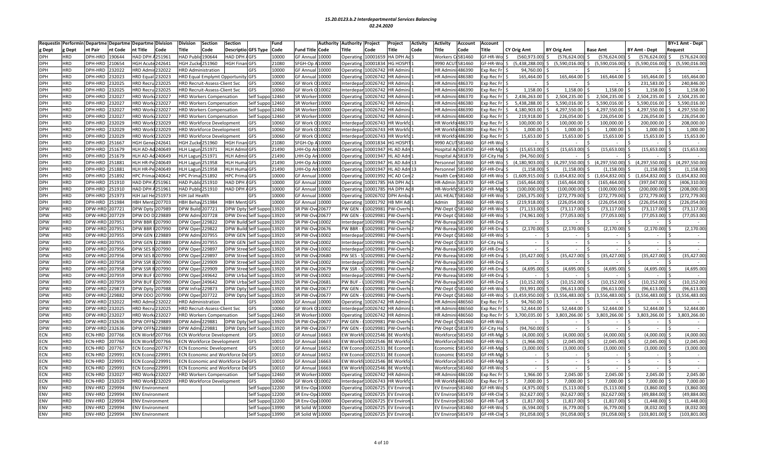| Requestin  | Performin  | Departme Departme        | <b>Departme Division</b>   | Division                             | <b>Section</b> | <b>Section</b>                           | Fund  |                        | Authority | Authority Project  |                               | Project           | <b>Activity</b> | Activity         | <b>Account</b>    | <b>Account</b>     |                          |                    |                           |                                      |         | BY+1 Amt - Dept |
|------------|------------|--------------------------|----------------------------|--------------------------------------|----------------|------------------------------------------|-------|------------------------|-----------|--------------------|-------------------------------|-------------------|-----------------|------------------|-------------------|--------------------|--------------------------|--------------------|---------------------------|--------------------------------------|---------|-----------------|
| Dept       | ζ Dept     | nt Pair<br>nt Code       | ıt Title<br>Code           | Title                                | Code           | Descriptio GFS Type Code                 |       | Fund Title Code        |           | Title              | Code                          | Title             | Code            | <b>Title</b>     | Code              | Title              | <b>CY Orig Amt</b>       | <b>BY Orig Amt</b> | Base Amt                  | <b>BY Amt - Dept</b>                 | Request |                 |
| DPH        | HRD        | 190644<br>DPH-HRD        | 251961<br><b>HAD DPH</b>   | HAD Public 190644                    |                | <b>HAD DPH</b><br>4GFS                   | 10000 | GF Annua               | 10000     | Operating          | 10001659                      | <b>A DPH Ad</b>   |                 | Workers          | 681460            | GF-HR-Wo \$        | (560,973.00              | (576, 624.00)      | (576, 624.00)             | (576, 624.00)                        |         | (576,624.00     |
| DPH        | <b>HRD</b> | DPH-HRD<br>210654        | <b>IGH Acute 242641</b>    | HGH Zucke 251960                     |                | <b>HGH Finan GFS</b>                     | 21080 | SFGH-Op A              | 10000     | Operating          | 10001834                      | <b>IG HOSPI</b>   |                 |                  | 9990 ACUT 581460  | GF-HR-Wol\$        | (5,438,288.00            | (5,590,016.00)     | $(5,590,016.00)$ \$<br>S. | $(5,590,016.00)$ \$                  |         | (5.590.016.00   |
| DPH        | <b>HRD</b> | 232022<br>DPH-HRD        | <b>IRD Admir 232022</b>    | <b>HRD Administration</b>            |                | GFS                                      | 10000 | <b>GF Annual</b>       | 10000     | Operating          | 10026742                      | <b>IR Admini</b>  |                 | <b>HR Admir</b>  | i:486390          | xp Rec Fr          | 94.760.00                |                    |                           |                                      |         |                 |
| DPH        | <b>HRD</b> | DPH-HRD<br>232023        | <b>IRD</b> Equal<br>232023 | <b>HRD Equal Emplymt Opportunity</b> |                | <b>GFS</b>                               | 10000 | GF Annua               | 10000     | Operating          | 10026742                      | <b>R</b> Admini   |                 | HR Admi          | 186380            | xp Rec Fr          | 165,464.00               | 165,464.00         | 165,464.00                | 165,464.00                           |         | 165,464.00      |
| DPH        | <b>HRD</b> | DPH-HRD<br>232025        | IRD Recru 232025           | <b>HRD Recruit-Assess-Client Svc</b> |                | GFS                                      | 10060 | GF Work C              | 10002     | nterdepar          | 10026742                      | R Admin           |                 | <b>HR Admi</b>   | 486370            | xp Rec Fr          |                          |                    |                           | 231.583.00                           |         | 240,846.00      |
| DPH        | <b>HRD</b> | 232025<br>DPH-HRD        | IRD Recru 232025           | <b>HRD Recruit-Assess-Client Svc</b> |                | GFS                                      | 10060 | GF Work C              | 10002     | nterdepar          | 10026742                      | <b>R</b> Admini   |                 | <b>HR Admi</b>   | 486390            | xp Rec Fr          | 1,158.00                 | 1,158.00           | 1,158.00                  | 1,158.00                             |         | 1,158.00        |
| <b>DPH</b> | <b>HRD</b> | DPH-HRD<br>232027        | <b>IRD Work 232027</b>     | <b>HRD Workers Compensatior</b>      |                | Self Suppo 12460                         |       | SR Worke               | 10000     | Operating          | 10026742                      | <b>R</b> Admini   |                 | <b>HR Admir</b>  | 1486370           | xp Rec Fr \$       | 2,436,263.00             | 2,504,235.00       | 2,504,235.00              | 2,504,235.00                         |         | 2,504,235.00    |
| DPH        | <b>HRD</b> | DPH-HRD<br>232027        | IRD Work 232027            | <b>HRD Workers Compensation</b>      |                | Self Suppo 12460                         |       | SR Worker              | 10000     | Operating          | 10026742                      | <b>IR Admini</b>  |                 | <b>HR Admir</b>  | ii:486380         | xp Rec Fr          | 5,438,288.00             | 5,590,016.00       | 5,590,016.00              | 5,590,016.00<br>Ŝ.                   |         | 5,590,016.00    |
| DPH        | <b>HRD</b> | 232027<br>DPH-HRD        | IRD Work 232027            | <b>HRD Workers Compensation</b>      |                | Self Suppo 12460                         |       | SR Worke               | 10000     | <b>Operating</b>   | 10026742                      | R Admin           |                 | <b>HR Admi</b>   | 486390            | xp Rec Fr          | 4,180,903.00             | 4,297,550.00       | 4,297,550.00              | 4,297,550.00                         |         | 4,297,550.00    |
| <b>DPH</b> | <b>HRD</b> | DPH-HRD<br>232027        | <b>IRD Work 232027</b>     | <b>HRD Workers Compensation</b>      |                | Self Suppo 12460                         |       | SR Worker              | 10000     | Operating          | 10026742                      | <b>R</b> Admini   |                 |                  | HR Admini: 486400 | xp Rec Fr          | 219,918.00               | 226,054.00         | 226,054.00                | 226,054.00                           |         | 226,054.00      |
| DPH        | <b>HRD</b> | 232029<br>DPH-HRD        | <b>IRD Work1232029</b>     | <b>HRD Workforce Development</b>     |                | GFS                                      | 10060 | GF Work O              | 10002     | nterdepar          | 10026743                      | <b>IR Workfo</b>  |                 | <b>HR</b> Workf  | a486370           | xp Rec Fr          | 100,000.00               | 100,000.00         | 100,000.00                | 200,000.00                           |         | 208,000.00      |
| DPH        | <b>HRD</b> | DPH-HRD<br>232029        | <b>IRD Work 232029</b>     | <b>HRD Workforce Development</b>     |                | GFS                                      | 10060 | GF Work C              | 10002     | nterdepar          | 10026743                      | R Workfo          |                 | <b>HR Workf</b>  | $-0486380$        | xp Rec Fr          | 1,000.00                 | 1,000.00           | 1,000.00                  | 1,000.00                             |         | 1,000.00        |
| DPH        | <b>HRD</b> | DPH-HRD 232029           | IRD Work 232029            | <b>HRD Workforce Development</b>     |                | GFS                                      | 10060 | GF Work O              | 10002     |                    | nterdepar 10026743            | R Workfo          |                 |                  | HR Workfo 486390  | xp Rec Fr \$       | 15,653.00                | 15,653.00          | 15,653.00                 | 15,653.00 \$                         |         | 15,653.00       |
| DPH        | <b>HRD</b> | DPH-HRD<br>251667        | IGH Gener 242641           | <b>HGH Zucke 251960</b>              |                | <b>HGH Finan GFS</b>                     | 21080 | SFGH-Op                | 10000     | Operating          | 10001834                      | <b>G HOSPI</b>    |                 | 9990 ACI         | 1581460           | F-HR-Wo            |                          |                    |                           |                                      |         |                 |
| DPH        | <b>HRD</b> | DPH-HRD<br>251679        | ILH AD-Ad240649            | <b>HLH Lagun 251971</b>              |                | <b>HLH Admir GFS</b>                     | 21490 | <b>LHH-Op An 10000</b> |           | Operating          | 10001947                      | L AD Adn          |                 |                  | lospital Ad581450 | F-HR-Mgi           | (15, 653.00)             | (15,653.00)        | (15,653.00)               | (15,653.00)                          |         | (15,653.00)     |
| <b>DPH</b> | <b>HRD</b> | DPH-HRD<br>251679        | <b>ILH AD-Ad</b><br>240649 | <b>HLH Lagun 251971</b>              |                | <b>HLH Admir GFS</b>                     | 21490 | <b>LHH-Op An</b>       | 10000     | Operating          | 10001947                      | L AD Adm          |                 |                  | lospital Ad581870 | <b>GF-City Hal</b> | (94,760.00               |                    |                           |                                      |         |                 |
| <b>DPH</b> | <b>HRD</b> | DPH-HRD<br>251881        | ILH HR-Pe<br>240649        | <b>HLH Lagun</b>                     | 251958         | <b>HLH Huma GFS</b>                      | 21490 | HH-Op A                | 10000     | Operating          | 10001947                      | LAD Adm 13        |                 | Personne         | 581460            | F-HR-Wo \$         | (4, 180, 903.00)         | (4,297,550.00)     | (4,297,550.00             | (4, 297, 550.00)<br>Ŝ.               | Ŝ.      | (4,297,550.00   |
| DPH        | <b>HRD</b> | DPH-HRD<br>251881        | ILH HR-Pe 240649           | HLH Lagun 251958                     |                | <b>HLH Huma GFS</b>                      | 21490 | HH-Op Ar               | 10000     | Operating          | 10001947                      | L AD Adm          |                 | Personne         | 581490            | <b>SF-HR-Dru</b>   | (1, 158.00)              | (1, 158.00)        | (1, 158.00)               | (1, 158.00)                          |         | (1, 158.00)     |
| <b>DPH</b> | <b>HRD</b> | 251892<br>DPH-HRD        | 240642<br><b>IPC</b> Prima | <b>HPC Prima</b> 251892              |                | <b>HPC Prima GFS</b>                     | 10000 | GF Annua               | 10000     | <b>Operating</b>   | 10001992                      | C AD Cen          |                 | Health Ce        | n 581460          | F-HR-Wo \$         | (1.609.915.00            | (1,654,832.00)     | (1.654.832.00)            | (1.654.832.00)<br>Ŝ.                 |         | (1.654.832.00   |
| DPH        | <b>HRD</b> | DPH-HRD<br>251910        | <b>HAD DPH</b><br>251961   | HAD Public 251910                    |                | HAD DPH<br><b>AGFS</b>                   | 10000 | GF Annua               | 10000     | Operating          | 10001785                      | <b>A DPH Ad</b>   |                 | HR-Admir         | 581470            | GF-HR-Clie         | 165,464.00               | (165, 464.00)      | (165, 464.00)             | (397, 047.00)                        |         | 406,310.00      |
| DPH        | HRD        | DPH-HRD 251910           | HAD DPH A251961            | HAD Public 251910                    |                | HAD DPH AGFS                             | 10000 | GF Annual 10000        |           | Operating          | 10001785                      | <b>A DPH Ad8</b>  |                 |                  | HR-Workfd581450   | F-HR-Mgi           | (100,000.00              | (100,000.00)       | (100,000.00)              | (200,000.00)                         |         | 208,000.00      |
| DPH        | <b>HRD</b> | 251973<br>DPH-HRD        | IJH Jail I<br>251973       | HJH Jail Health                      |                | GFS                                      | 10000 | <b>GF Annua</b>        | 10000     | Operating          | 10026702                      | PH Ambu           |                 | AIL HEA          | 581460            | F-HR-Wo            | 265,375.00               | (272, 779.00)      | (272, 779.00)             | (272, 779.00)                        |         | 272,779.00      |
| <b>DPH</b> | <b>HRD</b> | DPH-HRD<br>251984        | <b>IBH Ment: 207703</b>    | HBH Behav 251984                     |                | <b>HBH MentiGFS</b>                      | 10000 | GF Annua               | 10000     | Operating          | 10001792                      | <b>B MH Adı</b>   |                 | Admin            | 581460            | F-HR-Wo            | (219,918.00              | (226, 054.00)      | (226, 054.00)             | (226, 054.00)                        |         | (226,054.00     |
| <b>DPW</b> | <b>HRD</b> | DPW-HRD 207721           | PW Dpty 207989             | <b>DPW Build 207721</b>              |                | <b>DPW Dpty</b><br>Self Suppo 13920      |       | SR PW-Ove 20677        |           | PW GEN             | 10029981                      | PW-Overh          |                 | PW-Dept          | C581460           | F-HR-Wo            | (71, 133.00)             | (73, 117.00)       | (73, 117.00)              | (73, 117.00)                         |         | (73, 117.00)    |
| <b>DPW</b> | <b>HRD</b> | DPW-HRD 207729           | PW DO D 229889             | DPW Admi 207728                      |                | <b>DPW Dired</b><br>Self Suppo 13920     |       | SR PW-Ove 20677        |           | PW GEN             | 1002998                       | PW-Overh          |                 | PW-Dept          | C581460           | F-HR-Wo            | (74,961.00               | (77,053.00)        | (77,053.00)               | (77,053.00)                          |         | (77,053.00      |
| DPW        | HRD        | DPW-HRD 207951           | PW BBR E207990             | DPW Oper 229822                      |                | <b>DPW Build</b><br>Self Suppo 13920     |       | SR PW-Ove 10002        |           | nterdepa           | 1002998                       | <b>W-Overhe</b>   |                 |                  | PW-Bureau581490   | F-HR-Dru           | $\overline{\phantom{a}}$ |                    |                           | $\sim$                               |         |                 |
| DPW        | <b>HRD</b> | DPW-HRD 207951           | PW BBR E207990             | <b>DPW Oper 229822</b>               |                | <b>DPW Build</b><br>Self Suppo 13920     |       | SR PW-Ove 20676        |           | PW BBR             | 10029981                      | <b>W-Overhe</b>   |                 |                  | PW-Bureau 581490  | F-HR-Dru           | (2, 170.00)              | (2, 170.00)        | (2, 170.00)               | (2, 170.00)                          |         | (2, 170.00)     |
| <b>DPW</b> | <b>HRD</b> | DPW-HRD 207955           | PW GEN<br>229889           | DPW Admi 207955                      |                | <b>DPW GEN</b><br>Self Suppo 13920       |       | SR PW-Ove 10002        |           | nterdepa           | 1002998                       | <b>W-Overh</b>    |                 | PW-Dept          | C581460           | GF-HR-Wo           | $\sim$                   |                    | $\sim$                    | $\sim$                               |         |                 |
| <b>DPW</b> | HRD        | DPW-HRD 207955           | <b>DPW GEN 1229889</b>     | DPW Admi 207955                      |                | <b>DPW GEN</b><br>Self Suppo 13920       |       | SR PW-Ov               | 10002     | nterdepar 10029981 |                               | PW-Overh          |                 |                  | PW-Dept C581870   | GF-City Hal        | $\sim$                   | $\sim$             | $\sim$                    | $\sim$                               |         |                 |
| DPW        | <b>HRD</b> | DPW-HRD 207956           | OPW SES B 207990           | <b>DPW Oper 229897</b>               |                | <b>DPW Stre</b><br>elf Suppo 13920       |       | SR PW-Ov               | 10002     | nterdepa           | 1002998                       | W-Overh           |                 | PW-Burea         | <b>U581490</b>    | F-HR-Dru           |                          |                    |                           |                                      |         |                 |
| <b>DPW</b> | <b>HRD</b> | DPW-HRD 207956           | OPW SES B 207990           | DPW Oper 229897                      |                | <b>DPW Stree</b><br>Self Suppo 13920     |       | SR PW-Ove 20680        |           | PW SES -           | 10029981                      | PW-Overhe         |                 |                  | PW-Bureau 581490  | F-HR-Dru           | (35, 427.00)             | (35, 427.00)       | (35, 427.00)              | (35, 427.00)                         |         | (35, 427.00)    |
| <b>DPW</b> | HRD        | DPW-HRD 207958           | OPW SSR B207990            | DPW Oper 229909                      |                | <b>DPW Stree</b><br>Self Suppo 13920     |       | SR PW-Ove 10002        |           | nterdepar          | 10029981                      | <b>W-Overhe</b>   |                 |                  | PW-Bureau581490   | F-HR-Dru           |                          |                    |                           |                                      |         |                 |
| <b>DPW</b> | <b>HRD</b> | DPW-HRD 207958           | <b>PW SSR</b><br>3207990   | <b>DPW Oper</b>                      | 229909         | <b>DPW Stree</b><br>Self Suppo 13920     |       | SR PW-Ov               | €20679    | PW SSR             | 1002998                       | <b>W-Overhe</b>   |                 | PW-Burea         | IL581490          | <b>SF-HR-Dru</b>   | (4,695.00)               | (4,695.00)         | (4,695.00)                | (4,695.00)                           |         | (4,695.00)      |
| DPW        | HRD        | DPW-HRD 207959           | PW BUF E207990             | DPW Oper 249642                      |                | DPW Urbal<br>Self Suppo 13920            |       | SR PW-Ove 10002        |           | nterdepar          | 10029981                      | PW-Overh          |                 |                  | PW-Bureau 581490  | F-HR-Dru           |                          |                    |                           |                                      |         |                 |
| <b>PW</b>  | <b>HRD</b> | DPW-HRD 207959           | PW BU<br>207990            | <b>DPW Oper 249642</b>               |                | DPW Urba<br>Self Suppo 13920             |       | SR PW-Ov               | 20681     | PW BUF             | 1002998                       | 'W-Overh          |                 | PW-Burea         | 581490            | F-HR-Dru           | (10, 152.00)             | (10, 152.00)       | (10, 152.00)              | (10, 152.00)                         |         | (10, 152.00)    |
| DPW        | <b>HRD</b> | DPW-HRD 229873           | <b>DPW Dpty</b><br>207988  | DPW Infras229873                     |                | DPW Dpty<br>Self Suppo 13920             |       | SR PW-Ove 20677        |           | PW GEN             | 1002998                       | <b>W-Overh</b>    |                 | PW-Dept          | G581460           | <b>F-HR-Wo</b>     | (93.991.00               | (96, 613.00)       | (96.613.00)               | (96.613.00)                          |         | (96, 613.00)    |
| <b>PW</b>  | HRD        | DPW-HRD 229882           | OPW DDO 207990             | OPW Oper 207722                      |                | DPW Dpty Self Suppo 13920                |       | SR PW-Ove 20677        |           | PW GEN             | (10029981                     | PW-Overh          |                 |                  | W-Dept 0581460    | F-HR-Wo \$         | (3,459,950.00)           | (3,556,483.00)     |                           | $(3,556,483.00)$ \$ $(3,556,483.00)$ | Ŝ.      | (3,556,483.00)  |
| <b>DPW</b> | <b>HRD</b> | DPW-HRD 232022           | <b>IRD Admir 232022</b>    | <b>HRD Administration</b>            |                | GFS                                      | 10000 | <b>GF Annua</b>        | 10000     | Operating          | 10026742                      | <b>IR Admin</b> i |                 |                  | HR Admini: 486560 | xp Rec Fr          | 94,760.00                |                    |                           |                                      |         |                 |
| <b>DPW</b> | <b>HRD</b> | DPW-HRD 232025           | IRD Recru 232025           | HRD Recruit-Assess-Client Svc        |                | GFS                                      | 10060 | GF Work O              | 10002     | Interdepa          | 10026742                      | <b>R</b> Admini   |                 | <b>HR Admin</b>  | ii:486560         | xp Rec Fr          | 52,444.00                | 52,444.00          | 52,444.00                 | 52,444.00                            |         | 52,444.00       |
| <b>DPW</b> | HRD        | DPW-HRD 232027           | IRD Work 232027            | <b>HRD Workers Compensation</b>      |                | Self Suppo 12460                         |       | SR Worke               | 10000     | Operating          | 10026742                      | R Admini          |                 | HR Admi          | 486560            | xp Rec Fr          | 3,700,035.00             | 3,803,266.00       | 3,803,266.00              | 3,803,266.00<br>Ŝ.                   | I\$     | 3,803,266.00    |
| <b>DPW</b> | <b>HRD</b> | DPW-HRD 232636           | PW OFFN 229889             | DPW Admi 229881                      |                | DPW Dpty<br>Self Suppo 13920             |       | SR PW-Ove 20677        |           | PW GEN             | (10029981                     | PW-Overh          |                 | PW-Dept          | C581460           | GF-HR-Wo           |                          |                    | $\sim$                    | $\sim$                               | S,      |                 |
| DPW        | <b>HRD</b> | DPW-HRD 232636           | PW OFFN 229889             | DPW Admi 229881                      |                | Self Suppo 13920<br><b>DPW Dpty</b>      |       | SR PW-Ove 20677        |           | PW GEN             | (10029981                     | <b>W-Overhe</b>   |                 |                  | PW-Dept G581870   | <b>GF-City Hal</b> | (94, 760.00)             |                    | $\sim$                    | $\sim$                               |         |                 |
| ECN        | <b>HRD</b> | ECN-HRD<br>207766        | CN Workf 207766            | <b>ECN Workforce Development</b>     |                | GFS                                      | 10010 | <b>GF Annua</b>        | 16663     | <b>EW Work</b>     | 10022546                      | <b>BE Workfc</b>  |                 |                  | Workforce 581450  | F-HR-Mgr           | (4,000.00)               | (4,000.00)         | (4,000.00)                | (4,000.00)                           |         | (4,000.00)      |
| ECN        | <b>HRD</b> | ECN-HRD<br>207766        | CN Workf 207766            | ECN Workforce Development            |                | GFS                                      | 10010 | <b>GF Annua</b>        | 16663     | <b>EW Workf</b>    | 10022546                      | <b>E</b> Workfo   |                 |                  | Workforce 581460  | F-HR-Wo            | (1,966.00)               | (2,045.00)         | (2,045.00)                | (2,045.00)                           |         | (2,045.00)      |
| ECN        | <b>HRD</b> | <b>ECN-HRD</b><br>207767 | CN Econo 207767            | <b>ECN Economic Development</b>      |                | GFS                                      | 10010 | <b>GF Annua</b>        | 16652     | <b>EW Econor</b>   | 10022531                      | <b>E</b> Econom   |                 | Economio         | 581450            | F-HR-Mg            | (3,000.00)               | (3,000.00)         | (3,000.00)                | (3,000.00)                           |         | (3,000.00)      |
| <b>ECN</b> | <b>HRD</b> | <b>ECN-HRD</b><br>229991 | CN Econo 229991            |                                      |                | ECN Economic and Workforce De GFS        | 10010 | GF Annua               | 16652     | <b>EW Econo</b>    | 1002253                       | <b>E</b> Econom   |                 | Economi          | 581450            | GF-HR-Mgi          | $\sim$                   |                    | $\overline{a}$            |                                      |         |                 |
| ECN        | <b>HRD</b> | ECN-HRD<br>229991        | CN Econo 229991            |                                      |                | <b>ECN Economic and Workforce De GFS</b> | 10010 | <b>GF Annua</b>        | 16663     |                    | EW Workfc10022546             | BE Workfo         |                 | Workforc         | e 581450          | F-HR-Mgr           | $\sim$                   |                    | $\sim$                    | $\sim$                               |         |                 |
| ECN        | <b>HRD</b> | 229991<br>ECN-HRD        | CN Econo 229991            |                                      |                | <b>ECN Economic and Workforce De GFS</b> | 10010 | <b>GF Annua</b>        | 16663     | <b>EW Workf</b>    | 10022546                      | <b>E</b> Workfo   |                 | Workforc         | e 581460          | F-HR-Wo            |                          |                    |                           |                                      |         |                 |
| <b>ECN</b> | <b>HRD</b> | ECN-HRD<br>232027        | <b>HRD Work 232027</b>     | <b>HRD Workers Compensation</b>      |                | Self Suppo 12460                         |       | SR Worker 10000        |           | Operating          | 10026742                      | <b>R</b> Admini   |                 |                  | HR Admini: 486100 | xp Rec Fr          | 1,966.00                 | 2,045.00           | 2,045.00                  | $2,045.00$ \$                        |         | 2,045.00        |
| ECN        | <b>HRD</b> | ECN-HRD<br>232029        | IRD Work 232029            | <b>HRD Workforce Development</b>     |                | GFS                                      | 10060 | GF Work O              | 10002     |                    | nterdepar 10026743            | <b>IR Workfo</b>  |                 | <b>HR Workf</b>  | o486100           | xp Rec Fr          | 7.000.00                 | 7.000.00           | 7.000.00                  | 7.000.00                             |         | 7,000.00        |
| ENV        | <b>HRD</b> | 229994<br><b>ENV-HRD</b> | NV Environment             |                                      |                | Self Suppo 12200                         |       | SR Env-Op              | 10000     | Operating          | 10026725                      | V Enviror         |                 | <b>EV Enviro</b> | n 581460          | F-HR-Wo            | (4,975.00)               | (5, 113.00)        | (5, 113.00)               | (3,860.00)                           |         | (3,860.00)      |
| <b>ENV</b> | <b>HRD</b> | 229994<br>ENV-HRD        | <b>NV Environment</b>      |                                      |                | elf Suppo 12200                          |       | SR Env-Op 10000        |           | Operating          | 10026725                      | V Enviror         |                 | <b>EV Enviro</b> | 1581470           | F-HR-Clie          | (62,627.00               | (62, 627.00)       | (62, 627.00)              | (49, 884.00)                         |         | (49,884.00      |
| ENV        | <b>HRD</b> | ENV-HRD<br>229994        | <b>NV Environment</b>      |                                      |                | Self Suppo 12200                         |       | SR Env-Ope             | 10000     | <b>Dperatin</b>    | 10026725                      | V Environ         |                 |                  | EV Environ 581560 | F-HR-Tuit          | (1, 817.00)              | (1,817.00)         | (1, 817.00)               | (1,448.00)                           |         | (1,448.00)      |
| <b>ENV</b> | <b>HRD</b> | ENV-HRD<br>229994        | NV Environment             |                                      |                | Self Suppo 13990                         |       | SR Solid W 10000       |           | Operating          | 10026725                      | V Environ         |                 |                  | EV Environ 581460 | GF-HR-Wo           | (6,594.00)               | (6,779.00)         | (6,779.00)                | (8,032.00)                           |         | (8,032.00)      |
| ENV        | <b>HRD</b> | ENV-HRD 229994           | <b>ENV Environment</b>     |                                      |                | Self Suppo 13990                         |       | SR Solid W 10000       |           |                    | Operating 10026725 EV Environ |                   |                 |                  | EV Environ 581470 | GF-HR-Clie \$      | (91,058.00)              | (91,058.00)        | $(91,058.00)$ \$          | $(103, 801.00)$ \$                   |         | 103,801.00      |
|            |            |                          |                            |                                      |                |                                          |       |                        |           |                    |                               |                   |                 |                  |                   |                    |                          |                    |                           |                                      |         |                 |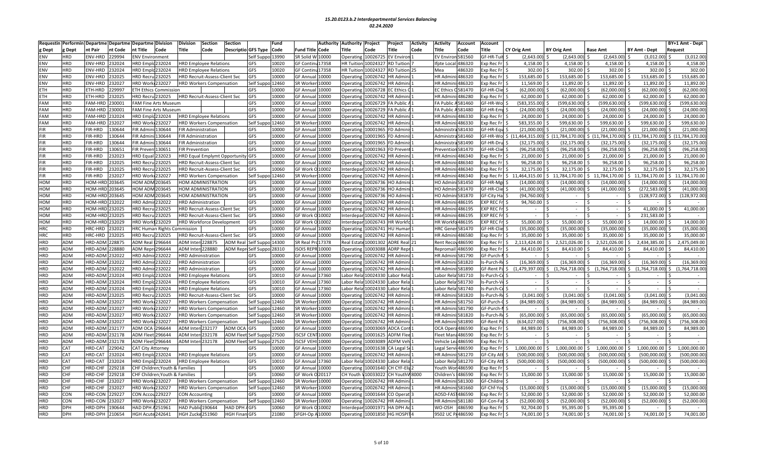| Requesti                 | Performin  | Departme           | <b>Departme</b> | <b>Departme Division</b> |                                    | Division                  | Section                              | Section                           |                  | Fund           |                                     | Authority      | <b>Authority</b>      | Project                       | Project                | <b>Activity</b> | Activity                           | <b>Account</b>   | Account                |                           |                    |                                                                               |                       | BY+1 Amt - Dept     |              |
|--------------------------|------------|--------------------|-----------------|--------------------------|------------------------------------|---------------------------|--------------------------------------|-----------------------------------|------------------|----------------|-------------------------------------|----------------|-----------------------|-------------------------------|------------------------|-----------------|------------------------------------|------------------|------------------------|---------------------------|--------------------|-------------------------------------------------------------------------------|-----------------------|---------------------|--------------|
| g Dept                   | Dept:      | nt Pair            | nt Code         | nt Title                 | Code                               | Title                     | Code                                 | <b>Descriptio GFS Type</b>        |                  | Code           | Fund Title                          | Code           | Title                 | Code                          | Title                  | Code            | <b>Title</b>                       | Code             | litle                  | <b>CY Orig Amt</b>        | <b>BY Orig Amt</b> | <b>Base Amt</b>                                                               | <b>BY Amt - Dept</b>  | Request             |              |
| ENV                      | HRD        | ENV-HRD            | 229994          | <b>ENV Environment</b>   |                                    |                           |                                      |                                   | Self Suppo 13990 |                | SR Solid W                          | 10000          | Operating             | 10026725                      | <b>EV Enviror</b>      |                 | EV Enviro                          | 581560           | GF-HR-Tuit             | (2,643.00)                | (2,643.00)         | (2,643.00)                                                                    | (3,012.00)            |                     | (3,012.00)   |
| ENV                      | HRD        | ENV-HRD            | !32024          | IRD Emplc 232024         |                                    |                           | <b>HRD Employee Relations</b>        |                                   | GFS              | 10020          | <b>GF Contin</b>                    | 17358          | <b>HR Tuition</b>     | 10024327                      | <b>RD</b> Tuition      |                 | fpte Loca                          | 486320           | xp Rec Fr              | 4,158.00                  | 4,158.00           | 4,158.00                                                                      | 4,158.00              |                     | 4,158.00     |
| ENV                      | HRD        | <b>ENV-HRD</b>     | 32024           | IRD Emplc 232024         |                                    |                           | <b>HRD Emplovee Relations</b>        |                                   | GFS              | 10020          | <b>GF Contin</b>                    | 17358          | <b>HR Tuition</b>     | 10024327                      | <b>RD</b> Tuition 25   |                 | Mea                                | 486320           | xp Rec Fr S            | 302.00                    | 302.00             | 302.00                                                                        | 302.00                |                     | 302.00       |
| ENV                      | HRD        | ENV-HRD            | 232025          | IRD Recru 232025         |                                    |                           | <b>HRD Recruit-Assess-Client Svc</b> |                                   | GFS              | 10000          | <b>GF Annua</b>                     | 10000          | Operating             | 10026742                      | <b>IR Admini</b>       |                 | <b>HR Admin</b>                    | i:486320         | xp Rec Fr \$           | 153,685.00                | 153,685.00         | 153,685.00                                                                    | 153,685.00            |                     | 153,685.00   |
| ENV                      | <b>HRD</b> | ENV-HRD            | 232027          | <b>IRD Work 232027</b>   |                                    |                           | <b>HRD Workers Compensation</b>      |                                   | Self Suppo 12460 |                | SR Worker                           | 10000          | Operating             | 10026742                      | <b>IR Admini:</b>      |                 | HR Admini: 486320                  |                  | xp Rec Fr              | 11,569.00                 | 11,892.00          | 11,892.00                                                                     | 11,892.00             |                     | 11,892.00    |
| <b>ETH</b>               | HRD        | ETH-HRD            | 29997           |                          | <b>ETH Ethics Commission</b>       |                           |                                      |                                   | GFS              | 10000          | GF Annua                            | 10000          | Operating             | 10026728                      | C Ethics (             |                 | <b>EC Ethics</b>                   | 0581470          | F-HR-Clie              | (62,000.00)               | (62,000.00)        | (62,000.00)                                                                   | (62,000.00)           |                     | (62,000.00)  |
| <b>ETH</b>               | <b>HRD</b> | ETH-HRD            | 32025           | <b>RD Recru 232025</b>   |                                    |                           | <b>HRD Recruit-Assess-Client Svc</b> |                                   | <b>GFS</b>       | 10000          | <b>GF Annual</b>                    | 10000          | Operating             | 10026742                      | IR Admini              |                 | HR Admini: 486280                  |                  | xp Rec Fr              | 62,000.00                 | 62,000.00          | 62,000.00                                                                     | 62,000.00 \$          |                     | 62,000.00    |
| <b>FAM</b>               | HRD        | FAM-HRD            | 230001          |                          | AM Fine Arts Museum                |                           |                                      |                                   | GFS              | 10000          | <b>GF Annual</b>                    | 10000          | Operating             | 10026729                      | A Public               |                 | FA Public                          | A581460          | F-HR-Wol S             | 583,355.00                | (599.630.00)       | (599.630.00)                                                                  | 599,630.00)           |                     | 599,630.00   |
| <b>FAM</b>               | HRD        | FAM-HRD            | 230001          |                          | FAM Fine Arts Museum               |                           |                                      |                                   | GFS              | 10000          | <b>GF Annua</b>                     | 10000          | Operating             | 10026729                      | A Public               |                 | FA Public                          | 581480           | SF-HR-Emr \$           | (24,000.00)               | (24,000.00)        | (24,000.00)                                                                   | (24,000.00)           |                     | (24,000.00)  |
| <b>FAM</b>               | <b>HRD</b> | FAM-HRD            | 232024          | IRD Emplc 232024         |                                    |                           | <b>HRD Employee Relations</b>        |                                   | GFS              | 10000          | <b>GF Annual</b>                    | 10000          | Operating             | 10026742                      | <b>IR Admin</b>        |                 | <b>HR Admin</b>                    | i:486330         | xp Rec Fr              | 24,000.00                 | 24,000.00          | 24,000.00                                                                     | 24,000.00             |                     | 24,000.00    |
| <b>FAM</b>               | HRD        | FAM-HRD            | 232027          | IRD Work 232027          |                                    |                           | <b>HRD Workers Compensation</b>      |                                   | Self Sup         | 12460          | SR Worker                           | 10000          | Operating             | 10026742                      | <b>IR Admini</b>       |                 | <b>HR Admi</b>                     | :486330          | xp Rec Fr \$           | 583,355.00                | 599,630.00         | 599,630.00                                                                    | 599,630.00            |                     | 599,630.00   |
| <b>FIR</b>               | HRD        | FIR-HRD            | 30644           | IR Admini 130644         |                                    | <b>FIR Administration</b> |                                      |                                   | <b>GFS</b>       | 10000          | <b>GF Annua</b>                     | 10000          | Operating             | 10001965                      | D Admini               |                 | Administı                          | a 581430         | GF-HR-Eau              | (21,000.00                | (21,000.00)        | (21,000.00)                                                                   | (21.000.00)           |                     | (21,000.00)  |
| <b>FIR</b>               | HRD        | FIR-HRD            | 130644          | IR Admini 130644         |                                    | <b>FIR Administration</b> |                                      |                                   | GFS              | 10000          | <b>GF Annual</b>                    | 10000          | Operating             | 10001965                      | D Admini               |                 | Administr                          | a 581460         |                        | F-HR-Wo \$ (11,464,315.00 | \$(11,784,170.00)  | $\frac{1}{2}$ (11,784,170.00) $\frac{1}{2}$ (11,784,170.00) $\frac{1}{2}$ (11 |                       |                     | .,784,170.00 |
| <b>FIR</b>               | <b>HRD</b> | FIR-HRD            | 130644          | <b>IR Admin</b>          | 130644                             | FIR Administration        |                                      |                                   | <b>GFS</b>       | 10000          | GF Annua                            | 10000          | Operating             | 10001965                      | D Admin                |                 | Administ                           | 581490           | F-HR-Dru               | (32, 175.00)              | (32, 175.00)       | (32, 175.00)                                                                  | (32, 175.00)          |                     | (32, 175.00) |
| <b>FIR</b>               | <b>HRD</b> | FIR-HRD            | 130651          | IR Preven 130651         |                                    | FIR Prevention            |                                      |                                   | GFS              | 10000          | GF Annual                           | 10000          | Operating             | 10001963                      | D Preven               |                 | Preventio                          | 1581470          | F-HR-Clie              | (96, 258.00)              | (96, 258.00)       | (96, 258.00)                                                                  | (96, 258.00)          |                     | (96, 258.00) |
| <b>FIR</b>               | HRD        | FIR-HRD            | 232023          | <b>IRD Equal 232023</b>  |                                    |                           |                                      | HRD Equal Emplymt Opportunity GFS |                  | 10000          | <b>GF Annual</b>                    | 10000          | Operating             | 10026742                      | <b>IR Admini</b>       |                 | <b>HR Admin</b>                    | i:486340         | xp Rec Fr \$           | 21,000.00                 | 21,000.00          | 21,000.00                                                                     | 21,000.00 \$          |                     | 21,000.00    |
| <b>FIR</b>               | HRD        | FIR-HRD            | 232025          | IRD Recru 232025         |                                    |                           | <b>HRD Recruit-Assess-Client Svc</b> |                                   | GFS              | 10000          | <b>GF Annua</b>                     | 10000          | Operating             | 10026742                      | <b>IR Admini</b>       |                 | <b>HR Admi</b>                     | 486340           | xp Rec Fr              | 96,258.00                 | 96,258.00          | 96.258.00                                                                     | 96,258.00             |                     | 96,258.00    |
| <b>FIR</b>               | HRD        | FIR-HRD            | 32025           | IRD Recru 232025         |                                    |                           | HRD Recruit-Assess-Client Svc        |                                   | GFS              | 10060          | GF Work O                           | 10002          | Interdepar 10026742   |                               | <b>IR Admini</b>       |                 | HR Admini: 486340                  |                  | xp Rec Fr              | 32,175.00                 | 32,175.00          | 32,175.00                                                                     | 32,175.00             |                     | 32,175.00    |
| <b>FIR</b>               | HRD        | FIR-HRD            | 32027           | <b>IRD Work</b>          | 232027                             |                           | <b>HRD Workers Compensation</b>      |                                   | Self Sur         | 12460          | <b>SR Worke</b>                     | 10000          | Operatin              | 10026742                      | R Admin                |                 | <b>IR Admi</b>                     | 486340           | xp Rec Fr              | ,464,315.00               | 11.784.170.00      | \$11,784,170.00                                                               | \$11,784,170.00       |                     | 1,784,170.00 |
| HOM                      | HRD        | HOM-HRI            | 203645          | <b>OM ADM 203645</b>     |                                    |                           | HOM ADMINISTRATION                   |                                   | <b>GFS</b>       | 10000          | <b>GF Annual</b>                    | 10000          | Operating             | 10026736                      | IO Admin               |                 | HO Admi                            | 581450           | F-HR-Mgr               | (14,000.00)               | (14,000.00)        | (14,000.00)                                                                   | (14,000.00)           |                     | (14,000.00)  |
| HOM                      | HRD        | HOM-HRD            | 203645          | <b>OM ADM 203645</b>     |                                    |                           | HOM ADMINISTRATION                   |                                   | <b>GFS</b>       | 10000          | <b>GF Annual</b>                    | 10000          | Operating             | 10026736                      | <b>IO Admini</b>       |                 | HO Adm                             | 581470           | F-HR-Clie <sup>5</sup> | (41,000.00)               | (41,000.00)        | (41,000.00)                                                                   | (272, 583.00)         |                     | (41,000.00)  |
| HOM                      | HRD        | HOM-HRD            | 203645          | <b>OM ADM 203645</b>     |                                    |                           | <b>HOM ADMINISTRATION</b>            |                                   | <b>GFS</b>       | 10000          | <b>GF Annua</b>                     | 10000          | Operating             | 10026736                      | <b>IO Admir</b>        |                 | HO Adm                             | 581870           | GF-City Hal            | (94,760.00                |                    | $\sim$                                                                        | $(128, 972.00)$ \$    |                     | 128,972.00   |
| HOM                      | HRD        | HOM-HRD            | 232022          | <b>IRD Admir</b>         | 232022                             | HRD Administration        |                                      |                                   | GFS              | 10000          | <b>GF Annual</b>                    | 10000          | Operating             | 10026742                      | <b>IR Admini</b>       |                 | <b>HR Admin</b>                    | i:486195         | <b>XP REC Fri</b>      | 94,760.00                 |                    | $\sim$                                                                        |                       |                     |              |
| HOM                      | HRD        | HOM-HRD            | 232025          | IRD Recru 232025         |                                    |                           | HRD Recruit-Assess-Client Svc        |                                   | <b>GFS</b>       | 10000          | GF Annua                            | 10000          | Operating             | 10026742                      | <b>IR Admini</b>       |                 | <b>HR Admir</b>                    | 486195           | XP REC Fr \$           |                           |                    | $\sim$                                                                        | 41,000.00             |                     | 41,000.00    |
| HOM                      | HRD        | HOM-HRI            | 232025          | IRD Recru 232025         |                                    |                           | HRD Recruit-Assess-Client Svc        |                                   | GFS              | 10060          | <b>GF Work</b>                      | 10002          | Interdepa             | 10026742                      | <b>IR Admini</b>       |                 | <b>HR Admir</b>                    | 486195           | <b>XP REC Fr</b>       |                           |                    | $\sim$                                                                        | 231,583.00            |                     |              |
| <b>HOM</b>               | HRD        | HOM-HRD            | 232029          | IRD Work1232029          |                                    |                           | <b>HRD Workforce Development</b>     |                                   | GFS              | 10060          | GF Work O                           | 10002          | Interdepar 10026743   |                               | IR Workfo              |                 | <b>HR Workf</b>                    | a486195          | <b>XP REC Fr</b> 9     | 55,000.00                 | 55,000.00          | 55,000.00                                                                     | 14,000.00 \$          |                     | 14,000.00    |
| <b>HRC</b>               | HRD        | HRC-HRD            | 32021           |                          | <b>IRC Human Rights Commission</b> |                           |                                      |                                   | GFS              | 10000          | GF Annua                            | 10000          | Operating             | 10026741                      | U Huma                 |                 | <b>HRC</b> Gene                    | 581470           | F-HR-Clie              | (35,000.00)               | (35,000.00)        | (35.000.00                                                                    | (35,000.00)           |                     | (35,000.00)  |
| <b>HRC</b>               | HRD        | HRC-HRD            | 32025           | IRD Recru 232025         |                                    |                           | HRD Recruit-Assess-Client Svc        |                                   | GFS              | 10000          | <b>GF Annual</b>                    | 10000          | Operating             | 10026742                      | <b>IR Admini:</b>      |                 | HR Admin                           | :486580          | xp Rec Fr   \$         | 35,000.00                 | 35,000.00          | 35,000.00                                                                     | 35,000.00             |                     | 35,000.00    |
| <b>HRD</b>               | ADM        | HRD-ADM            | 228875          | ADM Real                 | 296644                             | ADM Inter 228875          |                                      | <b>ADM Real</b>                   | Self Suppo 14300 |                | SR Real Pr                          | 17378          | Real Estat            | 10001302                      | <b>IDRE Real 21</b>    |                 | ent Recov486590                    |                  | xp Rec Fr \$           | 2,113,424.00              | 2,521,026.00       | 2,521,026.00                                                                  | Ŝ.<br>2,434,385.00 \$ | 2.475.049.00        |              |
| <b>HRD</b>               | ADM        | HRD-ADN            | 228880          | ADM Repre296644          |                                    | ADM Inter 228880          |                                      | ADM RepreSelf Suppo 28310         |                  |                | <b>ISOIS REPI</b>                   | 10000          | Operating             | 10003088                      | <b>IDRP</b> Repr       |                 | Reproma                            | 486590           | xp Rec Fr              | 84,410.00                 | 84,410.00          | 84,410.00                                                                     | 84,410.00             |                     | 84,410.00    |
| <b>HRD</b>               | ADM        | HRD-ADM            | 32022           | <b>IRD Admir 232022</b>  |                                    | <b>HRD Administration</b> |                                      |                                   | GFS              | 10000          | <b>GF Annual</b>                    | 10000          | Operating             | 10026742                      | <b>IR Admini</b>       |                 | <b>HR Admin</b>                    | :581790          | F-Purch-N              |                           |                    |                                                                               |                       |                     |              |
| <b>HRD</b>               | <b>ADM</b> | HRD-ADN            | 232022          | <b>IRD</b> Adm           | 232022                             | <b>HRD Administration</b> |                                      |                                   | GFS              | 10000          | GF Annua                            | 10000          | Operating             | 10026742                      | <b>IR Admini</b>       |                 | <b>IR Admi</b>                     | 581820           | -Purch-Re              | (16, 369.00)              | (16, 369.00)       | (16, 369.00)                                                                  | (16, 369.00)          |                     | (16, 369.00) |
| <b>HRD</b>               | ADM        | HRD-ADN            | 232022          | <b>IRD Admir</b>         | 232022                             | <b>HRD Administration</b> |                                      |                                   | <b>GFS</b>       | 10000          | <b>GF Annua</b>                     | 10000          | Operating             | 10026742                      | <b>IR Admini:</b>      |                 | <b>HR Admir</b>                    | 581890           | SF-Rent Pa Ś           | (1,479,397.00             | (1,764,718.00)     | (1,764,718.00)                                                                | (1.764.718.00)<br>Ŝ.  | (1,764,718.00<br>Ŝ. |              |
| <b>HRD</b>               | <b>ADM</b> | HRD-ADM 232024     |                 | IRD Emplc 232024         |                                    |                           | <b>HRD Employee Relations</b>        |                                   | <b>GFS</b>       | 10010          | <b>GF Annual</b>                    | 17360          | Labor Rela 10024330   |                               | abor Rela              |                 | abor Rela 581710                   |                  | -Purch-Ce              | $\sim$                    |                    |                                                                               | $\sim$                |                     |              |
| <b>HRD</b>               | ADM        | HRD-ADM            | 232024          | IRD Emplc 232024         |                                    |                           | <b>HRD Employee Relations</b>        |                                   | <b>GFS</b>       | 10010          | GF Annua                            | 17360          | Labor Rela            | 10024330                      | abor Rela              |                 | Labor Rela                         | 581730           | -Purch-Ve              | $\sim$                    |                    | $\sim$                                                                        | $\sim$                |                     |              |
| <b>HRD</b>               | ADM        | HRD-ADM            | 232024          | IRD Emplc 232024         |                                    |                           | <b>HRD Employee Relations</b>        |                                   | <b>GFS</b>       | 10010          | <b>GF Annual</b>                    | 17360          | Labor Rela            | 10024330                      | abor Rela <sup>.</sup> |                 | abor Rela 581740                   |                  | -Purch-Ce              |                           |                    |                                                                               |                       |                     |              |
| <b>HRD</b>               | ADM        | HRD-ADM            | 232025          | IRD Recru 232025         |                                    |                           | HRD Recruit-Assess-Client Svc        |                                   | <b>GFS</b>       | 10000          | <b>GF Annual</b>                    | 10000          | Operating             | 10026742                      | <b>IR Admini</b>       |                 | <b>HR</b> Admir                    | 581820           | -Purch-Re \$           | (3,041.00)                | (3,041.00)         | (3,041.00)                                                                    | (3,041.00)            |                     | (3,041.00)   |
| <b>HRD</b>               | ADM        | HRD-ADM            | 232027          | IRD Work 232027          |                                    |                           | <b>HRD Workers Compensation</b>      |                                   | Self Suppo 12460 |                | SR Worker                           | 10000          | Operating             | 10026742                      | <b>IR Admini</b>       |                 | <b>HR Admir</b>                    | 581750           | SF-Purch-C \$          | (84,989.00                | (84,989.00         | (84,989.00)                                                                   | (84.989.00)           |                     | (84,989.00)  |
| <b>HRD</b>               | ADM        | HRD-ADM            | 232027          | IRD Work 232027          |                                    |                           | <b>HRD Workers Compensation</b>      |                                   | Self Suppo 12460 |                | SR Worker                           | 10000          | Operating             | 10026742                      | <b>IR Admini:</b>      |                 | <b>HR Admin</b>                    | i:581790         | F-Purch-N              |                           |                    |                                                                               |                       |                     |              |
| <b>HRD</b>               | ADM        | HRD-ADN            | 232027          | <b>IRD Work</b>          | 232027                             |                           | <b>HRD Workers Compensation</b>      |                                   | Self Suppo       | 2460           | SR Worker                           | 10000          | Operating             | 10026742                      | <b>IR Admin</b>        |                 | <b>HR Admir</b>                    | 581820           | -Purch-Re              | (65,000.00)               | (65,000.00)        | (65,000.00)                                                                   | (65,000.00)           |                     | (65,000.00)  |
| <b>HRD</b>               | ADM        | HRD-ADM 232027     |                 | IRD Work 232027          |                                    |                           | <b>HRD Workers Compensation</b>      |                                   | Self Suppo 12460 |                | SR Worker                           | 10000          | Operating             | 10026742                      | <b>IR Admini</b>       |                 | <b>HR Adminis</b>                  | 581890           | GF-Rent Pa             | 634,027.00                | (756, 308.00)      | (756, 308.00)                                                                 | (756, 308.00)         |                     | 756,308.00   |
| <b>HRD</b>               | ADM        | HRD-ADM            | 232177          | ADM OCA                  | 296644                             | ADM Inter 232177          |                                      | ADM OCA                           | <b>GFS</b>       | 10000          | <b>GF Annual</b>                    | 10000          | Operating             | 10003069                      | <b>ADCA Cont</b>       |                 | OCA Oper                           | a486590          | xp Rec Fr              | 84,989.00                 | 84,989.00          | 84,989.00                                                                     | 84,989.00             |                     | 84,989.00    |
| <b>HRD</b>               | ADM        | HRD-ADN            | 232178          | ADM Fleet 296644         |                                    | <b>ADM Inter 232178</b>   |                                      | ADM Fleet Self Suppo 27500        |                  |                | <b>ISCSF CEN</b>                    | 10000          | Operating             | 10001625                      | <b>ADFM Flee</b>       |                 | Fleet Mar                          | a486590          | xp Rec Fr              |                           |                    |                                                                               |                       |                     |              |
| <b>HRD</b>               | <b>ADM</b> | HRD-ADM 232178     |                 | ADM Fleet 296644         |                                    | ADM Inter 232178          |                                      | ADM Fleet Self Suppo 27520        |                  |                | <b>SCSF VEH</b>                     | 10000          | Operating             | 10003089                      | ADFM Veh               |                 | /ehicle Le                         | :486590          | xp Rec Fr              |                           |                    |                                                                               |                       |                     |              |
| <b>HRD</b>               | CAT        | <b>HRD-CAT</b>     | 229042          | <b>CAT City Attorney</b> |                                    |                           |                                      |                                   | GFS              | 10000          | GF Annua                            | 10000          | Operating             | 10001638                      | A Legal Se             |                 | egal Serv                          | 486590           | xp Rec Fr              | 1,000,000.00              | 1,000,000.00       | 1.000.000.00                                                                  | 1.000.000.00<br>Ŝ.    | 1,000,000.00<br>-Ś  |              |
| <b>HRD</b>               | CAT        | HRD-CAT            | 232024          | IRD Emplo 232024         |                                    |                           | <b>HRD Employee Relations</b>        |                                   | GFS              | 10000          | <b>GF Annual</b>                    | 10000          | Operating             | 10026742                      | <b>IR Admini</b>       |                 | HR Admini: 581270                  |                  | GF-City Att \$         | (500,000.00               | (500,000.00)       | (500,000.00)                                                                  | (500,000.00)          |                     | (500,000.00  |
| <b>HRD</b>               | <b>CAT</b> | <b>HRD-CAT</b>     | 232024          | IRD Emplc 232024         |                                    |                           |                                      |                                   | GFS              | 10010          |                                     | 17360          | Labor Rela 10024330   |                               |                        |                 |                                    |                  |                        | (500,000.00               | (500,000.00)       | (500,000.00)                                                                  | (500,000.00)          |                     | 500,000.00   |
|                          | CHF        | HRD-CHF            |                 |                          |                                    |                           | <b>HRD Employee Relations</b>        |                                   |                  |                | <b>GF Annual</b><br><b>GF Annua</b> |                |                       |                               | abor Rela              |                 | Labor Rela 581270                  |                  | GF-City Att            |                           |                    |                                                                               |                       |                     |              |
| <b>HRD</b><br><b>HRD</b> | <b>CHF</b> | HRD-CHF            | 29218<br>229218 |                          | CHF Children; Youth & Families     |                           |                                      |                                   | GFS<br>GFS       | 10000<br>10060 | <b>GF Work</b>                      | 10000<br>20117 | Operating<br>CH Youth | 10001640<br>10033022          | H CYF-Elig             |                 | outh Wo<br>Children's              | 486590<br>486590 | xp Rec Fr<br>xp Rec Fr | 15,000.00                 | 15,000.00          | 15,000.00                                                                     | 15,000.00             |                     | 15,000.00    |
| <b>HRD</b>               | <b>CHF</b> |                    |                 |                          | CHF Children; Youth & Families     |                           |                                      |                                   |                  |                |                                     |                |                       |                               | H YouthW8000           |                 |                                    |                  | F-Childre              |                           |                    |                                                                               |                       |                     |              |
|                          | CHF        | HRD-CHF<br>HRD-CHF | 232027          | <b>IRD Work 232027</b>   |                                    |                           | <b>HRD Workers Compensation</b>      |                                   | Self Suppo 12460 |                | SR Worker                           | 10000          | Operating             | 10026742                      | <b>IR Admini</b>       |                 | <b>HR Admir</b><br><b>HR Admir</b> | 581300           |                        |                           |                    |                                                                               |                       |                     |              |
| <b>HRD</b>               |            |                    | 232027          | <b>IRD Work 232027</b>   |                                    |                           | <b>HRD Workers Compensation</b>      |                                   | Self Suppo 12460 |                | SR Worker                           | 10000          | Operating             | 10026742                      | <b>IR Admini</b>       |                 |                                    | 581660           | SF-Chf-You \$          | (15,000.00)               | (15,000.00)        | (15,000.00)                                                                   | $(15,000.00)$ \$      |                     | (15,000.00)  |
| <b>HRD</b>               | CON        | HRD-CON            | 229227          | <b>CON Accou 229227</b>  |                                    | <b>CON Accounting</b>     |                                      |                                   | GFS              | 10000          | <b>GF Annual</b>                    | 10000          | Operating             | 10001644                      | CO Operati             |                 | AOSD-FAS1486590                    |                  | xp Rec Fr              | 52,000.00                 | 52,000.00          | 52,000.00                                                                     | 52,000.00             |                     | 52,000.00    |
| <b>HRD</b>               | CON        | <b>HRD-CON</b>     | 232027          | <b>IRD Work</b>          | 232027                             |                           | <b>HRD Workers Compensation</b>      |                                   | Self Suppo 12460 |                | <b>SR Worke</b>                     | 10000          | Operating             | 1002674                       | <b>IR Admini</b>       |                 | <b>HR Admi</b>                     | 581180           | F-Con-Fas              | (52,000.00                | (52,000.00         | (52,000.00)                                                                   | (52,000.00)           |                     | (52,000.00)  |
| <b>HRD</b>               | DPH        | HRD-DPH            | 190644          | HAD DPH A251961          |                                    | HAD Public 190644         |                                      | HAD DPH AGFS                      |                  | 10060          | <b>GF Work</b>                      | 10002          | Interdepar            | 10001971                      | <b>IA DPH Ad</b>       |                 | WO-OSH                             | 486590           | xp Rec Fr              | 92,704.00                 | 95,395.00          | 95,395.00                                                                     |                       |                     |              |
| <b>HRD</b>               | <b>DPH</b> | HRD-DPH 210654     |                 | HGH Acute 242641         |                                    | HGH Zucke 251960          |                                      | <b>HGH Finan GFS</b>              |                  | 21080          | SFGH-Op A 10000                     |                |                       | Operating 10001850 HG HOSPIT4 |                        |                 | 9502 UC P/486590                   |                  | Exp Rec Fr \$          | 74,001.00                 | 74,001.00          | 74,001.00 \$                                                                  | 74,001.00 \$          |                     | 74,001.00    |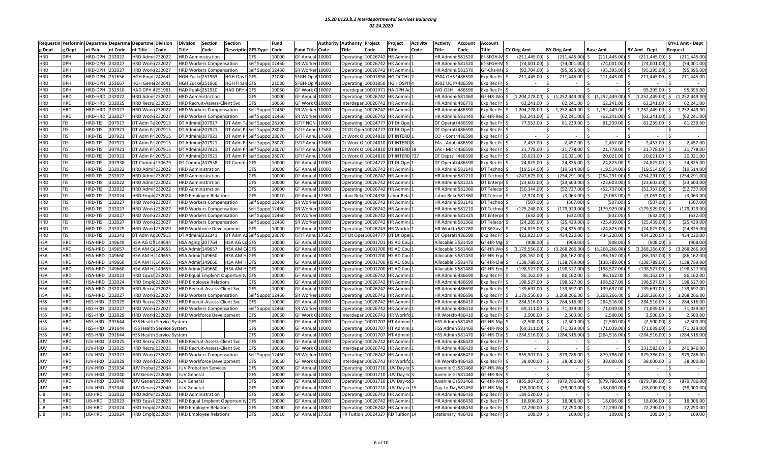| Requestir  |            |                |         | Performin Departme Departme Departme Division |                                  | Division                  | Section                          | <b>Section</b>                       |                                | Fund  | Authority                  | <b>Authority</b><br>Project | Project                            | <b>Activity</b> | Activity        | Account                  | <b>Account</b>         |                    |                    |                           |                        | BY+1 Amt - Dept        |
|------------|------------|----------------|---------|-----------------------------------------------|----------------------------------|---------------------------|----------------------------------|--------------------------------------|--------------------------------|-------|----------------------------|-----------------------------|------------------------------------|-----------------|-----------------|--------------------------|------------------------|--------------------|--------------------|---------------------------|------------------------|------------------------|
| g Dept     | g Dept     | nt Pair        | nt Code | nt Title                                      | Code                             | Title                     | Code                             | Descriptio GFS Type                  |                                | Code  | <b>Fund Title</b><br>Code  | Title<br>Code               | Title                              | Code            | <b>Title</b>    | Code                     | <b>Title</b>           | <b>CY Orig Amt</b> | <b>BY Orig Amt</b> | <b>Base Amt</b>           | <b>BY Amt - Dept</b>   | Request                |
| <b>HRD</b> | DPH        | HRD-DPH        | 232022  | <b>HRD Admi</b>                               | 232022                           |                           | <b>HRD Administration</b>        |                                      | <b>GFS</b>                     | 10000 | <b>GF Annua</b><br>10000   | 10026742<br>Operating       | <b>HR Admir</b>                    |                 | <b>HR Admir</b> | i:581520                 | f-SFGH-M \$            | (211, 445.00)      | (211, 445.00)      | (211, 445.00)             | (211, 445.00)          | (211,445.00            |
| HRD        | DPH        | HRD-DPH        | !32027  | HRD Work                                      | 232027                           |                           | <b>HRD Workers Compensation</b>  |                                      | Self Suppo 12460               |       | SR Worker<br>10000         | 10026742<br>Operating       | HR Admini                          |                 |                 | HR Admini: 581520        | <b>f-SFGH-M</b>        | (74,001.00)        | (74,001.00)        | $(74,001.00)$ \$          | (74,001.00)            | (74,001.00             |
| <b>HRD</b> | <b>DPH</b> | HRD-DPH        | !32027  | <b>HRD Work</b>                               | 232027                           |                           | HRD Workers Compensation         |                                      | Self Suppo 12460               |       | SR Worker<br>10000         | 10026742<br>Operating       | <b>IR Admin</b> i                  |                 | <b>HR Admi</b>  | 581570                   | GF-Chs-Me              | (92,704.00)        | (95, 395.00)       | (95, 395.00)              | (95, 395.00)           | (95, 395.00)           |
| <b>HRD</b> | <b>DPH</b> | HRD-DPH        | 51656   | <b>IGH Empl</b>                               | 242641                           | HGH Zucke 251963          |                                  | <b>HGH Ops</b>                       | GFS                            | 21080 | SFGH-Op /<br>10000         | 10001858<br>Operating       | <b>IG OCCHI</b>                    |                 | 9504 OH         | 1486590                  | xp Rec Fr              | 211,445.00         | 211,445.00         | 211,445.00                | 211,445.00             | 211,445.00             |
| <b>HRD</b> | DPH        | HRD-DPH        | 51667   | <b>IGH</b> Gene                               | 42641                            | HGH Zucke 251960          |                                  | <b>HGH Finan GFS</b>                 |                                | 21080 | SFGH-Op<br>10000           | 10001850<br>Operating       | <b>IG HOSPI</b>                    |                 | 9502 UC         | 1486590                  | xp Rec Fr              |                    |                    |                           |                        |                        |
| <b>HRD</b> | DPH        | HRD-DPH        | 151910  | <b>HAD DPH</b>                                | 151961                           | HAD Public 251910         |                                  | HAD DPH AGFS                         |                                | 10060 | GF Work C<br>10002         | 10001971<br>Interdepa       | <b>A DPH Ad</b>                    |                 | <b>NO-OSH</b>   | 486590                   | xp Rec Fr              |                    |                    |                           | 95,395.00              | 95,395.00              |
| <b>HRD</b> | HRD        | HRD-HRD        | !32022  | <b>HRD Admi</b>                               | 32022                            | <b>HRD Administration</b> |                                  |                                      | GFS                            | 10000 | <b>GF Annua</b><br>10000   | 0026742<br>Operatin         | <b>IR Admin</b>                    |                 | <b>HR</b> Admi  | 581460                   | GF-HR-Wol\$            | (1, 204, 278.00)   | \$(1,252,449.00)   | $(1,252,449.00)$ \$<br>S. | (1.252.449.00)         | (1, 252, 449.00)       |
| <b>HRD</b> | <b>IRD</b> | HRD-HRD        | !32025  | <b>HRD Recru</b>                              | 232025                           |                           | HRD Recruit-Assess-Client Svc    |                                      | GFS                            | 10060 | GF Work O 10002            | Interdepar<br>10026742      | <b>IR Admin</b>                    |                 | <b>HR</b> Admi  | 486770                   | xp Rec Fr              | 62,241.00          | 62,241.00          | 62,241.00                 | 62,241.00              | 62,241.00              |
| <b>HRD</b> | <b>HRD</b> | HRD-HRD        | 232027  | <b>HRD Worl</b>                               | 32027                            |                           | <b>HRD Workers Compensation</b>  |                                      | Self Suppo                     | 12460 | SR Worke<br>10000          | 0026742<br>Operatin         | <b>IR Admir</b>                    |                 | HR Adm          | 486590                   | xp Rec Fr              | 1,204,278.00       | 1,252,449.00       | 1,252,449.00              | 1,252,449.00           | 1,252,449.00           |
| <b>HRD</b> | HRD        | HRD-HRD        | !32027  | <b>HRD Work</b>                               | 232027                           |                           | <b>HRD Workers Compensation</b>  |                                      | Self Suppo 12460               |       | SR Worke<br>10000          | Operating<br>10026742       | <b>IR Admin</b>                    |                 | <b>HR Admi</b>  | ii:581440                | GF-HR-Rec              | (62, 241.00)       | (62, 241.00)       | (62, 241.00)              | (62, 241.00)           | (62, 241.00)           |
| <b>HRD</b> | <b>TIS</b> | HRD-TIS        | 207917  | DT Adm Te                                     | 207915                           | DT Admini                 | 207917                           | DT Adm T                             | Self Suppo 28100               |       | <b>ISTIF NON</b><br>10000  | 0024777<br>Operatin         | DT Dt Ope                          |                 | DT Opera        | i486590                  | xp Rec Fr              | 77,553.00          | 81,239.00          | 81,239.00                 | 81,239.00              | 81,239.00              |
| <b>HRD</b> | TIS        | HRD-TIS        | 207921  | DT Adm P                                      | 207915                           | DT Admir                  | 207921                           | DT Adm P                             | Self Suppo 28070               |       | <b>ISTIF Annu</b><br>17582 | DT Dt Oper                  | 10024777 DT Dt Ope                 |                 | DT Opera        | i 486590                 | xp Rec Fr              |                    |                    |                           | $\sim$                 | Ś,                     |
| <b>HRD</b> | TIS        | HRD-TIS        | 207921  | DT Adm Pr                                     | 207915                           | DT Admini                 | 207921                           | DT Adm Pr                            | Self Suppo 28070               |       | <b>ISTIF Annu</b><br>17608 | Dt Work O                   | 10024810 DT INTERD                 |                 |                 | CO - Contr 486590        | xp Rec Fr              | $\sim$             | $\sim$             | $\sim$                    | $\sim$                 |                        |
| <b>HRD</b> | <b>TIS</b> | HRD-TIS        | 207921  | DT Adm F                                      | 207915                           | DT Admir                  | 207921                           | DT Adm P                             | Self Suppo 28070               |       | <b>ISTIF Anni</b><br>17608 | Dt Work C<br>10024810       | <b>DT INTERD</b>                   |                 | EAs - Ado       | b 486590                 | xp Rec Fr              | 2,457.00           | 2,457.00           | 2,457.00                  | 2,457.00               | 2,457.00               |
| <b>HRD</b> | <b>TIS</b> | HRD-TIS        | 207921  | DT Adm Pr                                     | 207915                           | DT Admin                  | 207921                           | DT Adm Pr                            | Self Suppo 28070               |       | <b>ISTIF Annu</b><br>17608 | Dt Work C                   | 10024810 DT INTERD 18              |                 |                 | EAs - Micro 486590       | xp Rec Fr              | 21,778.00          | 21,778.00          | 21,778.00                 | 21,778.00              | 21,778.00              |
| <b>HRD</b> | TIS        | HRD-TIS        | 207921  | DT Adm Pr                                     | 207915                           | DT Admin                  | 207921                           | DT Adm Pr                            | Self Suppo 28070               |       | <b>ISTIF Annu</b><br>17608 | Dt Work C                   | 10024810 DT INTERD 737             |                 | DT Depts        | 1486590                  | xp Rec Fr              | 20,021.00          | 20,021.00          | 20,021.00                 | 20,021.00 \$           | 20,021.00              |
| <b>HRD</b> | TIS        | HRD-TIS        | 207938  | DT Comm                                       | 130679                           | <b>DT Commu</b>           | 207938                           | DT Commi                             | GFS                            | 10000 | GF Annua<br>10000          | Operatin<br>0024777         | DT Dt Ope                          |                 | DT Opera        | i 486590                 | xp Rec Fr              | 24,825.00          | 24,825.00          | 24,825.00                 | 24,825.00              | 24,825.00              |
| HRD        | <b>TIS</b> | HRD-TIS        | !32022  | <b>IRD</b> Admi                               | 32022                            |                           | <b>HRD Administration</b>        |                                      | GFS                            | 10000 | GF Annua<br>.0000          | 10026742<br>Operating       | <b>IR Admin</b>                    |                 | <b>HR Admi</b>  | 581140                   | T Techno               | (19, 514.00)       | (19,514.00)        | (19,514.00)               | (19,514.00)            | (19,514.00)            |
| HRD        | TIS        | HRD-TIS        | 32022   | <b>HRD Admi</b>                               | 32022                            |                           | <b>HRD Administration</b>        |                                      | GFS                            | 10000 | <b>GF Annua</b><br>.0000   | 0026742<br>Operatin         | <b>IR Admir</b>                    |                 | <b>HR Admi</b>  | 581210                   | T Techno               | (247, 675.00)      | (254, 291.00)      | (254, 291.00)             | (254, 291.00)          | (254,291.00            |
| <b>HRD</b> | <b>TIS</b> | HRD-TIS        | 132022  | <b>RD</b> Admi                                | 32022                            |                           | <b>HRD Administration</b>        |                                      | GFS                            | 10000 | <b>GF Annua</b><br>10000   | 0026742<br>Operatin         | <b>IR Admin</b>                    |                 | <b>HR Admir</b> | 581325                   | T Enterpr              | (23, 603.00)       | (23,603.00)        | (23,603.00)               | (23,603.00)            | (23, 603.00)           |
| <b>HRD</b> | <b>TIS</b> | HRD-TIS        | 32022   | HRD Admi                                      | 232022                           |                           | <b>HRD Administration</b>        |                                      | GFS                            | 10000 | <b>GF Annual</b><br>10000  | Operating<br>10026742       | <b>IR Admini</b>                   |                 | <b>HR Admi</b>  | 581360                   | T Telecon              | (50.344.00         | (52, 737.00)       | (52, 737.00)              | (52, 737.00)           | (52,737.00             |
| <b>HRD</b> | <b>TIS</b> | HRD-TIS        | 232024  | <b>HRD Empl</b>                               | !32024                           |                           | <b>HRD Employee Relations</b>    |                                      | GFS                            | 10010 | <b>GF Annua</b><br>17360   | 0024330<br>Labor Rel        | abor Rel                           |                 | abor Rel        | 581360                   | T Telecor              | (2,924.00)         | (3,063.00)         | (3,063.00)                | (3,063.00)             | (3,063.00)             |
| <b>HRD</b> | TIS        | HRD-TIS        | 232027  | <b>HRD Work</b>                               | 232027                           |                           | <b>HRD Workers Compensation</b>  |                                      | Self Suppo 12460               |       | SR Worker<br>10000         | 10026742<br>Operatin        | <b>IR Admin</b>                    |                 | <b>HR Admin</b> | ii:581140                | T Techno               | (507.00            | (507.00)           | (507.00)                  | (507.00)               | (507.00                |
| <b>HRD</b> | TIS        | HRD-TIS        | 232027  | <b>HRD Work</b>                               | 232027                           |                           | <b>HRD Workers Compensation</b>  |                                      | Self Suppo 12460               |       | SR Worker<br>10000         | 10026742<br>Operating       | <b>IR Admin</b>                    |                 | <b>HR</b> Admi  | 581210                   | T Techno               | (175, 248.00)      | (179, 929.00)      | $(179,929.00)$ \$<br>Ś    | $(179, 929.00)$ \$     | (179, 929.00)          |
| <b>HRD</b> | TIS        | HRD-TIS        | 232027  | <b>HRD Worl</b>                               | 232027                           |                           | <b>HRD Workers Compensation</b>  |                                      | Self Suppo                     | 12460 | SR Worke<br>10000          | 0026742<br>Operatin         | <b>IR Admir</b>                    |                 | <b>HR Admi</b>  | 581325                   | T Enterpi              | (632.00            | (632.00)           | (632.00)                  | (632.00)               | (632.00                |
| <b>HRD</b> | TIS        | HRD-TIS        | !32027  | <b>HRD Work</b>                               | 232027                           |                           | <b>HRD Workers Compensation</b>  |                                      | Self Suppo 12460               |       | SR Worker<br>10000         | 10026742<br>Operatin        | <b>IR Admin</b>                    |                 | <b>HR Admir</b> | i:581360                 | T Telecon              | (24, 285.00)       | (25, 439.00)       | (25, 439.00)              | (25, 439.00)           | (25, 439.00)           |
| <b>HRD</b> | <b>TIS</b> | HRD-TIS        | !32029  | <b>HRD Wor</b>                                | !32029                           |                           | <b>HRD Workforce Development</b> |                                      | <b>GFS</b>                     | 10000 | GF Annua<br>10000          | 10026743<br>Operatin        | <b>IR Workf</b>                    |                 | <b>HR Workf</b> | 0581280                  | T SFGov                | (24, 825.00)       | (24, 825.00)       | (24, 825.00)              | (24, 825.00)           | (24, 825.00)           |
| <b>HRD</b> | TIS        | HRD-TIS        | !32341  | DT Adm Ao                                     | 207915                           | DT Adminis 232341         |                                  | DT Adm Ad Self Suppo                 |                                | 28070 | <b>ISTIF Annu</b><br>17582 | DT Dt Ope<br>10024777       | DT Dt Ope                          |                 | DT Operat       | ti 486590                | xp Rec Fr              | 422,923.00         | 434,220.00         | 434,220.00                | 434,220.00             | 434,220.00             |
| HSA        | <b>HRD</b> | HSA-HRD        | 149649  | HSA AG Of                                     | 149644                           | <b>HSA Aging</b>          | 207764                           | HSA AG Co GFS                        |                                | 10000 | <b>GF Annual</b><br>10000  | Operatin<br>10001701        | <b>HS AG Cou</b>                   |                 | Allocable       | 581450                   | F-HR-Mgi               | (908.00)           | (908.00)           | (908.00)                  | (908.00)               | (908.00                |
| <b>HSA</b> | <b>HRD</b> | HSA-HRD        | 149657  | HSA AM Ce149655                               |                                  | <b>HSA Admi</b>           | 149657                           | <b>HSA AM CeGFS</b>                  |                                | 10000 | GF Annua<br>10000          | 10001700<br>Operatin        | <b>IS AD Cou</b>                   |                 | Allocable       | S581460                  | F-HR-Wo                | (3, 179, 556.00)   | (3,268,266.00)     | (3, 268, 266.00)          | (3, 268, 266.00)<br>Ŝ. | (3, 268, 266.00)<br>Ŝ. |
| <b>HSA</b> | <b>IRD</b> | HSA-HRD        | 49660   | <b>ISA AM H</b>                               | 149655                           | <b>HSA Admi</b>           | 149660                           | <b>HSA AM HIGFS</b>                  |                                | 10000 | <b>GF Annua</b><br>10000   | 0001700<br>Operating        | <b>IS AD Cou</b>                   |                 | Allocable       | 581430                   | F-HR-Equ               | (86,162.00         | (86, 162.00)       | (86, 162.00)              | (86, 162.00)           | (86, 162.00)           |
| <b>HSA</b> | <b>IRD</b> | HSA-HRD        | 49660   | <b>ISA AM H</b>                               | 149655                           | <b>HSA Admi</b>           | 149660                           | <b>HSA AM H</b>                      | GFS                            | 10000 | <b>GF Annua</b><br>.0000   | 10001700<br>Operatin        | <b>IS AD Cou</b>                   |                 | Allocable       | 581470                   | F-HR-Clie              | 138,789.00         | (138, 789.00)      | (138, 789.00)             | (138, 789.00)          | 138,789.00             |
| <b>HSA</b> | <b>HRD</b> | HSA-HRD        | 49660   | <b>HSA AM H</b>                               | 149655                           | <b>HSA Admir</b>          | 149660                           | <b>HSA AM HI</b>                     | GFS                            | 10000 | <b>GF Annua</b><br>10000   | Operatin<br>0001700         | <b>IS AD Cou</b>                   |                 | Allocable       | 581480                   | GF-HR-Emp              | (198,527.00        | (198, 527.00)      | (198, 527.00)             | (198, 527.00)          | 198,527.00             |
| <b>HSA</b> | <b>IRD</b> | HSA-HRD        | !32023  | <b>HRD Equal</b>                              | 232023                           |                           |                                  | <b>HRD Equal Emplymt Opportunity</b> | GFS                            | 10000 | <b>GF Annual</b><br>10000  | 10026742<br>Operatin        | <b>IR Admin</b>                    |                 | <b>HR</b> Admi  | 486690                   | xp Rec Fr              | 86,162.00          | 86,162.00          | 86,162.00                 | 86,162.00              | 86,162.00              |
| <b>HSA</b> | <b>HRD</b> | HSA-HRD        | !32024  | <b>RD</b> Emple                               | !32024                           |                           | <b>HRD Employee Relations</b>    |                                      | GFS                            | 10000 | GF Annua<br>.0000          | Operatin<br>0026742         | <b>IR Admir</b>                    |                 | <b>HR Admi</b>  | 486690                   | xp Rec Fr              | 198,527.00         | 198,527.00         | 198,527.00                | 198,527.00             | 198,527.00             |
| <b>HSA</b> | <b>HRD</b> | HSA-HRD        | !32025  | <b>HRD Recru</b>                              | !32025                           |                           | HRD Recruit-Assess-Client Svc    |                                      | GFS                            | 10000 | <b>GF Annua</b><br>10000   | 10026742<br>Operatin        | <b>IR Admin</b>                    |                 | <b>HR</b> Admi  | 486690                   | xp Rec Fr              | 139,697.00         | 139,697.00         | 139,697.00                | 139,697.00             | 139,697.00             |
| <b>HSA</b> | <b>HRD</b> | HSA-HRD        | !32027  | <b>HRD Work</b>                               | 232027                           |                           | <b>HRD Workers Compensation</b>  |                                      | Self Suppo 12460               |       | SR Worke<br>10000          | 0026742<br>Operatin         | <b>IR Admin</b>                    |                 | <b>HR Adm</b>   | 486690                   | xp Rec Fr              | 3,179,556.00       | 3,268,266.00       | 3.268.266.00<br>$\zeta$   | 3,268,266.00<br>S.     | 3.268.266.00<br>Š.     |
| <b>HSS</b> | <b>HRD</b> | HSS-HRD        | 32025   | <b>HRD Recru</b>                              | 32025                            |                           | HRD Recruit-Assess-Client Svc    |                                      | GFS                            | 10000 | <b>GF Annua</b><br>.0000   | Operatin<br>0026742         | <b>IR Admir</b>                    |                 | HR Adm          | 486410                   | xp Rec Fr              | 284,516.00         | 284,516.00         | 284,516.00                | 284,516.00             | 284,516.00             |
| <b>HSS</b> | <b>HRD</b> | HSS-HRD        | !32027  | <b>HRD Work</b>                               | 232027                           |                           |                                  |                                      |                                |       | SR Worke<br>10000          | Operatin<br>10026742        |                                    |                 | <b>HR Admi</b>  | i:486410                 | xp Rec Fr              | 69,111.00          | 71,039.00          | 71,039.00                 | 71,039.00              | 71,039.00              |
| <b>HSS</b> | <b>HRD</b> | HSS-HRD        | !32029  | <b>HRD Work</b>                               | 232029                           |                           | <b>HRD Workers Compensation</b>  |                                      | Self Suppo 12460<br><b>GFS</b> | 10060 | <b>GF Work</b><br>10002    | 0026743<br>nterdepa         | <b>IR Admin</b><br><b>IR Workf</b> |                 |                 | HR Workfo 486410         |                        | 2,500.00           | 2,500.00           | 2,500.00                  | 2,500.00               | 2,500.00               |
| <b>HSS</b> | <b>HRD</b> | HSS-HRD        | 91644   |                                               |                                  |                           | <b>HRD Workforce Development</b> |                                      | <b>GFS</b>                     | 10000 | <b>GF Annua</b><br>10000   | 10001707                    | <b>HT Admini</b>                   |                 |                 | <b>HSS Admin 581450</b>  | xp Rec Fr<br>GF-HR-Mgi | (2,500.00)         | (2,500.00)         | $(2,500.00)$ \$           | (2,500.00)             | (2,500.00)             |
|            | <b>HRD</b> |                |         |                                               | HSS Health Service System        |                           |                                  |                                      |                                |       | <b>GF Annua</b>            | Operating                   |                                    |                 |                 |                          |                        | (69, 111.00)       | (71, 039.00)       |                           |                        | (71,039.00)            |
| <b>HSS</b> | <b>HRD</b> | HSS-HRD        | 91644   |                                               | <b>ISS Health Service System</b> |                           |                                  |                                      | GFS<br><b>GFS</b>              | 10000 | 10000                      | Operatin<br>10001707        | <b>IT Admin</b>                    |                 |                 | <b>ISS Admin 581460</b>  | F-HR-Wo                |                    |                    | (71,039.00)               | (71,039.00)            |                        |
| <b>HSS</b> |            | <b>HSS-HRD</b> | 91644   |                                               | <b>HSS Health Service System</b> |                           |                                  |                                      |                                | 10000 | <b>GF Annua</b><br>10000   | 0001707<br>Operatin         | <b>IT Admin</b>                    |                 | <b>HSS Admi</b> | n 581470                 | GF-HR-Clie             | (284,516.00        | (284, 516.00)      | (284, 516.00)             | (284, 516.00)          | 284,516.00             |
| JUV        | <b>IRD</b> | JUV-HRD        | 32025   | <b>HRD Recru</b>                              | 232025                           |                           | HRD Recruit-Assess-Client Svc    |                                      | <b>GFS</b>                     | 10000 | GF Annua<br>.0000          | 10026742<br>Operating       | <b>IR Admin</b>                    |                 | <b>HR</b> Admi  | 486420                   | xp Rec Fr              |                    |                    |                           |                        |                        |
| JUV        | <b>HRD</b> | JUV-HRD        | 32025   | <b>HRD Recru</b>                              | 32025                            |                           | HRD Recruit-Assess-Client Svc    |                                      | <b>GFS</b>                     | 10060 | GF Work<br>10002           | 10026742<br>Interdepa       | <b>IR Admin</b>                    |                 | <b>HR Admi</b>  | 486420                   | xp Rec Fr              |                    |                    |                           | 231,583.00             | 240,846.00             |
| JUV        | <b>HRD</b> | JUV-HRD        | !32027  | <b>HRD Work</b>                               | 32027                            |                           | <b>HRD Workers Compensation</b>  |                                      | Self Sup                       | 12460 | SR Worke<br>10000          | 0026742<br>Operatin         | <b>IR Admin</b>                    |                 | <b>HR Admi</b>  | 1486420                  | xp Rec Fr              | 855.907.00         | 879,786.00         | 879,786.00                | 879.786.00             | 879,786.00             |
| JUV        | <b>IRD</b> | JUV-HRD        | 32029   | <b>HRD Work1232029</b>                        |                                  |                           | <b>HRD Workforce Development</b> |                                      | GFS                            | 10060 | GF Work O<br>10002         | 10026743<br>Interdepar      | <b>IR Workfo</b>                   |                 | <b>HR Workf</b> | a486420                  | xp Rec Fr              | 38,000.00          | 38,000.00          | 38,000.00                 | 38,000.00              | 38,000.00              |
| JUV        | <b>HRD</b> | <b>JUV-HRD</b> | 32034   | UV Proba                                      | 32034                            |                           | <b>UV Probation Services</b>     |                                      | GFS                            | 10000 | GF Annua<br>.0000          | 0001710<br>Operatin         | UV Day-to                          |                 | uvenile         | 581460                   | F-HR-Wo                |                    |                    |                           |                        |                        |
| JUV        | <b>HRD</b> | JUV-HRD        | !32040  | <b>UV Gener</b>                               | 132040                           | JUV General               |                                  |                                      | GFS                            | 10000 | GF Annua<br>10000          | 10001710<br>Operating       | UV Day-to                          |                 |                 | uvenile Ge581440         | <b>GF-HR-Rec</b>       |                    |                    |                           |                        |                        |
| JUV        | <b>HRD</b> | <b>JUV-HRD</b> | !32040  | <b>UV Gener</b>                               | 232040                           | <b>UV General</b>         |                                  |                                      | GFS                            | 10000 | <b>GF Annua</b><br>10000   | Operatin                    | 10001710 JUV Day-to                |                 |                 | uvenile Ge581460         | F-HR-Wo                | (855,907.00        | (879, 786.00)      | (879, 786.00)<br>ς.       | (879, 786.00)          | (879,786.00<br>ς       |
| JUV        | <b>HRD</b> | JUV-HRD        | !32040  | <b>IUV</b> Gener                              | 232040                           | <b>JUV General</b>        |                                  |                                      | GFS                            | 10000 | <b>GF Annua</b><br>10000   | Operatin<br>10001710        | UV Day-to 15                       |                 | Day-to-Da       | IV581450                 | F-HR-Mgr               | (38,000.00)        | (38,000.00)        | (38,000.00)               | (38,000.00)            | (38,000.00)            |
| <b>LIB</b> | HRD.       | LIB-HRD        | 32022   | <b>HRD Admi</b>                               | 232022                           |                           | <b>HRD Administration</b>        |                                      | GFS                            | 10000 | <b>GF Annual</b><br>10000  | 10026742<br>Operating       | <b>IR Admin</b> i                  |                 |                 | <b>HR Admini: 486430</b> | xp Rec Fr              | 189,520.00         |                    | $\sim$                    | $\sim$                 |                        |
| <b>LIB</b> | <b>HRD</b> | LIB-HRD        | 32023   | <b>HRD</b> Equa                               | 32023                            |                           |                                  | HRD Equal Emplymt Opportunity GFS    |                                | 10000 | <b>GF Annua</b><br>10000   | 0026742<br>Operatin         | <b>IR Admir</b>                    |                 | HR Admi         | 486430                   | xp Rec F               | 18,006.00          | 18,006.00          | 18,006.00                 | 18,006.00              | 18,006.00              |
| LIB        | <b>HRD</b> | LIB-HRD        | 32024   | <b>HRD</b> Emplo                              | !32024                           |                           | <b>HRD Employee Relations</b>    |                                      | <b>GFS</b>                     | 10000 | <b>GF Annua</b><br>10000   | 0026742<br>Operatin         | <b>IR Admin</b>                    |                 |                 | HR Admini: 486430        | xp Rec Fr              | 72,290.00          | 72,290.00          | 72,290.00                 | 72,290.00              | 72,290.00              |
| LIB        | <b>HRD</b> | LIB-HRD        | 232024  | <b>HRD Emplc 232024</b>                       |                                  |                           | <b>HRD Employee Relations</b>    |                                      | GFS                            | 10010 | GF Annual 17358            | <b>HR Tuition</b>           | 10024327 RD Tuition 14             |                 |                 | Stationary 486430        | Exp Rec Fr \$          | 109.00             | $109.00$ \$        | $109.00$ \$               | $109.00$ \$            | 109.00                 |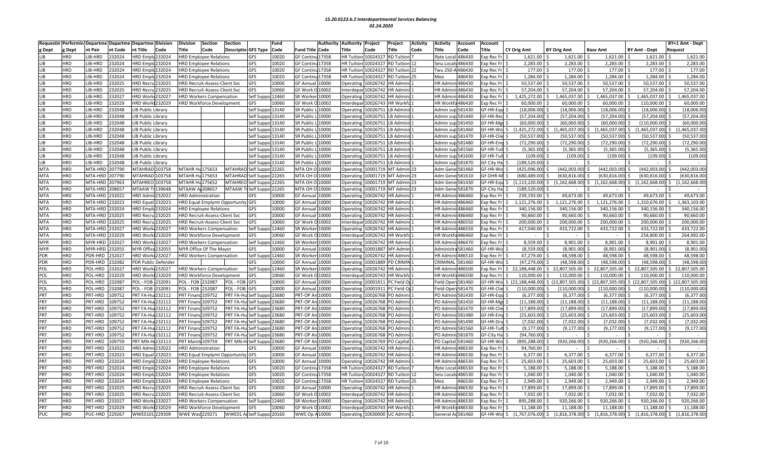|                          |            |                    |         | Requestin Performin Departme Departme Departme Division |          | Division                  | Section                              | <b>Section</b>             | Fund                             | <b>Authority</b>                        | <b>Authority</b>      | Project  | Project                | <b>Activity</b> | <b>Activity</b>   | Account  | <b>Account</b>    |                         |                         |                                                             |                         | BY+1 Amt - Dept     |
|--------------------------|------------|--------------------|---------|---------------------------------------------------------|----------|---------------------------|--------------------------------------|----------------------------|----------------------------------|-----------------------------------------|-----------------------|----------|------------------------|-----------------|-------------------|----------|-------------------|-------------------------|-------------------------|-------------------------------------------------------------|-------------------------|---------------------|
| g Dept                   | g Dept     | nt Pair            | nt Code | nt Title                                                | Code     | Title                     | Code                                 | <b>Descriptio GFS Type</b> | Code                             | <b>Fund Title Code</b>                  | Title                 | Code     | Title                  | Code            | Title             | Code     | Title             | CY Orig Amt             | <b>BY Orig Amt</b>      | <b>Base Amt</b>                                             | BY Amt - Dept           | <b>Request</b>      |
| LIB                      | <b>HRD</b> | LIB-HRD            | 232024  | HRD Emplo 232024                                        |          |                           | <b>HRD Employee Relations</b>        |                            | 10020<br><b>GFS</b>              | <b>GF Contin</b><br>17358               | <b>HR Tuitior</b>     |          | 10024327 RD Tuitior    |                 | fpte Loca         | 486430   | Exp Rec F         | 1,621.00                | 1,621.00                | 1,621.00                                                    | 1,621.00                | 1,621.00            |
| LIB                      | <b>HRD</b> | LIB-HRD            | 232024  | HRD Emplc 232024                                        |          |                           | <b>HRD Employee Relations</b>        |                            | <b>GFS</b><br>10020              | <b>GF Contin</b><br>17358               | <b>HR Tuition</b>     |          | 10024327 RD Tuition 12 |                 | Seiu Loca         | \$486430 | Exp Rec Fr        | 2,283.00                | 2,283.00                | $2,283.00$ \$                                               | 2,283.00                | 2,283.00            |
| LIB                      | <b>HRD</b> | LIB-HRD            | 232024  | <b>IRD Empld232024</b>                                  |          |                           | <b>HRD Employee Relations</b>        |                            | 10020<br>GFS                     | <b>GF Contin</b><br>17358               | <b>HR Tuitior</b>     |          | 0024327 RD Tuition     | 22              | Twu 250-          | 486430   | xp Rec Fr         | 177.00                  | 177.00 \$               | 177.00                                                      | 177.00                  | 177.00              |
| LIB                      | <b>HRD</b> | LIB-HRD            | 232024  | HRD Emplc 232024                                        |          |                           | <b>IRD Employee Relations</b>        |                            | 10020<br>GFS                     | <b>GF Contin</b><br>17358               | <b>HR Tuitio</b>      |          | 0024327 RD Tuition     |                 | Mea               | 486430   | xp Rec Fr         | 1,284.00                | 1,284.00                | 1,284.00                                                    | 1,284.00                | 1,284.00            |
| LIB                      | <b>HRD</b> | <b>IB-HRD</b>      | !32025  | <b>IRD Recru</b>                                        | 232025   |                           | HRD Recruit-Assess-Client Svc        |                            | GFS<br>10000                     | GF Annua<br>0000                        | Operatin              | 0026742  | <b>HR Admir</b>        |                 | <b>HR</b> Admi    | 486430   | xp Rec Fr         | 50.537.00               | 50,537.00               | 50.537.00                                                   | 50.537.00               | 50,537.00           |
| LIB                      | <b>HRD</b> | LIB-HRD            | !32025  | <b>HRD Recru</b>                                        | 232025   |                           | <b>HRD Recruit-Assess-Client Svc</b> |                            | GFS<br>10060                     | <b>GF Work</b><br>10002                 | Interdepa             | 10026742 | HR Admin               |                 | HR Admi           | 486430   | xp Rec Fr         | 57,204.00               | 57,204.00               | 57,204.00                                                   | 57,204.00               | 57,204.00           |
| LIB                      | <b>HRD</b> | LIB-HRD            | 232027  | HRD Work 232027                                         |          |                           | <b>HRD Workers Compensation</b>      |                            | Self Suppo 12460                 | SR Worker<br>10000                      | Operatin              | 0026742  | HR Admin               |                 | <b>HR Admir</b>   | i:486430 | xp Rec Fr         | 1,425,272.00            | 1,465,037.00            | 1,465,037.00                                                | 1,465,037.00<br>l S     | 1,465,037.00        |
| LIB                      | <b>HRD</b> | LIB-HRD            | 232029  | <b>IRD Work 232029</b>                                  |          |                           | HRD Workforce Development            |                            | <b>SFS</b><br>10060              | GF Work O 10002                         | Interdepa             |          | 10026743 HR Workfo     |                 | HR Workfo486430   |          | Exp Rec Fr        | 60.000.00               | 60,000.00               | 60.000.00                                                   | 110.000.00              | 60,000.00           |
| LIB                      | <b>HRD</b> | LIB-HRD            | 232048  | <b>IB Public Library</b>                                |          |                           |                                      |                            | Self Suppo 13140                 | SR Public<br>10000                      | Operatin              | 10026751 | LB Admini              |                 | Admin sı          | 581430   | GF-HR-Eq          | (18,006.00)             | (18,006.00)             | (18,006.00)                                                 | (18,006.00)             | (18,006.00)         |
| LIB                      | <b>HRD</b> | LIB-HRD            | 232048  | LIB Public Library                                      |          |                           |                                      |                            | Self Suppo 13140                 | SR Public<br>10000                      | Operatin              | 10026751 | LB Admini              |                 | Admin sup 581440  |          | GF-HR-Rec         | (57, 204.00)            | (57, 204.00)            | $(57, 204.00)$ \$                                           | (57, 204.00)            | (57, 204.00         |
| LIB                      | <b>HRD</b> | LIB-HRD            | 232048  | <b>IB Public Library</b>                                |          |                           |                                      |                            | Self Suppo 13140                 | SR Public<br>10000                      | Operatin              |          | 10026751 LB Admini     |                 | Admin sup 581450  |          | GF-HR-Mgr         | (60,000.00)             | (60,000.00)             | (60,000.00)                                                 | (110,000.00)            | (60,000.00)         |
| LIB                      | <b>HRD</b> | LIB-HRD            | 232048  | LIB Public Library                                      |          |                           |                                      |                            | Self Suppo 13140                 | <b>SR Public</b><br>10000               | Operatir              | 10026751 | LB Admin               |                 | Admin sup 581460  |          | GF-HR-Wo          | (1,425,272.00)          | (1,465,037.00)          | $(1,465,037.00)$ \$<br>Ś.                                   | (1,465,037.00)          | 1,465,037.00<br>\$. |
| LIB                      | <b>HRD</b> | LIB-HRD            | 232048  | <b>IB Public Library</b>                                |          |                           |                                      |                            | Self Suppo 13140                 | SR Public<br>10000                      | Operatin              | 10026751 | LB Admini              |                 | Admin sup 581470  |          | <b>GF-HR-Clie</b> | (50,537.00              | (50, 537.00)            | (50, 537.00)                                                | (50, 537.00)            | (50,537.00          |
| LIB                      | <b>HRD</b> | LIB-HRD            | 232048  | IB Public Library.                                      |          |                           |                                      |                            | Self Suppo 13140                 | <b>SR Public</b><br>10000               | Operatin              | 0026751  | .B Admini              |                 | Admin sup 581480  |          | <b>GF-HR-Em</b>   | (72,290.00              | (72, 290.00)            | (72, 290.00)                                                | (72, 290.00)            | (72, 290.00)        |
| LIB                      | <b>HRD</b> | <b>IB-HRD</b>      | 232048  | LIB Public Library                                      |          |                           |                                      |                            | Self Suppo 13140                 | <b>SR Public</b><br>10000               | Operatin              | 0026751  | LB Admin               |                 | Admin sup 581560  |          | <b>GF-HR-Tu</b>   | (5,365.00)              | (5,365.00)              | (5,365.00)                                                  | (5,365.00)              | (5, 365.00)         |
| LIB                      | <b>HRD</b> | LIB-HRD            | 232048  | <b>IB Public Library</b>                                |          |                           |                                      |                            | Self Suppo 13140                 | SR Public<br>10000                      | Operatin              | 10026751 | LB Admin               |                 | Admin sup 581600  |          | GF-HR-Tuit        | (109.00)                | (109.00)                | (109.00)                                                    | (109.00)                | (109.00             |
| LIB                      | <b>HRD</b> | LIB-HRD            | 232048  | <b>IB Public Library</b>                                |          |                           |                                      |                            | Self Suppo<br>13140              | <b>SR Public</b><br>10000               | Operatin              | 10026751 | LB Admini              |                 | Admin sup 581870  |          | GF-City Ha        | (189,520.00             |                         |                                                             |                         |                     |
| <b>MTA</b>               | <b>HRD</b> | MTA-HRD 207790     |         | MTAHRAD 103758                                          |          | MTAHR Hu175653            |                                      |                            | MTAHRAD Self Suppo 22265         | MTA OH O<br>10000                       | Operatin              |          | 0001719 MT Admini23    |                 | Adm Genel 581460  |          | GF-HR-Wo          | (425.096.00)            | (442,003.00)            | (442.003.00)                                                | (442.003.00)            | (442,003.00         |
| <b>MTA</b>               | <b>HRD</b> | MTA-HRD 207790     |         | MTAHRAD 103758                                          |          | <b>MTAHR HI</b>           | 175653                               | <b>MTAHRAD</b>             | Self Suppo 22265                 | MTA OH<br>10000                         | Operatin              |          | 0001719 MT Admir       |                 | Adm Genel 581610  |          | <b>GF-DHR-M</b>   | (680,489.00)            | (630.816.00)            | (630.816.00)                                                | (630, 816.00)           | (630,816.00         |
| <b>MTA</b>               | <b>HRD</b> | MTA-HRD            | 207963  | <b>MTAHREO</b>                                          | 103758   | MTAHR H                   | 175652                               | <b>MTAHREC</b>             | Self Suppo 22265                 | MTA OH<br>10000                         | Operatin              | 0001719  | MT Admi                | つっ              | Adm Gener581430   |          | <b>GF-HR-Equ</b>  | (1.113.220.00           | (1.162.668.00)          | (1, 162, 668.00)                                            | (1, 162, 668.00)        | (1, 162, 668.00)    |
| <b>MTA</b>               | <b>HRD</b> | MTA-HRD            | 208657  | MTAAW Tr139648                                          |          | MTAAW A 208657            |                                      | <b>MTAAW T</b>             | Self Suppo 22265                 | MTA OH O 10000                          | Operating             |          | 0001719 MT Admir       |                 | Adm Gene 581870   |          | GF-City Hal       | (189,520.00)            |                         |                                                             |                         |                     |
| <b>MTA</b>               | <b>HRD</b> | MTA-HRD            | !32022  | <b>HRD Admi</b>                                         | 232022   | <b>IRD Administration</b> |                                      |                            | 10000<br><b>SFS</b>              | <b>GF Annua</b><br>10000                | Operatir              | 0026742  | HR Admiı               |                 | HR Admi           | 486460   | xp Rec F          | 239,193.00              | 49,673.00               | 49,673.00                                                   | 49,673.00               | 49,673.00           |
| <b>MTA</b>               | <b>HRD</b> | MTA-HRD            | 232023  | <b>HRD Equal</b>                                        | 232023   |                           | <b>HRD Equal Emplymt Opportunity</b> |                            | <b>GFS</b><br>10000              | <b>GF Annua</b><br>10000                | Operatir              | 0026742  | HR Admir               |                 | <b>HR Admir</b>   | 1486460  | xp Rec Fr         | 1,121,276.00            | 1,121,276.00            | 1,121,276.00<br>ς.                                          | S.<br>1,310,676.00      | 1,363,103.00<br>-Ś  |
| <b>MTA</b>               | <b>HRD</b> | MTA-HRD 232024     |         | HRD Emplo 232024                                        |          |                           | <b>HRD Employee Relations</b>        |                            | GFS<br>10000                     | <b>GF Annual</b><br>10000               | Operating             | 10026742 | <b>HR Admini</b>       |                 | HR Admi           | 486460   | Exp Rec Fr        | 340,156.00              | 340,156.00              | 340,156.00                                                  | 340,156.00              | 340,156.00          |
|                          | <b>HRD</b> |                    |         | <b>HRD Recru</b>                                        |          |                           |                                      |                            | 10000                            |                                         |                       | 10026742 |                        |                 | HR Adm            | 486460   |                   |                         |                         |                                                             |                         | 90,660.00           |
| <b>MTA</b>               | <b>HRD</b> | MTA-HRD<br>MTA-HRD | 232025  | <b>IRD Recru 232025</b>                                 | 232025   |                           | <b>HRD Recruit-Assess-Client Svc</b> |                            | GFS                              | <b>GF Annua</b><br>10000                | Operatin              | 10026742 | <b>HR Admir</b>        |                 |                   | i:486550 | xp Rec F          | 90,660.00<br>200,000.00 | 90,660.00<br>200,000.00 | 90,660.00<br>200,000.00                                     | 90,660.00<br>200,000.00 | 200,000.00          |
| <b>MTA</b><br><b>MTA</b> | <b>HRD</b> | MTA-HRD 232027     | 232025  | HRD Work 232027                                         |          |                           | <b>HRD Recruit-Assess-Client Svc</b> |                            | GFS<br>10060<br>Self Suppo 12460 | GF Work (<br>10002<br>SR Worke<br>10000 | Interdepa<br>Operatin | 10026742 | <b>HR Admin</b>        |                 | HR Admi<br>HR Adm | 486550   | xp Rec Fr         | 417,040.00              | 433,722.00              | 433,722.00                                                  | 433,722.00              | 433,722.00          |
|                          | <b>HRD</b> |                    |         |                                                         |          |                           | <b>HRD Workers Compensation</b>      |                            |                                  |                                         |                       |          | HR Admin               |                 | <b>HR Workf</b>   |          | xp Rec Fr         |                         |                         |                                                             |                         |                     |
| <b>MTA</b>               |            | MTA-HRD            | 232029  | HRD Work 232029                                         |          |                           | <b>HRD Workforce Development</b>     |                            | GFS<br>10060                     | <b>GF Work</b><br>10002                 | Interdepa             |          | 0026743 HR Workfo      |                 |                   | a486460  | Exp Rec Fr        |                         |                         |                                                             | 254,800.00              | 264,992.00          |
| <b>MYR</b>               | <b>HRD</b> | MYR-HRD            | 232027  | HRD Work 232027                                         |          |                           | <b>HRD Workers Compensation</b>      |                            | Self Suppo 12460                 | SR Worker<br>10000                      | Operatin              | 10026742 | HR Admin               |                 | <b>HR Admir</b>   | 486470   | xp Rec Fr         | 8,559.00                | 8,901.00 \$             | 8,901.00                                                    | 8,901.00                | 8,901.00            |
| <b>MYR</b>               | <b>HRD</b> | MYR-HRD            | 232055  | <b>MYR Office</b>                                       | 232055   |                           | MYR Office Of The Mayor              |                            | <b>GFS</b><br>10000              | <b>GF Annua</b><br>10000                | Operatin              | 10001887 | MY-Admi                |                 | Administ          | 581460   | F-HR-Wo           | (8.559.00               | (8.901.00)              | (8.901.00)                                                  | (8.901.00)              | (8,901.00           |
| PDR                      | <b>HRD</b> | PDR-HRD            | 32027   | <b>IRD Work 232027</b>                                  |          |                           | <b>HRD Workers Compensation</b>      |                            | Self Suppo 12460                 | SR Worke<br>10000                       | Operatin              | 0026742  | <b>HR Admin</b>        |                 | <b>HR</b> Admi    | 486510   | xp Rec Fr         | 47,279.00               | 48,598.00               | 48,598.00                                                   | 48,598.00               | 48,598.00           |
| PDR                      | <b>HRD</b> | PDR-HRD            | !32082  | PDR Public Defende                                      |          |                           |                                      |                            | GFS<br>LOO00                     | <b>GF Annua</b><br>10000                | Operatin              | 10001889 | PD CRIMIN              |                 | CRIMINA           | 581460   | GF-HR-Wo          | (47, 279.00)            | (48.598.00)             | $(48,598.00)$ \$                                            | (48,598.00)             | (48,598.00          |
| POL                      | <b>HRD</b> | POL-HRD            | 232027  | HRD Work 232027                                         |          |                           | <b>IRD Workers Compensation</b>      |                            | Self Sup<br>12460                | SR Worke<br>10000                       | Operatin              | 0026742  | HR Admir               |                 | <b>HR</b> Admi    | 486500   | xp Rec Fr         | \$22,188,448.00         | \$22,807,505.00         | \$22,807,505.00                                             | \$22,807,505.00         | \$22,807,505.00     |
| POL                      | <b>HRD</b> | POL-HRD            | 232029  | IRD Work1232029                                         |          |                           | <b>HRD Workforce Development</b>     |                            | 10060<br>iFS                     | <b>GF Work</b><br>10002                 | Interdepa             | 10026743 | <b>HR Workf</b>        |                 | <b>HR Workf</b>   | 186500   | xp Rec Fr         | 110,000.00              | 110.000.00              | 110,000.00                                                  | 110.000.00              | 110,000.00          |
| POL                      | <b>HRD</b> | POL-HRD            | 232087  | POL - FOB - 232091                                      |          | POL - FOB 232087          |                                      | POL - FOB                  | GFS<br>10000                     | GF Annua<br>10000                       | Operatin              | 10001911 | PC Field O             |                 | Field Op          | 581460   | GF-HR-Wo          | \$ (22, 188, 448.00)    | \$(22,807,505.00)       | $\frac{1}{2}$ (22,807,505.00) $\frac{1}{2}$ (22,807,505.00) |                         | \$ (22,807,505.00)  |
| POL                      | <b>HRD</b> | POL-HRD            | 232087  | POL - FOB                                               | 232091   | POL - FOB                 | 232087                               | POL - FOB                  | <b>GFS</b><br>10000              | <b>GF Annua</b><br>10000                | Operati               | 0001911  | PC Field O             |                 | Field Ope         | 581470   | GF-HR-Cli         | (110,000.00             | (110.000.00)            | (110,000.00)                                                | (110.000.00)            | 110,000.00          |
| PRT                      | <b>HRD</b> | PRT-HRD            | 109752  | PRT FA-Hu 232112                                        |          | PRT Financ 109752         |                                      | PRT FA-Hu                  | Self Suppo 23680                 | PRT-OP An 10000                         | Operating             |          | 0026768 PO Admini      |                 | PO Admir          | i:581430 | GF-HR-Equ         | (6, 377.00)             | (6, 377.00)             | (6, 377.00)                                                 | (6, 377.00)             | (6, 377.00)         |
| PRT                      | <b>HRD</b> | PRT-HRD            | 109752  | PRT FA-Hu 232112                                        |          | <b>PRT Financ</b>         | 109752                               | PRT FA-HI                  | Self Suppo 23680                 | PRT-OP A<br>10000                       | Operatir              | 10026768 | PO Admir               |                 | PO Admi           | 581450   | GF-HR-Mg          | (11, 188.00)            | (11, 188.00)            | (11, 188.00)                                                | (11, 188.00)            | (11, 188.00)        |
| PRT                      | <b>HRD</b> | PRT-HRD            | 109752  | PRT FA-Hu 232112                                        |          | PRT Financ 109752         |                                      | PRT FA-HI                  | Self Suppo 23680                 | PRT-OP A<br>10000                       | Operatin              | 0026768  | PO Admin               |                 | PO Admir          | i:581470 | <b>GF-HR-Clie</b> | (17, 899.00)            | (17, 899.00)            | (17,899.00)                                                 | (17,899.00)             | (17, 899.00)        |
| PRT                      | <b>HRD</b> | PRT-HRD            | 109752  | PRT FA-Hu 232112                                        |          | PRT Finand 109752         |                                      | PRT FA-HL                  | Self Suppo 23680                 | PRT-OP An<br>10000                      | Operatin              | 0026768  | PO Admin               |                 | PO Admi           | 581480   | GF-HR-Emi         | (25.603.00)             | $(25.603.00)$ \$        | $(25,603.00)$ \$                                            | (25.603.00)             | (25,603.00)         |
| PRT                      | <b>HRD</b> | PRT-HRD            | 109752  | PRT FA-Hu 232112                                        |          | <b>PRT Financ</b>         | 109752                               | PRT FA-HI                  | Self Suppo 23680                 | PRT-OP Ar<br>10000                      | Operatin              | 0026768  | PO Admin               |                 | PO Admir          | i:581490 | GF-HR-Dr          | (7,032.00)              | (7,032.00)              | (7,032.00)                                                  | (7,032.00)              | (7,032.00           |
| PRT                      | <b>HRD</b> | PRT-HRD            | 109752  | PRT FA-HI                                               | u 232112 | PRT Finan                 | 109752                               | PRT FA-HI                  | Self Suppo 23680                 | PRT-OP A<br>10000                       | Operatin              | 10026768 | PO Admir               |                 | PO Admi           | 581560   | <b>SF-HR-Tuit</b> | (9, 177.00)             | (9, 177.00)             | (9, 177.00)                                                 | (9, 177.00)             | (9, 177.00)         |
| PRT                      | <b>HRD</b> | PRT-HRD            | 109752  | PRT FA-Hu 232112                                        |          | <b>RT Finan</b>           | 109752                               | PRT FA-HI                  | Self Suppo 23680                 | PRT-OP A<br>10000                       | Operatin              | 10026768 | PO Admir               |                 | PO Admi           | 581870   | GF-City Ha        | (94,760.00              |                         |                                                             |                         |                     |
| PRT                      | <b>HRD</b> | PRT-HRD            | 109759  | PRT MN-H(232113                                         |          | <b>PRT Mainte 109759</b>  |                                      | PRT MN-H                   | Self Suppo 23680                 | PRT-OP Ar<br>10000                      | Operatin              |          | 0026769 PO Capita      |                 | PO Capita         | 581460   | GF-HR-Wo          | (895,288.00             | $(920.266.00)$ \$       | $(920.266.00)$ \$                                           | $(920, 266.00)$ \$      | (920, 266.00)       |
| PRT                      | <b>HRD</b> | PRT-HRD            | 232022  | <b>IRD Admir 232022</b>                                 |          | <b>IRD Administration</b> |                                      |                            | 10000<br>GFS                     | GF Annua<br>10000                       | Operatin              | 10026742 | HR Admin               |                 | HR Admi           | 486530   | xp Rec Fr         | 94,760.00               |                         |                                                             |                         |                     |
| PRT                      | <b>HRD</b> | PRT-HRD            | 232023  | <b>HRD Equal</b>                                        | 232023   |                           | <b>IRD Equal Emplymt Opportunity</b> |                            | 10000<br><b>GFS</b>              | <b>GF Annua</b><br>10000                | Operatir              | 0026742  | <b>HR Admir</b>        |                 | HR Admi           | 486530   | xp Rec Fr         | 6,377.00                | $6,377.00$ \$           | 6,377.00                                                    | 6,377.00                | 6,377.00<br>l s     |
| PRT                      | <b>HRD</b> | PRT-HRD            | 232024  | <b>IRD Empld232024</b>                                  |          |                           | <b>HRD Employee Relations</b>        |                            | 10000<br>GFS                     | GF Annua<br>10000                       | Operatin              | 10026742 | HR Admin               |                 | <b>HR Admi</b>    | 486530   | xp Rec Fr         | 25,603.00               | 25,603.00               | 25,603.00                                                   | 25.603.00               | 25,603.00           |
| PRT                      | <b>HRD</b> | PRT-HRD            | !32024  | HRD Emplo 232024                                        |          |                           | <b>IRD Employee Relations</b>        |                            | 10020<br>GFS                     | <b>GF Contir</b><br>17358               | <b>HR Tuitio</b>      |          | 0024327 RD Tuitior     |                 | fpte Loc          | 486530   | xp Rec Fr         | 5,188.00                | 5,188.00                | 5,188.00                                                    | 5,188.00                | 5,188.00            |
| PRT                      | <b>HRD</b> | PRT-HRD            | !32024  | HRD Emplc 232024                                        |          |                           | <b>HRD Employee Relations</b>        |                            | 10020<br>GFS                     | 17358<br><b>GF Contir</b>               | <b>HR Tuitic</b>      | 0024327  | <b>RD</b> Tuition      |                 | Seiu Loca         | 486530   | xp Rec Fr         | 1,040.00                | 1,040.00                | 1,040.00                                                    | 1.040.00                | 1,040.00            |
| PRT                      | <b>HRD</b> | PRT-HRD            | 232024  | IRD Emplo 232024                                        |          |                           | <b>HRD Employee Relations</b>        |                            | GFS<br>10020                     | <b>GF Contin</b><br>17358               | <b>HR Tuitior</b>     |          | 0024327 RD Tuition     |                 | Mea               | 486530   | xp Rec Fr         | 2,949.00                | 2,949.00                | 2,949.00                                                    | 2,949.00                | 2,949.00            |
| PRT                      | <b>HRD</b> | PRT-HRD            | !32025  | IRD Recru 232025                                        |          |                           | IRD Recruit-Assess-Client Svc        |                            | <b>GFS</b><br>10000              | 10000<br><b>GF Annua</b>                | Operatin              | 0026742  | HR Admir               |                 | HR Admi           | 486530   | xp Rec F          | 17,899.00               | 17,899.00               | 17,899.00                                                   | 17,899.00               | 17,899.00           |
| PRT                      | <b>HRD</b> | PRT-HRD            | 232025  | RD Recru 232025                                         |          |                           | HRD Recruit-Assess-Client Svc        |                            | 10060<br>GFS                     | GF Work (<br>10002                      | Interdepa             | 10026742 | <b>HR Admin</b>        |                 | HR Admini: 486530 |          | xp Rec Fr         | 7,032.00                | 7,032.00                | 7,032.00                                                    | 7,032.00                | 7,032.00            |
| PRT                      | <b>HRD</b> | PRT-HRD            | !32027  | <b>IRD Work 232027</b>                                  |          |                           | <b>HRD Workers Compensation</b>      |                            | Self Suppo<br>12460              | SR Worke<br>10000                       | Operatin              | 0026742  | HR Admin               |                 | <b>HR</b> Admi    | 486530   | xp Rec Fr         | 895,288.00              | 920,266.00              | 920,266.00                                                  | 920,266.00              | 920,266.00          |
| PRT                      | <b>HRD</b> | PRT-HRD            | 232029  | <b>IRD Work 232029</b>                                  |          |                           | <b>HRD Workforce Development</b>     |                            | 10060<br>GFS                     | <b>GF Work</b><br>10002                 | Interdepa             |          | 0026743 HR Workfo      |                 | HR Workfo486530   |          | xp Rec F          | 11,188.00               | 11,188.00               | 11,188.00                                                   | 11,188.00               | 11,188.00           |
| PUC                      | <b>HRD</b> | PUC-HRD            | 229267  | WWE0101 229309                                          |          | WWE Was 229271            |                                      |                            | WWE01 Ad Self Suppo 20160        | <b>WWE Op A10000</b>                    | Operating             |          | 0030000 UC Admini      |                 | General Ad 581460 |          | GF-HR-Wo          | (1,767,076.00)          | 1,816,378.00) \$        | $(1,816,378.00)$ \$                                         | (1,816,378.00)          | (1,816,378.00)      |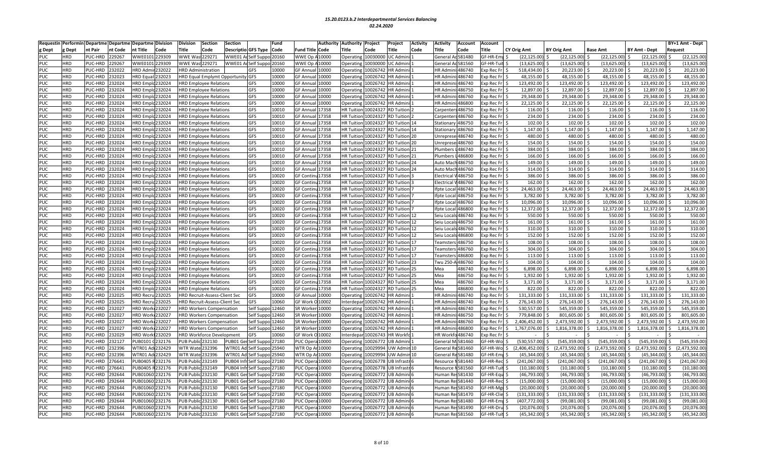| Requestir  |            |         |                  | Performin Departme Departme Departme Division |        | Division                 | Section                              | <b>Section</b>                    |                            | Fund  | Authority                 | <b>Authority</b><br>Project   | Project              | Activity | Activity<br>Account        | <b>Account</b>   |                    |                    |                    |                      | BY+1 Amt - Dept     |
|------------|------------|---------|------------------|-----------------------------------------------|--------|--------------------------|--------------------------------------|-----------------------------------|----------------------------|-------|---------------------------|-------------------------------|----------------------|----------|----------------------------|------------------|--------------------|--------------------|--------------------|----------------------|---------------------|
| g Dept     | Dept       | nt Pair | nt Code          | nt Title                                      | Code   | Title                    | Code                                 |                                   | Descriptio GFS Type Code   |       | <b>Fund Title</b><br>Code | Title<br>Code                 | Title                | Code     | itle:<br>Code              | <b>Title</b>     | <b>CY Orig Amt</b> | <b>BY Orig Amt</b> | <b>Base Amt</b>    | BY Amt - Dept        | Request             |
| PUC        | <b>HRD</b> | PUC-HRD | 229267           | WWE010                                        | 229309 | WWE Wast                 | 1229271                              | WWE01                             | Self Suppo 20160           |       | WWE Op<br>10000           | Operating<br>10030000         | JC Admi              |          | c581480<br>General.        | GF-HR-Em         | (22,125.00         | (22, 125.00)       | (22, 125.00)       | (22, 125.00)         | (22, 125.00)        |
| <b>PUC</b> | <b>HRD</b> | PUC-HRD | 29267            | <b>WWE0101</b>                                | 229309 | <b>WWE Wast229271</b>    |                                      | WWE01 Ad                          | Self Suppo 20160           |       | WWE Op<br>10000           | 10030000<br>Operating         | JC Admin             |          | General Ad 581560          | GF-HR-Tuit       | (13, 625.00)       | (13,625.00)        | $(13,625.00)$ \$   | (13,625.00)          | (13, 625.00)        |
| <b>PUC</b> | HRD.       | PUC-HRD | 232022           | <b>HRD Admi</b>                               | 32022  |                          | <b>HRD Administration</b>            |                                   | <b>GFS</b>                 | 10000 | <b>GF Annua</b><br>10000  | 10026742<br>Operatin          | <b>IR Admin</b>      |          | 486740<br><b>HR</b> Admi   | xp Rec Fr        | 518.434.00         | 20,223.00          | 20.223.00          | 20,223.00            | 20,223.00           |
| <b>PUC</b> | <b>HRD</b> | PUC-HRD | 232023           | <b>HRD</b> Equa                               | 32023  |                          |                                      | HRD Equal Emplymt Opportunity GFS |                            | 10000 | GF Annua<br>10000         | 0026742<br>Operatin           | <b>IR Admir</b>      |          | <b>HR</b> Admi<br>486740   | xp Rec Fr        | 48,155.00          | 48,155.00          | 48,155.00          | 48,155.00            | 48,155.00           |
|            | <b>IRD</b> |         |                  |                                               |        |                          |                                      |                                   |                            |       |                           |                               |                      |          | <b>HR Adm</b>              |                  |                    |                    |                    |                      | 123,492.00          |
| <b>PUC</b> |            | PUC-HRD | 32024            | <b>IRD</b> Empl                               | 32024  |                          | <b>HRD Employee Relations</b>        |                                   | GFS                        | 10000 | <b>GF Annua</b><br>0000   | 0026742<br>Operatin           | <b>R</b> Admir       |          | 486740                     | <b>cp Rec Fr</b> | 123,492.00         | 123,492.00         | 123,492.00         | 123,492.00           |                     |
| <b>PUC</b> | <b>IRD</b> | PUC-HRD | 232024           | <b>HRD Emple</b>                              | 32024  |                          | <b>HRD Employee Relations</b>        |                                   | GFS                        | 10000 | <b>GF Annua</b><br>.0000  | 10026742<br>Operatin          | <b>IR Admir</b>      |          | 486750<br>HR Admi          | xp Rec Fr        | 12,897.00          | 12,897.00          | 12,897.00          | 12,897.00            | 12,897.00           |
| <b>PUC</b> | HRD        | PUC-HRD | 232024           | <b>HRD Emp</b>                                | 32024  |                          | <b>HRD Employee Relations</b>        |                                   | GFS                        | 10000 | <b>GF Annua</b><br>.0000  | Operatin<br>0026742           | <b>IR Admin</b>      |          | <b>HR Admi</b><br>486760   | xp Rec Fr        | 29,348.00          | 29,348.00          | 29,348.00          | 29,348.00            | 29,348.00           |
| PUC        | <b>IRD</b> | PUC-HRD | 32024            | <b>HRD</b> Emplo                              | 232024 |                          | <b>HRD Employee Relations</b>        |                                   | GFS                        | 10000 | <b>GF Annual</b><br>10000 | 10026742<br>Operating         | <b>IR Admin</b>      |          | <b>HR Admi</b><br>1486800  | xp Rec Fr        | 22,125.00          | 22,125.00          | 22,125.00          | 22,125.00            | 22,125.00           |
| PUC        | <b>HRD</b> | PUC-HRD | 232024           | <b>HRD Empl</b>                               | !32024 |                          | <b>HRD Employee Relations</b>        |                                   | GFS                        | 10010 | <b>GF Annua</b><br>.7358  | 0024327<br><b>HR Tuitior</b>  | <b>D</b> Tuitior     |          | 486750<br>Carpente         | xp Rec F         | 116.00             | 116.00             | 116.00             | 116.00               | 116.00              |
| <b>PUC</b> | <b>HRD</b> | PUC-HRD | 232024           | <b>HRD Emple</b>                              | !32024 |                          | <b>HRD Employee Relations</b>        |                                   | GFS                        | 10010 | <b>GF Annua</b><br>17358  | <b>HR Tuition</b><br>0024327  | RD Tuition           |          | s486760<br>Carpenter       | xp Rec Fr        | 234.00             | 234.00             | 234.00             | $234.00$ \$          | 234.00              |
| PUC        | <b>HRD</b> | PUC-HRD | 232024           | <b>HRD</b> Emplo                              | 232024 |                          | <b>HRD Employee Relations</b>        |                                   | GFS                        | 10010 | <b>GF Annua</b><br>17358  | <b>HR Tuition</b>             | 0024327 RD Tuition   |          | Stationar<br>486750        | xp Rec Fr        | 102.00             | 102.00             | 102.00             | 102.00               | 102.00              |
| PUC        | HRD.       | PUC-HRD | 232024           | <b>HRD</b> Empl                               | !32024 |                          | <b>HRD Employee Relations</b>        |                                   | GFS                        | 10010 | 17358<br><b>GF Annua</b>  | <b>HR Tuitio</b>              | 0024327 RD Tuition   |          | Stationa<br>486760         | xp Rec F         | 1.147.00           | 1,147.00           | 1,147.00           | 1.147.00             | 1,147.00            |
| <b>PUC</b> | <b>IRD</b> | PUC-HRD | 32024            | <b>IRD</b> Empl                               | 32024  |                          | <b>HRD Employee Relations</b>        |                                   | GFS                        | 10010 | 17358<br>GF Annua         | 0024327<br><b>HR Tuitio</b>   | <b>RD</b> Tuition    |          | Jnreprese 486740           | xp Rec Fr        | 480.00             | 480.00             | 480.00             | 480.00               | 480.00              |
| PUC        | <b>HRD</b> | PUC-HRD | 232024           | <b>HRD Emple</b>                              | !32024 |                          | <b>HRD Employee Relations</b>        |                                   | GFS                        | 10010 | <b>GF Annua</b><br>17358  | <b>HR Tuition</b><br>0024327  | <b>RD Tuition</b>    |          | 486760<br>Inrepre:         | kp Rec Fi        | 154.00             | 154.00             | 154.00             | 154.00               | 154.00              |
| <b>PUC</b> | <b>HRD</b> | PUC-HRD | 32024            | <b>HRD Empl</b>                               | 32024  |                          | <b>HRD Employee Relations</b>        |                                   | GFS                        | 10010 | <b>GF Annua</b><br>17358  | 0024327<br><b>HR Tuitio</b>   | <b>RD</b> Tuition    |          | 486740<br>Plumber          | xp Rec F         | 384.00             | 384.00             | 384.00             | 384.00               | 384.00              |
| PUC        | <b>HRD</b> | PUC-HRD | 232024           | <b>HRD Empl</b>                               | !32024 |                          | <b>HRD Employee Relations</b>        |                                   | GFS                        | 10010 | <b>GF Annua</b><br>17358  | <b>HR Tuitio</b>              | 0024327 RD Tuition   |          | 486800<br>lumbers          | xp Rec Fr        | 166.00             | 166.00             | 166.00             | 166.00               | 166.00              |
| <b>PUC</b> | <b>HRD</b> | PUC-HRD | 232024           | <b>HRD Emple</b>                              | !32024 |                          | <b>HRD Employee Relations</b>        |                                   | GFS                        | 10010 | GF Annua<br>17358         | <b>HR Tuitio</b><br>0024327   | <b>RD Tuition</b>    |          | 486750<br>Auto Ma          | xp Rec Fr        | 149.00             | 149.00             | 149.00             | 149.00               | 149.00              |
| <b>PUC</b> | <b>HRD</b> | PUC-HRD | 232024           | <b>HRD Emplo</b>                              | 232024 |                          | <b>HRD Employee Relations</b>        |                                   | GFS                        | 10010 | 17358<br><b>GF Annua</b>  | <b>HR Tuitior</b>             | 0024327 RD Tuition   |          | Auto Mach 486760           | xp Rec Fr        | 314.00             | 314.00             | 314.00             | 314.00               | 314.00              |
| <b>PUC</b> | <b>IRD</b> | PUC-HRD | 32024            | <b>HRD Emple</b>                              | 32024  |                          | <b>HRD Employee Relations</b>        |                                   | GFS                        | 10020 | <b>GF Contin</b><br>17358 | 0024327<br><b>HR Tuition</b>  | <b>RD</b> Tuition    |          | lectrical<br>486750        | xp Rec Fr        | 386.00             | 386.00             | 386.00             | 386.00               | 386.00              |
| PUC        | <b>HRD</b> | PUC-HRD | 32024            | <b>HRD Emp</b>                                | 32024  |                          | <b>HRD Employee Relations</b>        |                                   | GFS                        | 10020 | <b>GF Contir</b><br>17358 | <b>HR Tuitio</b><br>0024327   | <b>RD</b> Tuition    |          | Electrica<br>486760        | xp Rec Fr        | 162.00             | 162.00             | 162.00             | 162.00               | 162.00              |
| <b>PUC</b> | <b>IRD</b> | PUC-HRD | 32024            | <b>IRD</b> Emplo                              | 232024 |                          | <b>HRD Employee Relations</b>        |                                   | GFS                        | 10020 | <b>GF Contin</b><br>17358 | <b>HR Tuitior</b>             | 0024327 RD Tuition   |          | fpte Loca<br>486740        | xp Rec Fr        | 24,463.00          | 24,463.00          | 24,463.00          | 24,463.00            | 24,463.00           |
| <b>PUC</b> | <b>IRD</b> | PUC-HRD | 32024            | <b>IRD Empl</b>                               | 32024  |                          | <b>HRD Employee Relations</b>        |                                   | GFS                        | 10020 | <b>GF Contir</b><br>.7358 | 0024327<br><b>HR Tuitior</b>  | የD Tuitior           |          | 486750<br>fpte Loca        | kp Rec F         | 3,782.00           | 3,782.00           | 3,782.00           | 3,782.00             | 3,782.00            |
| <b>PUC</b> | HRD        | PUC-HRD | 32024            | <b>HRD Empl</b>                               | 32024  |                          | <b>HRD Employee Relations</b>        |                                   | GFS                        | 10020 | <b>GF Contin</b><br>17358 | <b>HR Tuitio</b><br>0024327   | <b>D</b> Tuitior     |          | fpte Loca<br>486760        | xp Rec Fr        | 10,096.00          | 10,096.00          | 10,096.00          | 10,096.00            | 10,096.00           |
| <b>PUC</b> | <b>HRD</b> | PUC-HRD | 232024           | <b>HRD</b> Emplo                              | 232024 |                          | <b>HRD Employee Relations</b>        |                                   | GFS                        | 10020 | <b>GF Contin</b><br>17358 | <b>HR Tuitior</b>             | 0024327 RD Tuition   |          | 486800<br>fpte Loca        | xp Rec Fr        | 12,372.00          | 12,372.00          | 12,372.00          | 12,372.00            | 12,372.00           |
| <b>PUC</b> | <b>HRD</b> | PUC-HRD | 232024           | <b>HRD Empl</b>                               | !32024 |                          | <b>HRD Employee Relations</b>        |                                   | GFS                        | 10020 | <b>GF Contir</b><br>17358 | <b>HR Tuitio</b>              | 0024327 RD Tuition   |          | 486740<br>Seiu Loca        | xp Rec F         | 550.00             | 550.00             | 550.00             | 550.00               | 550.00              |
| <b>PUC</b> | <b>HRD</b> | PUC-HRD | 232024           | <b>HRD Emple</b>                              | 32024  |                          | HRD Employee Relations               |                                   | GFS                        | 10020 | 17358<br><b>GF Contin</b> | <b>HR Tuition</b>             | 0024327 RD Tuition   |          | Seiu Locals 486750         | xp Rec Fr        | 161.00             | 161.00             | 161.00             | 161.00               | 161.00              |
| <b>PUC</b> | <b>HRD</b> | PUC-HRD | 232024           | <b>HRD Emple</b>                              | !32024 |                          | <b>HRD Employee Relations</b>        |                                   | GFS                        | 10020 | <b>GF Contin</b><br>17358 | 10024327<br><b>HR Tuitior</b> | RD Tuition           |          | 486760<br>Seiu Loca        | xp Rec Fr        | 310.00             | 310.00             | 310.00             | 310.00               | 310.00              |
|            | <b>HRD</b> | PUC-HRD |                  | <b>HRD Empl</b>                               | !32024 |                          |                                      |                                   | GFS                        |       | <b>GF Contin</b><br>17358 | <b>HR Tuitio</b><br>0024327   | <b>RD</b> Tuition    | 12       | 486800                     | xp Rec F         | 152.00             | 152.00             |                    | 152.00               | 152.00              |
| <b>PUC</b> | <b>HRD</b> |         | 232024<br>232024 | <b>HRD</b> Emplo                              |        |                          | <b>HRD Employee Relations</b>        |                                   |                            | 10020 | <b>GF Contin</b>          | 0024327                       |                      |          | Seiu Loca                  |                  | 108.00             | 108.00             | 152.00<br>108.00   | 108.00               | 108.00              |
| <b>PUC</b> |            | PUC-HRD |                  |                                               | !32024 |                          | <b>HRD Employee Relations</b>        |                                   | GFS                        | 10020 | 17358                     | <b>HR Tuitior</b>             | <b>RD</b> Tuition    |          | <b>Feamsters</b><br>486750 | xp Rec Fr        |                    |                    |                    |                      |                     |
| <b>PUC</b> | <b>HRD</b> | PUC-HRD | 32024            | <b>HRD Empl</b>                               | 32024  |                          | <b>HRD Employee Relations</b>        |                                   | GFS                        | 10020 | <b>GF Contin</b><br>17358 | <b>HR Tuitio</b><br>0024327   | <b>D</b> Tuition     |          | 486760<br><b>Teamster</b>  | <b>kp Rec Fr</b> | 304.00             | 304.00             | 304.00             | 304.00               | 304.00              |
| <b>PUC</b> | <b>HRD</b> | PUC-HRD | 32024            | <b>IRD</b> Empl                               | 32024  |                          | <b>HRD Employee Relations</b>        |                                   | GFS                        | 10020 | 17358<br><b>GF Contir</b> | <b>HR Tuitio</b><br>0024327   | <b>RD</b> Tuition    |          | eamster:<br>486800         | xp Rec Fr        | 113.00             | 113.00             | 113.00             | 113.00               | 113.00              |
| <b>PUC</b> | <b>HRD</b> | PUC-HRD | 232024           | <b>HRD Empl</b>                               | 32024  |                          | <b>HRD Employee Relations</b>        |                                   | GFS                        | 10020 | <b>GF Contin</b><br>17358 | 0024327<br><b>HR Tuition</b>  | <b>RD</b> Tuition    |          | <b>Twu 250</b><br>486760   | xp Rec Fr        | 104.00             | 104.00             | 104.00             | 104.00               | 104.00              |
| <b>PUC</b> | <b>HRD</b> | PUC-HRD | 32024            | <b>HRD Emp</b>                                | 32024  |                          | <b>HRD Employee Relations</b>        |                                   | GFS                        | 10020 | <b>GF Contir</b><br>17358 | <b>HR Tuitic</b><br>0024327   | RD Tuitior           |          | Mea<br>486740              | xp Rec Fr        | 6,898.00           | 6,898.00           | 6,898.00           | 6,898.00             | 6,898.00            |
| PUC        | <b>HRD</b> | PUC-HRD | 32024            | <b>IRD</b> Emple                              | 32024  |                          | <b>HRD Employee Relations</b>        |                                   | GFS                        | 10020 | <b>GF Contin</b><br>17358 | 0024327<br><b>HR Tuitio</b>   | <b>RD</b> Tuition    |          | Mea<br>486750              | xp Rec Fr        | 1,932.00           | 1,932.00           | 1,932.00           | 1,932.00             | 1,932.00            |
| PUC        | <b>HRD</b> | PUC-HRD | 232024           | <b>HRD Empl</b>                               | !32024 |                          | <b>HRD Employee Relations</b>        |                                   | GFS                        | 10020 | <b>GF Contin</b><br>17358 | 0024327<br><b>HR Tuitior</b>  | <b>RD</b> Tuition    |          | 486760<br>Mea              | xp Rec Fr        | 3,171.00           | 3,171.00           | 3,171.00           | $3,171.00$ \$        | 3,171.00            |
| <b>PUC</b> | <b>HRD</b> | PUC-HRD | 32024            | <b>HRD Emp</b>                                | !32024 |                          | <b>HRD Employee Relations</b>        |                                   | GFS                        | 10020 | <b>GF Contir</b><br>17358 | <b>HR Tuitic</b><br>002432    | የD Tuitior           |          | 486800<br>Mea              | xp Rec Fr        | 822.00             | 822.00             | 822.00             | 822.00               | 822.00              |
| <b>PUC</b> | <b>HRD</b> | PUC-HRD | 32025            | <b>HRD Recru</b>                              | 232025 |                          | HRD Recruit-Assess-Client Svc        |                                   | GFS                        | 10000 | 10000<br><b>GF Annual</b> | 0026742<br>Operating          | <b>IR Admin</b>      |          | <b>HR Admi</b><br>486740   | xp Rec Fr        | 131,333.00         | 131,333.00         | 131,333.00         | 131,333.00           | 131,333.00<br>-Ś    |
| <b>PUC</b> | <b>IRD</b> | PUC-HRD | 232025           | <b>HRD Recr</b>                               | 32025  |                          | <b>HRD Recruit-Assess-Client Svc</b> |                                   | GFS                        | 10060 | <b>GF Work</b><br>10002   | 0026742<br>Interdepa          | <b>IR Admir</b>      |          | HR Admi<br>486740          | xp Rec F         | 276,143.00         | 276,143.00         | 276,143.00         | 276,143.00           | 276,143.00          |
| <b>PUC</b> | <b>HRD</b> | PUC-HRD | 32027            | <b>HRD Work</b>                               | 32027  |                          | <b>HRD Workers Compensation</b>      |                                   | Self Suppo 12460           |       | SR Worke<br>.0000         | 0026742<br>Operatin           | IR Admin             |          | <b>HR</b> Admi<br>486740   | xp Rec Fr        | 530,557.00         | 545,359.00         | 545,359.00         | 545,359.00           | 545,359.00          |
| <b>PUC</b> | <b>HRD</b> | PUC-HRD | 232027           | <b>HRD Work</b>                               | 232027 |                          | <b>HRD Workers Compensation</b>      |                                   | Self Suppo 12460           |       | SR Worke<br>10000         | 10026742<br>Operatin          | <b>IR Admin</b>      |          | HR Adm<br>486750           | xp Rec Fr        | 779.848.00         | 801.605.00         | 801.605.00         | 801.605.00           | 801.605.00          |
| <b>PUC</b> | <b>HRD</b> | PUC-HRD | 232027           | <b>HRD Work</b>                               | !32027 |                          | <b>HRD Workers Compensation</b>      |                                   | Self Suppo                 | 12460 | SR Worke<br>10000         | Operatin<br>0026742           | <b>IR Admin</b>      |          | <b>HR</b> Admi<br>486760   | xp Rec F         | 2,406,452.00       | 2,473,592.00       | 2,473,592.00       | 2,473,592.00<br>Ŝ.   | 2,473,592.00<br>Ŝ   |
| <b>PUC</b> | <b>HRD</b> | PUC-HRD | 32027            | <b>HRD Worl</b>                               | !32027 |                          | <b>HRD Workers Compensation</b>      |                                   | Self Suppo 12460           |       | SR Worke<br>10000         | 10026742<br>Operatin          | <b>IR Admir</b>      |          | <b>HR Admi</b><br>486800   | xp Rec Fr        | 1,767,076.00       | 1,816,378.00       | 1,816,378.00       | 1,816,378.00<br>Ŝ    | 1,816,378.00<br>Ŝ.  |
| <b>PUC</b> | <b>HRD</b> | PUC-HRD | 232029           | <b>HRD Worl</b>                               | 132029 |                          | <b>HRD Workforce Development</b>     |                                   | <b>GFS</b>                 | 10060 | <b>GF Work</b><br>10002   | 10026743<br>Interdepa         | IR Workfo            |          | <b>HR Work</b><br>o486740  | xp Rec F         |                    |                    |                    |                      |                     |
| <b>PUC</b> | <b>HRD</b> | PUC-HRD | 232127           | PUB0101                                       | 32176  | PUB Public 232130        |                                      | PUB01 Ger                         | Self Suppo 27180           |       | PUC Oper<br>10000         | 0026772<br>Operatin           | <b>JB Admin</b>      |          | General MI581460           | <b>SF-HR-Wo</b>  | (530.557.00        | (545.359.00)       | $(545.359.00)$ \$  | (545.359.00)         | (545.359.00<br>ς    |
| <b>PUC</b> | <b>HRD</b> | PUC-HRD | 232396           | WTR01 A                                       | 232429 | <b>WTR Wate 232396</b>   |                                      | WTR01 Ad                          | Self Suppo 25940           |       | WTR Op A<br>10000         | 10029994<br>Operatin          | JW Admin 10          |          | General Re581460           | F-HR-Wo          | (2,406,452.00)     | 2,473,592.00)      | (2,473,592.00)     | (2,473,592.00)<br>ς. | (2,473,592.00<br>ς. |
| <b>PUC</b> | <b>HRD</b> | PUC-HRD | 232396           | WTR01 A                                       | 232429 | <b>WTR Wate 232396</b>   |                                      | WTR01 Ad                          | Self Suppo 25940           |       | WTR Op A<br>10000         | 0029994<br>Operatin           | <b>JW Admir</b>      |          | General<br>e 581480        | F-HR-Em          | (45, 344.00)       | (45, 344.00)       | (45, 344.00)       | (45, 344.00)         | (45,344.00          |
| <b>PUC</b> | <b>HRD</b> | PUC-HRD | 76641            | PUB0405                                       | 232176 | PUB Public 232149        |                                      | PUB04 Infi                        | Self Suppo 27180           |       | PUC Oper<br>10000         | 10026778<br>Operatin          | JB Infrastr          |          | Resource<br>581440         | F-HR-Rec         | (241,067.00        | (241,067.00)       | (241,067.00)       | (241.067.00)         | (241,067.00         |
| PUC        | <b>HRD</b> | PUC-HRD | 76641            | PUB0405                                       | 32176  | <b>OUB Publi</b>         | 232149                               | PUB04 Int                         | Self Suppo 27180           |       | PUC Oper<br>10000         | 0026778<br>Operatin           | JB Infrastr          |          | 581560<br><b>lesource</b>  | F-HR-Tuit        | (10, 180.00)       | (10, 180.00)       | (10, 180.00)       | (10, 180.00)         | (10, 180.00)        |
| <b>PUC</b> | <b>HRD</b> | PUC-HRD | 192644           | <b>UB0106</b>                                 | 32176  | <b>PUB Publi</b>         | 232130                               | PUB01 Ge                          | Self Suppo 27180           |       | PUC Oper<br>10000         | Operatir<br>0026772           | JB Admin             |          | Human R<br>:581430         | <b>SF-HR-Equ</b> | (46,793.00         | (46, 793.00)       | (46, 793.00)       | (46, 793.00)         | (46, 793.00)        |
| PUC        | <b>IRD</b> | PUC-HRD | 92644            | PUB01060                                      | 232176 | <b>PUB Public</b>        | 232130                               | PUB01 Ger                         | Self Suppo 27180           |       | PUC Oper<br>10000         | 10026772<br>Operating         | <b>JB Admini</b>     |          | <b>Human Res581440</b>     | F-HR-Rec         | (15,000.00         | (15,000.00)        | (15,000.00)        | (15,000.00)          | (15,000.00)         |
| PUC        | <b>IRD</b> | PUC-HRD | 192644           | UB0106                                        | !32176 | <b>PUB Publi</b>         | 232130                               | <b>UB01 Ge</b>                    | self Suppo                 | 27180 | PUC Oper<br>.0000         | 0026772<br>Operatin           | <b>JB Admir</b>      |          | 581450<br>luman F          | F-HR-Mg          | (20,000.00)        | (20,000.00)        | (20,000.00)        | (20,000.00)          | (20,000.00)         |
| <b>PUC</b> | HRD        | PUC-HRD | 192644           | PUB01060                                      | !32176 | <b>PUB Public</b>        | 232130                               | PUB01 Ger                         | Self Suppo 27180           |       | PUC Oper<br>10000         | Operatin<br>0026772           | JB Admini            |          | <b>Human Res581470</b>     | F-HR-Clie        | (131,333.00        | (131, 333.00)      | $(131, 333.00)$ \$ | (131, 333.00)        | 131,333.00          |
| PUC        | <b>HRD</b> | PUC-HRD | 92644            | PUB01060                                      | 232176 | <b>PUB Publid</b>        | 232130                               | PUB01 Ger                         | Self Suppo 27180           |       | PUC Oper<br>10000         | 10026772<br>Operatin          | <b>JB Admini</b>     |          | 581480<br>Human R          | F-HR-Em          | (407,772.00)       | (99,081.00)        | (99,081.00)        | (99,081.00)          | (99,081.00          |
| <b>PUC</b> | <b>HRD</b> | PUC-HRD | 92644            | <b>UB0106</b>                                 | 32176  | <b>PUB Publid</b>        | 232130                               |                                   | PUB01 Ger Self Suppo 27180 |       | 10000<br>PUC Oper         | Operatin<br>0026772           | <b>JB Admini</b>     |          | Human R<br>:581490         | GF-HR-Dr         | (20,076.00)        | (20,076.00)        | (20,076.00)        | (20,076.00)          | (20,076.00)         |
| <b>PUC</b> | HRD        | PUC-HRD | 292644           | PUB01060                                      | !32176 | <b>PUB Public 232130</b> |                                      |                                   | PUB01 Ger Self Suppo 27180 |       | PUC Opera<br>10000        | Operating                     | 10026772 UB Admini 6 |          | Human Re: 581560           | F-HR-Tuit        | (45, 342.00)       | (45, 342.00)       | (45, 342.00)       | $(45,342.00)$ \$     | (45, 342.00)        |
|            |            |         |                  |                                               |        |                          |                                      |                                   |                            |       |                           |                               |                      |          |                            |                  |                    |                    |                    |                      |                     |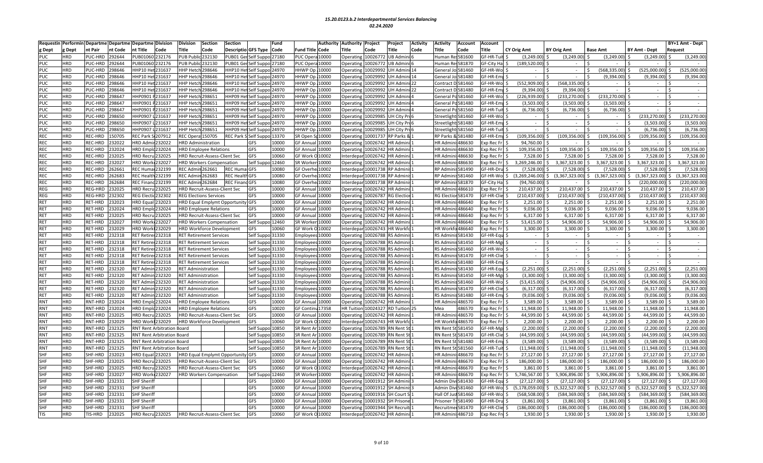| nt Pair<br>nt Title<br><b>Fitle</b><br><b>Descriptio GFS Type</b><br>Title<br>g Dept<br>Dept<br>nt Code<br>Code<br>Code<br>Code<br>Fund Title<br>Code<br>Code<br>Title<br>Code<br>ïtle<br>Code<br><b>Title</b><br>CY Orig Amt<br><b>BY Orig Amt</b><br><b>Base Amt</b><br><b>BY Amt - Dept</b><br>Request<br><b>PUC</b><br><b>HRD</b><br>PUC-HRD<br>292644<br>PUB01060<br>232176<br>PUB Publi<br>232130<br>PUB01 Ge<br>Self Suppo 27180<br>PUC Oper<br>10000<br>Operating<br>10026772<br><b>UB Admin</b><br>:581600<br><b>GF-HR-Tu</b><br>(3, 249.00)<br>(3, 249.00)<br>(3, 249.00)<br>(3, 249.00)<br>(3, 249.00)<br>Human R<br>PUB01060<br>(189,520.00<br><b>PUC</b><br><b>IRD</b><br>PUC-HRD<br>192644<br>232176<br><b>PUB Publid</b><br>232130<br>PUB01 Ger<br>PUC Oper<br>10000<br>10026772<br>JB Admin<br><b>Human Res581870</b><br>GF-City Ha<br>Self Suppo 27180<br>Operating<br>GF-HR-Wo<br><b>PUC</b><br>298646<br>HHP10 He<br>298646<br><b>HHWP Op</b><br>10029992<br>(568, 335.00)<br>(525,000.00)<br>(525,000.00<br><b>IRD</b><br>PUC-HRD<br>231637<br><b>HHP Hetc</b><br>HHP10 He<br>elf Suppo 24970<br>10000<br>Operatin<br><b>JH Admini</b><br>General Jol 581460<br>$\sim$<br><b>PUC</b><br><b>HRD</b><br>PUC-HRD<br>!98646<br>HHP10 He<br>231637<br><b>HHP Hetc</b><br>298646<br>HHP10 H<br>HHWP Op<br>10000<br>0029992<br>JH Admir<br>GF-HR-Em<br>(9.394.00)<br>(9.394.00)<br>(9, 394.00)<br>Self Suppo 24970<br>Operatin<br>General J<br>Joi 581480<br>$\sim$<br>$\sim$<br><b>HRD</b><br>PUC-HRD<br>98646<br>HP10 Het 231637<br>HHWP Op 10000<br>10029992<br>JH Admini<br>F-HR-Wo<br>(552,909.00<br>(568, 335.00)<br><b>PUC</b><br>HHP Hetch 298646<br>HHP10 Het<br>elf Suppo 24970<br>Operating<br>Contract D 581460<br>$\sim$<br>$\sim$<br><b>PUC</b><br>PUC-HRD<br>98646<br>HP10 H<br>298646<br>HHWP Op<br>0029992<br>D 581480<br>F-HR-Em<br>(9,394.00)<br>(9,394.00)<br><b>IRD</b><br>!31637<br><b>HHP Hetc</b><br>HHP10 H<br>elf Suppo 24970<br>10000<br><b>H</b> Admir<br>Operatin<br>Contract<br><b>HRD</b><br>98647<br>HP0901<br><b>HHWP Op</b><br><b>SF-HR-Wo</b><br>(226,939.00<br>(233, 270.00)<br><b>PUC</b><br>PUC-HRD<br>231637<br>HHP Hetch 298651<br>HHP09 H<br>elf Suppo 24970<br>10000<br>Operatin<br>0029992<br>(233, 270.00)<br>JH Admin<br>General Po 581460<br>$\sim$<br><b>HRD</b><br>PUC-HRD<br>98647<br>HP0901<br>HHWP Op<br>10000<br><b>GF-HR-Emp</b><br>(3,503.00)<br>(3,503.00)<br><b>PUC</b><br>231637<br>HHP Hetch 298651<br>HHP09 He<br>elf Suppo 24970<br>Operating<br>0029992<br>JH Admin<br>General Po 581480<br>(3,503.00)<br>$\sim$<br><b>PUC</b><br><b>IRD</b><br>PUC-HRD<br>98647<br>HHP0901<br>31637<br><b>HHP Hetc</b><br>298651<br><b>HHP09 H</b><br>elf Suppo<br>24970<br>HHWP Op<br>10000<br>0029992<br><b>H Admi</b><br>a581560<br>F-HR-Tu<br>(6,736.00)<br>(6,736.00)<br>(6,736.00)<br>Operatin<br>General<br>(233,270.00<br><b>PUC</b><br><b>HRD</b><br>!98650<br>HHP0907<br>HHP Hetch 298651<br>elf Suppo 24970<br>HHWP Op<br>0029985<br>(233, 270.00)<br>PUC-HRD<br>31637<br><b>HHP09 H</b><br>10000<br>Operatin<br>JH City Pro<br>Streetlight: 581460<br>F-HR-Wo<br>$\sim$<br>$\sim$<br>$\sim$<br><b>PUC</b><br><b>HRD</b><br>PUC-HRD<br>298650<br>HHP0907<br>298651<br>HHWP Op<br>F-HR-Emt<br>(3,503.00)<br>(3,503.00)<br>231637<br><b>HHP Hetc</b><br>HHP09 He<br>elf Suppo 24970<br>10000<br>Operatin<br>0029985<br>JH City Pro<br>Streetligh<br>t:581480<br>$\sim$<br>$\sim$<br><b>HRD</b><br>PUC-HRD<br>98650<br>HHP0907<br>231637<br>HP Hetch 298651<br>HHP09 He<br>Self Suppo 24970<br>HHWP Op<br>10000<br>0029985<br>:581560<br>GF-HR-Tuit<br>(6,736.00)<br>(6,736.00)<br><b>PUC</b><br>Operatin<br>JH City Proe<br>Streetligh<br>$\sim$<br><b>REC Park 9</b><br>109,356.00<br><b>REC</b><br><b>IRD</b><br>REC-HRD<br>150705<br>107912<br>REC Opera 150705<br>REC Park S Self Suppo 13370<br>SR Open St 10000<br>Operatin<br>10001737 RP Parks 8<br><b>RP Parks</b><br>&581480<br>F-HR-Emp<br>(109,356.00<br>(109, 356.00)<br>(109, 356.00)<br>109,356.00)<br><b>HRD</b><br>REC-HRD<br>!32022<br><b>HRD Adm</b><br>32022<br>GFS<br>10000<br>GF Annua<br>10000<br>0026742<br><b>IR Admin</b><br><b>HR Adm</b><br>486630<br>94,760.00<br><b>HRD Administration</b><br>Operatin<br>kp Rec Fr<br>109,356.00<br><b>REC</b><br>REC-HRD<br><b>HRD</b> Emplo<br><b>GFS</b><br>10000<br>109,356.00<br>109,356.00<br>109,356.00<br><b>HRD</b><br>232024<br>232024<br><b>GF Annua</b><br>10000<br>Operatin<br>10026742<br><b>IR Admin</b><br>486630<br>xp Rec Fr<br>109,356.00<br><b>HRD Employee Relations</b><br>HR Admi<br>S.<br><b>REC</b><br>7,528.00<br>7,528.00<br><b>HRD</b><br>REC-HRD<br>!32025<br><b>HRD Recru</b><br>!32025<br>HRD Recruit-Assess-Client Svc<br>GFS<br>10060<br>GF Work O<br>10002<br>10026742<br><b>IR Admin</b><br><b>HR</b> Admi<br>486630<br>xp Rec Fr<br>7,528.00<br>7,528.00<br>7,528.00<br>Interdepai<br>3,269,246.00<br>3,367,323.00<br>3,367,323.00<br><b>REC</b><br>HRD<br>REC-HRD<br>!32027<br><b>HRD Wor</b><br>32027<br>Self Sur<br>12460<br>SR Worke<br>10000<br>0026742<br><b>IR Admir</b><br>HR Adm<br>486630<br>xp Rec Fr<br>3,367,323.00<br>3,367,323.00<br>HRD Workers Compensation<br>Operatin<br>Ŝ.<br><b>REC</b><br>REC-HRD<br>(7,528.00<br><b>HRD</b><br>162661<br>REC Huma<br>232199<br>REC Admin 262661<br><b>REC Huma</b><br>GFS<br>10080<br>GF Overhe<br>0001738<br><b>RP</b> Admi<br>581490<br><b>SF-HR-Dru</b><br>(7,528.00)<br>(7,528.00)<br>(7,528.00)<br>(7,528.00)<br>.0002<br>Interdepar<br><b>RP</b> Admin<br><b>REC</b><br>262683<br>GF Overho<br>(3.269.246.00)<br>(3,367,323.00<br>REC-HRD<br><b>REC Health</b><br>132199<br>REC Admin 262683<br><b>REC Health GFS</b><br>10080<br>10001738<br>581460<br><b>F-HR-Wo</b><br>$(3,367,323.00)$ \$<br>$(3,367,323.00)$ \$<br>(3,367,323.00)<br><b>HRD</b><br>.0002<br>Interdepai<br><b>RP</b> Admin<br><b>RP</b> Admi<br>\$.<br><b>REC</b><br><b>HRD</b><br>REC-HRD<br>162684<br><b>REC Finand</b><br>232199<br><b>REC Admin 262684</b><br><b>REC Financ GFS</b><br>10080<br>GF Overh<br>10002<br>10001738<br><b>RP</b> Admin<br><b>RP</b> Admir<br>\$581870<br><b>GF-City Hal</b><br>(94, 760.00)<br>(220,000.00)<br>220,000.00<br>Interdepa<br>!32025<br><b>HRD Recru</b><br>10000<br>210,437.00<br>210,437.00<br>210,437.00<br>210,437.00<br><b>REG</b><br><b>IRD</b><br>REG-HRD<br>232025<br>HRD Recruit-Assess-Client Svc<br>GFS<br><b>GF Annual</b><br>10000<br>Operating<br>10026742<br><b>IR Admin</b><br><b>IR Admi</b><br>1486610<br>xp Rec Fr<br>210,437.00<br>132302<br>10000<br>210,437.00<br><b>REG</b><br><b>IRD</b><br>REG-HRD<br><b>REG Elect</b><br>32302<br>GFS<br><b>GF Annua</b><br>0026787<br><b>RG</b> Elect<br>581470<br>F-HR-Clie<br>(210,437.00<br>(210, 437.00)<br>(210, 437.00)<br>(210, 437.00)<br><b>REG Elections Services</b><br>.0000<br>Operatin<br><b>G</b> Electic<br><b>RET</b><br><b>HRD</b> Equa<br>10000<br>2,251.00<br>2,251.00<br>HRD<br>RET-HRD<br>!32023<br>HRD Equal Emplymt Opportunity GFS<br>GF Annua<br>0026742<br><b>HR</b> Admi<br>486640<br>xp Rec Fr<br>2,251.00<br>2,251.00<br>2,251.00<br>32023<br>.0000<br>Operatin<br><b>IR Admin</b><br><b>RET</b><br>RET-HRD<br>9,036.00<br>9,036.00<br>9,036.00<br>HRD.<br>!32024<br><b>HRD Emplo</b><br>232024<br><b>HRD Employee Relations</b><br>GFS<br>10000<br><b>GF Annua</b><br>10000<br>Operatin<br>10026742<br><b>IR Admin</b><br><b>HR Admi</b><br>486640<br>xp Rec Fr<br>9,036.00<br>9,036.00<br>6,317.00<br><b>RET</b><br><b>HRD</b><br>RET-HRD<br>32025<br><b>HRD Recr</b><br>32025<br>GFS<br>10000<br>GF Annua<br>.0000<br>0026742<br><b>IR Admir</b><br>HR Adm<br>486640<br>xp Rec F<br>6,317.00<br>6,317.00<br>6,317.00<br>6,317.00<br>HRD Recruit-Assess-Client Svc<br>Operatin<br>54,906.00<br>54,906.00<br>54,906.00<br><b>RET</b><br><b>HRD</b><br>RET-HRD<br>32027<br><b>HRD Work</b><br>Self Suppo<br>12460<br>SR Worke<br>0026742<br>1486640<br>xp Rec Fr<br>53,415.00<br>54,906.00<br>!32027<br><b>HRD Workers Compensation</b><br>10000<br>Operatin<br><b>IR Admin</b><br><b>HR Admi</b><br>3,300.00<br><b>RET</b><br><b>HRD</b><br>RET-HRD<br>!32029<br><b>HRD Work</b><br>GFS<br>10060<br><b>GF Work</b><br>10026743<br>HR Workfo486640<br>3,300.00<br>3,300.00<br>3,300.00<br>3,300.00<br>232029<br>10002<br><b>IR Workfo</b><br>xp Rec Fr<br>HRD Workforce Development<br>nterdepa<br><b>RET</b><br><b>HRD</b><br>RET-HRD<br>32318<br><b>RET Retire</b><br>232318<br>Self Suppo 31330<br>10000<br>0026788<br><b>RS Admini</b><br><b>RS</b> Admir<br>s581430<br>GF-HR-Equ<br><b>RET Retirement Services</b><br>Employee<br>Operatin<br>$\sim$<br>$\sim$<br>ς<br>$\sim$<br><b>RET</b><br><b>HRD</b><br>RET-HRD<br>32318<br><b>RET Retire</b><br>232318<br>Self Suppo 31330<br>10000<br>10026788<br>S Admini<br><b>RS Admin</b><br>is 581450<br>F-HR-Mgr<br><b>RET Retirement Services</b><br>Employee<br>Operating<br>Ŝ<br>$\sim$<br>$\sim$<br>$\sim$<br>$\sim$<br><b>RET</b><br>RET-HRD<br>F-HR-W<br><b>HRD</b><br>32318<br><b>RET Retire</b><br>32318<br>Self Suppo<br>31330<br>0026788<br>S Admin<br><b>RS Admi</b><br>581460<br>mployee<br>10000<br>Operatin<br><b>RET Retirement Services</b><br><b>RET</b><br><b>HRD</b><br>RET-HRD<br>32318<br><b>RET Retire</b><br>232318<br>0026788<br><b>RS Admini</b><br>is 581470<br><b>GF-HR-Clie</b><br><b>RET Retirement Services</b><br>Self Suppo 31330<br>Employee<br>10000<br>Operatin<br><b>RS Admin</b><br>$\sim$<br>Ś,<br>$\sim$<br>$\sim$<br>$\sim$<br>RET<br>HRD<br>RET-HRD<br>!32318<br><b>RET Retire</b><br>132318<br>Self Suppo 31330<br>10000<br>Operatin<br>10026788<br><b>RS</b> Admini<br><b>RS Admin</b><br>\$581480<br>F-HR-Emp<br><b>RET Retirement Services</b><br>Employee<br>$\sim$<br>$\sim$<br>-Ś<br>32320<br>(2, 251.00)<br><b>RET</b><br><b>HRD</b><br>RET-HRD<br><b>RET Admir</b><br>232320<br>Self Suppo 31330<br>10000<br>0026788<br>S Admin<br><b>RS Admir</b><br>581430<br>F-HR-Equ<br>(2, 251.00)<br>(2,251.00)<br>(2,251.00)<br>$(2,251.00)$ \$<br><b>RET Administration</b><br>Employee<br>Operatin<br>(3,300.00)<br><b>RET</b><br><b>HRD</b><br>RET-HRD<br>32320<br><b>RET Admir</b><br>232320<br>0026788<br><b>S Admini</b><br>is 581450<br>F-HR-Mgr<br>(3,300.00)<br>(3,300.00)<br>(3,300.00)<br>(3,300.00)<br>Self Suppo 31330<br>Employee:<br>10000<br>Operating<br><b>RS Admin</b><br>RET Administration<br><b>RET</b><br>132320<br>(54,906.00<br>RET-HRD<br><b>RET Admi</b><br>32320<br>10026788<br>s581460<br>F-HR-Wo<br>(53,415.00<br>(54, 906.00)<br>(54,906.00)<br>(54, 906.00)<br><b>HRD</b><br>Self Suppo 31330<br>10000<br><b>S</b> Admin<br><b>RS Admir</b><br>RET Administration<br>mployee<br>Operatin<br>(6, 317.00)<br><b>RET</b><br><b>HRD</b><br>RET-HRD<br>32320<br><b>RET Admir</b><br>232320<br>Self Suppo 31330<br>10000<br>0026788<br>RS Admini<br><b>RS</b> Admir<br>\$581470<br>GF-HR-Clie<br>(6, 317.00)<br>(6,317.00)<br>(6,317.00)<br>(6,317.00)<br><b>RET Administration</b><br>Employee<br>Operatin<br>132320<br><b>RET Admir</b><br>(9,036.00)<br><b>RET</b><br><b>HRD</b><br>RET-HRD<br>232320<br><b>RET Administration</b><br>Self Suppo 31330<br>Employee:<br>10000<br>Operatin<br>0026788<br>RS Admini<br><b>RS Admir</b><br>\$581480<br><b>GF-HR-Emp</b><br>(9,036.00)<br>(9,036.00)<br>(9,036.00)<br>(9,036.00)<br><b>RNT</b><br><b>HRD</b><br>RNT-HRD<br>32024<br><b>HRD Empl</b><br>32024<br>10000<br><b>GF Annua</b><br>.0000<br>0026742<br><b>HR Adm</b><br>486570<br>3,589.00<br>3,589.00<br>3,589.00<br>3,589.00<br>3,589.00<br><b>HRD Employee Relations</b><br>GFS<br>Operatin<br><b>IR Admir</b><br>xp Rec Fr<br>11,948.00<br>11,948.00<br>11,948.00<br>11,948.00<br><b>RNT</b><br>HRD<br>RNT-HRD<br>!32024<br><b>HRD Emple</b><br>GFS<br>10020<br><b>GF Contin</b><br><b>HR Tuitio</b><br>0024327<br>xp Rec Fr<br>11,948.00<br>!32024<br><b>HRD Employee Relations</b><br>17358<br><b>D</b> Tuition<br>Mea<br>486570<br>44,599.00<br><b>RNT</b><br>HRD<br>232025<br>44,599.00<br>44,599.00<br>44,599.00<br>44,599.00<br>RNT-HRD<br><b>HRD Recru</b><br>232025<br>HRD Recruit-Assess-Client Svc<br>GFS<br>10000<br>GF Annua<br>10000<br>Operatin<br>0026742<br><b>IR Admin</b><br><b>HR</b> Admi<br>486570<br>xp Rec Fr<br>2,200.00<br><b>RNT</b><br><b>HRD</b><br><b>RNT-HRD</b><br>!32029<br><b>IRD Work1232029</b><br>GFS<br>10060<br><b>GF Work</b><br>10002<br>0026743<br><b>IR Workfo</b><br>HR Workfo486570<br>xp Rec Fr<br>2,200.00<br>2,200.00<br>2,200.00<br>2,200.00<br><b>HRD Workforce Development</b><br>Interdepa<br>(2, 200.00)<br><b>HRD</b><br>RNT-HRD<br>232325<br>Self Suppo 10850<br>SR Rent A<br>10026789 RN Rent St<br>F-HR-Mgi<br>(2, 200.00)<br>(2,200.00)<br>(2,200.00)<br>$(2,200.00)$ \$<br><b>RNT</b><br>RNT Rent Arbitration Board<br>10000<br>Operatin<br>RN Rent St 581450<br>(44, 599.00)<br>(44,599.00<br><b>RNT</b><br><b>HRD</b><br>RNT-HRD<br>232325<br>Self Suppo 10850<br>SR Rent A<br>10026789<br><b>RN Rent St 581470</b><br><b>GF-HR-Clie</b><br>(44,599.00<br>(44,599.00)<br>(44,599.00)<br><b>RNT Rent Arbitration Board</b><br>10000<br>Operatin<br>RN Rent St<br>(3,589.00)<br><b>RNT</b><br><b>HRD</b><br>RNT-HRD<br>32325<br>Self Suppo<br>10850<br>SR Rent A<br>.0000<br>Operatin<br>0026789<br>RN Rent S<br>RN Rent<br>St 581480<br><b>GF-HR-Em</b><br>(3,589.00)<br>(3,589.00)<br>(3,589.00)<br>(3,589.00)<br>RNT Rent Arbitration Board<br>32325<br>(11,948.00)<br>(11,948.00)<br>(11,948.00)<br>(11,948.00)<br><b>RNT</b><br>HRD.<br>RNT-HRD<br><b>RNT Rent Arbitration Board</b><br>Self Suppo 10850<br>SR Rent A<br>10000<br>Operatin<br>0026789<br><b>N</b> Rent St<br>RN Rent<br>St 581560<br>F-HR-Tuit<br>(11,948.00)<br>SHF<br><b>HRD</b><br>SHF-HRD<br>32023<br><b>HRD Equal</b><br>32023<br>GFS<br>10000<br>GF Annua<br>10000<br>0026742<br><b>HR</b> Admi<br>486670<br>xp Rec Fr<br>27,127.00<br>27,127.00<br>27,127.00<br>27,127.00<br>27,127.00<br><b>HRD Equal Emplymt Opportunit</b><br>Operatin<br><b>IR Admin</b><br>SHF<br>186,000.00<br>186,000.00<br>186,000.00<br>186,000.00<br><b>HRD</b><br>SHF-HRD<br>32025<br><b>HRD Recru</b><br>GFS<br>10000<br>GF Annua<br>0026742<br>486670<br>186,000.00<br>32025<br><b>HRD Recruit-Assess-Client Svc</b><br>.0000<br>Operatin<br><b>IR Admin</b><br>HR Admi<br>xp Rec Fr<br>SHF<br>!32025<br>10060<br>3,861.00<br>3,861.00<br>HRD<br>SHF-HRD<br><b>HRD Recru</b><br>32025<br><b>HRD Recruit-Assess-Client Svc</b><br>GFS<br>GF Work<br>10002<br>Interdepa<br>10026742<br><b>IR Admir</b><br><b>HR Admi</b><br>486670<br>xp Rec Fr<br>3.861.00<br>3,861.00<br>3,861.00<br>SHF<br><b>HRD</b><br>SHF-HRD<br>!32027<br><b>IRD Work 232027</b><br>Self Supp<br>12460<br>SR Worke<br>0026742<br><b>HR</b> Admi<br>486670<br>5,746,567.00<br>5.906.896.00<br>5,906,896.00<br>5,906,896.00<br>5,906,896.00<br><b>HRD Workers Compensation</b><br>10000<br>Operatin<br><b>IR Admin</b><br>xp Rec Fr<br>Ŝ.<br>SHF<br>32331<br>(27, 127.00)<br>(27, 127.00)<br>(27, 127.00)<br>(27, 127.00)<br><b>HRD</b><br>SHF-HRD<br><b>SHF Sheriff</b><br>GFS<br>10000<br><b>GF Annua</b><br>.0000<br>10001912<br>SH Admin<br>Admin Di<br>i 581430<br>F-HR-Equ<br>(27, 127.00)<br>Operating<br>(5,322,527.00<br>SHF<br>SHF-HRD<br>32331<br><b>SHF Sheriff</b><br>GFS<br>10000<br><b>GF Annua</b><br>0001912<br>i 581460<br>F-HR-Wo<br>(5, 178, 059.00<br>(5, 322, 527.00)<br>$(5,322,527.00)$ \$<br>(5,322,527.00)<br>HRD<br>.0000<br>SH Admin<br>Operatin<br>Admin Di <sup>.</sup><br>Ŝ<br>132331<br>GFS<br>10000<br><b>SF-HR-Wo</b><br>(584, 369.00)<br>(584,369.00<br><b>HRD</b><br>SHF-HRD<br><b>SHF Sheriff</b><br><b>GF Annua</b><br>0001916<br>1581460<br>(568,508.00<br>(584, 369.00)<br>(584, 369.00)<br>.0000<br>Operatin<br><b>SH Court</b><br>Hall Of Ju<br>32331<br>GFS<br>(3,861.00)<br>SHF<br><b>HRD</b><br>SHF-HRD<br><b>SHF Sheriff</b><br>10000<br><b>GF Annua</b><br>10000<br>10001932<br><b>SH Prisone</b><br>Prisoner<br>r 581490<br><b>SF-HR-Dru</b><br>(3,861.00)<br>(3,861.00)<br>(3,861.00)<br>(3,861.00)<br>Operating<br>SHF<br><b>IRD</b><br>SHF-HRD<br>32331<br><b>SHF Sherift</b><br>GFS<br>10000<br><b>GF Annua</b><br>.0000<br>0001944<br><b>SH Recruit</b><br>581470<br>F-HR-Clie<br>186,000.00<br>(186,000.00)<br>(186,000.00)<br>(186,000.00)<br>186,000.00<br>Operatin<br>Recruitm<br><b>HRD</b><br>HR Admini: 486710<br>1,930.00<br><b>IRD Recru 232025</b><br>HRD Recruit-Assess-Client Svc | Requesti   | Performin Departme Departme Departme |       | <b>Division</b> | Division | Section | <b>Section</b> |     | Fund  | Authority          | <b>Authority</b> | Project  | Project          | <b>Activity</b> | Activity | Account | Account    |          |          |          |          | BY+1 Amt - Dept |  |
|---------------------------------------------------------------------------------------------------------------------------------------------------------------------------------------------------------------------------------------------------------------------------------------------------------------------------------------------------------------------------------------------------------------------------------------------------------------------------------------------------------------------------------------------------------------------------------------------------------------------------------------------------------------------------------------------------------------------------------------------------------------------------------------------------------------------------------------------------------------------------------------------------------------------------------------------------------------------------------------------------------------------------------------------------------------------------------------------------------------------------------------------------------------------------------------------------------------------------------------------------------------------------------------------------------------------------------------------------------------------------------------------------------------------------------------------------------------------------------------------------------------------------------------------------------------------------------------------------------------------------------------------------------------------------------------------------------------------------------------------------------------------------------------------------------------------------------------------------------------------------------------------------------------------------------------------------------------------------------------------------------------------------------------------------------------------------------------------------------------------------------------------------------------------------------------------------------------------------------------------------------------------------------------------------------------------------------------------------------------------------------------------------------------------------------------------------------------------------------------------------------------------------------------------------------------------------------------------------------------------------------------------------------------------------------------------------------------------------------------------------------------------------------------------------------------------------------------------------------------------------------------------------------------------------------------------------------------------------------------------------------------------------------------------------------------------------------------------------------------------------------------------------------------------------------------------------------------------------------------------------------------------------------------------------------------------------------------------------------------------------------------------------------------------------------------------------------------------------------------------------------------------------------------------------------------------------------------------------------------------------------------------------------------------------------------------------------------------------------------------------------------------------------------------------------------------------------------------------------------------------------------------------------------------------------------------------------------------------------------------------------------------------------------------------------------------------------------------------------------------------------------------------------------------------------------------------------------------------------------------------------------------------------------------------------------------------------------------------------------------------------------------------------------------------------------------------------------------------------------------------------------------------------------------------------------------------------------------------------------------------------------------------------------------------------------------------------------------------------------------------------------------------------------------------------------------------------------------------------------------------------------------------------------------------------------------------------------------------------------------------------------------------------------------------------------------------------------------------------------------------------------------------------------------------------------------------------------------------------------------------------------------------------------------------------------------------------------------------------------------------------------------------------------------------------------------------------------------------------------------------------------------------------------------------------------------------------------------------------------------------------------------------------------------------------------------------------------------------------------------------------------------------------------------------------------------------------------------------------------------------------------------------------------------------------------------------------------------------------------------------------------------------------------------------------------------------------------------------------------------------------------------------------------------------------------------------------------------------------------------------------------------------------------------------------------------------------------------------------------------------------------------------------------------------------------------------------------------------------------------------------------------------------------------------------------------------------------------------------------------------------------------------------------------------------------------------------------------------------------------------------------------------------------------------------------------------------------------------------------------------------------------------------------------------------------------------------------------------------------------------------------------------------------------------------------------------------------------------------------------------------------------------------------------------------------------------------------------------------------------------------------------------------------------------------------------------------------------------------------------------------------------------------------------------------------------------------------------------------------------------------------------------------------------------------------------------------------------------------------------------------------------------------------------------------------------------------------------------------------------------------------------------------------------------------------------------------------------------------------------------------------------------------------------------------------------------------------------------------------------------------------------------------------------------------------------------------------------------------------------------------------------------------------------------------------------------------------------------------------------------------------------------------------------------------------------------------------------------------------------------------------------------------------------------------------------------------------------------------------------------------------------------------------------------------------------------------------------------------------------------------------------------------------------------------------------------------------------------------------------------------------------------------------------------------------------------------------------------------------------------------------------------------------------------------------------------------------------------------------------------------------------------------------------------------------------------------------------------------------------------------------------------------------------------------------------------------------------------------------------------------------------------------------------------------------------------------------------------------------------------------------------------------------------------------------------------------------------------------------------------------------------------------------------------------------------------------------------------------------------------------------------------------------------------------------------------------------------------------------------------------------------------------------------------------------------------------------------------------------------------------------------------------------------------------------------------------------------------------------------------------------------------------------------------------------------------------------------------------------------------------------------------------------------------------------------------------------------------------------------------------------------------------------------------------------------------------------------------------------------------------------------------------------------------------------------------------------------------------------------------------------------------------------------------------------------------------------------------------------------------------------------------------------------------------------------------------------------------------------------------------------------------------------------------------------------------------------------------------------------------------------------------------------------------------------------------------------------------------------------------------------------------------------------------------------------------------------------------------------------------------------------------------------------------------------------------------------------------------------------------------------------------------------------------------------------------------------------------------------------------------------------------------------------------------------------------------------------------------------------------------------------------------------------------------------------------------------------------------------------------------------------------------------------------------------------------------------------------------------------------------------------------------------------------------------------------------------------------------------------------------------------------------------------------------------------------------------------------------------------------------------------------------------------------------------------------------------------------------------------------------------------------------------------------------------------------------------------------------------------------------------------------------------------------------------------------------------------------------------------------------------------------------------------------------------------------------------------------------------------------------------------------------------------------------------------------------------------------------------------------------------------------------------------------------------------------------------------------------------------------------------------------------------------------------------------------------------------------------------------------------------------------------------------------------------------------------------------------------------------------------------------------------------------------------------------------------------------------------------------------------------------------------------------------------------------------------------------------------------------------------------------------------------------------------------------------------------------------------------------------------------------------------------------------------------------------------------------------------------------------------------------------------------------------------------------------------------------------------------------------------------------------------------------------------------------------------------------------------------------------------------------------------------------------------------------------------------------------------------------------------------------------------------------------------------------------------------------------------------------------------------------------------------------------------------------------------------------------------------------------------------------------------------------------------------------------------------------------------------------------------------------------------------------------------------------------------------------------------------------------------------------------------------------------------------------------------------------------------------------------------------------------------------------------------------------------------------------------------------------------------------------------------------------------------------------------------------------------------------------------------------------------------------------------------------------------------------------------------------------------------------------------------------------------------------------------------------------------------------------------------------------------------------------------------------------------------------------------------------------------------------------------------------------------------------------------------------------------------------------------------------------------------------------------------------------------------------------------------------------------------------------------------------------------------------------------------------------------------------------------------------------------------------------------------------------------------------------------------------------------------------------------------------------------------------------------------------------------------------------------------------------------------------------------------------------------------------------------------------------------------------------------------------------------------------------------------------------------------------------------------------------------------------------------------------------------------------------------------------------------------------------------------------------------------------------------------------------------------------------------------------------------------------------------------------------------------------------------------------------------------------------------------------------------------------------------------------------|------------|--------------------------------------|-------|-----------------|----------|---------|----------------|-----|-------|--------------------|------------------|----------|------------------|-----------------|----------|---------|------------|----------|----------|----------|----------|-----------------|--|
|                                                                                                                                                                                                                                                                                                                                                                                                                                                                                                                                                                                                                                                                                                                                                                                                                                                                                                                                                                                                                                                                                                                                                                                                                                                                                                                                                                                                                                                                                                                                                                                                                                                                                                                                                                                                                                                                                                                                                                                                                                                                                                                                                                                                                                                                                                                                                                                                                                                                                                                                                                                                                                                                                                                                                                                                                                                                                                                                                                                                                                                                                                                                                                                                                                                                                                                                                                                                                                                                                                                                                                                                                                                                                                                                                                                                                                                                                                                                                                                                                                                                                                                                                                                                                                                                                                                                                                                                                                                                                                                                                                                                                                                                                                                                                                                                                                                                                                                                                                                                                                                                                                                                                                                                                                                                                                                                                                                                                                                                                                                                                                                                                                                                                                                                                                                                                                                                                                                                                                                                                                                                                                                                                                                                                                                                                                                                                                                                                                                                                                                                                                                                                                                                                                                                                                                                                                                                                                                                                                                                                                                                                                                                                                                                                                                                                                                                                                                                                                                                                                                                                                                                                                                                                                                                                                                                                                                                                                                                                                                                                                                                                                                                                                                                                                                                                                                                                                                                                                                                                                                                                                                                                                                                                                                                                                                                                                                                                                                                                                                                                                                                                                                                                                                                                                                                                                                                                                                                                                                                                                                                                                                                                                                                                                                                                                                                                                                                                                                                                                                                                                                                                                                                                                                                                                                                                                                                                                                                                                                                                                                                                                                                                                                                                                                                                                                                                                                                                                                                                                                                                                                                                                                                                                                                                                                                                                                                                                                                                                                                                                                                                                                                                                                                                                                                                                                                                                                                                                                                                                                                                                                                                                                                                                                                                                                                                                                                                                                                                                                                                                                                                                                                                                                                                                                                                                                                                                                                                                                                                                                                                                                                                                                                                                                                                                                                                                                                                                                                                                                                                                                                                                                                                                                                                                                                                                                                                                                                                                                                                                                                                                                                                                                                                                                                                                                                                                                                                                                                                                                                                                                                                                                                                                                                                                                                                                                                                                                                                                                                                                                                                                                                                                                                                                                                                                                                                                                                                                                                                                                                                                                                                                                                                                                                                                                                                                                                                                                                                                                                                                                                                                                                                                                                                                                                                                                                                                                                                                                                                                                                     |            |                                      |       |                 |          |         |                |     |       |                    |                  |          |                  |                 |          |         |            |          |          |          |          |                 |  |
|                                                                                                                                                                                                                                                                                                                                                                                                                                                                                                                                                                                                                                                                                                                                                                                                                                                                                                                                                                                                                                                                                                                                                                                                                                                                                                                                                                                                                                                                                                                                                                                                                                                                                                                                                                                                                                                                                                                                                                                                                                                                                                                                                                                                                                                                                                                                                                                                                                                                                                                                                                                                                                                                                                                                                                                                                                                                                                                                                                                                                                                                                                                                                                                                                                                                                                                                                                                                                                                                                                                                                                                                                                                                                                                                                                                                                                                                                                                                                                                                                                                                                                                                                                                                                                                                                                                                                                                                                                                                                                                                                                                                                                                                                                                                                                                                                                                                                                                                                                                                                                                                                                                                                                                                                                                                                                                                                                                                                                                                                                                                                                                                                                                                                                                                                                                                                                                                                                                                                                                                                                                                                                                                                                                                                                                                                                                                                                                                                                                                                                                                                                                                                                                                                                                                                                                                                                                                                                                                                                                                                                                                                                                                                                                                                                                                                                                                                                                                                                                                                                                                                                                                                                                                                                                                                                                                                                                                                                                                                                                                                                                                                                                                                                                                                                                                                                                                                                                                                                                                                                                                                                                                                                                                                                                                                                                                                                                                                                                                                                                                                                                                                                                                                                                                                                                                                                                                                                                                                                                                                                                                                                                                                                                                                                                                                                                                                                                                                                                                                                                                                                                                                                                                                                                                                                                                                                                                                                                                                                                                                                                                                                                                                                                                                                                                                                                                                                                                                                                                                                                                                                                                                                                                                                                                                                                                                                                                                                                                                                                                                                                                                                                                                                                                                                                                                                                                                                                                                                                                                                                                                                                                                                                                                                                                                                                                                                                                                                                                                                                                                                                                                                                                                                                                                                                                                                                                                                                                                                                                                                                                                                                                                                                                                                                                                                                                                                                                                                                                                                                                                                                                                                                                                                                                                                                                                                                                                                                                                                                                                                                                                                                                                                                                                                                                                                                                                                                                                                                                                                                                                                                                                                                                                                                                                                                                                                                                                                                                                                                                                                                                                                                                                                                                                                                                                                                                                                                                                                                                                                                                                                                                                                                                                                                                                                                                                                                                                                                                                                                                                                                                                                                                                                                                                                                                                                                                                                                                                                                                                                                                     |            |                                      |       |                 |          |         |                |     |       |                    |                  |          |                  |                 |          |         |            |          |          |          |          |                 |  |
|                                                                                                                                                                                                                                                                                                                                                                                                                                                                                                                                                                                                                                                                                                                                                                                                                                                                                                                                                                                                                                                                                                                                                                                                                                                                                                                                                                                                                                                                                                                                                                                                                                                                                                                                                                                                                                                                                                                                                                                                                                                                                                                                                                                                                                                                                                                                                                                                                                                                                                                                                                                                                                                                                                                                                                                                                                                                                                                                                                                                                                                                                                                                                                                                                                                                                                                                                                                                                                                                                                                                                                                                                                                                                                                                                                                                                                                                                                                                                                                                                                                                                                                                                                                                                                                                                                                                                                                                                                                                                                                                                                                                                                                                                                                                                                                                                                                                                                                                                                                                                                                                                                                                                                                                                                                                                                                                                                                                                                                                                                                                                                                                                                                                                                                                                                                                                                                                                                                                                                                                                                                                                                                                                                                                                                                                                                                                                                                                                                                                                                                                                                                                                                                                                                                                                                                                                                                                                                                                                                                                                                                                                                                                                                                                                                                                                                                                                                                                                                                                                                                                                                                                                                                                                                                                                                                                                                                                                                                                                                                                                                                                                                                                                                                                                                                                                                                                                                                                                                                                                                                                                                                                                                                                                                                                                                                                                                                                                                                                                                                                                                                                                                                                                                                                                                                                                                                                                                                                                                                                                                                                                                                                                                                                                                                                                                                                                                                                                                                                                                                                                                                                                                                                                                                                                                                                                                                                                                                                                                                                                                                                                                                                                                                                                                                                                                                                                                                                                                                                                                                                                                                                                                                                                                                                                                                                                                                                                                                                                                                                                                                                                                                                                                                                                                                                                                                                                                                                                                                                                                                                                                                                                                                                                                                                                                                                                                                                                                                                                                                                                                                                                                                                                                                                                                                                                                                                                                                                                                                                                                                                                                                                                                                                                                                                                                                                                                                                                                                                                                                                                                                                                                                                                                                                                                                                                                                                                                                                                                                                                                                                                                                                                                                                                                                                                                                                                                                                                                                                                                                                                                                                                                                                                                                                                                                                                                                                                                                                                                                                                                                                                                                                                                                                                                                                                                                                                                                                                                                                                                                                                                                                                                                                                                                                                                                                                                                                                                                                                                                                                                                                                                                                                                                                                                                                                                                                                                                                                                                                                                                                     |            |                                      |       |                 |          |         |                |     |       |                    |                  |          |                  |                 |          |         |            |          |          |          |          |                 |  |
|                                                                                                                                                                                                                                                                                                                                                                                                                                                                                                                                                                                                                                                                                                                                                                                                                                                                                                                                                                                                                                                                                                                                                                                                                                                                                                                                                                                                                                                                                                                                                                                                                                                                                                                                                                                                                                                                                                                                                                                                                                                                                                                                                                                                                                                                                                                                                                                                                                                                                                                                                                                                                                                                                                                                                                                                                                                                                                                                                                                                                                                                                                                                                                                                                                                                                                                                                                                                                                                                                                                                                                                                                                                                                                                                                                                                                                                                                                                                                                                                                                                                                                                                                                                                                                                                                                                                                                                                                                                                                                                                                                                                                                                                                                                                                                                                                                                                                                                                                                                                                                                                                                                                                                                                                                                                                                                                                                                                                                                                                                                                                                                                                                                                                                                                                                                                                                                                                                                                                                                                                                                                                                                                                                                                                                                                                                                                                                                                                                                                                                                                                                                                                                                                                                                                                                                                                                                                                                                                                                                                                                                                                                                                                                                                                                                                                                                                                                                                                                                                                                                                                                                                                                                                                                                                                                                                                                                                                                                                                                                                                                                                                                                                                                                                                                                                                                                                                                                                                                                                                                                                                                                                                                                                                                                                                                                                                                                                                                                                                                                                                                                                                                                                                                                                                                                                                                                                                                                                                                                                                                                                                                                                                                                                                                                                                                                                                                                                                                                                                                                                                                                                                                                                                                                                                                                                                                                                                                                                                                                                                                                                                                                                                                                                                                                                                                                                                                                                                                                                                                                                                                                                                                                                                                                                                                                                                                                                                                                                                                                                                                                                                                                                                                                                                                                                                                                                                                                                                                                                                                                                                                                                                                                                                                                                                                                                                                                                                                                                                                                                                                                                                                                                                                                                                                                                                                                                                                                                                                                                                                                                                                                                                                                                                                                                                                                                                                                                                                                                                                                                                                                                                                                                                                                                                                                                                                                                                                                                                                                                                                                                                                                                                                                                                                                                                                                                                                                                                                                                                                                                                                                                                                                                                                                                                                                                                                                                                                                                                                                                                                                                                                                                                                                                                                                                                                                                                                                                                                                                                                                                                                                                                                                                                                                                                                                                                                                                                                                                                                                                                                                                                                                                                                                                                                                                                                                                                                                                                                                                                                                                     |            |                                      |       |                 |          |         |                |     |       |                    |                  |          |                  |                 |          |         |            |          |          |          |          |                 |  |
|                                                                                                                                                                                                                                                                                                                                                                                                                                                                                                                                                                                                                                                                                                                                                                                                                                                                                                                                                                                                                                                                                                                                                                                                                                                                                                                                                                                                                                                                                                                                                                                                                                                                                                                                                                                                                                                                                                                                                                                                                                                                                                                                                                                                                                                                                                                                                                                                                                                                                                                                                                                                                                                                                                                                                                                                                                                                                                                                                                                                                                                                                                                                                                                                                                                                                                                                                                                                                                                                                                                                                                                                                                                                                                                                                                                                                                                                                                                                                                                                                                                                                                                                                                                                                                                                                                                                                                                                                                                                                                                                                                                                                                                                                                                                                                                                                                                                                                                                                                                                                                                                                                                                                                                                                                                                                                                                                                                                                                                                                                                                                                                                                                                                                                                                                                                                                                                                                                                                                                                                                                                                                                                                                                                                                                                                                                                                                                                                                                                                                                                                                                                                                                                                                                                                                                                                                                                                                                                                                                                                                                                                                                                                                                                                                                                                                                                                                                                                                                                                                                                                                                                                                                                                                                                                                                                                                                                                                                                                                                                                                                                                                                                                                                                                                                                                                                                                                                                                                                                                                                                                                                                                                                                                                                                                                                                                                                                                                                                                                                                                                                                                                                                                                                                                                                                                                                                                                                                                                                                                                                                                                                                                                                                                                                                                                                                                                                                                                                                                                                                                                                                                                                                                                                                                                                                                                                                                                                                                                                                                                                                                                                                                                                                                                                                                                                                                                                                                                                                                                                                                                                                                                                                                                                                                                                                                                                                                                                                                                                                                                                                                                                                                                                                                                                                                                                                                                                                                                                                                                                                                                                                                                                                                                                                                                                                                                                                                                                                                                                                                                                                                                                                                                                                                                                                                                                                                                                                                                                                                                                                                                                                                                                                                                                                                                                                                                                                                                                                                                                                                                                                                                                                                                                                                                                                                                                                                                                                                                                                                                                                                                                                                                                                                                                                                                                                                                                                                                                                                                                                                                                                                                                                                                                                                                                                                                                                                                                                                                                                                                                                                                                                                                                                                                                                                                                                                                                                                                                                                                                                                                                                                                                                                                                                                                                                                                                                                                                                                                                                                                                                                                                                                                                                                                                                                                                                                                                                                                                                                                                                                     |            |                                      |       |                 |          |         |                |     |       |                    |                  |          |                  |                 |          |         |            |          |          |          |          |                 |  |
|                                                                                                                                                                                                                                                                                                                                                                                                                                                                                                                                                                                                                                                                                                                                                                                                                                                                                                                                                                                                                                                                                                                                                                                                                                                                                                                                                                                                                                                                                                                                                                                                                                                                                                                                                                                                                                                                                                                                                                                                                                                                                                                                                                                                                                                                                                                                                                                                                                                                                                                                                                                                                                                                                                                                                                                                                                                                                                                                                                                                                                                                                                                                                                                                                                                                                                                                                                                                                                                                                                                                                                                                                                                                                                                                                                                                                                                                                                                                                                                                                                                                                                                                                                                                                                                                                                                                                                                                                                                                                                                                                                                                                                                                                                                                                                                                                                                                                                                                                                                                                                                                                                                                                                                                                                                                                                                                                                                                                                                                                                                                                                                                                                                                                                                                                                                                                                                                                                                                                                                                                                                                                                                                                                                                                                                                                                                                                                                                                                                                                                                                                                                                                                                                                                                                                                                                                                                                                                                                                                                                                                                                                                                                                                                                                                                                                                                                                                                                                                                                                                                                                                                                                                                                                                                                                                                                                                                                                                                                                                                                                                                                                                                                                                                                                                                                                                                                                                                                                                                                                                                                                                                                                                                                                                                                                                                                                                                                                                                                                                                                                                                                                                                                                                                                                                                                                                                                                                                                                                                                                                                                                                                                                                                                                                                                                                                                                                                                                                                                                                                                                                                                                                                                                                                                                                                                                                                                                                                                                                                                                                                                                                                                                                                                                                                                                                                                                                                                                                                                                                                                                                                                                                                                                                                                                                                                                                                                                                                                                                                                                                                                                                                                                                                                                                                                                                                                                                                                                                                                                                                                                                                                                                                                                                                                                                                                                                                                                                                                                                                                                                                                                                                                                                                                                                                                                                                                                                                                                                                                                                                                                                                                                                                                                                                                                                                                                                                                                                                                                                                                                                                                                                                                                                                                                                                                                                                                                                                                                                                                                                                                                                                                                                                                                                                                                                                                                                                                                                                                                                                                                                                                                                                                                                                                                                                                                                                                                                                                                                                                                                                                                                                                                                                                                                                                                                                                                                                                                                                                                                                                                                                                                                                                                                                                                                                                                                                                                                                                                                                                                                                                                                                                                                                                                                                                                                                                                                                                                                                                                                                                     |            |                                      |       |                 |          |         |                |     |       |                    |                  |          |                  |                 |          |         |            |          |          |          |          |                 |  |
|                                                                                                                                                                                                                                                                                                                                                                                                                                                                                                                                                                                                                                                                                                                                                                                                                                                                                                                                                                                                                                                                                                                                                                                                                                                                                                                                                                                                                                                                                                                                                                                                                                                                                                                                                                                                                                                                                                                                                                                                                                                                                                                                                                                                                                                                                                                                                                                                                                                                                                                                                                                                                                                                                                                                                                                                                                                                                                                                                                                                                                                                                                                                                                                                                                                                                                                                                                                                                                                                                                                                                                                                                                                                                                                                                                                                                                                                                                                                                                                                                                                                                                                                                                                                                                                                                                                                                                                                                                                                                                                                                                                                                                                                                                                                                                                                                                                                                                                                                                                                                                                                                                                                                                                                                                                                                                                                                                                                                                                                                                                                                                                                                                                                                                                                                                                                                                                                                                                                                                                                                                                                                                                                                                                                                                                                                                                                                                                                                                                                                                                                                                                                                                                                                                                                                                                                                                                                                                                                                                                                                                                                                                                                                                                                                                                                                                                                                                                                                                                                                                                                                                                                                                                                                                                                                                                                                                                                                                                                                                                                                                                                                                                                                                                                                                                                                                                                                                                                                                                                                                                                                                                                                                                                                                                                                                                                                                                                                                                                                                                                                                                                                                                                                                                                                                                                                                                                                                                                                                                                                                                                                                                                                                                                                                                                                                                                                                                                                                                                                                                                                                                                                                                                                                                                                                                                                                                                                                                                                                                                                                                                                                                                                                                                                                                                                                                                                                                                                                                                                                                                                                                                                                                                                                                                                                                                                                                                                                                                                                                                                                                                                                                                                                                                                                                                                                                                                                                                                                                                                                                                                                                                                                                                                                                                                                                                                                                                                                                                                                                                                                                                                                                                                                                                                                                                                                                                                                                                                                                                                                                                                                                                                                                                                                                                                                                                                                                                                                                                                                                                                                                                                                                                                                                                                                                                                                                                                                                                                                                                                                                                                                                                                                                                                                                                                                                                                                                                                                                                                                                                                                                                                                                                                                                                                                                                                                                                                                                                                                                                                                                                                                                                                                                                                                                                                                                                                                                                                                                                                                                                                                                                                                                                                                                                                                                                                                                                                                                                                                                                                                                                                                                                                                                                                                                                                                                                                                                                                                                                                                                                     |            |                                      |       |                 |          |         |                |     |       |                    |                  |          |                  |                 |          |         |            |          |          |          |          |                 |  |
|                                                                                                                                                                                                                                                                                                                                                                                                                                                                                                                                                                                                                                                                                                                                                                                                                                                                                                                                                                                                                                                                                                                                                                                                                                                                                                                                                                                                                                                                                                                                                                                                                                                                                                                                                                                                                                                                                                                                                                                                                                                                                                                                                                                                                                                                                                                                                                                                                                                                                                                                                                                                                                                                                                                                                                                                                                                                                                                                                                                                                                                                                                                                                                                                                                                                                                                                                                                                                                                                                                                                                                                                                                                                                                                                                                                                                                                                                                                                                                                                                                                                                                                                                                                                                                                                                                                                                                                                                                                                                                                                                                                                                                                                                                                                                                                                                                                                                                                                                                                                                                                                                                                                                                                                                                                                                                                                                                                                                                                                                                                                                                                                                                                                                                                                                                                                                                                                                                                                                                                                                                                                                                                                                                                                                                                                                                                                                                                                                                                                                                                                                                                                                                                                                                                                                                                                                                                                                                                                                                                                                                                                                                                                                                                                                                                                                                                                                                                                                                                                                                                                                                                                                                                                                                                                                                                                                                                                                                                                                                                                                                                                                                                                                                                                                                                                                                                                                                                                                                                                                                                                                                                                                                                                                                                                                                                                                                                                                                                                                                                                                                                                                                                                                                                                                                                                                                                                                                                                                                                                                                                                                                                                                                                                                                                                                                                                                                                                                                                                                                                                                                                                                                                                                                                                                                                                                                                                                                                                                                                                                                                                                                                                                                                                                                                                                                                                                                                                                                                                                                                                                                                                                                                                                                                                                                                                                                                                                                                                                                                                                                                                                                                                                                                                                                                                                                                                                                                                                                                                                                                                                                                                                                                                                                                                                                                                                                                                                                                                                                                                                                                                                                                                                                                                                                                                                                                                                                                                                                                                                                                                                                                                                                                                                                                                                                                                                                                                                                                                                                                                                                                                                                                                                                                                                                                                                                                                                                                                                                                                                                                                                                                                                                                                                                                                                                                                                                                                                                                                                                                                                                                                                                                                                                                                                                                                                                                                                                                                                                                                                                                                                                                                                                                                                                                                                                                                                                                                                                                                                                                                                                                                                                                                                                                                                                                                                                                                                                                                                                                                                                                                                                                                                                                                                                                                                                                                                                                                                                                                                                                                     |            |                                      |       |                 |          |         |                |     |       |                    |                  |          |                  |                 |          |         |            |          |          |          |          |                 |  |
|                                                                                                                                                                                                                                                                                                                                                                                                                                                                                                                                                                                                                                                                                                                                                                                                                                                                                                                                                                                                                                                                                                                                                                                                                                                                                                                                                                                                                                                                                                                                                                                                                                                                                                                                                                                                                                                                                                                                                                                                                                                                                                                                                                                                                                                                                                                                                                                                                                                                                                                                                                                                                                                                                                                                                                                                                                                                                                                                                                                                                                                                                                                                                                                                                                                                                                                                                                                                                                                                                                                                                                                                                                                                                                                                                                                                                                                                                                                                                                                                                                                                                                                                                                                                                                                                                                                                                                                                                                                                                                                                                                                                                                                                                                                                                                                                                                                                                                                                                                                                                                                                                                                                                                                                                                                                                                                                                                                                                                                                                                                                                                                                                                                                                                                                                                                                                                                                                                                                                                                                                                                                                                                                                                                                                                                                                                                                                                                                                                                                                                                                                                                                                                                                                                                                                                                                                                                                                                                                                                                                                                                                                                                                                                                                                                                                                                                                                                                                                                                                                                                                                                                                                                                                                                                                                                                                                                                                                                                                                                                                                                                                                                                                                                                                                                                                                                                                                                                                                                                                                                                                                                                                                                                                                                                                                                                                                                                                                                                                                                                                                                                                                                                                                                                                                                                                                                                                                                                                                                                                                                                                                                                                                                                                                                                                                                                                                                                                                                                                                                                                                                                                                                                                                                                                                                                                                                                                                                                                                                                                                                                                                                                                                                                                                                                                                                                                                                                                                                                                                                                                                                                                                                                                                                                                                                                                                                                                                                                                                                                                                                                                                                                                                                                                                                                                                                                                                                                                                                                                                                                                                                                                                                                                                                                                                                                                                                                                                                                                                                                                                                                                                                                                                                                                                                                                                                                                                                                                                                                                                                                                                                                                                                                                                                                                                                                                                                                                                                                                                                                                                                                                                                                                                                                                                                                                                                                                                                                                                                                                                                                                                                                                                                                                                                                                                                                                                                                                                                                                                                                                                                                                                                                                                                                                                                                                                                                                                                                                                                                                                                                                                                                                                                                                                                                                                                                                                                                                                                                                                                                                                                                                                                                                                                                                                                                                                                                                                                                                                                                                                                                                                                                                                                                                                                                                                                                                                                                                                                                                                                                                     |            |                                      |       |                 |          |         |                |     |       |                    |                  |          |                  |                 |          |         |            |          |          |          |          |                 |  |
|                                                                                                                                                                                                                                                                                                                                                                                                                                                                                                                                                                                                                                                                                                                                                                                                                                                                                                                                                                                                                                                                                                                                                                                                                                                                                                                                                                                                                                                                                                                                                                                                                                                                                                                                                                                                                                                                                                                                                                                                                                                                                                                                                                                                                                                                                                                                                                                                                                                                                                                                                                                                                                                                                                                                                                                                                                                                                                                                                                                                                                                                                                                                                                                                                                                                                                                                                                                                                                                                                                                                                                                                                                                                                                                                                                                                                                                                                                                                                                                                                                                                                                                                                                                                                                                                                                                                                                                                                                                                                                                                                                                                                                                                                                                                                                                                                                                                                                                                                                                                                                                                                                                                                                                                                                                                                                                                                                                                                                                                                                                                                                                                                                                                                                                                                                                                                                                                                                                                                                                                                                                                                                                                                                                                                                                                                                                                                                                                                                                                                                                                                                                                                                                                                                                                                                                                                                                                                                                                                                                                                                                                                                                                                                                                                                                                                                                                                                                                                                                                                                                                                                                                                                                                                                                                                                                                                                                                                                                                                                                                                                                                                                                                                                                                                                                                                                                                                                                                                                                                                                                                                                                                                                                                                                                                                                                                                                                                                                                                                                                                                                                                                                                                                                                                                                                                                                                                                                                                                                                                                                                                                                                                                                                                                                                                                                                                                                                                                                                                                                                                                                                                                                                                                                                                                                                                                                                                                                                                                                                                                                                                                                                                                                                                                                                                                                                                                                                                                                                                                                                                                                                                                                                                                                                                                                                                                                                                                                                                                                                                                                                                                                                                                                                                                                                                                                                                                                                                                                                                                                                                                                                                                                                                                                                                                                                                                                                                                                                                                                                                                                                                                                                                                                                                                                                                                                                                                                                                                                                                                                                                                                                                                                                                                                                                                                                                                                                                                                                                                                                                                                                                                                                                                                                                                                                                                                                                                                                                                                                                                                                                                                                                                                                                                                                                                                                                                                                                                                                                                                                                                                                                                                                                                                                                                                                                                                                                                                                                                                                                                                                                                                                                                                                                                                                                                                                                                                                                                                                                                                                                                                                                                                                                                                                                                                                                                                                                                                                                                                                                                                                                                                                                                                                                                                                                                                                                                                                                                                                                                                                                     |            |                                      |       |                 |          |         |                |     |       |                    |                  |          |                  |                 |          |         |            |          |          |          |          |                 |  |
|                                                                                                                                                                                                                                                                                                                                                                                                                                                                                                                                                                                                                                                                                                                                                                                                                                                                                                                                                                                                                                                                                                                                                                                                                                                                                                                                                                                                                                                                                                                                                                                                                                                                                                                                                                                                                                                                                                                                                                                                                                                                                                                                                                                                                                                                                                                                                                                                                                                                                                                                                                                                                                                                                                                                                                                                                                                                                                                                                                                                                                                                                                                                                                                                                                                                                                                                                                                                                                                                                                                                                                                                                                                                                                                                                                                                                                                                                                                                                                                                                                                                                                                                                                                                                                                                                                                                                                                                                                                                                                                                                                                                                                                                                                                                                                                                                                                                                                                                                                                                                                                                                                                                                                                                                                                                                                                                                                                                                                                                                                                                                                                                                                                                                                                                                                                                                                                                                                                                                                                                                                                                                                                                                                                                                                                                                                                                                                                                                                                                                                                                                                                                                                                                                                                                                                                                                                                                                                                                                                                                                                                                                                                                                                                                                                                                                                                                                                                                                                                                                                                                                                                                                                                                                                                                                                                                                                                                                                                                                                                                                                                                                                                                                                                                                                                                                                                                                                                                                                                                                                                                                                                                                                                                                                                                                                                                                                                                                                                                                                                                                                                                                                                                                                                                                                                                                                                                                                                                                                                                                                                                                                                                                                                                                                                                                                                                                                                                                                                                                                                                                                                                                                                                                                                                                                                                                                                                                                                                                                                                                                                                                                                                                                                                                                                                                                                                                                                                                                                                                                                                                                                                                                                                                                                                                                                                                                                                                                                                                                                                                                                                                                                                                                                                                                                                                                                                                                                                                                                                                                                                                                                                                                                                                                                                                                                                                                                                                                                                                                                                                                                                                                                                                                                                                                                                                                                                                                                                                                                                                                                                                                                                                                                                                                                                                                                                                                                                                                                                                                                                                                                                                                                                                                                                                                                                                                                                                                                                                                                                                                                                                                                                                                                                                                                                                                                                                                                                                                                                                                                                                                                                                                                                                                                                                                                                                                                                                                                                                                                                                                                                                                                                                                                                                                                                                                                                                                                                                                                                                                                                                                                                                                                                                                                                                                                                                                                                                                                                                                                                                                                                                                                                                                                                                                                                                                                                                                                                                                                                                                                                     |            |                                      |       |                 |          |         |                |     |       |                    |                  |          |                  |                 |          |         |            |          |          |          |          |                 |  |
|                                                                                                                                                                                                                                                                                                                                                                                                                                                                                                                                                                                                                                                                                                                                                                                                                                                                                                                                                                                                                                                                                                                                                                                                                                                                                                                                                                                                                                                                                                                                                                                                                                                                                                                                                                                                                                                                                                                                                                                                                                                                                                                                                                                                                                                                                                                                                                                                                                                                                                                                                                                                                                                                                                                                                                                                                                                                                                                                                                                                                                                                                                                                                                                                                                                                                                                                                                                                                                                                                                                                                                                                                                                                                                                                                                                                                                                                                                                                                                                                                                                                                                                                                                                                                                                                                                                                                                                                                                                                                                                                                                                                                                                                                                                                                                                                                                                                                                                                                                                                                                                                                                                                                                                                                                                                                                                                                                                                                                                                                                                                                                                                                                                                                                                                                                                                                                                                                                                                                                                                                                                                                                                                                                                                                                                                                                                                                                                                                                                                                                                                                                                                                                                                                                                                                                                                                                                                                                                                                                                                                                                                                                                                                                                                                                                                                                                                                                                                                                                                                                                                                                                                                                                                                                                                                                                                                                                                                                                                                                                                                                                                                                                                                                                                                                                                                                                                                                                                                                                                                                                                                                                                                                                                                                                                                                                                                                                                                                                                                                                                                                                                                                                                                                                                                                                                                                                                                                                                                                                                                                                                                                                                                                                                                                                                                                                                                                                                                                                                                                                                                                                                                                                                                                                                                                                                                                                                                                                                                                                                                                                                                                                                                                                                                                                                                                                                                                                                                                                                                                                                                                                                                                                                                                                                                                                                                                                                                                                                                                                                                                                                                                                                                                                                                                                                                                                                                                                                                                                                                                                                                                                                                                                                                                                                                                                                                                                                                                                                                                                                                                                                                                                                                                                                                                                                                                                                                                                                                                                                                                                                                                                                                                                                                                                                                                                                                                                                                                                                                                                                                                                                                                                                                                                                                                                                                                                                                                                                                                                                                                                                                                                                                                                                                                                                                                                                                                                                                                                                                                                                                                                                                                                                                                                                                                                                                                                                                                                                                                                                                                                                                                                                                                                                                                                                                                                                                                                                                                                                                                                                                                                                                                                                                                                                                                                                                                                                                                                                                                                                                                                                                                                                                                                                                                                                                                                                                                                                                                                                                                                                     |            |                                      |       |                 |          |         |                |     |       |                    |                  |          |                  |                 |          |         |            |          |          |          |          |                 |  |
|                                                                                                                                                                                                                                                                                                                                                                                                                                                                                                                                                                                                                                                                                                                                                                                                                                                                                                                                                                                                                                                                                                                                                                                                                                                                                                                                                                                                                                                                                                                                                                                                                                                                                                                                                                                                                                                                                                                                                                                                                                                                                                                                                                                                                                                                                                                                                                                                                                                                                                                                                                                                                                                                                                                                                                                                                                                                                                                                                                                                                                                                                                                                                                                                                                                                                                                                                                                                                                                                                                                                                                                                                                                                                                                                                                                                                                                                                                                                                                                                                                                                                                                                                                                                                                                                                                                                                                                                                                                                                                                                                                                                                                                                                                                                                                                                                                                                                                                                                                                                                                                                                                                                                                                                                                                                                                                                                                                                                                                                                                                                                                                                                                                                                                                                                                                                                                                                                                                                                                                                                                                                                                                                                                                                                                                                                                                                                                                                                                                                                                                                                                                                                                                                                                                                                                                                                                                                                                                                                                                                                                                                                                                                                                                                                                                                                                                                                                                                                                                                                                                                                                                                                                                                                                                                                                                                                                                                                                                                                                                                                                                                                                                                                                                                                                                                                                                                                                                                                                                                                                                                                                                                                                                                                                                                                                                                                                                                                                                                                                                                                                                                                                                                                                                                                                                                                                                                                                                                                                                                                                                                                                                                                                                                                                                                                                                                                                                                                                                                                                                                                                                                                                                                                                                                                                                                                                                                                                                                                                                                                                                                                                                                                                                                                                                                                                                                                                                                                                                                                                                                                                                                                                                                                                                                                                                                                                                                                                                                                                                                                                                                                                                                                                                                                                                                                                                                                                                                                                                                                                                                                                                                                                                                                                                                                                                                                                                                                                                                                                                                                                                                                                                                                                                                                                                                                                                                                                                                                                                                                                                                                                                                                                                                                                                                                                                                                                                                                                                                                                                                                                                                                                                                                                                                                                                                                                                                                                                                                                                                                                                                                                                                                                                                                                                                                                                                                                                                                                                                                                                                                                                                                                                                                                                                                                                                                                                                                                                                                                                                                                                                                                                                                                                                                                                                                                                                                                                                                                                                                                                                                                                                                                                                                                                                                                                                                                                                                                                                                                                                                                                                                                                                                                                                                                                                                                                                                                                                                                                                                                                                     |            |                                      |       |                 |          |         |                |     |       |                    |                  |          |                  |                 |          |         |            |          |          |          |          |                 |  |
|                                                                                                                                                                                                                                                                                                                                                                                                                                                                                                                                                                                                                                                                                                                                                                                                                                                                                                                                                                                                                                                                                                                                                                                                                                                                                                                                                                                                                                                                                                                                                                                                                                                                                                                                                                                                                                                                                                                                                                                                                                                                                                                                                                                                                                                                                                                                                                                                                                                                                                                                                                                                                                                                                                                                                                                                                                                                                                                                                                                                                                                                                                                                                                                                                                                                                                                                                                                                                                                                                                                                                                                                                                                                                                                                                                                                                                                                                                                                                                                                                                                                                                                                                                                                                                                                                                                                                                                                                                                                                                                                                                                                                                                                                                                                                                                                                                                                                                                                                                                                                                                                                                                                                                                                                                                                                                                                                                                                                                                                                                                                                                                                                                                                                                                                                                                                                                                                                                                                                                                                                                                                                                                                                                                                                                                                                                                                                                                                                                                                                                                                                                                                                                                                                                                                                                                                                                                                                                                                                                                                                                                                                                                                                                                                                                                                                                                                                                                                                                                                                                                                                                                                                                                                                                                                                                                                                                                                                                                                                                                                                                                                                                                                                                                                                                                                                                                                                                                                                                                                                                                                                                                                                                                                                                                                                                                                                                                                                                                                                                                                                                                                                                                                                                                                                                                                                                                                                                                                                                                                                                                                                                                                                                                                                                                                                                                                                                                                                                                                                                                                                                                                                                                                                                                                                                                                                                                                                                                                                                                                                                                                                                                                                                                                                                                                                                                                                                                                                                                                                                                                                                                                                                                                                                                                                                                                                                                                                                                                                                                                                                                                                                                                                                                                                                                                                                                                                                                                                                                                                                                                                                                                                                                                                                                                                                                                                                                                                                                                                                                                                                                                                                                                                                                                                                                                                                                                                                                                                                                                                                                                                                                                                                                                                                                                                                                                                                                                                                                                                                                                                                                                                                                                                                                                                                                                                                                                                                                                                                                                                                                                                                                                                                                                                                                                                                                                                                                                                                                                                                                                                                                                                                                                                                                                                                                                                                                                                                                                                                                                                                                                                                                                                                                                                                                                                                                                                                                                                                                                                                                                                                                                                                                                                                                                                                                                                                                                                                                                                                                                                                                                                                                                                                                                                                                                                                                                                                                                                                                                                                                                     |            |                                      |       |                 |          |         |                |     |       |                    |                  |          |                  |                 |          |         |            |          |          |          |          |                 |  |
|                                                                                                                                                                                                                                                                                                                                                                                                                                                                                                                                                                                                                                                                                                                                                                                                                                                                                                                                                                                                                                                                                                                                                                                                                                                                                                                                                                                                                                                                                                                                                                                                                                                                                                                                                                                                                                                                                                                                                                                                                                                                                                                                                                                                                                                                                                                                                                                                                                                                                                                                                                                                                                                                                                                                                                                                                                                                                                                                                                                                                                                                                                                                                                                                                                                                                                                                                                                                                                                                                                                                                                                                                                                                                                                                                                                                                                                                                                                                                                                                                                                                                                                                                                                                                                                                                                                                                                                                                                                                                                                                                                                                                                                                                                                                                                                                                                                                                                                                                                                                                                                                                                                                                                                                                                                                                                                                                                                                                                                                                                                                                                                                                                                                                                                                                                                                                                                                                                                                                                                                                                                                                                                                                                                                                                                                                                                                                                                                                                                                                                                                                                                                                                                                                                                                                                                                                                                                                                                                                                                                                                                                                                                                                                                                                                                                                                                                                                                                                                                                                                                                                                                                                                                                                                                                                                                                                                                                                                                                                                                                                                                                                                                                                                                                                                                                                                                                                                                                                                                                                                                                                                                                                                                                                                                                                                                                                                                                                                                                                                                                                                                                                                                                                                                                                                                                                                                                                                                                                                                                                                                                                                                                                                                                                                                                                                                                                                                                                                                                                                                                                                                                                                                                                                                                                                                                                                                                                                                                                                                                                                                                                                                                                                                                                                                                                                                                                                                                                                                                                                                                                                                                                                                                                                                                                                                                                                                                                                                                                                                                                                                                                                                                                                                                                                                                                                                                                                                                                                                                                                                                                                                                                                                                                                                                                                                                                                                                                                                                                                                                                                                                                                                                                                                                                                                                                                                                                                                                                                                                                                                                                                                                                                                                                                                                                                                                                                                                                                                                                                                                                                                                                                                                                                                                                                                                                                                                                                                                                                                                                                                                                                                                                                                                                                                                                                                                                                                                                                                                                                                                                                                                                                                                                                                                                                                                                                                                                                                                                                                                                                                                                                                                                                                                                                                                                                                                                                                                                                                                                                                                                                                                                                                                                                                                                                                                                                                                                                                                                                                                                                                                                                                                                                                                                                                                                                                                                                                                                                                                                                                                     |            |                                      |       |                 |          |         |                |     |       |                    |                  |          |                  |                 |          |         |            |          |          |          |          |                 |  |
|                                                                                                                                                                                                                                                                                                                                                                                                                                                                                                                                                                                                                                                                                                                                                                                                                                                                                                                                                                                                                                                                                                                                                                                                                                                                                                                                                                                                                                                                                                                                                                                                                                                                                                                                                                                                                                                                                                                                                                                                                                                                                                                                                                                                                                                                                                                                                                                                                                                                                                                                                                                                                                                                                                                                                                                                                                                                                                                                                                                                                                                                                                                                                                                                                                                                                                                                                                                                                                                                                                                                                                                                                                                                                                                                                                                                                                                                                                                                                                                                                                                                                                                                                                                                                                                                                                                                                                                                                                                                                                                                                                                                                                                                                                                                                                                                                                                                                                                                                                                                                                                                                                                                                                                                                                                                                                                                                                                                                                                                                                                                                                                                                                                                                                                                                                                                                                                                                                                                                                                                                                                                                                                                                                                                                                                                                                                                                                                                                                                                                                                                                                                                                                                                                                                                                                                                                                                                                                                                                                                                                                                                                                                                                                                                                                                                                                                                                                                                                                                                                                                                                                                                                                                                                                                                                                                                                                                                                                                                                                                                                                                                                                                                                                                                                                                                                                                                                                                                                                                                                                                                                                                                                                                                                                                                                                                                                                                                                                                                                                                                                                                                                                                                                                                                                                                                                                                                                                                                                                                                                                                                                                                                                                                                                                                                                                                                                                                                                                                                                                                                                                                                                                                                                                                                                                                                                                                                                                                                                                                                                                                                                                                                                                                                                                                                                                                                                                                                                                                                                                                                                                                                                                                                                                                                                                                                                                                                                                                                                                                                                                                                                                                                                                                                                                                                                                                                                                                                                                                                                                                                                                                                                                                                                                                                                                                                                                                                                                                                                                                                                                                                                                                                                                                                                                                                                                                                                                                                                                                                                                                                                                                                                                                                                                                                                                                                                                                                                                                                                                                                                                                                                                                                                                                                                                                                                                                                                                                                                                                                                                                                                                                                                                                                                                                                                                                                                                                                                                                                                                                                                                                                                                                                                                                                                                                                                                                                                                                                                                                                                                                                                                                                                                                                                                                                                                                                                                                                                                                                                                                                                                                                                                                                                                                                                                                                                                                                                                                                                                                                                                                                                                                                                                                                                                                                                                                                                                                                                                                                                                                                     | <b>REC</b> |                                      |       |                 |          |         |                |     |       |                    |                  |          |                  |                 |          |         |            |          |          |          |          |                 |  |
|                                                                                                                                                                                                                                                                                                                                                                                                                                                                                                                                                                                                                                                                                                                                                                                                                                                                                                                                                                                                                                                                                                                                                                                                                                                                                                                                                                                                                                                                                                                                                                                                                                                                                                                                                                                                                                                                                                                                                                                                                                                                                                                                                                                                                                                                                                                                                                                                                                                                                                                                                                                                                                                                                                                                                                                                                                                                                                                                                                                                                                                                                                                                                                                                                                                                                                                                                                                                                                                                                                                                                                                                                                                                                                                                                                                                                                                                                                                                                                                                                                                                                                                                                                                                                                                                                                                                                                                                                                                                                                                                                                                                                                                                                                                                                                                                                                                                                                                                                                                                                                                                                                                                                                                                                                                                                                                                                                                                                                                                                                                                                                                                                                                                                                                                                                                                                                                                                                                                                                                                                                                                                                                                                                                                                                                                                                                                                                                                                                                                                                                                                                                                                                                                                                                                                                                                                                                                                                                                                                                                                                                                                                                                                                                                                                                                                                                                                                                                                                                                                                                                                                                                                                                                                                                                                                                                                                                                                                                                                                                                                                                                                                                                                                                                                                                                                                                                                                                                                                                                                                                                                                                                                                                                                                                                                                                                                                                                                                                                                                                                                                                                                                                                                                                                                                                                                                                                                                                                                                                                                                                                                                                                                                                                                                                                                                                                                                                                                                                                                                                                                                                                                                                                                                                                                                                                                                                                                                                                                                                                                                                                                                                                                                                                                                                                                                                                                                                                                                                                                                                                                                                                                                                                                                                                                                                                                                                                                                                                                                                                                                                                                                                                                                                                                                                                                                                                                                                                                                                                                                                                                                                                                                                                                                                                                                                                                                                                                                                                                                                                                                                                                                                                                                                                                                                                                                                                                                                                                                                                                                                                                                                                                                                                                                                                                                                                                                                                                                                                                                                                                                                                                                                                                                                                                                                                                                                                                                                                                                                                                                                                                                                                                                                                                                                                                                                                                                                                                                                                                                                                                                                                                                                                                                                                                                                                                                                                                                                                                                                                                                                                                                                                                                                                                                                                                                                                                                                                                                                                                                                                                                                                                                                                                                                                                                                                                                                                                                                                                                                                                                                                                                                                                                                                                                                                                                                                                                                                                                                                                                                                     |            |                                      |       |                 |          |         |                |     |       |                    |                  |          |                  |                 |          |         |            |          |          |          |          |                 |  |
|                                                                                                                                                                                                                                                                                                                                                                                                                                                                                                                                                                                                                                                                                                                                                                                                                                                                                                                                                                                                                                                                                                                                                                                                                                                                                                                                                                                                                                                                                                                                                                                                                                                                                                                                                                                                                                                                                                                                                                                                                                                                                                                                                                                                                                                                                                                                                                                                                                                                                                                                                                                                                                                                                                                                                                                                                                                                                                                                                                                                                                                                                                                                                                                                                                                                                                                                                                                                                                                                                                                                                                                                                                                                                                                                                                                                                                                                                                                                                                                                                                                                                                                                                                                                                                                                                                                                                                                                                                                                                                                                                                                                                                                                                                                                                                                                                                                                                                                                                                                                                                                                                                                                                                                                                                                                                                                                                                                                                                                                                                                                                                                                                                                                                                                                                                                                                                                                                                                                                                                                                                                                                                                                                                                                                                                                                                                                                                                                                                                                                                                                                                                                                                                                                                                                                                                                                                                                                                                                                                                                                                                                                                                                                                                                                                                                                                                                                                                                                                                                                                                                                                                                                                                                                                                                                                                                                                                                                                                                                                                                                                                                                                                                                                                                                                                                                                                                                                                                                                                                                                                                                                                                                                                                                                                                                                                                                                                                                                                                                                                                                                                                                                                                                                                                                                                                                                                                                                                                                                                                                                                                                                                                                                                                                                                                                                                                                                                                                                                                                                                                                                                                                                                                                                                                                                                                                                                                                                                                                                                                                                                                                                                                                                                                                                                                                                                                                                                                                                                                                                                                                                                                                                                                                                                                                                                                                                                                                                                                                                                                                                                                                                                                                                                                                                                                                                                                                                                                                                                                                                                                                                                                                                                                                                                                                                                                                                                                                                                                                                                                                                                                                                                                                                                                                                                                                                                                                                                                                                                                                                                                                                                                                                                                                                                                                                                                                                                                                                                                                                                                                                                                                                                                                                                                                                                                                                                                                                                                                                                                                                                                                                                                                                                                                                                                                                                                                                                                                                                                                                                                                                                                                                                                                                                                                                                                                                                                                                                                                                                                                                                                                                                                                                                                                                                                                                                                                                                                                                                                                                                                                                                                                                                                                                                                                                                                                                                                                                                                                                                                                                                                                                                                                                                                                                                                                                                                                                                                                                                                                                                                     |            |                                      |       |                 |          |         |                |     |       |                    |                  |          |                  |                 |          |         |            |          |          |          |          |                 |  |
|                                                                                                                                                                                                                                                                                                                                                                                                                                                                                                                                                                                                                                                                                                                                                                                                                                                                                                                                                                                                                                                                                                                                                                                                                                                                                                                                                                                                                                                                                                                                                                                                                                                                                                                                                                                                                                                                                                                                                                                                                                                                                                                                                                                                                                                                                                                                                                                                                                                                                                                                                                                                                                                                                                                                                                                                                                                                                                                                                                                                                                                                                                                                                                                                                                                                                                                                                                                                                                                                                                                                                                                                                                                                                                                                                                                                                                                                                                                                                                                                                                                                                                                                                                                                                                                                                                                                                                                                                                                                                                                                                                                                                                                                                                                                                                                                                                                                                                                                                                                                                                                                                                                                                                                                                                                                                                                                                                                                                                                                                                                                                                                                                                                                                                                                                                                                                                                                                                                                                                                                                                                                                                                                                                                                                                                                                                                                                                                                                                                                                                                                                                                                                                                                                                                                                                                                                                                                                                                                                                                                                                                                                                                                                                                                                                                                                                                                                                                                                                                                                                                                                                                                                                                                                                                                                                                                                                                                                                                                                                                                                                                                                                                                                                                                                                                                                                                                                                                                                                                                                                                                                                                                                                                                                                                                                                                                                                                                                                                                                                                                                                                                                                                                                                                                                                                                                                                                                                                                                                                                                                                                                                                                                                                                                                                                                                                                                                                                                                                                                                                                                                                                                                                                                                                                                                                                                                                                                                                                                                                                                                                                                                                                                                                                                                                                                                                                                                                                                                                                                                                                                                                                                                                                                                                                                                                                                                                                                                                                                                                                                                                                                                                                                                                                                                                                                                                                                                                                                                                                                                                                                                                                                                                                                                                                                                                                                                                                                                                                                                                                                                                                                                                                                                                                                                                                                                                                                                                                                                                                                                                                                                                                                                                                                                                                                                                                                                                                                                                                                                                                                                                                                                                                                                                                                                                                                                                                                                                                                                                                                                                                                                                                                                                                                                                                                                                                                                                                                                                                                                                                                                                                                                                                                                                                                                                                                                                                                                                                                                                                                                                                                                                                                                                                                                                                                                                                                                                                                                                                                                                                                                                                                                                                                                                                                                                                                                                                                                                                                                                                                                                                                                                                                                                                                                                                                                                                                                                                                                                                                                                                     |            |                                      |       |                 |          |         |                |     |       |                    |                  |          |                  |                 |          |         |            |          |          |          |          |                 |  |
|                                                                                                                                                                                                                                                                                                                                                                                                                                                                                                                                                                                                                                                                                                                                                                                                                                                                                                                                                                                                                                                                                                                                                                                                                                                                                                                                                                                                                                                                                                                                                                                                                                                                                                                                                                                                                                                                                                                                                                                                                                                                                                                                                                                                                                                                                                                                                                                                                                                                                                                                                                                                                                                                                                                                                                                                                                                                                                                                                                                                                                                                                                                                                                                                                                                                                                                                                                                                                                                                                                                                                                                                                                                                                                                                                                                                                                                                                                                                                                                                                                                                                                                                                                                                                                                                                                                                                                                                                                                                                                                                                                                                                                                                                                                                                                                                                                                                                                                                                                                                                                                                                                                                                                                                                                                                                                                                                                                                                                                                                                                                                                                                                                                                                                                                                                                                                                                                                                                                                                                                                                                                                                                                                                                                                                                                                                                                                                                                                                                                                                                                                                                                                                                                                                                                                                                                                                                                                                                                                                                                                                                                                                                                                                                                                                                                                                                                                                                                                                                                                                                                                                                                                                                                                                                                                                                                                                                                                                                                                                                                                                                                                                                                                                                                                                                                                                                                                                                                                                                                                                                                                                                                                                                                                                                                                                                                                                                                                                                                                                                                                                                                                                                                                                                                                                                                                                                                                                                                                                                                                                                                                                                                                                                                                                                                                                                                                                                                                                                                                                                                                                                                                                                                                                                                                                                                                                                                                                                                                                                                                                                                                                                                                                                                                                                                                                                                                                                                                                                                                                                                                                                                                                                                                                                                                                                                                                                                                                                                                                                                                                                                                                                                                                                                                                                                                                                                                                                                                                                                                                                                                                                                                                                                                                                                                                                                                                                                                                                                                                                                                                                                                                                                                                                                                                                                                                                                                                                                                                                                                                                                                                                                                                                                                                                                                                                                                                                                                                                                                                                                                                                                                                                                                                                                                                                                                                                                                                                                                                                                                                                                                                                                                                                                                                                                                                                                                                                                                                                                                                                                                                                                                                                                                                                                                                                                                                                                                                                                                                                                                                                                                                                                                                                                                                                                                                                                                                                                                                                                                                                                                                                                                                                                                                                                                                                                                                                                                                                                                                                                                                                                                                                                                                                                                                                                                                                                                                                                                                                                                                                                     |            |                                      |       |                 |          |         |                |     |       |                    |                  |          |                  |                 |          |         |            |          |          |          |          |                 |  |
|                                                                                                                                                                                                                                                                                                                                                                                                                                                                                                                                                                                                                                                                                                                                                                                                                                                                                                                                                                                                                                                                                                                                                                                                                                                                                                                                                                                                                                                                                                                                                                                                                                                                                                                                                                                                                                                                                                                                                                                                                                                                                                                                                                                                                                                                                                                                                                                                                                                                                                                                                                                                                                                                                                                                                                                                                                                                                                                                                                                                                                                                                                                                                                                                                                                                                                                                                                                                                                                                                                                                                                                                                                                                                                                                                                                                                                                                                                                                                                                                                                                                                                                                                                                                                                                                                                                                                                                                                                                                                                                                                                                                                                                                                                                                                                                                                                                                                                                                                                                                                                                                                                                                                                                                                                                                                                                                                                                                                                                                                                                                                                                                                                                                                                                                                                                                                                                                                                                                                                                                                                                                                                                                                                                                                                                                                                                                                                                                                                                                                                                                                                                                                                                                                                                                                                                                                                                                                                                                                                                                                                                                                                                                                                                                                                                                                                                                                                                                                                                                                                                                                                                                                                                                                                                                                                                                                                                                                                                                                                                                                                                                                                                                                                                                                                                                                                                                                                                                                                                                                                                                                                                                                                                                                                                                                                                                                                                                                                                                                                                                                                                                                                                                                                                                                                                                                                                                                                                                                                                                                                                                                                                                                                                                                                                                                                                                                                                                                                                                                                                                                                                                                                                                                                                                                                                                                                                                                                                                                                                                                                                                                                                                                                                                                                                                                                                                                                                                                                                                                                                                                                                                                                                                                                                                                                                                                                                                                                                                                                                                                                                                                                                                                                                                                                                                                                                                                                                                                                                                                                                                                                                                                                                                                                                                                                                                                                                                                                                                                                                                                                                                                                                                                                                                                                                                                                                                                                                                                                                                                                                                                                                                                                                                                                                                                                                                                                                                                                                                                                                                                                                                                                                                                                                                                                                                                                                                                                                                                                                                                                                                                                                                                                                                                                                                                                                                                                                                                                                                                                                                                                                                                                                                                                                                                                                                                                                                                                                                                                                                                                                                                                                                                                                                                                                                                                                                                                                                                                                                                                                                                                                                                                                                                                                                                                                                                                                                                                                                                                                                                                                                                                                                                                                                                                                                                                                                                                                                                                                                                                                                     |            |                                      |       |                 |          |         |                |     |       |                    |                  |          |                  |                 |          |         |            |          |          |          |          |                 |  |
|                                                                                                                                                                                                                                                                                                                                                                                                                                                                                                                                                                                                                                                                                                                                                                                                                                                                                                                                                                                                                                                                                                                                                                                                                                                                                                                                                                                                                                                                                                                                                                                                                                                                                                                                                                                                                                                                                                                                                                                                                                                                                                                                                                                                                                                                                                                                                                                                                                                                                                                                                                                                                                                                                                                                                                                                                                                                                                                                                                                                                                                                                                                                                                                                                                                                                                                                                                                                                                                                                                                                                                                                                                                                                                                                                                                                                                                                                                                                                                                                                                                                                                                                                                                                                                                                                                                                                                                                                                                                                                                                                                                                                                                                                                                                                                                                                                                                                                                                                                                                                                                                                                                                                                                                                                                                                                                                                                                                                                                                                                                                                                                                                                                                                                                                                                                                                                                                                                                                                                                                                                                                                                                                                                                                                                                                                                                                                                                                                                                                                                                                                                                                                                                                                                                                                                                                                                                                                                                                                                                                                                                                                                                                                                                                                                                                                                                                                                                                                                                                                                                                                                                                                                                                                                                                                                                                                                                                                                                                                                                                                                                                                                                                                                                                                                                                                                                                                                                                                                                                                                                                                                                                                                                                                                                                                                                                                                                                                                                                                                                                                                                                                                                                                                                                                                                                                                                                                                                                                                                                                                                                                                                                                                                                                                                                                                                                                                                                                                                                                                                                                                                                                                                                                                                                                                                                                                                                                                                                                                                                                                                                                                                                                                                                                                                                                                                                                                                                                                                                                                                                                                                                                                                                                                                                                                                                                                                                                                                                                                                                                                                                                                                                                                                                                                                                                                                                                                                                                                                                                                                                                                                                                                                                                                                                                                                                                                                                                                                                                                                                                                                                                                                                                                                                                                                                                                                                                                                                                                                                                                                                                                                                                                                                                                                                                                                                                                                                                                                                                                                                                                                                                                                                                                                                                                                                                                                                                                                                                                                                                                                                                                                                                                                                                                                                                                                                                                                                                                                                                                                                                                                                                                                                                                                                                                                                                                                                                                                                                                                                                                                                                                                                                                                                                                                                                                                                                                                                                                                                                                                                                                                                                                                                                                                                                                                                                                                                                                                                                                                                                                                                                                                                                                                                                                                                                                                                                                                                                                                                                                                                     |            |                                      |       |                 |          |         |                |     |       |                    |                  |          |                  |                 |          |         |            |          |          |          |          |                 |  |
|                                                                                                                                                                                                                                                                                                                                                                                                                                                                                                                                                                                                                                                                                                                                                                                                                                                                                                                                                                                                                                                                                                                                                                                                                                                                                                                                                                                                                                                                                                                                                                                                                                                                                                                                                                                                                                                                                                                                                                                                                                                                                                                                                                                                                                                                                                                                                                                                                                                                                                                                                                                                                                                                                                                                                                                                                                                                                                                                                                                                                                                                                                                                                                                                                                                                                                                                                                                                                                                                                                                                                                                                                                                                                                                                                                                                                                                                                                                                                                                                                                                                                                                                                                                                                                                                                                                                                                                                                                                                                                                                                                                                                                                                                                                                                                                                                                                                                                                                                                                                                                                                                                                                                                                                                                                                                                                                                                                                                                                                                                                                                                                                                                                                                                                                                                                                                                                                                                                                                                                                                                                                                                                                                                                                                                                                                                                                                                                                                                                                                                                                                                                                                                                                                                                                                                                                                                                                                                                                                                                                                                                                                                                                                                                                                                                                                                                                                                                                                                                                                                                                                                                                                                                                                                                                                                                                                                                                                                                                                                                                                                                                                                                                                                                                                                                                                                                                                                                                                                                                                                                                                                                                                                                                                                                                                                                                                                                                                                                                                                                                                                                                                                                                                                                                                                                                                                                                                                                                                                                                                                                                                                                                                                                                                                                                                                                                                                                                                                                                                                                                                                                                                                                                                                                                                                                                                                                                                                                                                                                                                                                                                                                                                                                                                                                                                                                                                                                                                                                                                                                                                                                                                                                                                                                                                                                                                                                                                                                                                                                                                                                                                                                                                                                                                                                                                                                                                                                                                                                                                                                                                                                                                                                                                                                                                                                                                                                                                                                                                                                                                                                                                                                                                                                                                                                                                                                                                                                                                                                                                                                                                                                                                                                                                                                                                                                                                                                                                                                                                                                                                                                                                                                                                                                                                                                                                                                                                                                                                                                                                                                                                                                                                                                                                                                                                                                                                                                                                                                                                                                                                                                                                                                                                                                                                                                                                                                                                                                                                                                                                                                                                                                                                                                                                                                                                                                                                                                                                                                                                                                                                                                                                                                                                                                                                                                                                                                                                                                                                                                                                                                                                                                                                                                                                                                                                                                                                                                                                                                                                                                                     |            |                                      |       |                 |          |         |                |     |       |                    |                  |          |                  |                 |          |         |            |          |          |          |          |                 |  |
|                                                                                                                                                                                                                                                                                                                                                                                                                                                                                                                                                                                                                                                                                                                                                                                                                                                                                                                                                                                                                                                                                                                                                                                                                                                                                                                                                                                                                                                                                                                                                                                                                                                                                                                                                                                                                                                                                                                                                                                                                                                                                                                                                                                                                                                                                                                                                                                                                                                                                                                                                                                                                                                                                                                                                                                                                                                                                                                                                                                                                                                                                                                                                                                                                                                                                                                                                                                                                                                                                                                                                                                                                                                                                                                                                                                                                                                                                                                                                                                                                                                                                                                                                                                                                                                                                                                                                                                                                                                                                                                                                                                                                                                                                                                                                                                                                                                                                                                                                                                                                                                                                                                                                                                                                                                                                                                                                                                                                                                                                                                                                                                                                                                                                                                                                                                                                                                                                                                                                                                                                                                                                                                                                                                                                                                                                                                                                                                                                                                                                                                                                                                                                                                                                                                                                                                                                                                                                                                                                                                                                                                                                                                                                                                                                                                                                                                                                                                                                                                                                                                                                                                                                                                                                                                                                                                                                                                                                                                                                                                                                                                                                                                                                                                                                                                                                                                                                                                                                                                                                                                                                                                                                                                                                                                                                                                                                                                                                                                                                                                                                                                                                                                                                                                                                                                                                                                                                                                                                                                                                                                                                                                                                                                                                                                                                                                                                                                                                                                                                                                                                                                                                                                                                                                                                                                                                                                                                                                                                                                                                                                                                                                                                                                                                                                                                                                                                                                                                                                                                                                                                                                                                                                                                                                                                                                                                                                                                                                                                                                                                                                                                                                                                                                                                                                                                                                                                                                                                                                                                                                                                                                                                                                                                                                                                                                                                                                                                                                                                                                                                                                                                                                                                                                                                                                                                                                                                                                                                                                                                                                                                                                                                                                                                                                                                                                                                                                                                                                                                                                                                                                                                                                                                                                                                                                                                                                                                                                                                                                                                                                                                                                                                                                                                                                                                                                                                                                                                                                                                                                                                                                                                                                                                                                                                                                                                                                                                                                                                                                                                                                                                                                                                                                                                                                                                                                                                                                                                                                                                                                                                                                                                                                                                                                                                                                                                                                                                                                                                                                                                                                                                                                                                                                                                                                                                                                                                                                                                                                                                                                                     |            |                                      |       |                 |          |         |                |     |       |                    |                  |          |                  |                 |          |         |            |          |          |          |          |                 |  |
|                                                                                                                                                                                                                                                                                                                                                                                                                                                                                                                                                                                                                                                                                                                                                                                                                                                                                                                                                                                                                                                                                                                                                                                                                                                                                                                                                                                                                                                                                                                                                                                                                                                                                                                                                                                                                                                                                                                                                                                                                                                                                                                                                                                                                                                                                                                                                                                                                                                                                                                                                                                                                                                                                                                                                                                                                                                                                                                                                                                                                                                                                                                                                                                                                                                                                                                                                                                                                                                                                                                                                                                                                                                                                                                                                                                                                                                                                                                                                                                                                                                                                                                                                                                                                                                                                                                                                                                                                                                                                                                                                                                                                                                                                                                                                                                                                                                                                                                                                                                                                                                                                                                                                                                                                                                                                                                                                                                                                                                                                                                                                                                                                                                                                                                                                                                                                                                                                                                                                                                                                                                                                                                                                                                                                                                                                                                                                                                                                                                                                                                                                                                                                                                                                                                                                                                                                                                                                                                                                                                                                                                                                                                                                                                                                                                                                                                                                                                                                                                                                                                                                                                                                                                                                                                                                                                                                                                                                                                                                                                                                                                                                                                                                                                                                                                                                                                                                                                                                                                                                                                                                                                                                                                                                                                                                                                                                                                                                                                                                                                                                                                                                                                                                                                                                                                                                                                                                                                                                                                                                                                                                                                                                                                                                                                                                                                                                                                                                                                                                                                                                                                                                                                                                                                                                                                                                                                                                                                                                                                                                                                                                                                                                                                                                                                                                                                                                                                                                                                                                                                                                                                                                                                                                                                                                                                                                                                                                                                                                                                                                                                                                                                                                                                                                                                                                                                                                                                                                                                                                                                                                                                                                                                                                                                                                                                                                                                                                                                                                                                                                                                                                                                                                                                                                                                                                                                                                                                                                                                                                                                                                                                                                                                                                                                                                                                                                                                                                                                                                                                                                                                                                                                                                                                                                                                                                                                                                                                                                                                                                                                                                                                                                                                                                                                                                                                                                                                                                                                                                                                                                                                                                                                                                                                                                                                                                                                                                                                                                                                                                                                                                                                                                                                                                                                                                                                                                                                                                                                                                                                                                                                                                                                                                                                                                                                                                                                                                                                                                                                                                                                                                                                                                                                                                                                                                                                                                                                                                                                                                                                                     |            |                                      |       |                 |          |         |                |     |       |                    |                  |          |                  |                 |          |         |            |          |          |          |          |                 |  |
|                                                                                                                                                                                                                                                                                                                                                                                                                                                                                                                                                                                                                                                                                                                                                                                                                                                                                                                                                                                                                                                                                                                                                                                                                                                                                                                                                                                                                                                                                                                                                                                                                                                                                                                                                                                                                                                                                                                                                                                                                                                                                                                                                                                                                                                                                                                                                                                                                                                                                                                                                                                                                                                                                                                                                                                                                                                                                                                                                                                                                                                                                                                                                                                                                                                                                                                                                                                                                                                                                                                                                                                                                                                                                                                                                                                                                                                                                                                                                                                                                                                                                                                                                                                                                                                                                                                                                                                                                                                                                                                                                                                                                                                                                                                                                                                                                                                                                                                                                                                                                                                                                                                                                                                                                                                                                                                                                                                                                                                                                                                                                                                                                                                                                                                                                                                                                                                                                                                                                                                                                                                                                                                                                                                                                                                                                                                                                                                                                                                                                                                                                                                                                                                                                                                                                                                                                                                                                                                                                                                                                                                                                                                                                                                                                                                                                                                                                                                                                                                                                                                                                                                                                                                                                                                                                                                                                                                                                                                                                                                                                                                                                                                                                                                                                                                                                                                                                                                                                                                                                                                                                                                                                                                                                                                                                                                                                                                                                                                                                                                                                                                                                                                                                                                                                                                                                                                                                                                                                                                                                                                                                                                                                                                                                                                                                                                                                                                                                                                                                                                                                                                                                                                                                                                                                                                                                                                                                                                                                                                                                                                                                                                                                                                                                                                                                                                                                                                                                                                                                                                                                                                                                                                                                                                                                                                                                                                                                                                                                                                                                                                                                                                                                                                                                                                                                                                                                                                                                                                                                                                                                                                                                                                                                                                                                                                                                                                                                                                                                                                                                                                                                                                                                                                                                                                                                                                                                                                                                                                                                                                                                                                                                                                                                                                                                                                                                                                                                                                                                                                                                                                                                                                                                                                                                                                                                                                                                                                                                                                                                                                                                                                                                                                                                                                                                                                                                                                                                                                                                                                                                                                                                                                                                                                                                                                                                                                                                                                                                                                                                                                                                                                                                                                                                                                                                                                                                                                                                                                                                                                                                                                                                                                                                                                                                                                                                                                                                                                                                                                                                                                                                                                                                                                                                                                                                                                                                                                                                                                                                                                                     |            |                                      |       |                 |          |         |                |     |       |                    |                  |          |                  |                 |          |         |            |          |          |          |          |                 |  |
|                                                                                                                                                                                                                                                                                                                                                                                                                                                                                                                                                                                                                                                                                                                                                                                                                                                                                                                                                                                                                                                                                                                                                                                                                                                                                                                                                                                                                                                                                                                                                                                                                                                                                                                                                                                                                                                                                                                                                                                                                                                                                                                                                                                                                                                                                                                                                                                                                                                                                                                                                                                                                                                                                                                                                                                                                                                                                                                                                                                                                                                                                                                                                                                                                                                                                                                                                                                                                                                                                                                                                                                                                                                                                                                                                                                                                                                                                                                                                                                                                                                                                                                                                                                                                                                                                                                                                                                                                                                                                                                                                                                                                                                                                                                                                                                                                                                                                                                                                                                                                                                                                                                                                                                                                                                                                                                                                                                                                                                                                                                                                                                                                                                                                                                                                                                                                                                                                                                                                                                                                                                                                                                                                                                                                                                                                                                                                                                                                                                                                                                                                                                                                                                                                                                                                                                                                                                                                                                                                                                                                                                                                                                                                                                                                                                                                                                                                                                                                                                                                                                                                                                                                                                                                                                                                                                                                                                                                                                                                                                                                                                                                                                                                                                                                                                                                                                                                                                                                                                                                                                                                                                                                                                                                                                                                                                                                                                                                                                                                                                                                                                                                                                                                                                                                                                                                                                                                                                                                                                                                                                                                                                                                                                                                                                                                                                                                                                                                                                                                                                                                                                                                                                                                                                                                                                                                                                                                                                                                                                                                                                                                                                                                                                                                                                                                                                                                                                                                                                                                                                                                                                                                                                                                                                                                                                                                                                                                                                                                                                                                                                                                                                                                                                                                                                                                                                                                                                                                                                                                                                                                                                                                                                                                                                                                                                                                                                                                                                                                                                                                                                                                                                                                                                                                                                                                                                                                                                                                                                                                                                                                                                                                                                                                                                                                                                                                                                                                                                                                                                                                                                                                                                                                                                                                                                                                                                                                                                                                                                                                                                                                                                                                                                                                                                                                                                                                                                                                                                                                                                                                                                                                                                                                                                                                                                                                                                                                                                                                                                                                                                                                                                                                                                                                                                                                                                                                                                                                                                                                                                                                                                                                                                                                                                                                                                                                                                                                                                                                                                                                                                                                                                                                                                                                                                                                                                                                                                                                                                                                                                                     |            |                                      |       |                 |          |         |                |     |       |                    |                  |          |                  |                 |          |         |            |          |          |          |          |                 |  |
|                                                                                                                                                                                                                                                                                                                                                                                                                                                                                                                                                                                                                                                                                                                                                                                                                                                                                                                                                                                                                                                                                                                                                                                                                                                                                                                                                                                                                                                                                                                                                                                                                                                                                                                                                                                                                                                                                                                                                                                                                                                                                                                                                                                                                                                                                                                                                                                                                                                                                                                                                                                                                                                                                                                                                                                                                                                                                                                                                                                                                                                                                                                                                                                                                                                                                                                                                                                                                                                                                                                                                                                                                                                                                                                                                                                                                                                                                                                                                                                                                                                                                                                                                                                                                                                                                                                                                                                                                                                                                                                                                                                                                                                                                                                                                                                                                                                                                                                                                                                                                                                                                                                                                                                                                                                                                                                                                                                                                                                                                                                                                                                                                                                                                                                                                                                                                                                                                                                                                                                                                                                                                                                                                                                                                                                                                                                                                                                                                                                                                                                                                                                                                                                                                                                                                                                                                                                                                                                                                                                                                                                                                                                                                                                                                                                                                                                                                                                                                                                                                                                                                                                                                                                                                                                                                                                                                                                                                                                                                                                                                                                                                                                                                                                                                                                                                                                                                                                                                                                                                                                                                                                                                                                                                                                                                                                                                                                                                                                                                                                                                                                                                                                                                                                                                                                                                                                                                                                                                                                                                                                                                                                                                                                                                                                                                                                                                                                                                                                                                                                                                                                                                                                                                                                                                                                                                                                                                                                                                                                                                                                                                                                                                                                                                                                                                                                                                                                                                                                                                                                                                                                                                                                                                                                                                                                                                                                                                                                                                                                                                                                                                                                                                                                                                                                                                                                                                                                                                                                                                                                                                                                                                                                                                                                                                                                                                                                                                                                                                                                                                                                                                                                                                                                                                                                                                                                                                                                                                                                                                                                                                                                                                                                                                                                                                                                                                                                                                                                                                                                                                                                                                                                                                                                                                                                                                                                                                                                                                                                                                                                                                                                                                                                                                                                                                                                                                                                                                                                                                                                                                                                                                                                                                                                                                                                                                                                                                                                                                                                                                                                                                                                                                                                                                                                                                                                                                                                                                                                                                                                                                                                                                                                                                                                                                                                                                                                                                                                                                                                                                                                                                                                                                                                                                                                                                                                                                                                                                                                                                                                                     |            |                                      |       |                 |          |         |                |     |       |                    |                  |          |                  |                 |          |         |            |          |          |          |          |                 |  |
|                                                                                                                                                                                                                                                                                                                                                                                                                                                                                                                                                                                                                                                                                                                                                                                                                                                                                                                                                                                                                                                                                                                                                                                                                                                                                                                                                                                                                                                                                                                                                                                                                                                                                                                                                                                                                                                                                                                                                                                                                                                                                                                                                                                                                                                                                                                                                                                                                                                                                                                                                                                                                                                                                                                                                                                                                                                                                                                                                                                                                                                                                                                                                                                                                                                                                                                                                                                                                                                                                                                                                                                                                                                                                                                                                                                                                                                                                                                                                                                                                                                                                                                                                                                                                                                                                                                                                                                                                                                                                                                                                                                                                                                                                                                                                                                                                                                                                                                                                                                                                                                                                                                                                                                                                                                                                                                                                                                                                                                                                                                                                                                                                                                                                                                                                                                                                                                                                                                                                                                                                                                                                                                                                                                                                                                                                                                                                                                                                                                                                                                                                                                                                                                                                                                                                                                                                                                                                                                                                                                                                                                                                                                                                                                                                                                                                                                                                                                                                                                                                                                                                                                                                                                                                                                                                                                                                                                                                                                                                                                                                                                                                                                                                                                                                                                                                                                                                                                                                                                                                                                                                                                                                                                                                                                                                                                                                                                                                                                                                                                                                                                                                                                                                                                                                                                                                                                                                                                                                                                                                                                                                                                                                                                                                                                                                                                                                                                                                                                                                                                                                                                                                                                                                                                                                                                                                                                                                                                                                                                                                                                                                                                                                                                                                                                                                                                                                                                                                                                                                                                                                                                                                                                                                                                                                                                                                                                                                                                                                                                                                                                                                                                                                                                                                                                                                                                                                                                                                                                                                                                                                                                                                                                                                                                                                                                                                                                                                                                                                                                                                                                                                                                                                                                                                                                                                                                                                                                                                                                                                                                                                                                                                                                                                                                                                                                                                                                                                                                                                                                                                                                                                                                                                                                                                                                                                                                                                                                                                                                                                                                                                                                                                                                                                                                                                                                                                                                                                                                                                                                                                                                                                                                                                                                                                                                                                                                                                                                                                                                                                                                                                                                                                                                                                                                                                                                                                                                                                                                                                                                                                                                                                                                                                                                                                                                                                                                                                                                                                                                                                                                                                                                                                                                                                                                                                                                                                                                                                                                                                                                                     |            |                                      |       |                 |          |         |                |     |       |                    |                  |          |                  |                 |          |         |            |          |          |          |          |                 |  |
|                                                                                                                                                                                                                                                                                                                                                                                                                                                                                                                                                                                                                                                                                                                                                                                                                                                                                                                                                                                                                                                                                                                                                                                                                                                                                                                                                                                                                                                                                                                                                                                                                                                                                                                                                                                                                                                                                                                                                                                                                                                                                                                                                                                                                                                                                                                                                                                                                                                                                                                                                                                                                                                                                                                                                                                                                                                                                                                                                                                                                                                                                                                                                                                                                                                                                                                                                                                                                                                                                                                                                                                                                                                                                                                                                                                                                                                                                                                                                                                                                                                                                                                                                                                                                                                                                                                                                                                                                                                                                                                                                                                                                                                                                                                                                                                                                                                                                                                                                                                                                                                                                                                                                                                                                                                                                                                                                                                                                                                                                                                                                                                                                                                                                                                                                                                                                                                                                                                                                                                                                                                                                                                                                                                                                                                                                                                                                                                                                                                                                                                                                                                                                                                                                                                                                                                                                                                                                                                                                                                                                                                                                                                                                                                                                                                                                                                                                                                                                                                                                                                                                                                                                                                                                                                                                                                                                                                                                                                                                                                                                                                                                                                                                                                                                                                                                                                                                                                                                                                                                                                                                                                                                                                                                                                                                                                                                                                                                                                                                                                                                                                                                                                                                                                                                                                                                                                                                                                                                                                                                                                                                                                                                                                                                                                                                                                                                                                                                                                                                                                                                                                                                                                                                                                                                                                                                                                                                                                                                                                                                                                                                                                                                                                                                                                                                                                                                                                                                                                                                                                                                                                                                                                                                                                                                                                                                                                                                                                                                                                                                                                                                                                                                                                                                                                                                                                                                                                                                                                                                                                                                                                                                                                                                                                                                                                                                                                                                                                                                                                                                                                                                                                                                                                                                                                                                                                                                                                                                                                                                                                                                                                                                                                                                                                                                                                                                                                                                                                                                                                                                                                                                                                                                                                                                                                                                                                                                                                                                                                                                                                                                                                                                                                                                                                                                                                                                                                                                                                                                                                                                                                                                                                                                                                                                                                                                                                                                                                                                                                                                                                                                                                                                                                                                                                                                                                                                                                                                                                                                                                                                                                                                                                                                                                                                                                                                                                                                                                                                                                                                                                                                                                                                                                                                                                                                                                                                                                                                                                                                                                                     |            |                                      |       |                 |          |         |                |     |       |                    |                  |          |                  |                 |          |         |            |          |          |          |          |                 |  |
|                                                                                                                                                                                                                                                                                                                                                                                                                                                                                                                                                                                                                                                                                                                                                                                                                                                                                                                                                                                                                                                                                                                                                                                                                                                                                                                                                                                                                                                                                                                                                                                                                                                                                                                                                                                                                                                                                                                                                                                                                                                                                                                                                                                                                                                                                                                                                                                                                                                                                                                                                                                                                                                                                                                                                                                                                                                                                                                                                                                                                                                                                                                                                                                                                                                                                                                                                                                                                                                                                                                                                                                                                                                                                                                                                                                                                                                                                                                                                                                                                                                                                                                                                                                                                                                                                                                                                                                                                                                                                                                                                                                                                                                                                                                                                                                                                                                                                                                                                                                                                                                                                                                                                                                                                                                                                                                                                                                                                                                                                                                                                                                                                                                                                                                                                                                                                                                                                                                                                                                                                                                                                                                                                                                                                                                                                                                                                                                                                                                                                                                                                                                                                                                                                                                                                                                                                                                                                                                                                                                                                                                                                                                                                                                                                                                                                                                                                                                                                                                                                                                                                                                                                                                                                                                                                                                                                                                                                                                                                                                                                                                                                                                                                                                                                                                                                                                                                                                                                                                                                                                                                                                                                                                                                                                                                                                                                                                                                                                                                                                                                                                                                                                                                                                                                                                                                                                                                                                                                                                                                                                                                                                                                                                                                                                                                                                                                                                                                                                                                                                                                                                                                                                                                                                                                                                                                                                                                                                                                                                                                                                                                                                                                                                                                                                                                                                                                                                                                                                                                                                                                                                                                                                                                                                                                                                                                                                                                                                                                                                                                                                                                                                                                                                                                                                                                                                                                                                                                                                                                                                                                                                                                                                                                                                                                                                                                                                                                                                                                                                                                                                                                                                                                                                                                                                                                                                                                                                                                                                                                                                                                                                                                                                                                                                                                                                                                                                                                                                                                                                                                                                                                                                                                                                                                                                                                                                                                                                                                                                                                                                                                                                                                                                                                                                                                                                                                                                                                                                                                                                                                                                                                                                                                                                                                                                                                                                                                                                                                                                                                                                                                                                                                                                                                                                                                                                                                                                                                                                                                                                                                                                                                                                                                                                                                                                                                                                                                                                                                                                                                                                                                                                                                                                                                                                                                                                                                                                                                                                                                                                                     |            |                                      |       |                 |          |         |                |     |       |                    |                  |          |                  |                 |          |         |            |          |          |          |          |                 |  |
|                                                                                                                                                                                                                                                                                                                                                                                                                                                                                                                                                                                                                                                                                                                                                                                                                                                                                                                                                                                                                                                                                                                                                                                                                                                                                                                                                                                                                                                                                                                                                                                                                                                                                                                                                                                                                                                                                                                                                                                                                                                                                                                                                                                                                                                                                                                                                                                                                                                                                                                                                                                                                                                                                                                                                                                                                                                                                                                                                                                                                                                                                                                                                                                                                                                                                                                                                                                                                                                                                                                                                                                                                                                                                                                                                                                                                                                                                                                                                                                                                                                                                                                                                                                                                                                                                                                                                                                                                                                                                                                                                                                                                                                                                                                                                                                                                                                                                                                                                                                                                                                                                                                                                                                                                                                                                                                                                                                                                                                                                                                                                                                                                                                                                                                                                                                                                                                                                                                                                                                                                                                                                                                                                                                                                                                                                                                                                                                                                                                                                                                                                                                                                                                                                                                                                                                                                                                                                                                                                                                                                                                                                                                                                                                                                                                                                                                                                                                                                                                                                                                                                                                                                                                                                                                                                                                                                                                                                                                                                                                                                                                                                                                                                                                                                                                                                                                                                                                                                                                                                                                                                                                                                                                                                                                                                                                                                                                                                                                                                                                                                                                                                                                                                                                                                                                                                                                                                                                                                                                                                                                                                                                                                                                                                                                                                                                                                                                                                                                                                                                                                                                                                                                                                                                                                                                                                                                                                                                                                                                                                                                                                                                                                                                                                                                                                                                                                                                                                                                                                                                                                                                                                                                                                                                                                                                                                                                                                                                                                                                                                                                                                                                                                                                                                                                                                                                                                                                                                                                                                                                                                                                                                                                                                                                                                                                                                                                                                                                                                                                                                                                                                                                                                                                                                                                                                                                                                                                                                                                                                                                                                                                                                                                                                                                                                                                                                                                                                                                                                                                                                                                                                                                                                                                                                                                                                                                                                                                                                                                                                                                                                                                                                                                                                                                                                                                                                                                                                                                                                                                                                                                                                                                                                                                                                                                                                                                                                                                                                                                                                                                                                                                                                                                                                                                                                                                                                                                                                                                                                                                                                                                                                                                                                                                                                                                                                                                                                                                                                                                                                                                                                                                                                                                                                                                                                                                                                                                                                                                                                                                                     |            |                                      |       |                 |          |         |                |     |       |                    |                  |          |                  |                 |          |         |            |          |          |          |          |                 |  |
|                                                                                                                                                                                                                                                                                                                                                                                                                                                                                                                                                                                                                                                                                                                                                                                                                                                                                                                                                                                                                                                                                                                                                                                                                                                                                                                                                                                                                                                                                                                                                                                                                                                                                                                                                                                                                                                                                                                                                                                                                                                                                                                                                                                                                                                                                                                                                                                                                                                                                                                                                                                                                                                                                                                                                                                                                                                                                                                                                                                                                                                                                                                                                                                                                                                                                                                                                                                                                                                                                                                                                                                                                                                                                                                                                                                                                                                                                                                                                                                                                                                                                                                                                                                                                                                                                                                                                                                                                                                                                                                                                                                                                                                                                                                                                                                                                                                                                                                                                                                                                                                                                                                                                                                                                                                                                                                                                                                                                                                                                                                                                                                                                                                                                                                                                                                                                                                                                                                                                                                                                                                                                                                                                                                                                                                                                                                                                                                                                                                                                                                                                                                                                                                                                                                                                                                                                                                                                                                                                                                                                                                                                                                                                                                                                                                                                                                                                                                                                                                                                                                                                                                                                                                                                                                                                                                                                                                                                                                                                                                                                                                                                                                                                                                                                                                                                                                                                                                                                                                                                                                                                                                                                                                                                                                                                                                                                                                                                                                                                                                                                                                                                                                                                                                                                                                                                                                                                                                                                                                                                                                                                                                                                                                                                                                                                                                                                                                                                                                                                                                                                                                                                                                                                                                                                                                                                                                                                                                                                                                                                                                                                                                                                                                                                                                                                                                                                                                                                                                                                                                                                                                                                                                                                                                                                                                                                                                                                                                                                                                                                                                                                                                                                                                                                                                                                                                                                                                                                                                                                                                                                                                                                                                                                                                                                                                                                                                                                                                                                                                                                                                                                                                                                                                                                                                                                                                                                                                                                                                                                                                                                                                                                                                                                                                                                                                                                                                                                                                                                                                                                                                                                                                                                                                                                                                                                                                                                                                                                                                                                                                                                                                                                                                                                                                                                                                                                                                                                                                                                                                                                                                                                                                                                                                                                                                                                                                                                                                                                                                                                                                                                                                                                                                                                                                                                                                                                                                                                                                                                                                                                                                                                                                                                                                                                                                                                                                                                                                                                                                                                                                                                                                                                                                                                                                                                                                                                                                                                                                                                                                                     |            |                                      |       |                 |          |         |                |     |       |                    |                  |          |                  |                 |          |         |            |          |          |          |          |                 |  |
|                                                                                                                                                                                                                                                                                                                                                                                                                                                                                                                                                                                                                                                                                                                                                                                                                                                                                                                                                                                                                                                                                                                                                                                                                                                                                                                                                                                                                                                                                                                                                                                                                                                                                                                                                                                                                                                                                                                                                                                                                                                                                                                                                                                                                                                                                                                                                                                                                                                                                                                                                                                                                                                                                                                                                                                                                                                                                                                                                                                                                                                                                                                                                                                                                                                                                                                                                                                                                                                                                                                                                                                                                                                                                                                                                                                                                                                                                                                                                                                                                                                                                                                                                                                                                                                                                                                                                                                                                                                                                                                                                                                                                                                                                                                                                                                                                                                                                                                                                                                                                                                                                                                                                                                                                                                                                                                                                                                                                                                                                                                                                                                                                                                                                                                                                                                                                                                                                                                                                                                                                                                                                                                                                                                                                                                                                                                                                                                                                                                                                                                                                                                                                                                                                                                                                                                                                                                                                                                                                                                                                                                                                                                                                                                                                                                                                                                                                                                                                                                                                                                                                                                                                                                                                                                                                                                                                                                                                                                                                                                                                                                                                                                                                                                                                                                                                                                                                                                                                                                                                                                                                                                                                                                                                                                                                                                                                                                                                                                                                                                                                                                                                                                                                                                                                                                                                                                                                                                                                                                                                                                                                                                                                                                                                                                                                                                                                                                                                                                                                                                                                                                                                                                                                                                                                                                                                                                                                                                                                                                                                                                                                                                                                                                                                                                                                                                                                                                                                                                                                                                                                                                                                                                                                                                                                                                                                                                                                                                                                                                                                                                                                                                                                                                                                                                                                                                                                                                                                                                                                                                                                                                                                                                                                                                                                                                                                                                                                                                                                                                                                                                                                                                                                                                                                                                                                                                                                                                                                                                                                                                                                                                                                                                                                                                                                                                                                                                                                                                                                                                                                                                                                                                                                                                                                                                                                                                                                                                                                                                                                                                                                                                                                                                                                                                                                                                                                                                                                                                                                                                                                                                                                                                                                                                                                                                                                                                                                                                                                                                                                                                                                                                                                                                                                                                                                                                                                                                                                                                                                                                                                                                                                                                                                                                                                                                                                                                                                                                                                                                                                                                                                                                                                                                                                                                                                                                                                                                                                                                                                                                                     |            |                                      |       |                 |          |         |                |     |       |                    |                  |          |                  |                 |          |         |            |          |          |          |          |                 |  |
|                                                                                                                                                                                                                                                                                                                                                                                                                                                                                                                                                                                                                                                                                                                                                                                                                                                                                                                                                                                                                                                                                                                                                                                                                                                                                                                                                                                                                                                                                                                                                                                                                                                                                                                                                                                                                                                                                                                                                                                                                                                                                                                                                                                                                                                                                                                                                                                                                                                                                                                                                                                                                                                                                                                                                                                                                                                                                                                                                                                                                                                                                                                                                                                                                                                                                                                                                                                                                                                                                                                                                                                                                                                                                                                                                                                                                                                                                                                                                                                                                                                                                                                                                                                                                                                                                                                                                                                                                                                                                                                                                                                                                                                                                                                                                                                                                                                                                                                                                                                                                                                                                                                                                                                                                                                                                                                                                                                                                                                                                                                                                                                                                                                                                                                                                                                                                                                                                                                                                                                                                                                                                                                                                                                                                                                                                                                                                                                                                                                                                                                                                                                                                                                                                                                                                                                                                                                                                                                                                                                                                                                                                                                                                                                                                                                                                                                                                                                                                                                                                                                                                                                                                                                                                                                                                                                                                                                                                                                                                                                                                                                                                                                                                                                                                                                                                                                                                                                                                                                                                                                                                                                                                                                                                                                                                                                                                                                                                                                                                                                                                                                                                                                                                                                                                                                                                                                                                                                                                                                                                                                                                                                                                                                                                                                                                                                                                                                                                                                                                                                                                                                                                                                                                                                                                                                                                                                                                                                                                                                                                                                                                                                                                                                                                                                                                                                                                                                                                                                                                                                                                                                                                                                                                                                                                                                                                                                                                                                                                                                                                                                                                                                                                                                                                                                                                                                                                                                                                                                                                                                                                                                                                                                                                                                                                                                                                                                                                                                                                                                                                                                                                                                                                                                                                                                                                                                                                                                                                                                                                                                                                                                                                                                                                                                                                                                                                                                                                                                                                                                                                                                                                                                                                                                                                                                                                                                                                                                                                                                                                                                                                                                                                                                                                                                                                                                                                                                                                                                                                                                                                                                                                                                                                                                                                                                                                                                                                                                                                                                                                                                                                                                                                                                                                                                                                                                                                                                                                                                                                                                                                                                                                                                                                                                                                                                                                                                                                                                                                                                                                                                                                                                                                                                                                                                                                                                                                                                                                                                                                                                                     |            |                                      |       |                 |          |         |                |     |       |                    |                  |          |                  |                 |          |         |            |          |          |          |          |                 |  |
|                                                                                                                                                                                                                                                                                                                                                                                                                                                                                                                                                                                                                                                                                                                                                                                                                                                                                                                                                                                                                                                                                                                                                                                                                                                                                                                                                                                                                                                                                                                                                                                                                                                                                                                                                                                                                                                                                                                                                                                                                                                                                                                                                                                                                                                                                                                                                                                                                                                                                                                                                                                                                                                                                                                                                                                                                                                                                                                                                                                                                                                                                                                                                                                                                                                                                                                                                                                                                                                                                                                                                                                                                                                                                                                                                                                                                                                                                                                                                                                                                                                                                                                                                                                                                                                                                                                                                                                                                                                                                                                                                                                                                                                                                                                                                                                                                                                                                                                                                                                                                                                                                                                                                                                                                                                                                                                                                                                                                                                                                                                                                                                                                                                                                                                                                                                                                                                                                                                                                                                                                                                                                                                                                                                                                                                                                                                                                                                                                                                                                                                                                                                                                                                                                                                                                                                                                                                                                                                                                                                                                                                                                                                                                                                                                                                                                                                                                                                                                                                                                                                                                                                                                                                                                                                                                                                                                                                                                                                                                                                                                                                                                                                                                                                                                                                                                                                                                                                                                                                                                                                                                                                                                                                                                                                                                                                                                                                                                                                                                                                                                                                                                                                                                                                                                                                                                                                                                                                                                                                                                                                                                                                                                                                                                                                                                                                                                                                                                                                                                                                                                                                                                                                                                                                                                                                                                                                                                                                                                                                                                                                                                                                                                                                                                                                                                                                                                                                                                                                                                                                                                                                                                                                                                                                                                                                                                                                                                                                                                                                                                                                                                                                                                                                                                                                                                                                                                                                                                                                                                                                                                                                                                                                                                                                                                                                                                                                                                                                                                                                                                                                                                                                                                                                                                                                                                                                                                                                                                                                                                                                                                                                                                                                                                                                                                                                                                                                                                                                                                                                                                                                                                                                                                                                                                                                                                                                                                                                                                                                                                                                                                                                                                                                                                                                                                                                                                                                                                                                                                                                                                                                                                                                                                                                                                                                                                                                                                                                                                                                                                                                                                                                                                                                                                                                                                                                                                                                                                                                                                                                                                                                                                                                                                                                                                                                                                                                                                                                                                                                                                                                                                                                                                                                                                                                                                                                                                                                                                                                                                                                                     |            |                                      |       |                 |          |         |                |     |       |                    |                  |          |                  |                 |          |         |            |          |          |          |          |                 |  |
|                                                                                                                                                                                                                                                                                                                                                                                                                                                                                                                                                                                                                                                                                                                                                                                                                                                                                                                                                                                                                                                                                                                                                                                                                                                                                                                                                                                                                                                                                                                                                                                                                                                                                                                                                                                                                                                                                                                                                                                                                                                                                                                                                                                                                                                                                                                                                                                                                                                                                                                                                                                                                                                                                                                                                                                                                                                                                                                                                                                                                                                                                                                                                                                                                                                                                                                                                                                                                                                                                                                                                                                                                                                                                                                                                                                                                                                                                                                                                                                                                                                                                                                                                                                                                                                                                                                                                                                                                                                                                                                                                                                                                                                                                                                                                                                                                                                                                                                                                                                                                                                                                                                                                                                                                                                                                                                                                                                                                                                                                                                                                                                                                                                                                                                                                                                                                                                                                                                                                                                                                                                                                                                                                                                                                                                                                                                                                                                                                                                                                                                                                                                                                                                                                                                                                                                                                                                                                                                                                                                                                                                                                                                                                                                                                                                                                                                                                                                                                                                                                                                                                                                                                                                                                                                                                                                                                                                                                                                                                                                                                                                                                                                                                                                                                                                                                                                                                                                                                                                                                                                                                                                                                                                                                                                                                                                                                                                                                                                                                                                                                                                                                                                                                                                                                                                                                                                                                                                                                                                                                                                                                                                                                                                                                                                                                                                                                                                                                                                                                                                                                                                                                                                                                                                                                                                                                                                                                                                                                                                                                                                                                                                                                                                                                                                                                                                                                                                                                                                                                                                                                                                                                                                                                                                                                                                                                                                                                                                                                                                                                                                                                                                                                                                                                                                                                                                                                                                                                                                                                                                                                                                                                                                                                                                                                                                                                                                                                                                                                                                                                                                                                                                                                                                                                                                                                                                                                                                                                                                                                                                                                                                                                                                                                                                                                                                                                                                                                                                                                                                                                                                                                                                                                                                                                                                                                                                                                                                                                                                                                                                                                                                                                                                                                                                                                                                                                                                                                                                                                                                                                                                                                                                                                                                                                                                                                                                                                                                                                                                                                                                                                                                                                                                                                                                                                                                                                                                                                                                                                                                                                                                                                                                                                                                                                                                                                                                                                                                                                                                                                                                                                                                                                                                                                                                                                                                                                                                                                                                                                                                                     |            |                                      |       |                 |          |         |                |     |       |                    |                  |          |                  |                 |          |         |            |          |          |          |          |                 |  |
|                                                                                                                                                                                                                                                                                                                                                                                                                                                                                                                                                                                                                                                                                                                                                                                                                                                                                                                                                                                                                                                                                                                                                                                                                                                                                                                                                                                                                                                                                                                                                                                                                                                                                                                                                                                                                                                                                                                                                                                                                                                                                                                                                                                                                                                                                                                                                                                                                                                                                                                                                                                                                                                                                                                                                                                                                                                                                                                                                                                                                                                                                                                                                                                                                                                                                                                                                                                                                                                                                                                                                                                                                                                                                                                                                                                                                                                                                                                                                                                                                                                                                                                                                                                                                                                                                                                                                                                                                                                                                                                                                                                                                                                                                                                                                                                                                                                                                                                                                                                                                                                                                                                                                                                                                                                                                                                                                                                                                                                                                                                                                                                                                                                                                                                                                                                                                                                                                                                                                                                                                                                                                                                                                                                                                                                                                                                                                                                                                                                                                                                                                                                                                                                                                                                                                                                                                                                                                                                                                                                                                                                                                                                                                                                                                                                                                                                                                                                                                                                                                                                                                                                                                                                                                                                                                                                                                                                                                                                                                                                                                                                                                                                                                                                                                                                                                                                                                                                                                                                                                                                                                                                                                                                                                                                                                                                                                                                                                                                                                                                                                                                                                                                                                                                                                                                                                                                                                                                                                                                                                                                                                                                                                                                                                                                                                                                                                                                                                                                                                                                                                                                                                                                                                                                                                                                                                                                                                                                                                                                                                                                                                                                                                                                                                                                                                                                                                                                                                                                                                                                                                                                                                                                                                                                                                                                                                                                                                                                                                                                                                                                                                                                                                                                                                                                                                                                                                                                                                                                                                                                                                                                                                                                                                                                                                                                                                                                                                                                                                                                                                                                                                                                                                                                                                                                                                                                                                                                                                                                                                                                                                                                                                                                                                                                                                                                                                                                                                                                                                                                                                                                                                                                                                                                                                                                                                                                                                                                                                                                                                                                                                                                                                                                                                                                                                                                                                                                                                                                                                                                                                                                                                                                                                                                                                                                                                                                                                                                                                                                                                                                                                                                                                                                                                                                                                                                                                                                                                                                                                                                                                                                                                                                                                                                                                                                                                                                                                                                                                                                                                                                                                                                                                                                                                                                                                                                                                                                                                                                                                                                                     |            |                                      |       |                 |          |         |                |     |       |                    |                  |          |                  |                 |          |         |            |          |          |          |          |                 |  |
|                                                                                                                                                                                                                                                                                                                                                                                                                                                                                                                                                                                                                                                                                                                                                                                                                                                                                                                                                                                                                                                                                                                                                                                                                                                                                                                                                                                                                                                                                                                                                                                                                                                                                                                                                                                                                                                                                                                                                                                                                                                                                                                                                                                                                                                                                                                                                                                                                                                                                                                                                                                                                                                                                                                                                                                                                                                                                                                                                                                                                                                                                                                                                                                                                                                                                                                                                                                                                                                                                                                                                                                                                                                                                                                                                                                                                                                                                                                                                                                                                                                                                                                                                                                                                                                                                                                                                                                                                                                                                                                                                                                                                                                                                                                                                                                                                                                                                                                                                                                                                                                                                                                                                                                                                                                                                                                                                                                                                                                                                                                                                                                                                                                                                                                                                                                                                                                                                                                                                                                                                                                                                                                                                                                                                                                                                                                                                                                                                                                                                                                                                                                                                                                                                                                                                                                                                                                                                                                                                                                                                                                                                                                                                                                                                                                                                                                                                                                                                                                                                                                                                                                                                                                                                                                                                                                                                                                                                                                                                                                                                                                                                                                                                                                                                                                                                                                                                                                                                                                                                                                                                                                                                                                                                                                                                                                                                                                                                                                                                                                                                                                                                                                                                                                                                                                                                                                                                                                                                                                                                                                                                                                                                                                                                                                                                                                                                                                                                                                                                                                                                                                                                                                                                                                                                                                                                                                                                                                                                                                                                                                                                                                                                                                                                                                                                                                                                                                                                                                                                                                                                                                                                                                                                                                                                                                                                                                                                                                                                                                                                                                                                                                                                                                                                                                                                                                                                                                                                                                                                                                                                                                                                                                                                                                                                                                                                                                                                                                                                                                                                                                                                                                                                                                                                                                                                                                                                                                                                                                                                                                                                                                                                                                                                                                                                                                                                                                                                                                                                                                                                                                                                                                                                                                                                                                                                                                                                                                                                                                                                                                                                                                                                                                                                                                                                                                                                                                                                                                                                                                                                                                                                                                                                                                                                                                                                                                                                                                                                                                                                                                                                                                                                                                                                                                                                                                                                                                                                                                                                                                                                                                                                                                                                                                                                                                                                                                                                                                                                                                                                                                                                                                                                                                                                                                                                                                                                                                                                                                                                                                                     |            |                                      |       |                 |          |         |                |     |       |                    |                  |          |                  |                 |          |         |            |          |          |          |          |                 |  |
|                                                                                                                                                                                                                                                                                                                                                                                                                                                                                                                                                                                                                                                                                                                                                                                                                                                                                                                                                                                                                                                                                                                                                                                                                                                                                                                                                                                                                                                                                                                                                                                                                                                                                                                                                                                                                                                                                                                                                                                                                                                                                                                                                                                                                                                                                                                                                                                                                                                                                                                                                                                                                                                                                                                                                                                                                                                                                                                                                                                                                                                                                                                                                                                                                                                                                                                                                                                                                                                                                                                                                                                                                                                                                                                                                                                                                                                                                                                                                                                                                                                                                                                                                                                                                                                                                                                                                                                                                                                                                                                                                                                                                                                                                                                                                                                                                                                                                                                                                                                                                                                                                                                                                                                                                                                                                                                                                                                                                                                                                                                                                                                                                                                                                                                                                                                                                                                                                                                                                                                                                                                                                                                                                                                                                                                                                                                                                                                                                                                                                                                                                                                                                                                                                                                                                                                                                                                                                                                                                                                                                                                                                                                                                                                                                                                                                                                                                                                                                                                                                                                                                                                                                                                                                                                                                                                                                                                                                                                                                                                                                                                                                                                                                                                                                                                                                                                                                                                                                                                                                                                                                                                                                                                                                                                                                                                                                                                                                                                                                                                                                                                                                                                                                                                                                                                                                                                                                                                                                                                                                                                                                                                                                                                                                                                                                                                                                                                                                                                                                                                                                                                                                                                                                                                                                                                                                                                                                                                                                                                                                                                                                                                                                                                                                                                                                                                                                                                                                                                                                                                                                                                                                                                                                                                                                                                                                                                                                                                                                                                                                                                                                                                                                                                                                                                                                                                                                                                                                                                                                                                                                                                                                                                                                                                                                                                                                                                                                                                                                                                                                                                                                                                                                                                                                                                                                                                                                                                                                                                                                                                                                                                                                                                                                                                                                                                                                                                                                                                                                                                                                                                                                                                                                                                                                                                                                                                                                                                                                                                                                                                                                                                                                                                                                                                                                                                                                                                                                                                                                                                                                                                                                                                                                                                                                                                                                                                                                                                                                                                                                                                                                                                                                                                                                                                                                                                                                                                                                                                                                                                                                                                                                                                                                                                                                                                                                                                                                                                                                                                                                                                                                                                                                                                                                                                                                                                                                                                                                                                                                                                                     |            |                                      |       |                 |          |         |                |     |       |                    |                  |          |                  |                 |          |         |            |          |          |          |          |                 |  |
|                                                                                                                                                                                                                                                                                                                                                                                                                                                                                                                                                                                                                                                                                                                                                                                                                                                                                                                                                                                                                                                                                                                                                                                                                                                                                                                                                                                                                                                                                                                                                                                                                                                                                                                                                                                                                                                                                                                                                                                                                                                                                                                                                                                                                                                                                                                                                                                                                                                                                                                                                                                                                                                                                                                                                                                                                                                                                                                                                                                                                                                                                                                                                                                                                                                                                                                                                                                                                                                                                                                                                                                                                                                                                                                                                                                                                                                                                                                                                                                                                                                                                                                                                                                                                                                                                                                                                                                                                                                                                                                                                                                                                                                                                                                                                                                                                                                                                                                                                                                                                                                                                                                                                                                                                                                                                                                                                                                                                                                                                                                                                                                                                                                                                                                                                                                                                                                                                                                                                                                                                                                                                                                                                                                                                                                                                                                                                                                                                                                                                                                                                                                                                                                                                                                                                                                                                                                                                                                                                                                                                                                                                                                                                                                                                                                                                                                                                                                                                                                                                                                                                                                                                                                                                                                                                                                                                                                                                                                                                                                                                                                                                                                                                                                                                                                                                                                                                                                                                                                                                                                                                                                                                                                                                                                                                                                                                                                                                                                                                                                                                                                                                                                                                                                                                                                                                                                                                                                                                                                                                                                                                                                                                                                                                                                                                                                                                                                                                                                                                                                                                                                                                                                                                                                                                                                                                                                                                                                                                                                                                                                                                                                                                                                                                                                                                                                                                                                                                                                                                                                                                                                                                                                                                                                                                                                                                                                                                                                                                                                                                                                                                                                                                                                                                                                                                                                                                                                                                                                                                                                                                                                                                                                                                                                                                                                                                                                                                                                                                                                                                                                                                                                                                                                                                                                                                                                                                                                                                                                                                                                                                                                                                                                                                                                                                                                                                                                                                                                                                                                                                                                                                                                                                                                                                                                                                                                                                                                                                                                                                                                                                                                                                                                                                                                                                                                                                                                                                                                                                                                                                                                                                                                                                                                                                                                                                                                                                                                                                                                                                                                                                                                                                                                                                                                                                                                                                                                                                                                                                                                                                                                                                                                                                                                                                                                                                                                                                                                                                                                                                                                                                                                                                                                                                                                                                                                                                                                                                                                                                                                                     |            |                                      |       |                 |          |         |                |     |       |                    |                  |          |                  |                 |          |         |            |          |          |          |          |                 |  |
|                                                                                                                                                                                                                                                                                                                                                                                                                                                                                                                                                                                                                                                                                                                                                                                                                                                                                                                                                                                                                                                                                                                                                                                                                                                                                                                                                                                                                                                                                                                                                                                                                                                                                                                                                                                                                                                                                                                                                                                                                                                                                                                                                                                                                                                                                                                                                                                                                                                                                                                                                                                                                                                                                                                                                                                                                                                                                                                                                                                                                                                                                                                                                                                                                                                                                                                                                                                                                                                                                                                                                                                                                                                                                                                                                                                                                                                                                                                                                                                                                                                                                                                                                                                                                                                                                                                                                                                                                                                                                                                                                                                                                                                                                                                                                                                                                                                                                                                                                                                                                                                                                                                                                                                                                                                                                                                                                                                                                                                                                                                                                                                                                                                                                                                                                                                                                                                                                                                                                                                                                                                                                                                                                                                                                                                                                                                                                                                                                                                                                                                                                                                                                                                                                                                                                                                                                                                                                                                                                                                                                                                                                                                                                                                                                                                                                                                                                                                                                                                                                                                                                                                                                                                                                                                                                                                                                                                                                                                                                                                                                                                                                                                                                                                                                                                                                                                                                                                                                                                                                                                                                                                                                                                                                                                                                                                                                                                                                                                                                                                                                                                                                                                                                                                                                                                                                                                                                                                                                                                                                                                                                                                                                                                                                                                                                                                                                                                                                                                                                                                                                                                                                                                                                                                                                                                                                                                                                                                                                                                                                                                                                                                                                                                                                                                                                                                                                                                                                                                                                                                                                                                                                                                                                                                                                                                                                                                                                                                                                                                                                                                                                                                                                                                                                                                                                                                                                                                                                                                                                                                                                                                                                                                                                                                                                                                                                                                                                                                                                                                                                                                                                                                                                                                                                                                                                                                                                                                                                                                                                                                                                                                                                                                                                                                                                                                                                                                                                                                                                                                                                                                                                                                                                                                                                                                                                                                                                                                                                                                                                                                                                                                                                                                                                                                                                                                                                                                                                                                                                                                                                                                                                                                                                                                                                                                                                                                                                                                                                                                                                                                                                                                                                                                                                                                                                                                                                                                                                                                                                                                                                                                                                                                                                                                                                                                                                                                                                                                                                                                                                                                                                                                                                                                                                                                                                                                                                                                                                                                                                                                                     |            |                                      |       |                 |          |         |                |     |       |                    |                  |          |                  |                 |          |         |            |          |          |          |          |                 |  |
|                                                                                                                                                                                                                                                                                                                                                                                                                                                                                                                                                                                                                                                                                                                                                                                                                                                                                                                                                                                                                                                                                                                                                                                                                                                                                                                                                                                                                                                                                                                                                                                                                                                                                                                                                                                                                                                                                                                                                                                                                                                                                                                                                                                                                                                                                                                                                                                                                                                                                                                                                                                                                                                                                                                                                                                                                                                                                                                                                                                                                                                                                                                                                                                                                                                                                                                                                                                                                                                                                                                                                                                                                                                                                                                                                                                                                                                                                                                                                                                                                                                                                                                                                                                                                                                                                                                                                                                                                                                                                                                                                                                                                                                                                                                                                                                                                                                                                                                                                                                                                                                                                                                                                                                                                                                                                                                                                                                                                                                                                                                                                                                                                                                                                                                                                                                                                                                                                                                                                                                                                                                                                                                                                                                                                                                                                                                                                                                                                                                                                                                                                                                                                                                                                                                                                                                                                                                                                                                                                                                                                                                                                                                                                                                                                                                                                                                                                                                                                                                                                                                                                                                                                                                                                                                                                                                                                                                                                                                                                                                                                                                                                                                                                                                                                                                                                                                                                                                                                                                                                                                                                                                                                                                                                                                                                                                                                                                                                                                                                                                                                                                                                                                                                                                                                                                                                                                                                                                                                                                                                                                                                                                                                                                                                                                                                                                                                                                                                                                                                                                                                                                                                                                                                                                                                                                                                                                                                                                                                                                                                                                                                                                                                                                                                                                                                                                                                                                                                                                                                                                                                                                                                                                                                                                                                                                                                                                                                                                                                                                                                                                                                                                                                                                                                                                                                                                                                                                                                                                                                                                                                                                                                                                                                                                                                                                                                                                                                                                                                                                                                                                                                                                                                                                                                                                                                                                                                                                                                                                                                                                                                                                                                                                                                                                                                                                                                                                                                                                                                                                                                                                                                                                                                                                                                                                                                                                                                                                                                                                                                                                                                                                                                                                                                                                                                                                                                                                                                                                                                                                                                                                                                                                                                                                                                                                                                                                                                                                                                                                                                                                                                                                                                                                                                                                                                                                                                                                                                                                                                                                                                                                                                                                                                                                                                                                                                                                                                                                                                                                                                                                                                                                                                                                                                                                                                                                                                                                                                                                                                                                                     |            |                                      |       |                 |          |         |                |     |       |                    |                  |          |                  |                 |          |         |            |          |          |          |          |                 |  |
|                                                                                                                                                                                                                                                                                                                                                                                                                                                                                                                                                                                                                                                                                                                                                                                                                                                                                                                                                                                                                                                                                                                                                                                                                                                                                                                                                                                                                                                                                                                                                                                                                                                                                                                                                                                                                                                                                                                                                                                                                                                                                                                                                                                                                                                                                                                                                                                                                                                                                                                                                                                                                                                                                                                                                                                                                                                                                                                                                                                                                                                                                                                                                                                                                                                                                                                                                                                                                                                                                                                                                                                                                                                                                                                                                                                                                                                                                                                                                                                                                                                                                                                                                                                                                                                                                                                                                                                                                                                                                                                                                                                                                                                                                                                                                                                                                                                                                                                                                                                                                                                                                                                                                                                                                                                                                                                                                                                                                                                                                                                                                                                                                                                                                                                                                                                                                                                                                                                                                                                                                                                                                                                                                                                                                                                                                                                                                                                                                                                                                                                                                                                                                                                                                                                                                                                                                                                                                                                                                                                                                                                                                                                                                                                                                                                                                                                                                                                                                                                                                                                                                                                                                                                                                                                                                                                                                                                                                                                                                                                                                                                                                                                                                                                                                                                                                                                                                                                                                                                                                                                                                                                                                                                                                                                                                                                                                                                                                                                                                                                                                                                                                                                                                                                                                                                                                                                                                                                                                                                                                                                                                                                                                                                                                                                                                                                                                                                                                                                                                                                                                                                                                                                                                                                                                                                                                                                                                                                                                                                                                                                                                                                                                                                                                                                                                                                                                                                                                                                                                                                                                                                                                                                                                                                                                                                                                                                                                                                                                                                                                                                                                                                                                                                                                                                                                                                                                                                                                                                                                                                                                                                                                                                                                                                                                                                                                                                                                                                                                                                                                                                                                                                                                                                                                                                                                                                                                                                                                                                                                                                                                                                                                                                                                                                                                                                                                                                                                                                                                                                                                                                                                                                                                                                                                                                                                                                                                                                                                                                                                                                                                                                                                                                                                                                                                                                                                                                                                                                                                                                                                                                                                                                                                                                                                                                                                                                                                                                                                                                                                                                                                                                                                                                                                                                                                                                                                                                                                                                                                                                                                                                                                                                                                                                                                                                                                                                                                                                                                                                                                                                                                                                                                                                                                                                                                                                                                                                                                                                                                                                                     |            |                                      |       |                 |          |         |                |     |       |                    |                  |          |                  |                 |          |         |            |          |          |          |          |                 |  |
|                                                                                                                                                                                                                                                                                                                                                                                                                                                                                                                                                                                                                                                                                                                                                                                                                                                                                                                                                                                                                                                                                                                                                                                                                                                                                                                                                                                                                                                                                                                                                                                                                                                                                                                                                                                                                                                                                                                                                                                                                                                                                                                                                                                                                                                                                                                                                                                                                                                                                                                                                                                                                                                                                                                                                                                                                                                                                                                                                                                                                                                                                                                                                                                                                                                                                                                                                                                                                                                                                                                                                                                                                                                                                                                                                                                                                                                                                                                                                                                                                                                                                                                                                                                                                                                                                                                                                                                                                                                                                                                                                                                                                                                                                                                                                                                                                                                                                                                                                                                                                                                                                                                                                                                                                                                                                                                                                                                                                                                                                                                                                                                                                                                                                                                                                                                                                                                                                                                                                                                                                                                                                                                                                                                                                                                                                                                                                                                                                                                                                                                                                                                                                                                                                                                                                                                                                                                                                                                                                                                                                                                                                                                                                                                                                                                                                                                                                                                                                                                                                                                                                                                                                                                                                                                                                                                                                                                                                                                                                                                                                                                                                                                                                                                                                                                                                                                                                                                                                                                                                                                                                                                                                                                                                                                                                                                                                                                                                                                                                                                                                                                                                                                                                                                                                                                                                                                                                                                                                                                                                                                                                                                                                                                                                                                                                                                                                                                                                                                                                                                                                                                                                                                                                                                                                                                                                                                                                                                                                                                                                                                                                                                                                                                                                                                                                                                                                                                                                                                                                                                                                                                                                                                                                                                                                                                                                                                                                                                                                                                                                                                                                                                                                                                                                                                                                                                                                                                                                                                                                                                                                                                                                                                                                                                                                                                                                                                                                                                                                                                                                                                                                                                                                                                                                                                                                                                                                                                                                                                                                                                                                                                                                                                                                                                                                                                                                                                                                                                                                                                                                                                                                                                                                                                                                                                                                                                                                                                                                                                                                                                                                                                                                                                                                                                                                                                                                                                                                                                                                                                                                                                                                                                                                                                                                                                                                                                                                                                                                                                                                                                                                                                                                                                                                                                                                                                                                                                                                                                                                                                                                                                                                                                                                                                                                                                                                                                                                                                                                                                                                                                                                                                                                                                                                                                                                                                                                                                                                                                                                                                                     |            |                                      |       |                 |          |         |                |     |       |                    |                  |          |                  |                 |          |         |            |          |          |          |          |                 |  |
|                                                                                                                                                                                                                                                                                                                                                                                                                                                                                                                                                                                                                                                                                                                                                                                                                                                                                                                                                                                                                                                                                                                                                                                                                                                                                                                                                                                                                                                                                                                                                                                                                                                                                                                                                                                                                                                                                                                                                                                                                                                                                                                                                                                                                                                                                                                                                                                                                                                                                                                                                                                                                                                                                                                                                                                                                                                                                                                                                                                                                                                                                                                                                                                                                                                                                                                                                                                                                                                                                                                                                                                                                                                                                                                                                                                                                                                                                                                                                                                                                                                                                                                                                                                                                                                                                                                                                                                                                                                                                                                                                                                                                                                                                                                                                                                                                                                                                                                                                                                                                                                                                                                                                                                                                                                                                                                                                                                                                                                                                                                                                                                                                                                                                                                                                                                                                                                                                                                                                                                                                                                                                                                                                                                                                                                                                                                                                                                                                                                                                                                                                                                                                                                                                                                                                                                                                                                                                                                                                                                                                                                                                                                                                                                                                                                                                                                                                                                                                                                                                                                                                                                                                                                                                                                                                                                                                                                                                                                                                                                                                                                                                                                                                                                                                                                                                                                                                                                                                                                                                                                                                                                                                                                                                                                                                                                                                                                                                                                                                                                                                                                                                                                                                                                                                                                                                                                                                                                                                                                                                                                                                                                                                                                                                                                                                                                                                                                                                                                                                                                                                                                                                                                                                                                                                                                                                                                                                                                                                                                                                                                                                                                                                                                                                                                                                                                                                                                                                                                                                                                                                                                                                                                                                                                                                                                                                                                                                                                                                                                                                                                                                                                                                                                                                                                                                                                                                                                                                                                                                                                                                                                                                                                                                                                                                                                                                                                                                                                                                                                                                                                                                                                                                                                                                                                                                                                                                                                                                                                                                                                                                                                                                                                                                                                                                                                                                                                                                                                                                                                                                                                                                                                                                                                                                                                                                                                                                                                                                                                                                                                                                                                                                                                                                                                                                                                                                                                                                                                                                                                                                                                                                                                                                                                                                                                                                                                                                                                                                                                                                                                                                                                                                                                                                                                                                                                                                                                                                                                                                                                                                                                                                                                                                                                                                                                                                                                                                                                                                                                                                                                                                                                                                                                                                                                                                                                                                                                                                                                                                                                                     |            |                                      |       |                 |          |         |                |     |       |                    |                  |          |                  |                 |          |         |            |          |          |          |          |                 |  |
|                                                                                                                                                                                                                                                                                                                                                                                                                                                                                                                                                                                                                                                                                                                                                                                                                                                                                                                                                                                                                                                                                                                                                                                                                                                                                                                                                                                                                                                                                                                                                                                                                                                                                                                                                                                                                                                                                                                                                                                                                                                                                                                                                                                                                                                                                                                                                                                                                                                                                                                                                                                                                                                                                                                                                                                                                                                                                                                                                                                                                                                                                                                                                                                                                                                                                                                                                                                                                                                                                                                                                                                                                                                                                                                                                                                                                                                                                                                                                                                                                                                                                                                                                                                                                                                                                                                                                                                                                                                                                                                                                                                                                                                                                                                                                                                                                                                                                                                                                                                                                                                                                                                                                                                                                                                                                                                                                                                                                                                                                                                                                                                                                                                                                                                                                                                                                                                                                                                                                                                                                                                                                                                                                                                                                                                                                                                                                                                                                                                                                                                                                                                                                                                                                                                                                                                                                                                                                                                                                                                                                                                                                                                                                                                                                                                                                                                                                                                                                                                                                                                                                                                                                                                                                                                                                                                                                                                                                                                                                                                                                                                                                                                                                                                                                                                                                                                                                                                                                                                                                                                                                                                                                                                                                                                                                                                                                                                                                                                                                                                                                                                                                                                                                                                                                                                                                                                                                                                                                                                                                                                                                                                                                                                                                                                                                                                                                                                                                                                                                                                                                                                                                                                                                                                                                                                                                                                                                                                                                                                                                                                                                                                                                                                                                                                                                                                                                                                                                                                                                                                                                                                                                                                                                                                                                                                                                                                                                                                                                                                                                                                                                                                                                                                                                                                                                                                                                                                                                                                                                                                                                                                                                                                                                                                                                                                                                                                                                                                                                                                                                                                                                                                                                                                                                                                                                                                                                                                                                                                                                                                                                                                                                                                                                                                                                                                                                                                                                                                                                                                                                                                                                                                                                                                                                                                                                                                                                                                                                                                                                                                                                                                                                                                                                                                                                                                                                                                                                                                                                                                                                                                                                                                                                                                                                                                                                                                                                                                                                                                                                                                                                                                                                                                                                                                                                                                                                                                                                                                                                                                                                                                                                                                                                                                                                                                                                                                                                                                                                                                                                                                                                                                                                                                                                                                                                                                                                                                                                                                                                                                                     |            |                                      |       |                 |          |         |                |     |       |                    |                  |          |                  |                 |          |         |            |          |          |          |          |                 |  |
|                                                                                                                                                                                                                                                                                                                                                                                                                                                                                                                                                                                                                                                                                                                                                                                                                                                                                                                                                                                                                                                                                                                                                                                                                                                                                                                                                                                                                                                                                                                                                                                                                                                                                                                                                                                                                                                                                                                                                                                                                                                                                                                                                                                                                                                                                                                                                                                                                                                                                                                                                                                                                                                                                                                                                                                                                                                                                                                                                                                                                                                                                                                                                                                                                                                                                                                                                                                                                                                                                                                                                                                                                                                                                                                                                                                                                                                                                                                                                                                                                                                                                                                                                                                                                                                                                                                                                                                                                                                                                                                                                                                                                                                                                                                                                                                                                                                                                                                                                                                                                                                                                                                                                                                                                                                                                                                                                                                                                                                                                                                                                                                                                                                                                                                                                                                                                                                                                                                                                                                                                                                                                                                                                                                                                                                                                                                                                                                                                                                                                                                                                                                                                                                                                                                                                                                                                                                                                                                                                                                                                                                                                                                                                                                                                                                                                                                                                                                                                                                                                                                                                                                                                                                                                                                                                                                                                                                                                                                                                                                                                                                                                                                                                                                                                                                                                                                                                                                                                                                                                                                                                                                                                                                                                                                                                                                                                                                                                                                                                                                                                                                                                                                                                                                                                                                                                                                                                                                                                                                                                                                                                                                                                                                                                                                                                                                                                                                                                                                                                                                                                                                                                                                                                                                                                                                                                                                                                                                                                                                                                                                                                                                                                                                                                                                                                                                                                                                                                                                                                                                                                                                                                                                                                                                                                                                                                                                                                                                                                                                                                                                                                                                                                                                                                                                                                                                                                                                                                                                                                                                                                                                                                                                                                                                                                                                                                                                                                                                                                                                                                                                                                                                                                                                                                                                                                                                                                                                                                                                                                                                                                                                                                                                                                                                                                                                                                                                                                                                                                                                                                                                                                                                                                                                                                                                                                                                                                                                                                                                                                                                                                                                                                                                                                                                                                                                                                                                                                                                                                                                                                                                                                                                                                                                                                                                                                                                                                                                                                                                                                                                                                                                                                                                                                                                                                                                                                                                                                                                                                                                                                                                                                                                                                                                                                                                                                                                                                                                                                                                                                                                                                                                                                                                                                                                                                                                                                                                                                                                                                                                                     |            |                                      |       |                 |          |         |                |     |       |                    |                  |          |                  |                 |          |         |            |          |          |          |          |                 |  |
|                                                                                                                                                                                                                                                                                                                                                                                                                                                                                                                                                                                                                                                                                                                                                                                                                                                                                                                                                                                                                                                                                                                                                                                                                                                                                                                                                                                                                                                                                                                                                                                                                                                                                                                                                                                                                                                                                                                                                                                                                                                                                                                                                                                                                                                                                                                                                                                                                                                                                                                                                                                                                                                                                                                                                                                                                                                                                                                                                                                                                                                                                                                                                                                                                                                                                                                                                                                                                                                                                                                                                                                                                                                                                                                                                                                                                                                                                                                                                                                                                                                                                                                                                                                                                                                                                                                                                                                                                                                                                                                                                                                                                                                                                                                                                                                                                                                                                                                                                                                                                                                                                                                                                                                                                                                                                                                                                                                                                                                                                                                                                                                                                                                                                                                                                                                                                                                                                                                                                                                                                                                                                                                                                                                                                                                                                                                                                                                                                                                                                                                                                                                                                                                                                                                                                                                                                                                                                                                                                                                                                                                                                                                                                                                                                                                                                                                                                                                                                                                                                                                                                                                                                                                                                                                                                                                                                                                                                                                                                                                                                                                                                                                                                                                                                                                                                                                                                                                                                                                                                                                                                                                                                                                                                                                                                                                                                                                                                                                                                                                                                                                                                                                                                                                                                                                                                                                                                                                                                                                                                                                                                                                                                                                                                                                                                                                                                                                                                                                                                                                                                                                                                                                                                                                                                                                                                                                                                                                                                                                                                                                                                                                                                                                                                                                                                                                                                                                                                                                                                                                                                                                                                                                                                                                                                                                                                                                                                                                                                                                                                                                                                                                                                                                                                                                                                                                                                                                                                                                                                                                                                                                                                                                                                                                                                                                                                                                                                                                                                                                                                                                                                                                                                                                                                                                                                                                                                                                                                                                                                                                                                                                                                                                                                                                                                                                                                                                                                                                                                                                                                                                                                                                                                                                                                                                                                                                                                                                                                                                                                                                                                                                                                                                                                                                                                                                                                                                                                                                                                                                                                                                                                                                                                                                                                                                                                                                                                                                                                                                                                                                                                                                                                                                                                                                                                                                                                                                                                                                                                                                                                                                                                                                                                                                                                                                                                                                                                                                                                                                                                                                                                                                                                                                                                                                                                                                                                                                                                                                                                                                                     |            |                                      |       |                 |          |         |                |     |       |                    |                  |          |                  |                 |          |         |            |          |          |          |          |                 |  |
|                                                                                                                                                                                                                                                                                                                                                                                                                                                                                                                                                                                                                                                                                                                                                                                                                                                                                                                                                                                                                                                                                                                                                                                                                                                                                                                                                                                                                                                                                                                                                                                                                                                                                                                                                                                                                                                                                                                                                                                                                                                                                                                                                                                                                                                                                                                                                                                                                                                                                                                                                                                                                                                                                                                                                                                                                                                                                                                                                                                                                                                                                                                                                                                                                                                                                                                                                                                                                                                                                                                                                                                                                                                                                                                                                                                                                                                                                                                                                                                                                                                                                                                                                                                                                                                                                                                                                                                                                                                                                                                                                                                                                                                                                                                                                                                                                                                                                                                                                                                                                                                                                                                                                                                                                                                                                                                                                                                                                                                                                                                                                                                                                                                                                                                                                                                                                                                                                                                                                                                                                                                                                                                                                                                                                                                                                                                                                                                                                                                                                                                                                                                                                                                                                                                                                                                                                                                                                                                                                                                                                                                                                                                                                                                                                                                                                                                                                                                                                                                                                                                                                                                                                                                                                                                                                                                                                                                                                                                                                                                                                                                                                                                                                                                                                                                                                                                                                                                                                                                                                                                                                                                                                                                                                                                                                                                                                                                                                                                                                                                                                                                                                                                                                                                                                                                                                                                                                                                                                                                                                                                                                                                                                                                                                                                                                                                                                                                                                                                                                                                                                                                                                                                                                                                                                                                                                                                                                                                                                                                                                                                                                                                                                                                                                                                                                                                                                                                                                                                                                                                                                                                                                                                                                                                                                                                                                                                                                                                                                                                                                                                                                                                                                                                                                                                                                                                                                                                                                                                                                                                                                                                                                                                                                                                                                                                                                                                                                                                                                                                                                                                                                                                                                                                                                                                                                                                                                                                                                                                                                                                                                                                                                                                                                                                                                                                                                                                                                                                                                                                                                                                                                                                                                                                                                                                                                                                                                                                                                                                                                                                                                                                                                                                                                                                                                                                                                                                                                                                                                                                                                                                                                                                                                                                                                                                                                                                                                                                                                                                                                                                                                                                                                                                                                                                                                                                                                                                                                                                                                                                                                                                                                                                                                                                                                                                                                                                                                                                                                                                                                                                                                                                                                                                                                                                                                                                                                                                                                                                                                                                                     |            |                                      |       |                 |          |         |                |     |       |                    |                  |          |                  |                 |          |         |            |          |          |          |          |                 |  |
|                                                                                                                                                                                                                                                                                                                                                                                                                                                                                                                                                                                                                                                                                                                                                                                                                                                                                                                                                                                                                                                                                                                                                                                                                                                                                                                                                                                                                                                                                                                                                                                                                                                                                                                                                                                                                                                                                                                                                                                                                                                                                                                                                                                                                                                                                                                                                                                                                                                                                                                                                                                                                                                                                                                                                                                                                                                                                                                                                                                                                                                                                                                                                                                                                                                                                                                                                                                                                                                                                                                                                                                                                                                                                                                                                                                                                                                                                                                                                                                                                                                                                                                                                                                                                                                                                                                                                                                                                                                                                                                                                                                                                                                                                                                                                                                                                                                                                                                                                                                                                                                                                                                                                                                                                                                                                                                                                                                                                                                                                                                                                                                                                                                                                                                                                                                                                                                                                                                                                                                                                                                                                                                                                                                                                                                                                                                                                                                                                                                                                                                                                                                                                                                                                                                                                                                                                                                                                                                                                                                                                                                                                                                                                                                                                                                                                                                                                                                                                                                                                                                                                                                                                                                                                                                                                                                                                                                                                                                                                                                                                                                                                                                                                                                                                                                                                                                                                                                                                                                                                                                                                                                                                                                                                                                                                                                                                                                                                                                                                                                                                                                                                                                                                                                                                                                                                                                                                                                                                                                                                                                                                                                                                                                                                                                                                                                                                                                                                                                                                                                                                                                                                                                                                                                                                                                                                                                                                                                                                                                                                                                                                                                                                                                                                                                                                                                                                                                                                                                                                                                                                                                                                                                                                                                                                                                                                                                                                                                                                                                                                                                                                                                                                                                                                                                                                                                                                                                                                                                                                                                                                                                                                                                                                                                                                                                                                                                                                                                                                                                                                                                                                                                                                                                                                                                                                                                                                                                                                                                                                                                                                                                                                                                                                                                                                                                                                                                                                                                                                                                                                                                                                                                                                                                                                                                                                                                                                                                                                                                                                                                                                                                                                                                                                                                                                                                                                                                                                                                                                                                                                                                                                                                                                                                                                                                                                                                                                                                                                                                                                                                                                                                                                                                                                                                                                                                                                                                                                                                                                                                                                                                                                                                                                                                                                                                                                                                                                                                                                                                                                                                                                                                                                                                                                                                                                                                                                                                                                                                                                                                                     |            |                                      |       |                 |          |         |                |     |       |                    |                  |          |                  |                 |          |         |            |          |          |          |          |                 |  |
|                                                                                                                                                                                                                                                                                                                                                                                                                                                                                                                                                                                                                                                                                                                                                                                                                                                                                                                                                                                                                                                                                                                                                                                                                                                                                                                                                                                                                                                                                                                                                                                                                                                                                                                                                                                                                                                                                                                                                                                                                                                                                                                                                                                                                                                                                                                                                                                                                                                                                                                                                                                                                                                                                                                                                                                                                                                                                                                                                                                                                                                                                                                                                                                                                                                                                                                                                                                                                                                                                                                                                                                                                                                                                                                                                                                                                                                                                                                                                                                                                                                                                                                                                                                                                                                                                                                                                                                                                                                                                                                                                                                                                                                                                                                                                                                                                                                                                                                                                                                                                                                                                                                                                                                                                                                                                                                                                                                                                                                                                                                                                                                                                                                                                                                                                                                                                                                                                                                                                                                                                                                                                                                                                                                                                                                                                                                                                                                                                                                                                                                                                                                                                                                                                                                                                                                                                                                                                                                                                                                                                                                                                                                                                                                                                                                                                                                                                                                                                                                                                                                                                                                                                                                                                                                                                                                                                                                                                                                                                                                                                                                                                                                                                                                                                                                                                                                                                                                                                                                                                                                                                                                                                                                                                                                                                                                                                                                                                                                                                                                                                                                                                                                                                                                                                                                                                                                                                                                                                                                                                                                                                                                                                                                                                                                                                                                                                                                                                                                                                                                                                                                                                                                                                                                                                                                                                                                                                                                                                                                                                                                                                                                                                                                                                                                                                                                                                                                                                                                                                                                                                                                                                                                                                                                                                                                                                                                                                                                                                                                                                                                                                                                                                                                                                                                                                                                                                                                                                                                                                                                                                                                                                                                                                                                                                                                                                                                                                                                                                                                                                                                                                                                                                                                                                                                                                                                                                                                                                                                                                                                                                                                                                                                                                                                                                                                                                                                                                                                                                                                                                                                                                                                                                                                                                                                                                                                                                                                                                                                                                                                                                                                                                                                                                                                                                                                                                                                                                                                                                                                                                                                                                                                                                                                                                                                                                                                                                                                                                                                                                                                                                                                                                                                                                                                                                                                                                                                                                                                                                                                                                                                                                                                                                                                                                                                                                                                                                                                                                                                                                                                                                                                                                                                                                                                                                                                                                                                                                                                                                                                                     |            |                                      |       |                 |          |         |                |     |       |                    |                  |          |                  |                 |          |         |            |          |          |          |          |                 |  |
|                                                                                                                                                                                                                                                                                                                                                                                                                                                                                                                                                                                                                                                                                                                                                                                                                                                                                                                                                                                                                                                                                                                                                                                                                                                                                                                                                                                                                                                                                                                                                                                                                                                                                                                                                                                                                                                                                                                                                                                                                                                                                                                                                                                                                                                                                                                                                                                                                                                                                                                                                                                                                                                                                                                                                                                                                                                                                                                                                                                                                                                                                                                                                                                                                                                                                                                                                                                                                                                                                                                                                                                                                                                                                                                                                                                                                                                                                                                                                                                                                                                                                                                                                                                                                                                                                                                                                                                                                                                                                                                                                                                                                                                                                                                                                                                                                                                                                                                                                                                                                                                                                                                                                                                                                                                                                                                                                                                                                                                                                                                                                                                                                                                                                                                                                                                                                                                                                                                                                                                                                                                                                                                                                                                                                                                                                                                                                                                                                                                                                                                                                                                                                                                                                                                                                                                                                                                                                                                                                                                                                                                                                                                                                                                                                                                                                                                                                                                                                                                                                                                                                                                                                                                                                                                                                                                                                                                                                                                                                                                                                                                                                                                                                                                                                                                                                                                                                                                                                                                                                                                                                                                                                                                                                                                                                                                                                                                                                                                                                                                                                                                                                                                                                                                                                                                                                                                                                                                                                                                                                                                                                                                                                                                                                                                                                                                                                                                                                                                                                                                                                                                                                                                                                                                                                                                                                                                                                                                                                                                                                                                                                                                                                                                                                                                                                                                                                                                                                                                                                                                                                                                                                                                                                                                                                                                                                                                                                                                                                                                                                                                                                                                                                                                                                                                                                                                                                                                                                                                                                                                                                                                                                                                                                                                                                                                                                                                                                                                                                                                                                                                                                                                                                                                                                                                                                                                                                                                                                                                                                                                                                                                                                                                                                                                                                                                                                                                                                                                                                                                                                                                                                                                                                                                                                                                                                                                                                                                                                                                                                                                                                                                                                                                                                                                                                                                                                                                                                                                                                                                                                                                                                                                                                                                                                                                                                                                                                                                                                                                                                                                                                                                                                                                                                                                                                                                                                                                                                                                                                                                                                                                                                                                                                                                                                                                                                                                                                                                                                                                                                                                                                                                                                                                                                                                                                                                                                                                                                                                                                                                                     |            |                                      |       |                 |          |         |                |     |       |                    |                  |          |                  |                 |          |         |            |          |          |          |          |                 |  |
|                                                                                                                                                                                                                                                                                                                                                                                                                                                                                                                                                                                                                                                                                                                                                                                                                                                                                                                                                                                                                                                                                                                                                                                                                                                                                                                                                                                                                                                                                                                                                                                                                                                                                                                                                                                                                                                                                                                                                                                                                                                                                                                                                                                                                                                                                                                                                                                                                                                                                                                                                                                                                                                                                                                                                                                                                                                                                                                                                                                                                                                                                                                                                                                                                                                                                                                                                                                                                                                                                                                                                                                                                                                                                                                                                                                                                                                                                                                                                                                                                                                                                                                                                                                                                                                                                                                                                                                                                                                                                                                                                                                                                                                                                                                                                                                                                                                                                                                                                                                                                                                                                                                                                                                                                                                                                                                                                                                                                                                                                                                                                                                                                                                                                                                                                                                                                                                                                                                                                                                                                                                                                                                                                                                                                                                                                                                                                                                                                                                                                                                                                                                                                                                                                                                                                                                                                                                                                                                                                                                                                                                                                                                                                                                                                                                                                                                                                                                                                                                                                                                                                                                                                                                                                                                                                                                                                                                                                                                                                                                                                                                                                                                                                                                                                                                                                                                                                                                                                                                                                                                                                                                                                                                                                                                                                                                                                                                                                                                                                                                                                                                                                                                                                                                                                                                                                                                                                                                                                                                                                                                                                                                                                                                                                                                                                                                                                                                                                                                                                                                                                                                                                                                                                                                                                                                                                                                                                                                                                                                                                                                                                                                                                                                                                                                                                                                                                                                                                                                                                                                                                                                                                                                                                                                                                                                                                                                                                                                                                                                                                                                                                                                                                                                                                                                                                                                                                                                                                                                                                                                                                                                                                                                                                                                                                                                                                                                                                                                                                                                                                                                                                                                                                                                                                                                                                                                                                                                                                                                                                                                                                                                                                                                                                                                                                                                                                                                                                                                                                                                                                                                                                                                                                                                                                                                                                                                                                                                                                                                                                                                                                                                                                                                                                                                                                                                                                                                                                                                                                                                                                                                                                                                                                                                                                                                                                                                                                                                                                                                                                                                                                                                                                                                                                                                                                                                                                                                                                                                                                                                                                                                                                                                                                                                                                                                                                                                                                                                                                                                                                                                                                                                                                                                                                                                                                                                                                                                                                                                                                                                                     |            |                                      |       |                 |          |         |                |     |       |                    |                  |          |                  |                 |          |         |            |          |          |          |          |                 |  |
|                                                                                                                                                                                                                                                                                                                                                                                                                                                                                                                                                                                                                                                                                                                                                                                                                                                                                                                                                                                                                                                                                                                                                                                                                                                                                                                                                                                                                                                                                                                                                                                                                                                                                                                                                                                                                                                                                                                                                                                                                                                                                                                                                                                                                                                                                                                                                                                                                                                                                                                                                                                                                                                                                                                                                                                                                                                                                                                                                                                                                                                                                                                                                                                                                                                                                                                                                                                                                                                                                                                                                                                                                                                                                                                                                                                                                                                                                                                                                                                                                                                                                                                                                                                                                                                                                                                                                                                                                                                                                                                                                                                                                                                                                                                                                                                                                                                                                                                                                                                                                                                                                                                                                                                                                                                                                                                                                                                                                                                                                                                                                                                                                                                                                                                                                                                                                                                                                                                                                                                                                                                                                                                                                                                                                                                                                                                                                                                                                                                                                                                                                                                                                                                                                                                                                                                                                                                                                                                                                                                                                                                                                                                                                                                                                                                                                                                                                                                                                                                                                                                                                                                                                                                                                                                                                                                                                                                                                                                                                                                                                                                                                                                                                                                                                                                                                                                                                                                                                                                                                                                                                                                                                                                                                                                                                                                                                                                                                                                                                                                                                                                                                                                                                                                                                                                                                                                                                                                                                                                                                                                                                                                                                                                                                                                                                                                                                                                                                                                                                                                                                                                                                                                                                                                                                                                                                                                                                                                                                                                                                                                                                                                                                                                                                                                                                                                                                                                                                                                                                                                                                                                                                                                                                                                                                                                                                                                                                                                                                                                                                                                                                                                                                                                                                                                                                                                                                                                                                                                                                                                                                                                                                                                                                                                                                                                                                                                                                                                                                                                                                                                                                                                                                                                                                                                                                                                                                                                                                                                                                                                                                                                                                                                                                                                                                                                                                                                                                                                                                                                                                                                                                                                                                                                                                                                                                                                                                                                                                                                                                                                                                                                                                                                                                                                                                                                                                                                                                                                                                                                                                                                                                                                                                                                                                                                                                                                                                                                                                                                                                                                                                                                                                                                                                                                                                                                                                                                                                                                                                                                                                                                                                                                                                                                                                                                                                                                                                                                                                                                                                                                                                                                                                                                                                                                                                                                                                                                                                                                                                                                                     | SHF        |                                      |       |                 |          |         |                |     |       |                    |                  |          |                  |                 |          |         |            |          |          |          |          |                 |  |
|                                                                                                                                                                                                                                                                                                                                                                                                                                                                                                                                                                                                                                                                                                                                                                                                                                                                                                                                                                                                                                                                                                                                                                                                                                                                                                                                                                                                                                                                                                                                                                                                                                                                                                                                                                                                                                                                                                                                                                                                                                                                                                                                                                                                                                                                                                                                                                                                                                                                                                                                                                                                                                                                                                                                                                                                                                                                                                                                                                                                                                                                                                                                                                                                                                                                                                                                                                                                                                                                                                                                                                                                                                                                                                                                                                                                                                                                                                                                                                                                                                                                                                                                                                                                                                                                                                                                                                                                                                                                                                                                                                                                                                                                                                                                                                                                                                                                                                                                                                                                                                                                                                                                                                                                                                                                                                                                                                                                                                                                                                                                                                                                                                                                                                                                                                                                                                                                                                                                                                                                                                                                                                                                                                                                                                                                                                                                                                                                                                                                                                                                                                                                                                                                                                                                                                                                                                                                                                                                                                                                                                                                                                                                                                                                                                                                                                                                                                                                                                                                                                                                                                                                                                                                                                                                                                                                                                                                                                                                                                                                                                                                                                                                                                                                                                                                                                                                                                                                                                                                                                                                                                                                                                                                                                                                                                                                                                                                                                                                                                                                                                                                                                                                                                                                                                                                                                                                                                                                                                                                                                                                                                                                                                                                                                                                                                                                                                                                                                                                                                                                                                                                                                                                                                                                                                                                                                                                                                                                                                                                                                                                                                                                                                                                                                                                                                                                                                                                                                                                                                                                                                                                                                                                                                                                                                                                                                                                                                                                                                                                                                                                                                                                                                                                                                                                                                                                                                                                                                                                                                                                                                                                                                                                                                                                                                                                                                                                                                                                                                                                                                                                                                                                                                                                                                                                                                                                                                                                                                                                                                                                                                                                                                                                                                                                                                                                                                                                                                                                                                                                                                                                                                                                                                                                                                                                                                                                                                                                                                                                                                                                                                                                                                                                                                                                                                                                                                                                                                                                                                                                                                                                                                                                                                                                                                                                                                                                                                                                                                                                                                                                                                                                                                                                                                                                                                                                                                                                                                                                                                                                                                                                                                                                                                                                                                                                                                                                                                                                                                                                                                                                                                                                                                                                                                                                                                                                                                                                                                                                                                                                     |            |                                      |       |                 |          |         |                |     |       |                    |                  |          |                  |                 |          |         |            |          |          |          |          |                 |  |
|                                                                                                                                                                                                                                                                                                                                                                                                                                                                                                                                                                                                                                                                                                                                                                                                                                                                                                                                                                                                                                                                                                                                                                                                                                                                                                                                                                                                                                                                                                                                                                                                                                                                                                                                                                                                                                                                                                                                                                                                                                                                                                                                                                                                                                                                                                                                                                                                                                                                                                                                                                                                                                                                                                                                                                                                                                                                                                                                                                                                                                                                                                                                                                                                                                                                                                                                                                                                                                                                                                                                                                                                                                                                                                                                                                                                                                                                                                                                                                                                                                                                                                                                                                                                                                                                                                                                                                                                                                                                                                                                                                                                                                                                                                                                                                                                                                                                                                                                                                                                                                                                                                                                                                                                                                                                                                                                                                                                                                                                                                                                                                                                                                                                                                                                                                                                                                                                                                                                                                                                                                                                                                                                                                                                                                                                                                                                                                                                                                                                                                                                                                                                                                                                                                                                                                                                                                                                                                                                                                                                                                                                                                                                                                                                                                                                                                                                                                                                                                                                                                                                                                                                                                                                                                                                                                                                                                                                                                                                                                                                                                                                                                                                                                                                                                                                                                                                                                                                                                                                                                                                                                                                                                                                                                                                                                                                                                                                                                                                                                                                                                                                                                                                                                                                                                                                                                                                                                                                                                                                                                                                                                                                                                                                                                                                                                                                                                                                                                                                                                                                                                                                                                                                                                                                                                                                                                                                                                                                                                                                                                                                                                                                                                                                                                                                                                                                                                                                                                                                                                                                                                                                                                                                                                                                                                                                                                                                                                                                                                                                                                                                                                                                                                                                                                                                                                                                                                                                                                                                                                                                                                                                                                                                                                                                                                                                                                                                                                                                                                                                                                                                                                                                                                                                                                                                                                                                                                                                                                                                                                                                                                                                                                                                                                                                                                                                                                                                                                                                                                                                                                                                                                                                                                                                                                                                                                                                                                                                                                                                                                                                                                                                                                                                                                                                                                                                                                                                                                                                                                                                                                                                                                                                                                                                                                                                                                                                                                                                                                                                                                                                                                                                                                                                                                                                                                                                                                                                                                                                                                                                                                                                                                                                                                                                                                                                                                                                                                                                                                                                                                                                                                                                                                                                                                                                                                                                                                                                                                                                                                                                     |            |                                      |       |                 |          |         |                |     |       |                    |                  |          |                  |                 |          |         |            |          |          |          |          |                 |  |
|                                                                                                                                                                                                                                                                                                                                                                                                                                                                                                                                                                                                                                                                                                                                                                                                                                                                                                                                                                                                                                                                                                                                                                                                                                                                                                                                                                                                                                                                                                                                                                                                                                                                                                                                                                                                                                                                                                                                                                                                                                                                                                                                                                                                                                                                                                                                                                                                                                                                                                                                                                                                                                                                                                                                                                                                                                                                                                                                                                                                                                                                                                                                                                                                                                                                                                                                                                                                                                                                                                                                                                                                                                                                                                                                                                                                                                                                                                                                                                                                                                                                                                                                                                                                                                                                                                                                                                                                                                                                                                                                                                                                                                                                                                                                                                                                                                                                                                                                                                                                                                                                                                                                                                                                                                                                                                                                                                                                                                                                                                                                                                                                                                                                                                                                                                                                                                                                                                                                                                                                                                                                                                                                                                                                                                                                                                                                                                                                                                                                                                                                                                                                                                                                                                                                                                                                                                                                                                                                                                                                                                                                                                                                                                                                                                                                                                                                                                                                                                                                                                                                                                                                                                                                                                                                                                                                                                                                                                                                                                                                                                                                                                                                                                                                                                                                                                                                                                                                                                                                                                                                                                                                                                                                                                                                                                                                                                                                                                                                                                                                                                                                                                                                                                                                                                                                                                                                                                                                                                                                                                                                                                                                                                                                                                                                                                                                                                                                                                                                                                                                                                                                                                                                                                                                                                                                                                                                                                                                                                                                                                                                                                                                                                                                                                                                                                                                                                                                                                                                                                                                                                                                                                                                                                                                                                                                                                                                                                                                                                                                                                                                                                                                                                                                                                                                                                                                                                                                                                                                                                                                                                                                                                                                                                                                                                                                                                                                                                                                                                                                                                                                                                                                                                                                                                                                                                                                                                                                                                                                                                                                                                                                                                                                                                                                                                                                                                                                                                                                                                                                                                                                                                                                                                                                                                                                                                                                                                                                                                                                                                                                                                                                                                                                                                                                                                                                                                                                                                                                                                                                                                                                                                                                                                                                                                                                                                                                                                                                                                                                                                                                                                                                                                                                                                                                                                                                                                                                                                                                                                                                                                                                                                                                                                                                                                                                                                                                                                                                                                                                                                                                                                                                                                                                                                                                                                                                                                                                                                                                                                                                     | <b>TIS</b> | TIS-HRD                              | 32025 |                 |          |         |                | GFS | 10060 | GF Work C<br>10002 | Interdepar       | 10026742 | <b>HR Admini</b> |                 |          |         | xp Rec Fro | 1,930.00 | 1,930.00 | 1,930.00 | 1,930.00 |                 |  |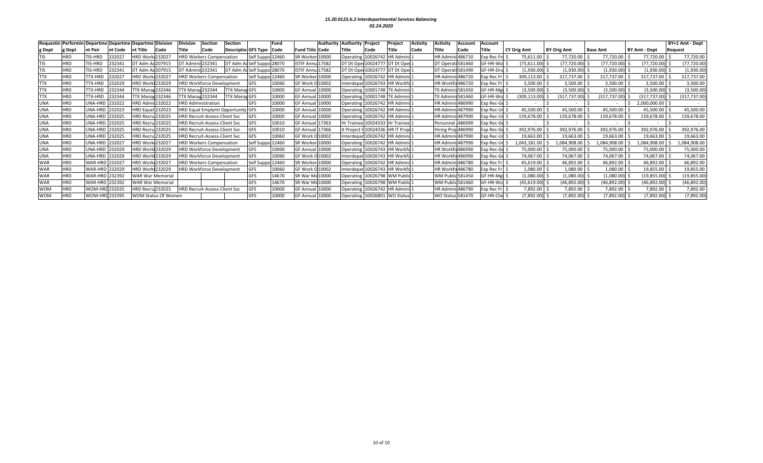|            |            | Requestin Performin Departme Departme Departme Division |         |                         |                            | <b>Division</b> | <b>Section</b>                       | Section                    |                     | Fund  |                        |       | <b>Authority Authority Project</b> |                                      | Project           | Activitv | Activitv                 | Account                  | Account         |                    |                    |              |                 |                      | BY+1 Amt - Dept |
|------------|------------|---------------------------------------------------------|---------|-------------------------|----------------------------|-----------------|--------------------------------------|----------------------------|---------------------|-------|------------------------|-------|------------------------------------|--------------------------------------|-------------------|----------|--------------------------|--------------------------|-----------------|--------------------|--------------------|--------------|-----------------|----------------------|-----------------|
| g Dept     | g Dept     | <b>Int Pair</b>                                         | nt Code | nt Title                | Code                       | Title           | Code                                 | <b>Descriptio GFS Type</b> |                     | Code  | <b>Fund Title Code</b> |       | <b>Title</b>                       | <b>Code</b>                          |                   | Code     | Title                    | <b>Code</b>              | Title           | <b>CY Orig Amt</b> | <b>BY Orig Amt</b> |              | <b>Base Amt</b> | <b>BY Amt - Dept</b> | <b>Request</b>  |
| TIS        | <b>HRD</b> | TIS-HRD                                                 | 232027  | <b>HRD Work 232027</b>  |                            |                 | <b>HRD Workers Compensation</b>      |                            | Self Suppo          | 12460 | SR Worker 10000        |       |                                    | Operating 10026742 HR Admini:        |                   |          |                          | <b>HR Admini: 486710</b> | Exp Rec Fro     | 75,611.00          |                    | 77,720.00    | 77,720.00       | 77,720.00            | 77,720.00       |
| TIS        | <b>HRD</b> | TIS-HRD                                                 | 232341  | DT Adm Ad 207915        |                            |                 | DT Adminis 232341                    |                            | DT Adm AdSelf Suppo | 28070 | ISTIF Annu 17582       |       |                                    | DT Dt Oper 10024777 DT Dt Oper:      |                   |          |                          | DT Operati 581460        | SF-HR-Wol S     | (75,611.00)        |                    | (77, 720.00) | (77, 720.00)    | (77,720.00)          | (77,720.00      |
| TIS        | <b>HRD</b> | TIS-HRD                                                 | 232341  | DT Adm Ad207915         |                            |                 | DT Adminis 232341                    |                            | DT Adm AcSelf Suppo | 28070 | ISTIF Annu 17582       |       |                                    | DT Dt Oper 10024777 DT Dt Oper:      |                   |          | DT Operat                | ti 581490                | SF-HR-Dru S     | (1,930.00)         |                    | (1,930.00)   | (1,930.00)      | (1,930.00)           | (1,930.00)      |
| TTX        | <b>HRD</b> | TTX-HRD                                                 | 232027  | <b>HRD Work 232027</b>  |                            |                 | <b>HRD Workers Compensation</b>      |                            | Self Suppo          | 12460 | SR Worker 10000        |       |                                    | Operating 10026742 HR Admini         |                   |          |                          | HR Admini: 486720        | Exp Rec $Fr$ \$ | 309,113.00         | 317,737.00         |              | 317,737.00      | 317,737.00           | 317,737.00      |
| TTX        | <b>HRD</b> | TTX-HRD                                                 | 232029  | <b>HRD Work1232029</b>  |                            |                 | <b>HRD Workforce Development</b>     |                            | <b>GFS</b>          | 10060 | GF Work O 10002        |       |                                    | Interdepar 10026743 HR Workfo1       |                   |          |                          | HR Workfo 486720         | Exp Rec Fr   \$ | 3,500.00           |                    | 3,500.00     | 3,500.00        | 3,500.00             | 3,500.00        |
| TTX        | <b>HRD</b> | TTX-HRD                                                 | 232344  | <b>TTX Manag 232346</b> |                            |                 | TTX Manag 232344                     | <b>TTX Manag GFS</b>       |                     | 10000 | GF Annual              | 10000 |                                    | Operating 10001748 TX Adminis1       |                   |          |                          | <b>TX Adminis 581450</b> | SF-HR-Mer S     | (3,500.00)         |                    | (3,500.00)   | (3,500.00)      | (3,500.00)           | (3,500.00)      |
| TTX        | <b>HRD</b> | TTX-HRD                                                 | 232344  | <b>TX Manag</b>         | 232346                     |                 | TTX Manag 232344                     | <b>TTX Manag GFS</b>       |                     | 10000 | GF Annual              | 10000 | Operating                          | 10001748                             | <b>TX Adminis</b> |          |                          | TX Adminis 581460        | GF-HR-Wo        | (309, 113.00)      | (317,737.00)       |              | (317,737.00)    | (317, 737.00)        | (317, 737.00)   |
| JNA        | <b>HRD</b> | UNA-HRD                                                 | 232022  | <b>HRD Admir 232022</b> |                            |                 | <b>HRD Administration</b>            |                            | <b>GFS</b>          | 10000 | GF Annua               | 10000 |                                    | Operating 10026742                   | <b>HR Admini</b>  |          | <b>HR Admir</b>          | ii:486990                | Exp Rec-Ge \$   |                    |                    |              |                 | 2,000,000.00         |                 |
| UNA        | <b>HRD</b> | UNA-HRD                                                 | 232023  | <b>HRD Equal</b>        | 232023                     |                 | HRD Equal Emplymt Opportunity GFS    |                            |                     | 10000 | <b>GF Annual</b>       | 10000 | Operating                          | 10026742 HR Admini                   |                   |          |                          | HR Admini: 487990        | Exp Rec-Ur \$   | 45,500.00          |                    | 45,500.00    | 45,500.00       | 45,500.00            | 45,500.00       |
| UNA        | <b>HRD</b> | UNA-HRD                                                 | 232025  | <b>HRD Recru 232025</b> |                            |                 | <b>HRD Recruit-Assess-Client Svc</b> |                            | <b>GFS</b>          | 10000 | <b>GF Annual</b>       | 10000 |                                    | Operating 10026742 HR Admini:        |                   |          | <b>HR Admini: 487990</b> |                          | Exp Rec-Ur      | 159,678.00         | 159,678.00         |              | 159,678.00      | 159,678.00           | 159,678.00      |
| UNA        | <b>HRD</b> | UNA-HRD 232025                                          |         | <b>HRD Recru 232025</b> |                            |                 | <b>HRD Recruit-Assess-Client Svc</b> |                            | GFS                 | 10010 | <b>GF Annual</b>       | 17363 |                                    | Hr Trainee 10024333 Hr Trainee       |                   |          | Personnel                | 486990                   | $Exp Rec-Ge$ \$ |                    |                    |              |                 |                      |                 |
| <b>UNA</b> | <b>HRD</b> | UNA-HRD 232025                                          |         | <b>HRD Recru 232025</b> |                            |                 | <b>HRD Recruit-Assess-Client Svc</b> |                            | GFS                 | 10010 | <b>GF Annual</b>       | 17366 |                                    | It Project I 10024336   HR IT Proje1 |                   |          |                          | Hiring Proj 486990       | Exp Rec-Ge      | 392,976.00         | 392,976.00         |              | 392,976.00      | 392,976.00           | 392,976.00      |
| UNA        | <b>HRD</b> | UNA-HRD 232025                                          |         | <b>HRD Recru 232025</b> |                            |                 | <b>HRD Recruit-Assess-Client Svc</b> |                            | GFS                 | 10060 | GF Work O 10002        |       |                                    | Interdepar 10026742 HR Admini        |                   |          | <b>HR Admini: 487990</b> |                          | Exp Rec-Ur      | 19,663.00          |                    | 19,663.00    | 19,663.00       | 19,663.00            | 19,663.00       |
| UNA        | <b>HRD</b> | UNA-HRD 232027                                          |         | <b>HRD Work 232027</b>  |                            |                 | <b>HRD Workers Compensation</b>      |                            | Self Suppo          | 12460 | SR Worker 10000        |       |                                    | Operating 10026742 HR Admini:        |                   |          |                          | HR Admini: 487990        | Exp Rec-Ur      | 043,181.00         | ,084,908.00        |              | 1,084,908.00    | 084,908.00           | 084,908.00      |
| UNA        | <b>HRD</b> | UNA-HRD 232029                                          |         | <b>HRD Work1232029</b>  |                            |                 | <b>HRD Workforce Development</b>     |                            | <b>GFS</b>          | 10000 | <b>GF Annual</b>       | 10000 |                                    | Operating 10026743 HR Workfo1        |                   |          |                          | HR Workfo 486990         | Exp Rec-Ge \$   | 75,000.00          |                    | 75,000.00    | 75,000.00       | 75,000.00            | 75,000.00       |
| <b>UNA</b> | <b>HRD</b> | UNA-HRD 232029                                          |         | <b>HRD Work 232029</b>  |                            |                 | <b>HRD Workforce Development</b>     |                            | GFS                 | 10060 | GF Work O 10002        |       |                                    | Interdepar 10026743 HR Workfo1       |                   |          |                          | HR Workfo 486990         | Exp Rec-Ge \$   | 74,067.00          |                    | 74,067.00    | 74,067.00       | 74,067.00            | 74,067.00       |
| <b>WAR</b> | <b>HRD</b> | WAR-HRD 232027                                          |         | <b>HRD Work 232027</b>  |                            |                 | <b>HRD Workers Compensation</b>      |                            | Self Suppo          | 12460 | SR Worker 10000        |       |                                    | Operating 10026742 HR Admini         |                   |          |                          | <b>HR Admini: 486780</b> | Exp Rec $Fr$ \$ | 45,619.00          |                    | 46,892.00    | 46,892.00       | 46,892.00            | 46,892.00       |
| <b>WAR</b> | <b>HRD</b> | WAR-HRD 232029                                          |         | HRD Work1232029         |                            |                 | <b>HRD Workforce Development</b>     |                            | GFS                 | 10060 | GF Work O 10002        |       |                                    | Interdepar 10026743 HR Workfo:       |                   |          |                          | HR Workfo 486780         | Exp Rec Fr   \$ | 1,080.00           |                    | 1,080.00     | 1,080.00        | 19,855.00            | 19,855.00       |
| <b>WAR</b> | <b>HRD</b> | WAR-HRD 232392                                          |         |                         | WAR War Memorial           |                 |                                      |                            | GFS                 | 14670 | SR War Mc 10000        |       | Operating                          | 10026798 WM Public                   |                   |          |                          | WM Public 581450         | GF-HR-Mer       | (1,080.00)         |                    | (1,080.00)   | (1,080.00)      | [19, 855.00]         | (19,855.00      |
| <b>WAR</b> | <b>HRD</b> | WAR-HRD 232392                                          |         | <b>WAR War Memorial</b> |                            |                 |                                      |                            | GFS                 | 14670 | SR War Mc10000         |       | <b>Operating</b>                   | 10026798 WM Public                   |                   |          |                          | WM Public 581460         | SF-HR-Wol Ś     | (45, 619.00)       |                    | (46,892.00)  | (46,892.00)     | (46, 892.00)         | (46,892.00      |
| <b>WOM</b> | <b>HRD</b> | WOM-HRD 232025                                          |         | <b>HRD Recru 232025</b> |                            |                 | <b>HRD Recruit-Assess-Client Svc</b> |                            | GFS                 | 10000 | <b>GF Annua</b>        | 10000 | Operating                          | 10026742 HR Admini:                  |                   |          |                          | HR Admini: 486790        | Exp Rec Fr   \$ | 7,892.00           |                    | 7,892.00     | 7,892.00        | 7,892.00             | 7,892.00        |
| <b>WOM</b> | <b>HRD</b> | WOM-HRD232395                                           |         |                         | <b>WOM Status Of Women</b> |                 |                                      |                            | <b>GFS</b>          | 10000 | <b>GF Annual</b>       | 10000 |                                    | Operating 10026801                   | WO Status:        |          | <b>WO Status 581470</b>  |                          | SF-HR-Clie \$   | (7,892.00)         |                    | (7,892.00)   | (7,892.00) \$   | $(7,892.00)$ \$      | (7,892.00)      |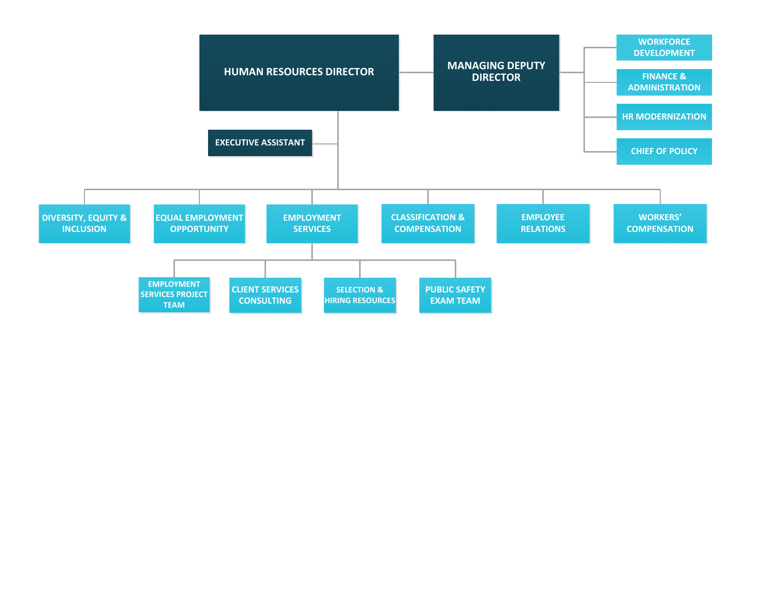